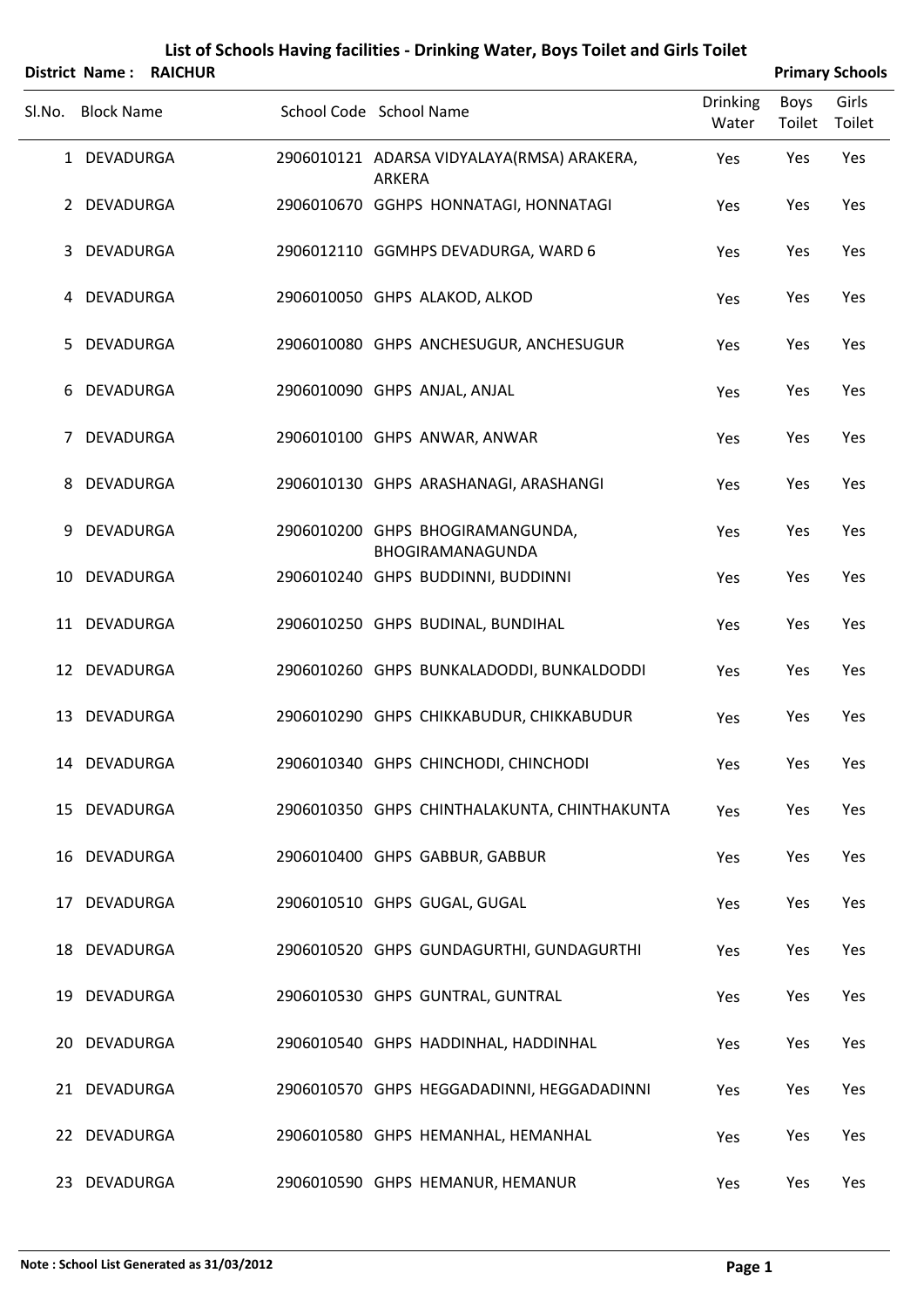|        |                   | District Name: RAICHUR |                                                      |                          |                | <b>Primary Schools</b> |
|--------|-------------------|------------------------|------------------------------------------------------|--------------------------|----------------|------------------------|
| SI.No. | <b>Block Name</b> |                        | School Code School Name                              | <b>Drinking</b><br>Water | Boys<br>Toilet | Girls<br>Toilet        |
|        | 1 DEVADURGA       |                        | 2906010121 ADARSA VIDYALAYA(RMSA) ARAKERA,<br>ARKERA | Yes                      | Yes            | Yes                    |
|        | 2 DEVADURGA       |                        | 2906010670 GGHPS HONNATAGI, HONNATAGI                | Yes                      | Yes            | Yes                    |
| 3      | DEVADURGA         |                        | 2906012110 GGMHPS DEVADURGA, WARD 6                  | Yes                      | Yes            | Yes                    |
|        | 4 DEVADURGA       |                        | 2906010050 GHPS ALAKOD, ALKOD                        | Yes                      | Yes            | Yes                    |
| 5.     | DEVADURGA         |                        | 2906010080 GHPS ANCHESUGUR, ANCHESUGUR               | Yes                      | Yes            | Yes                    |
| 6      | DEVADURGA         |                        | 2906010090 GHPS ANJAL, ANJAL                         | Yes                      | Yes            | Yes                    |
| 7      | DEVADURGA         |                        | 2906010100 GHPS ANWAR, ANWAR                         | Yes                      | Yes            | Yes                    |
| 8      | DEVADURGA         |                        | 2906010130 GHPS ARASHANAGI, ARASHANGI                | Yes                      | Yes            | Yes                    |
| 9      | DEVADURGA         |                        | 2906010200 GHPS BHOGIRAMANGUNDA,<br>BHOGIRAMANAGUNDA | Yes                      | Yes            | Yes                    |
|        | 10 DEVADURGA      |                        | 2906010240 GHPS BUDDINNI, BUDDINNI                   | Yes                      | Yes            | Yes                    |
|        | 11 DEVADURGA      |                        | 2906010250 GHPS BUDINAL, BUNDIHAL                    | Yes                      | Yes            | Yes                    |
|        | 12 DEVADURGA      |                        | 2906010260 GHPS BUNKALADODDI, BUNKALDODDI            | Yes                      | Yes            | Yes                    |
| 13     | DEVADURGA         |                        | 2906010290 GHPS CHIKKABUDUR, CHIKKABUDUR             | Yes                      | Yes            | Yes                    |
|        | 14 DEVADURGA      |                        | 2906010340 GHPS CHINCHODI, CHINCHODI                 | Yes                      | Yes            | Yes                    |
|        | 15 DEVADURGA      |                        | 2906010350 GHPS CHINTHALAKUNTA, CHINTHAKUNTA         | Yes                      | Yes            | Yes                    |
|        | 16 DEVADURGA      |                        | 2906010400 GHPS GABBUR, GABBUR                       | Yes                      | Yes            | Yes                    |
|        | 17 DEVADURGA      |                        | 2906010510 GHPS GUGAL, GUGAL                         | Yes                      | Yes            | Yes                    |
|        | 18 DEVADURGA      |                        | 2906010520 GHPS GUNDAGURTHI, GUNDAGURTHI             | Yes                      | Yes            | Yes                    |
|        | 19 DEVADURGA      |                        | 2906010530 GHPS GUNTRAL, GUNTRAL                     | Yes                      | Yes            | Yes                    |
|        | 20 DEVADURGA      |                        | 2906010540 GHPS HADDINHAL, HADDINHAL                 | Yes                      | Yes            | Yes                    |
|        | 21 DEVADURGA      |                        | 2906010570 GHPS HEGGADADINNI, HEGGADADINNI           | Yes                      | Yes            | Yes                    |
|        | 22 DEVADURGA      |                        | 2906010580 GHPS HEMANHAL, HEMANHAL                   | Yes                      | Yes            | Yes                    |
|        | 23 DEVADURGA      |                        | 2906010590 GHPS HEMANUR, HEMANUR                     | Yes                      | Yes            | Yes                    |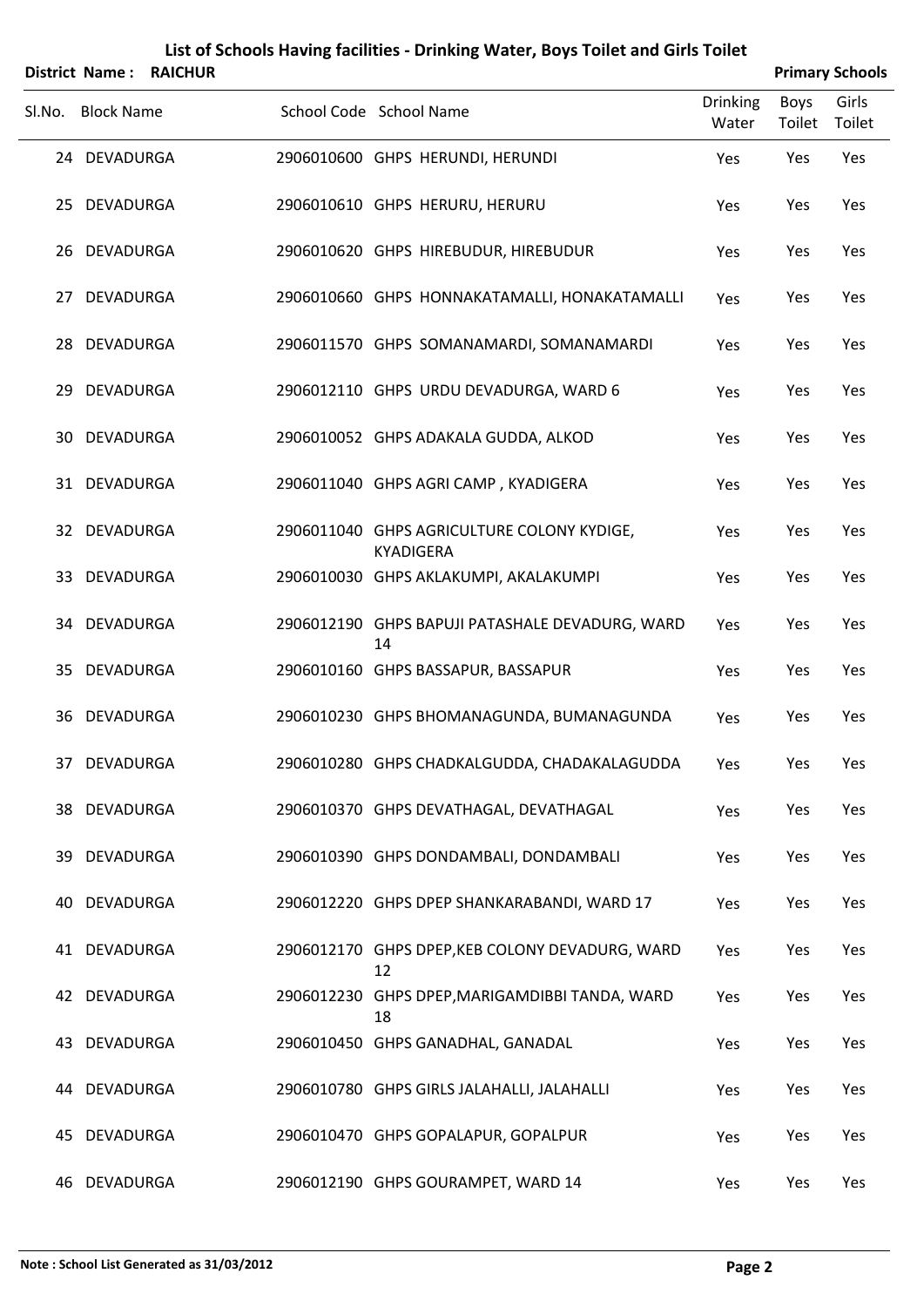|        |                   | District Name: RAICHUR |                                                                |                   |                | <b>Primary Schools</b> |
|--------|-------------------|------------------------|----------------------------------------------------------------|-------------------|----------------|------------------------|
| Sl.No. | <b>Block Name</b> |                        | School Code School Name                                        | Drinking<br>Water | Boys<br>Toilet | Girls<br>Toilet        |
|        | 24 DEVADURGA      |                        | 2906010600 GHPS HERUNDI, HERUNDI                               | Yes               | Yes            | Yes                    |
|        | 25 DEVADURGA      |                        | 2906010610 GHPS HERURU, HERURU                                 | Yes               | Yes            | Yes                    |
|        | 26 DEVADURGA      |                        | 2906010620 GHPS HIREBUDUR, HIREBUDUR                           | Yes               | Yes            | Yes                    |
|        | 27 DEVADURGA      |                        | 2906010660 GHPS HONNAKATAMALLI, HONAKATAMALLI                  | Yes               | Yes            | Yes                    |
|        | 28 DEVADURGA      |                        | 2906011570 GHPS SOMANAMARDI, SOMANAMARDI                       | Yes               | Yes            | Yes                    |
|        | 29 DEVADURGA      |                        | 2906012110 GHPS URDU DEVADURGA, WARD 6                         | Yes               | Yes            | Yes                    |
|        | 30 DEVADURGA      |                        | 2906010052 GHPS ADAKALA GUDDA, ALKOD                           | Yes               | Yes            | Yes                    |
|        | 31 DEVADURGA      |                        | 2906011040 GHPS AGRI CAMP, KYADIGERA                           | Yes               | Yes            | Yes                    |
|        | 32 DEVADURGA      |                        | 2906011040 GHPS AGRICULTURE COLONY KYDIGE,<br><b>KYADIGERA</b> | Yes               | Yes            | Yes                    |
|        | 33 DEVADURGA      |                        | 2906010030 GHPS AKLAKUMPI, AKALAKUMPI                          | Yes               | Yes            | Yes                    |
|        | 34 DEVADURGA      |                        | 2906012190 GHPS BAPUJI PATASHALE DEVADURG, WARD<br>14          | Yes               | Yes            | Yes                    |
|        | 35 DEVADURGA      |                        | 2906010160 GHPS BASSAPUR, BASSAPUR                             | Yes               | Yes            | Yes                    |
|        | 36 DEVADURGA      |                        | 2906010230 GHPS BHOMANAGUNDA, BUMANAGUNDA                      | Yes               | Yes            | Yes                    |
|        | 37 DEVADURGA      |                        | 2906010280 GHPS CHADKALGUDDA, CHADAKALAGUDDA                   | Yes               | Yes            | Yes                    |
|        | 38 DEVADURGA      |                        | 2906010370 GHPS DEVATHAGAL, DEVATHAGAL                         | Yes               | Yes            | Yes                    |
|        | 39 DEVADURGA      |                        | 2906010390 GHPS DONDAMBALI, DONDAMBALI                         | Yes               | Yes            | Yes                    |
|        | 40 DEVADURGA      |                        | 2906012220 GHPS DPEP SHANKARABANDI, WARD 17                    | Yes               | Yes            | Yes                    |
|        | 41 DEVADURGA      |                        | 2906012170 GHPS DPEP, KEB COLONY DEVADURG, WARD<br>12          | Yes               | Yes            | Yes                    |
|        | 42 DEVADURGA      |                        | 2906012230 GHPS DPEP, MARIGAMDIBBI TANDA, WARD<br>18           | Yes               | Yes            | Yes                    |
|        | 43 DEVADURGA      |                        | 2906010450 GHPS GANADHAL, GANADAL                              | Yes               | Yes            | Yes                    |
|        | 44 DEVADURGA      |                        | 2906010780 GHPS GIRLS JALAHALLI, JALAHALLI                     | Yes               | Yes            | Yes                    |
| 45     | DEVADURGA         |                        | 2906010470 GHPS GOPALAPUR, GOPALPUR                            | Yes               | Yes            | Yes                    |
|        | 46 DEVADURGA      |                        | 2906012190 GHPS GOURAMPET, WARD 14                             | Yes               | Yes            | Yes                    |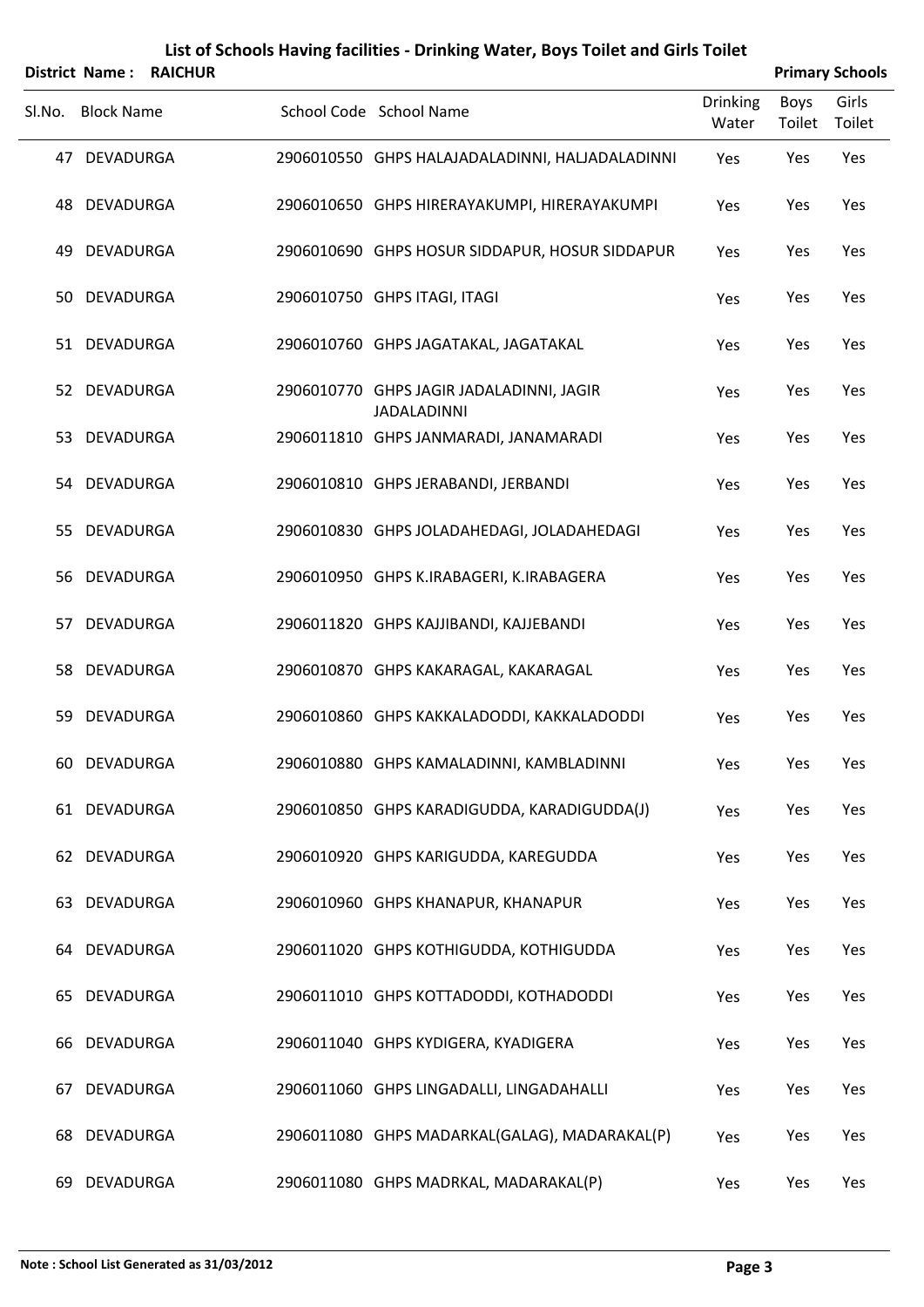|    |                   | District Name: RAICHUR |                                                                |                          |                       | <b>Primary Schools</b> |
|----|-------------------|------------------------|----------------------------------------------------------------|--------------------------|-----------------------|------------------------|
|    | SI.No. Block Name |                        | School Code School Name                                        | <b>Drinking</b><br>Water | <b>Boys</b><br>Toilet | Girls<br>Toilet        |
|    | 47 DEVADURGA      |                        | 2906010550 GHPS HALAJADALADINNI, HALJADALADINNI                | Yes                      | Yes                   | Yes                    |
|    | 48 DEVADURGA      |                        | 2906010650 GHPS HIRERAYAKUMPI, HIRERAYAKUMPI                   | Yes                      | Yes                   | Yes                    |
| 49 | DEVADURGA         |                        | 2906010690 GHPS HOSUR SIDDAPUR, HOSUR SIDDAPUR                 | Yes                      | Yes                   | Yes                    |
|    | 50 DEVADURGA      |                        | 2906010750 GHPS ITAGI, ITAGI                                   | Yes                      | Yes                   | Yes                    |
|    | 51 DEVADURGA      |                        | 2906010760 GHPS JAGATAKAL, JAGATAKAL                           | Yes                      | Yes                   | Yes                    |
|    | 52 DEVADURGA      |                        | 2906010770 GHPS JAGIR JADALADINNI, JAGIR<br><b>JADALADINNI</b> | Yes                      | Yes                   | Yes                    |
|    | 53 DEVADURGA      |                        | 2906011810 GHPS JANMARADI, JANAMARADI                          | Yes                      | Yes                   | Yes                    |
|    | 54 DEVADURGA      |                        | 2906010810 GHPS JERABANDI, JERBANDI                            | Yes                      | Yes                   | Yes                    |
|    | 55 DEVADURGA      |                        | 2906010830 GHPS JOLADAHEDAGI, JOLADAHEDAGI                     | Yes                      | Yes                   | Yes                    |
|    | 56 DEVADURGA      |                        | 2906010950 GHPS K.IRABAGERI, K.IRABAGERA                       | Yes                      | Yes                   | Yes                    |
|    | 57 DEVADURGA      |                        | 2906011820 GHPS KAJJIBANDI, KAJJEBANDI                         | Yes                      | Yes                   | Yes                    |
|    | 58 DEVADURGA      |                        | 2906010870 GHPS KAKARAGAL, KAKARAGAL                           | Yes                      | Yes                   | Yes                    |
| 59 | <b>DEVADURGA</b>  |                        | 2906010860 GHPS KAKKALADODDI, KAKKALADODDI                     | Yes                      | Yes                   | Yes                    |
|    | 60 DEVADURGA      |                        | 2906010880 GHPS KAMALADINNI, KAMBLADINNI                       | Yes                      | Yes                   | Yes                    |
|    | 61 DEVADURGA      |                        | 2906010850 GHPS KARADIGUDDA, KARADIGUDDA(J)                    | Yes                      | Yes                   | Yes                    |
|    | 62 DEVADURGA      |                        | 2906010920 GHPS KARIGUDDA, KAREGUDDA                           | Yes                      | Yes                   | Yes                    |
|    | 63 DEVADURGA      |                        | 2906010960 GHPS KHANAPUR, KHANAPUR                             | Yes                      | Yes                   | Yes                    |
|    | 64 DEVADURGA      |                        | 2906011020 GHPS KOTHIGUDDA, KOTHIGUDDA                         | Yes                      | Yes                   | Yes                    |
|    | 65 DEVADURGA      |                        | 2906011010 GHPS KOTTADODDI, KOTHADODDI                         | Yes                      | Yes                   | Yes                    |
| 66 | DEVADURGA         |                        | 2906011040 GHPS KYDIGERA, KYADIGERA                            | Yes                      | Yes                   | Yes                    |
| 67 | DEVADURGA         |                        | 2906011060 GHPS LINGADALLI, LINGADAHALLI                       | Yes                      | Yes                   | Yes                    |
| 68 | DEVADURGA         |                        | 2906011080 GHPS MADARKAL(GALAG), MADARAKAL(P)                  | Yes                      | Yes                   | Yes                    |
|    | 69 DEVADURGA      |                        | 2906011080 GHPS MADRKAL, MADARAKAL(P)                          | Yes                      | Yes                   | Yes                    |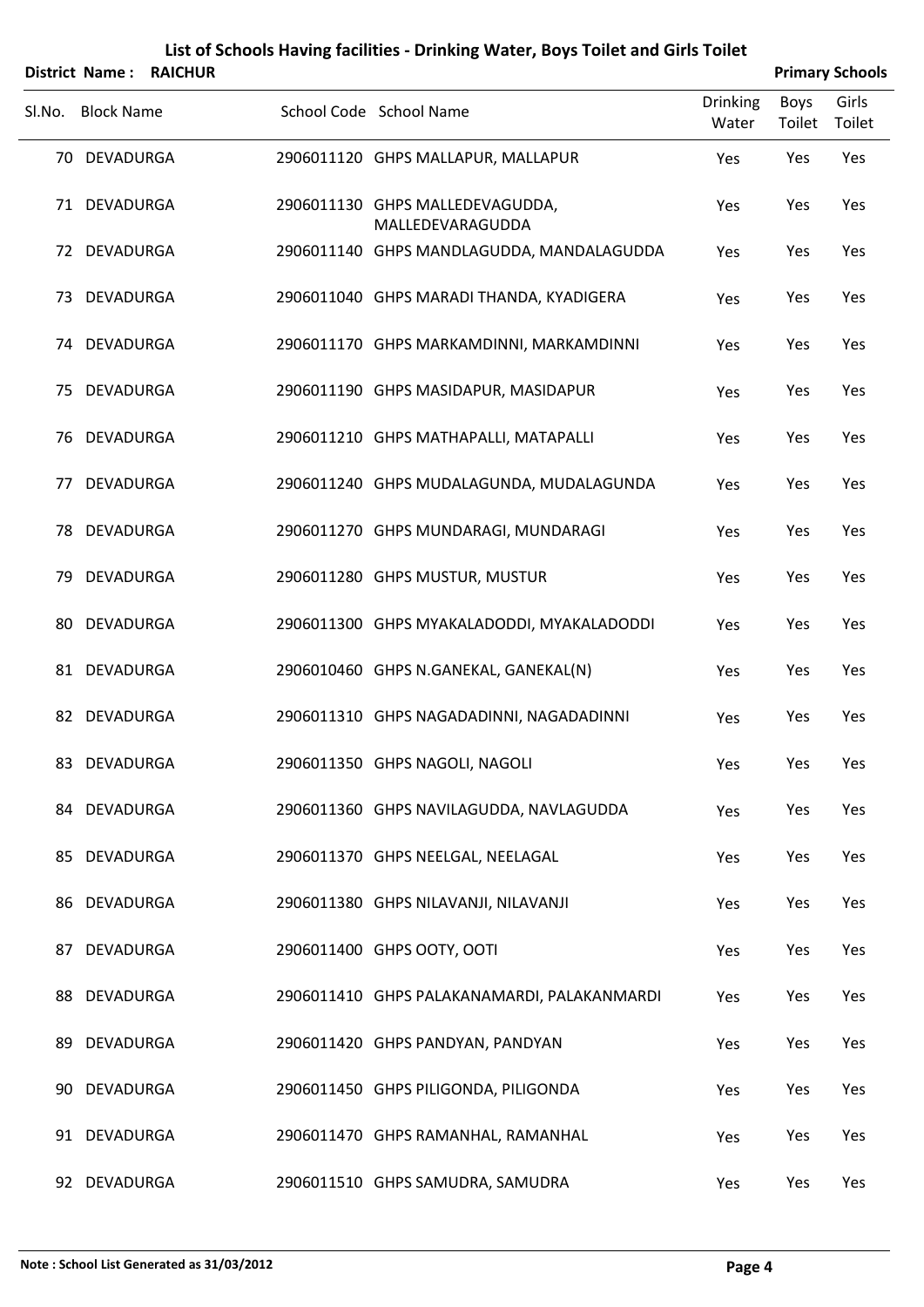|        |                   | <b>District Name: RAICHUR</b> |                                                     |                          |                | <b>Primary Schools</b> |
|--------|-------------------|-------------------------------|-----------------------------------------------------|--------------------------|----------------|------------------------|
| SI.No. | <b>Block Name</b> |                               | School Code School Name                             | <b>Drinking</b><br>Water | Boys<br>Toilet | Girls<br>Toilet        |
|        | 70 DEVADURGA      |                               | 2906011120 GHPS MALLAPUR, MALLAPUR                  | Yes                      | Yes            | Yes                    |
|        | 71 DEVADURGA      |                               | 2906011130 GHPS MALLEDEVAGUDDA,<br>MALLEDEVARAGUDDA | Yes                      | Yes            | Yes                    |
|        | 72 DEVADURGA      |                               | 2906011140 GHPS MANDLAGUDDA, MANDALAGUDDA           | Yes                      | Yes            | Yes                    |
|        | 73 DEVADURGA      |                               | 2906011040 GHPS MARADI THANDA, KYADIGERA            | Yes                      | Yes            | Yes                    |
|        | 74 DEVADURGA      |                               | 2906011170 GHPS MARKAMDINNI, MARKAMDINNI            | Yes                      | Yes            | Yes                    |
| 75     | DEVADURGA         |                               | 2906011190 GHPS MASIDAPUR, MASIDAPUR                | Yes                      | Yes            | Yes                    |
| 76     | DEVADURGA         |                               | 2906011210 GHPS MATHAPALLI, MATAPALLI               | Yes                      | Yes            | Yes                    |
| 77.    | DEVADURGA         |                               | 2906011240 GHPS MUDALAGUNDA, MUDALAGUNDA            | Yes                      | Yes            | Yes                    |
|        | 78 DEVADURGA      |                               | 2906011270 GHPS MUNDARAGI, MUNDARAGI                | Yes                      | Yes            | Yes                    |
|        | 79 DEVADURGA      |                               | 2906011280 GHPS MUSTUR, MUSTUR                      | Yes                      | Yes            | Yes                    |
| 80     | DEVADURGA         |                               | 2906011300 GHPS MYAKALADODDI, MYAKALADODDI          | Yes                      | Yes            | Yes                    |
|        | 81 DEVADURGA      |                               | 2906010460 GHPS N.GANEKAL, GANEKAL(N)               | Yes                      | Yes            | Yes                    |
|        | 82 DEVADURGA      |                               | 2906011310 GHPS NAGADADINNI, NAGADADINNI            | Yes                      | Yes            | Yes                    |
|        | 83 DEVADURGA      |                               | 2906011350 GHPS NAGOLI, NAGOLI                      | Yes                      | Yes            | Yes                    |
|        | 84 DEVADURGA      |                               | 2906011360 GHPS NAVILAGUDDA, NAVLAGUDDA             | Yes                      | Yes            | Yes                    |
|        | 85 DEVADURGA      |                               | 2906011370 GHPS NEELGAL, NEELAGAL                   | Yes                      | Yes            | Yes                    |
|        | 86 DEVADURGA      |                               | 2906011380 GHPS NILAVANJI, NILAVANJI                | Yes                      | Yes            | Yes                    |
|        | 87 DEVADURGA      |                               | 2906011400 GHPS OOTY, OOTI                          | Yes                      | Yes            | Yes                    |
|        | 88 DEVADURGA      |                               | 2906011410 GHPS PALAKANAMARDI, PALAKANMARDI         | Yes                      | Yes            | Yes                    |
|        | 89 DEVADURGA      |                               | 2906011420 GHPS PANDYAN, PANDYAN                    | Yes                      | Yes            | Yes                    |
|        | 90 DEVADURGA      |                               | 2906011450 GHPS PILIGONDA, PILIGONDA                | Yes                      | Yes            | Yes                    |
|        | 91 DEVADURGA      |                               | 2906011470 GHPS RAMANHAL, RAMANHAL                  | Yes                      | Yes            | Yes                    |
|        | 92 DEVADURGA      |                               | 2906011510 GHPS SAMUDRA, SAMUDRA                    | Yes                      | Yes            | Yes                    |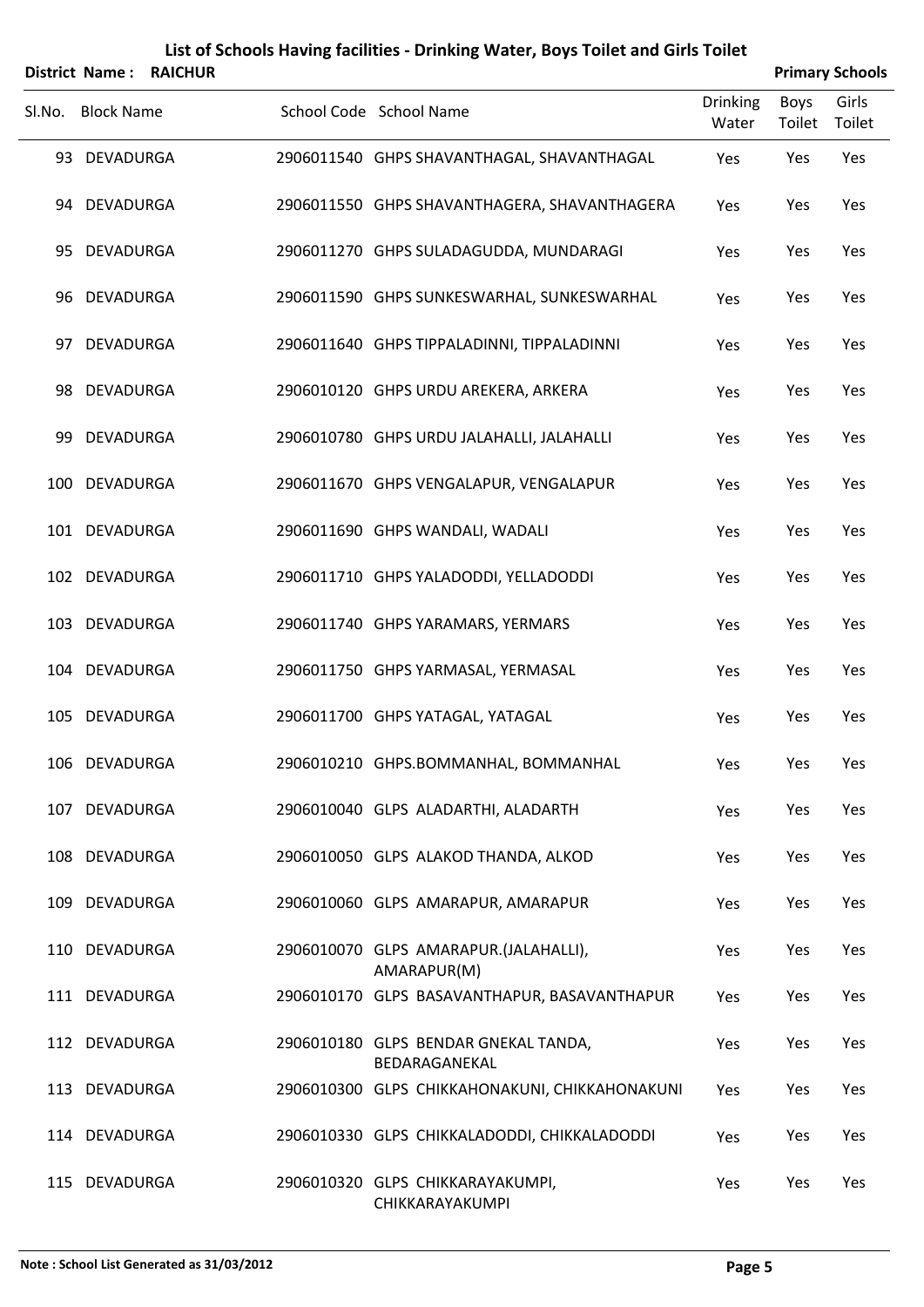|        | <b>District Name:</b> | <b>RAICHUR</b> |                                                       |                          |                | <b>Primary Schools</b> |
|--------|-----------------------|----------------|-------------------------------------------------------|--------------------------|----------------|------------------------|
| SI.No. | <b>Block Name</b>     |                | School Code School Name                               | <b>Drinking</b><br>Water | Boys<br>Toilet | Girls<br>Toilet        |
|        | 93 DEVADURGA          |                | 2906011540 GHPS SHAVANTHAGAL, SHAVANTHAGAL            | Yes                      | Yes            | Yes                    |
|        | 94 DEVADURGA          |                | 2906011550 GHPS SHAVANTHAGERA, SHAVANTHAGERA          | Yes                      | Yes            | Yes                    |
|        | 95 DEVADURGA          |                | 2906011270 GHPS SULADAGUDDA, MUNDARAGI                | Yes                      | Yes            | Yes                    |
|        | 96 DEVADURGA          |                | 2906011590 GHPS SUNKESWARHAL, SUNKESWARHAL            | Yes                      | Yes            | Yes                    |
|        | 97 DEVADURGA          |                | 2906011640 GHPS TIPPALADINNI, TIPPALADINNI            | Yes                      | Yes            | Yes                    |
|        | 98 DEVADURGA          |                | 2906010120 GHPS URDU AREKERA, ARKERA                  | Yes                      | Yes            | Yes                    |
| 99     | DEVADURGA             |                | 2906010780 GHPS URDU JALAHALLI, JALAHALLI             | Yes                      | Yes            | Yes                    |
|        | 100 DEVADURGA         |                | 2906011670 GHPS VENGALAPUR, VENGALAPUR                | Yes                      | Yes            | Yes                    |
|        | 101 DEVADURGA         |                | 2906011690 GHPS WANDALI, WADALI                       | Yes                      | Yes            | Yes                    |
|        | 102 DEVADURGA         |                | 2906011710 GHPS YALADODDI, YELLADODDI                 | Yes                      | Yes            | Yes                    |
|        | 103 DEVADURGA         |                | 2906011740 GHPS YARAMARS, YERMARS                     | Yes                      | Yes            | Yes                    |
|        | 104 DEVADURGA         |                | 2906011750 GHPS YARMASAL, YERMASAL                    | Yes                      | Yes            | Yes                    |
|        | 105 DEVADURGA         |                | 2906011700 GHPS YATAGAL, YATAGAL                      | Yes                      | Yes            | Yes                    |
|        | 106 DEVADURGA         |                | 2906010210 GHPS.BOMMANHAL, BOMMANHAL                  | Yes                      | Yes            | Yes                    |
|        | 107 DEVADURGA         |                | 2906010040 GLPS ALADARTHI, ALADARTH                   | Yes                      | Yes            | Yes                    |
|        | 108 DEVADURGA         |                | 2906010050 GLPS ALAKOD THANDA, ALKOD                  | Yes                      | Yes            | Yes                    |
|        | 109 DEVADURGA         |                | 2906010060 GLPS AMARAPUR, AMARAPUR                    | Yes                      | Yes            | Yes                    |
|        | 110 DEVADURGA         |                | 2906010070 GLPS AMARAPUR.(JALAHALLI),<br>AMARAPUR(M)  | Yes                      | Yes            | Yes                    |
|        | 111 DEVADURGA         |                | 2906010170 GLPS BASAVANTHAPUR, BASAVANTHAPUR          | Yes                      | Yes            | Yes                    |
|        | 112 DEVADURGA         |                | 2906010180 GLPS BENDAR GNEKAL TANDA,<br>BEDARAGANEKAL | Yes                      | Yes            | Yes                    |
|        | 113 DEVADURGA         |                | 2906010300 GLPS CHIKKAHONAKUNI, CHIKKAHONAKUNI        | Yes                      | Yes            | Yes                    |
|        | 114 DEVADURGA         |                | 2906010330 GLPS CHIKKALADODDI, CHIKKALADODDI          | Yes                      | Yes            | Yes                    |
|        | 115 DEVADURGA         |                | 2906010320 GLPS CHIKKARAYAKUMPI,<br>CHIKKARAYAKUMPI   | Yes                      | Yes            | Yes                    |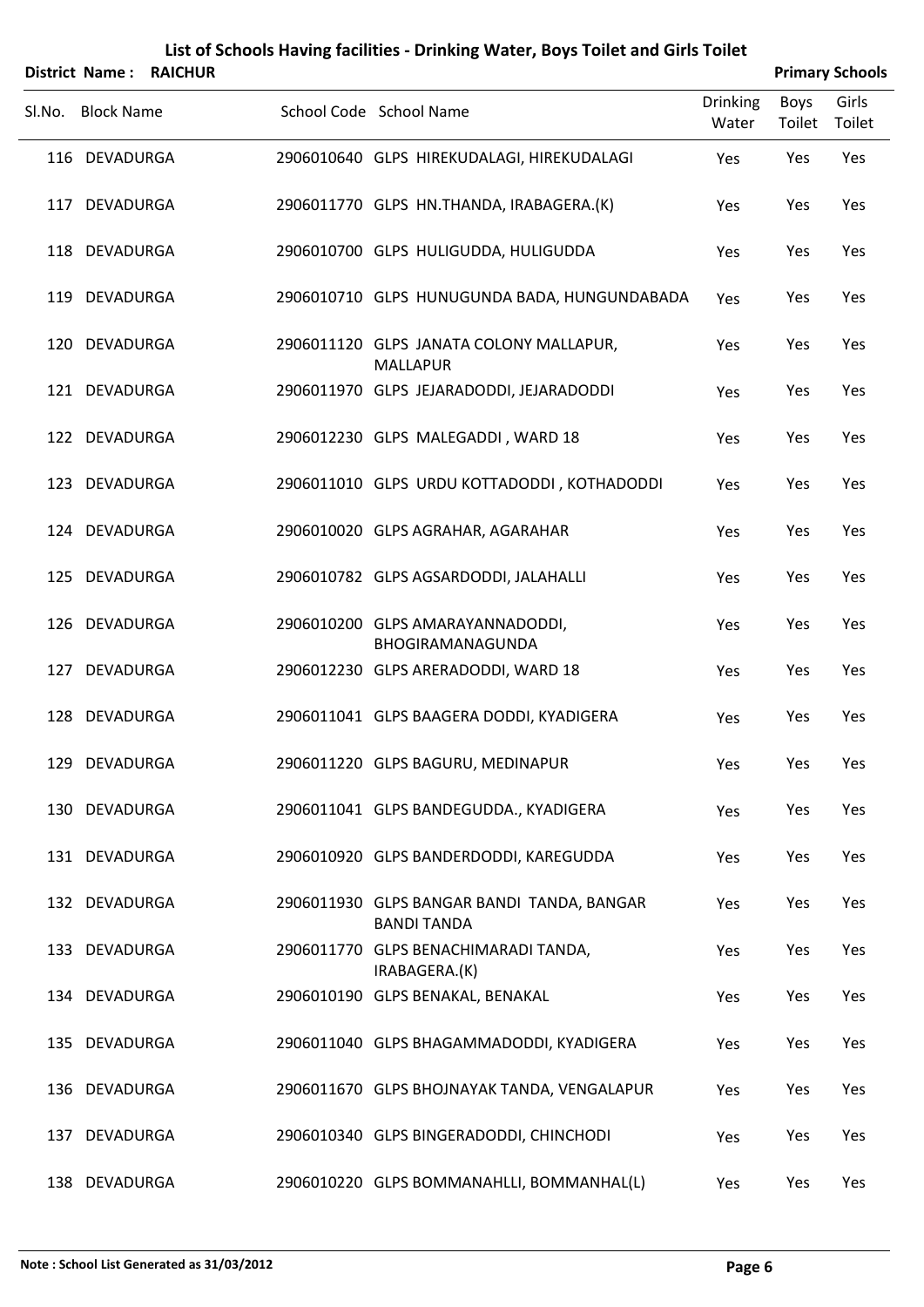|        |                   | District Name: RAICHUR |                                                                  |                          | <b>Primary Schools</b> |                 |
|--------|-------------------|------------------------|------------------------------------------------------------------|--------------------------|------------------------|-----------------|
| Sl.No. | <b>Block Name</b> |                        | School Code School Name                                          | <b>Drinking</b><br>Water | <b>Boys</b><br>Toilet  | Girls<br>Toilet |
|        | 116 DEVADURGA     |                        | 2906010640 GLPS HIREKUDALAGI, HIREKUDALAGI                       | Yes                      | Yes                    | Yes             |
|        | 117 DEVADURGA     |                        | 2906011770 GLPS HN.THANDA, IRABAGERA.(K)                         | Yes                      | Yes                    | Yes             |
|        | 118 DEVADURGA     |                        | 2906010700 GLPS HULIGUDDA, HULIGUDDA                             | Yes                      | Yes                    | Yes             |
|        | 119 DEVADURGA     |                        | 2906010710 GLPS HUNUGUNDA BADA, HUNGUNDABADA                     | Yes                      | Yes                    | Yes             |
|        | 120 DEVADURGA     |                        | 2906011120 GLPS JANATA COLONY MALLAPUR,<br><b>MALLAPUR</b>       | Yes                      | Yes                    | Yes             |
|        | 121 DEVADURGA     |                        | 2906011970 GLPS JEJARADODDI, JEJARADODDI                         | Yes                      | Yes                    | Yes             |
|        | 122 DEVADURGA     |                        | 2906012230 GLPS MALEGADDI, WARD 18                               | Yes                      | Yes                    | Yes             |
|        | 123 DEVADURGA     |                        | 2906011010 GLPS URDU KOTTADODDI, KOTHADODDI                      | Yes                      | Yes                    | Yes             |
|        | 124 DEVADURGA     |                        | 2906010020 GLPS AGRAHAR, AGARAHAR                                | Yes                      | Yes                    | Yes             |
|        | 125 DEVADURGA     |                        | 2906010782 GLPS AGSARDODDI, JALAHALLI                            | Yes                      | Yes                    | Yes             |
|        | 126 DEVADURGA     |                        | 2906010200 GLPS AMARAYANNADODDI,<br>BHOGIRAMANAGUNDA             | Yes                      | Yes                    | Yes             |
|        | 127 DEVADURGA     |                        | 2906012230 GLPS ARERADODDI, WARD 18                              | Yes                      | Yes                    | Yes             |
|        | 128 DEVADURGA     |                        | 2906011041 GLPS BAAGERA DODDI, KYADIGERA                         | Yes                      | Yes                    | Yes             |
|        | 129 DEVADURGA     |                        | 2906011220 GLPS BAGURU, MEDINAPUR                                | Yes                      | Yes                    | Yes             |
|        | 130 DEVADURGA     |                        | 2906011041 GLPS BANDEGUDDA., KYADIGERA                           | Yes                      | Yes                    | Yes             |
|        | 131 DEVADURGA     |                        | 2906010920 GLPS BANDERDODDI, KAREGUDDA                           | Yes                      | Yes                    | Yes             |
|        | 132 DEVADURGA     |                        | 2906011930 GLPS BANGAR BANDI TANDA, BANGAR<br><b>BANDI TANDA</b> | Yes                      | Yes                    | Yes             |
|        | 133 DEVADURGA     |                        | 2906011770 GLPS BENACHIMARADI TANDA,<br>IRABAGERA.(K)            | Yes                      | Yes                    | Yes             |
|        | 134 DEVADURGA     |                        | 2906010190 GLPS BENAKAL, BENAKAL                                 | Yes                      | Yes                    | Yes             |
|        | 135 DEVADURGA     |                        | 2906011040 GLPS BHAGAMMADODDI, KYADIGERA                         | Yes                      | Yes                    | Yes             |
|        | 136 DEVADURGA     |                        | 2906011670 GLPS BHOJNAYAK TANDA, VENGALAPUR                      | Yes                      | Yes                    | Yes             |
|        | 137 DEVADURGA     |                        | 2906010340 GLPS BINGERADODDI, CHINCHODI                          | Yes                      | Yes                    | Yes             |
|        |                   |                        |                                                                  |                          |                        |                 |

138 DEVADURGA 2906010220 GLPS BOMMANAHLLI, BOMMANHAL(L) Yes Yes Yes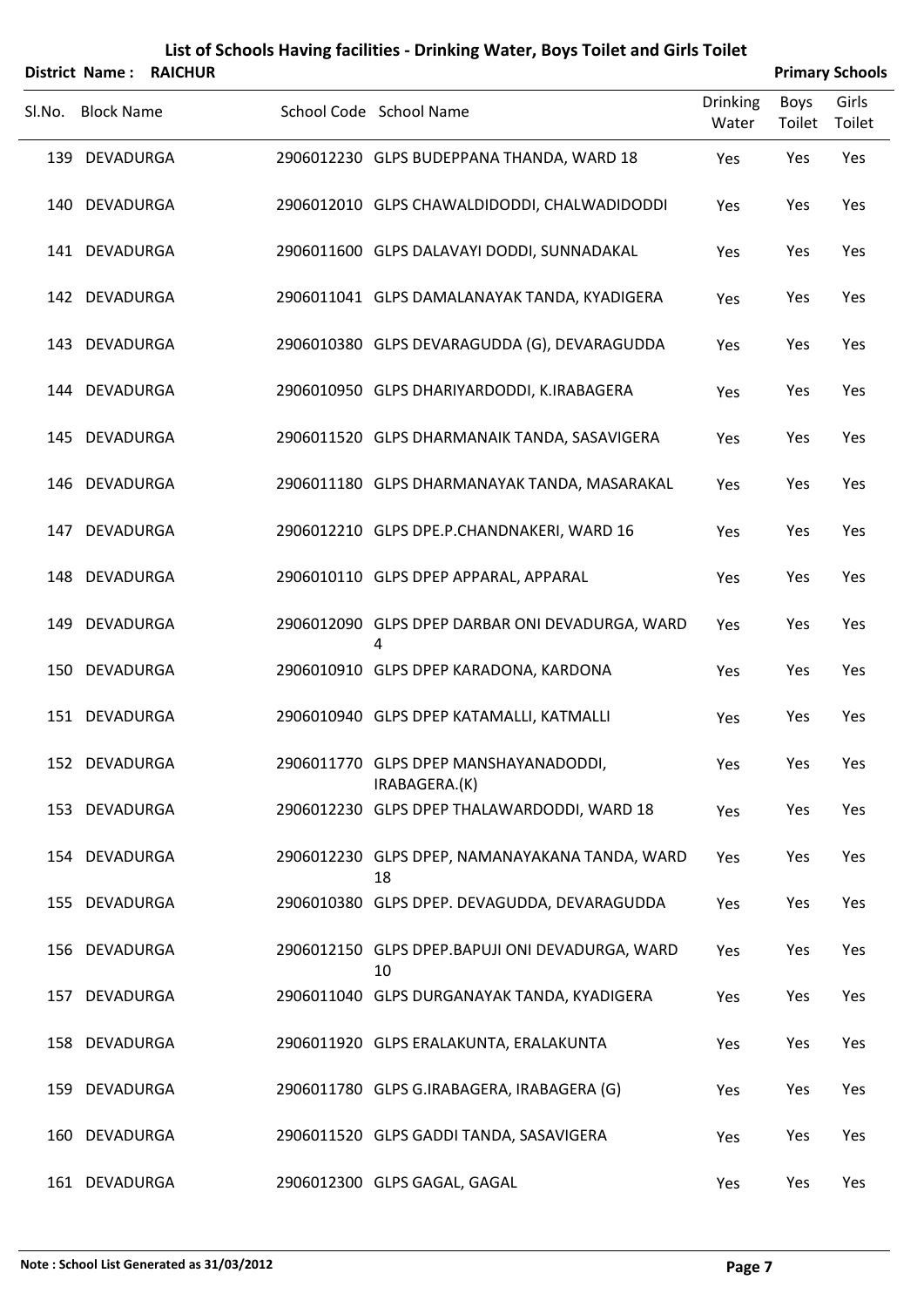|        |                   | District Name: RAICHUR |                                                        |                          |                       | <b>Primary Schools</b> |
|--------|-------------------|------------------------|--------------------------------------------------------|--------------------------|-----------------------|------------------------|
| Sl.No. | <b>Block Name</b> |                        | School Code School Name                                | <b>Drinking</b><br>Water | <b>Boys</b><br>Toilet | Girls<br>Toilet        |
|        | 139 DEVADURGA     |                        | 2906012230 GLPS BUDEPPANA THANDA, WARD 18              | Yes                      | Yes                   | Yes                    |
|        | 140 DEVADURGA     |                        | 2906012010 GLPS CHAWALDIDODDI, CHALWADIDODDI           | Yes                      | Yes                   | Yes                    |
|        | 141 DEVADURGA     |                        | 2906011600 GLPS DALAVAYI DODDI, SUNNADAKAL             | Yes                      | Yes                   | Yes                    |
|        | 142 DEVADURGA     |                        | 2906011041 GLPS DAMALANAYAK TANDA, KYADIGERA           | Yes                      | Yes                   | Yes                    |
|        | 143 DEVADURGA     |                        | 2906010380 GLPS DEVARAGUDDA (G), DEVARAGUDDA           | Yes                      | Yes                   | Yes                    |
|        | 144 DEVADURGA     |                        | 2906010950 GLPS DHARIYARDODDI, K.IRABAGERA             | Yes                      | Yes                   | Yes                    |
|        | 145 DEVADURGA     |                        | 2906011520 GLPS DHARMANAIK TANDA, SASAVIGERA           | Yes                      | Yes                   | Yes                    |
|        | 146 DEVADURGA     |                        | 2906011180 GLPS DHARMANAYAK TANDA, MASARAKAL           | Yes                      | Yes                   | Yes                    |
|        | 147 DEVADURGA     |                        | 2906012210 GLPS DPE.P.CHANDNAKERI, WARD 16             | Yes                      | Yes                   | Yes                    |
|        | 148 DEVADURGA     |                        | 2906010110 GLPS DPEP APPARAL, APPARAL                  | Yes                      | Yes                   | Yes                    |
|        | 149 DEVADURGA     |                        | 2906012090 GLPS DPEP DARBAR ONI DEVADURGA, WARD<br>4   | Yes                      | Yes                   | Yes                    |
|        | 150 DEVADURGA     |                        | 2906010910 GLPS DPEP KARADONA, KARDONA                 | Yes                      | Yes                   | Yes                    |
|        | 151 DEVADURGA     |                        | 2906010940 GLPS DPEP KATAMALLI, KATMALLI               | Yes                      | Yes                   | Yes                    |
|        | 152 DEVADURGA     |                        | 2906011770 GLPS DPEP MANSHAYANADODDI,<br>IRABAGERA.(K) | Yes                      | Yes                   | Yes                    |
|        | 153 DEVADURGA     |                        | 2906012230 GLPS DPEP THALAWARDODDI, WARD 18            | Yes                      | Yes                   | Yes                    |
|        | 154 DEVADURGA     |                        | 2906012230 GLPS DPEP, NAMANAYAKANA TANDA, WARD<br>18   | Yes                      | Yes                   | Yes                    |
|        | 155 DEVADURGA     |                        | 2906010380 GLPS DPEP. DEVAGUDDA, DEVARAGUDDA           | Yes                      | Yes                   | Yes                    |
|        | 156 DEVADURGA     |                        | 2906012150 GLPS DPEP.BAPUJI ONI DEVADURGA, WARD<br>10  | Yes                      | Yes                   | Yes                    |
|        | 157 DEVADURGA     |                        | 2906011040 GLPS DURGANAYAK TANDA, KYADIGERA            | Yes                      | Yes                   | Yes                    |
|        | 158 DEVADURGA     |                        | 2906011920 GLPS ERALAKUNTA, ERALAKUNTA                 | Yes                      | Yes                   | Yes                    |
|        | 159 DEVADURGA     |                        | 2906011780 GLPS G.IRABAGERA, IRABAGERA (G)             | Yes                      | Yes                   | Yes                    |
| 160    | DEVADURGA         |                        | 2906011520 GLPS GADDI TANDA, SASAVIGERA                | Yes                      | Yes                   | Yes                    |
|        | 161 DEVADURGA     |                        | 2906012300 GLPS GAGAL, GAGAL                           | Yes                      | Yes                   | Yes                    |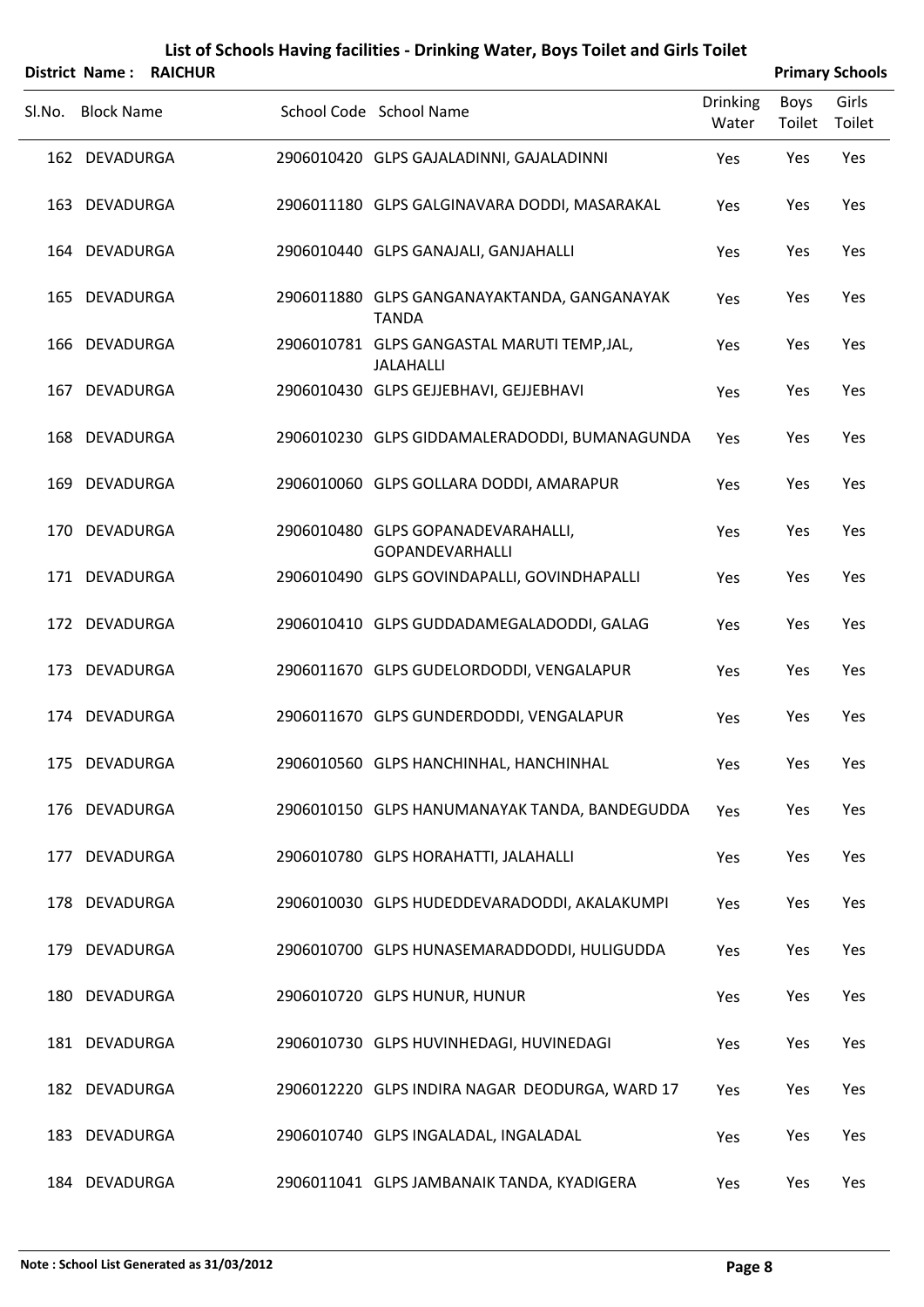|        | <b>District Name:</b> | <b>RAICHUR</b> | List of Schools Having facilities - Drinking Water, Boys Toilet and Girls Toilet |                 |        | <b>Primary Schools</b> |
|--------|-----------------------|----------------|----------------------------------------------------------------------------------|-----------------|--------|------------------------|
|        |                       |                |                                                                                  | <b>Drinking</b> | Boys   | Girls                  |
| SI.No. | <b>Block Name</b>     |                | School Code School Name                                                          | Water           | Toilet | Toilet                 |
| 162    | <b>DEVADURGA</b>      |                | 2906010420 GLPS GAJALADINNI, GAJALADINNI                                         | Yes             | Yes    | Yes                    |
|        | 163 DEVADURGA         |                | 2906011180 GLPS GALGINAVARA DODDI, MASARAKAL                                     | Yes             | Yes    | Yes                    |
| 164    | DEVADURGA             |                | 2906010440 GLPS GANAJALI, GANJAHALLI                                             | Yes             | Yes    | Yes                    |
| 165    | <b>DEVADURGA</b>      |                | 2906011880 GLPS GANGANAYAKTANDA, GANGANAYAK<br><b>TANDA</b>                      | Yes             | Yes    | Yes                    |
| 166    | <b>DEVADURGA</b>      |                | 2906010781 GLPS GANGASTAL MARUTI TEMP, JAL,<br><b>JALAHALLI</b>                  | Yes             | Yes    | Yes                    |
| 167    | <b>DEVADURGA</b>      |                | 2906010430 GLPS GEJJEBHAVI, GEJJEBHAVI                                           | Yes             | Yes    | Yes                    |
|        | 168 DEVADURGA         |                | 2906010230 GLPS GIDDAMALERADODDI, BUMANAGUNDA                                    | Yes             | Yes    | Yes                    |
| 169    | <b>DEVADURGA</b>      |                | 2906010060 GLPS GOLLARA DODDI, AMARAPUR                                          | Yes             | Yes    | Yes                    |
| 170    | <b>DEVADURGA</b>      |                | 2906010480 GLPS GOPANADEVARAHALLI,<br>GOPANDEVARHALLI                            | Yes             | Yes    | Yes                    |
|        | 171 DEVADURGA         |                | 2906010490 GLPS GOVINDAPALLI, GOVINDHAPALLI                                      | Yes             | Yes    | Yes                    |
|        | 172 DEVADURGA         |                | 2906010410 GLPS GUDDADAMEGALADODDI, GALAG                                        | Yes             | Yes    | Yes                    |
| 173    | <b>DEVADURGA</b>      |                | 2906011670 GLPS GUDELORDODDI, VENGALAPUR                                         | Yes             | Yes    | Yes                    |
|        | 174 DEVADURGA         |                | 2906011670 GLPS GUNDERDODDI, VENGALAPUR                                          | Yes             | Yes    | Yes                    |
|        | 175 DEVADURGA         |                | 2906010560 GLPS HANCHINHAL, HANCHINHAL                                           | Yes             | Yes    | Yes                    |
|        | 176 DEVADURGA         |                | 2906010150 GLPS HANUMANAYAK TANDA, BANDEGUDDA                                    | Yes             | Yes    | Yes                    |
| 177    | <b>DEVADURGA</b>      |                | 2906010780 GLPS HORAHATTI, JALAHALLI                                             | Yes             | Yes    | Yes                    |
|        | 178 DEVADURGA         |                | 2906010030 GLPS HUDEDDEVARADODDI, AKALAKUMPI                                     | Yes             | Yes    | Yes                    |
| 179    | DEVADURGA             |                | 2906010700 GLPS HUNASEMARADDODDI, HULIGUDDA                                      | Yes             | Yes    | Yes                    |
|        | 180 DEVADURGA         |                | 2906010720 GLPS HUNUR, HUNUR                                                     | Yes             | Yes    | Yes                    |
|        | 181 DEVADURGA         |                | 2906010730 GLPS HUVINHEDAGI, HUVINEDAGI                                          | Yes             | Yes    | Yes                    |
|        | 182 DEVADURGA         |                | 2906012220 GLPS INDIRA NAGAR DEODURGA, WARD 17                                   | Yes             | Yes    | Yes                    |
| 183    | DEVADURGA             |                | 2906010740 GLPS INGALADAL, INGALADAL                                             | Yes             | Yes    | Yes                    |
|        | 184 DEVADURGA         |                | 2906011041 GLPS JAMBANAIK TANDA, KYADIGERA                                       | Yes             | Yes    | Yes                    |

#### **Note : School List Generated as 31/03/2012 Page 8**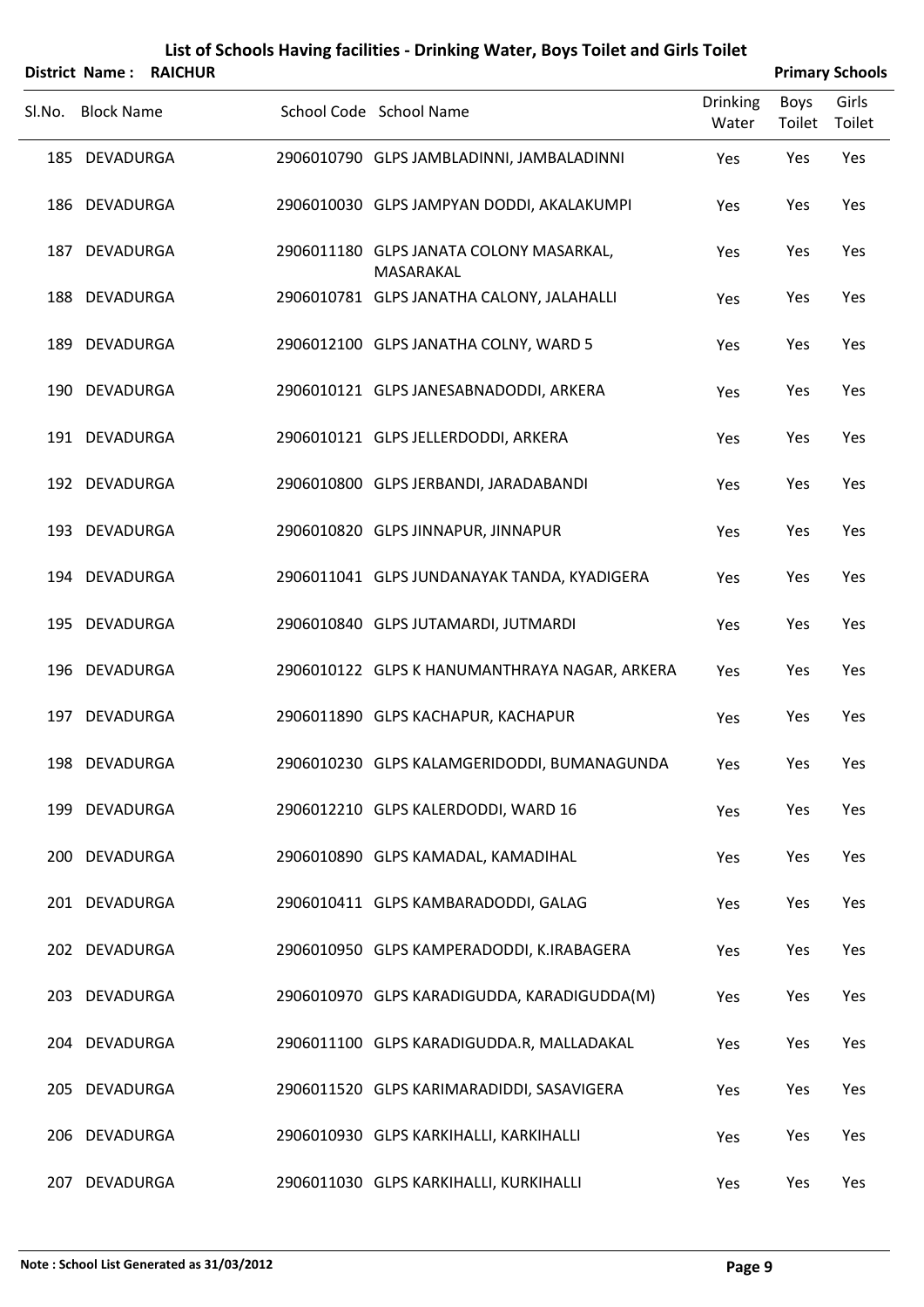|        | <b>District Name:</b> | <b>RAICHUR</b> |                                                      |                          |                | <b>Primary Schools</b> |
|--------|-----------------------|----------------|------------------------------------------------------|--------------------------|----------------|------------------------|
| SI.No. | <b>Block Name</b>     |                | School Code School Name                              | <b>Drinking</b><br>Water | Boys<br>Toilet | Girls<br>Toilet        |
|        | 185 DEVADURGA         |                | 2906010790 GLPS JAMBLADINNI, JAMBALADINNI            | Yes                      | Yes            | Yes                    |
|        | 186 DEVADURGA         |                | 2906010030 GLPS JAMPYAN DODDI, AKALAKUMPI            | Yes                      | Yes            | Yes                    |
|        | 187 DEVADURGA         |                | 2906011180 GLPS JANATA COLONY MASARKAL,<br>MASARAKAL | Yes                      | Yes            | Yes                    |
|        | 188 DEVADURGA         |                | 2906010781 GLPS JANATHA CALONY, JALAHALLI            | Yes                      | Yes            | Yes                    |
|        | 189 DEVADURGA         |                | 2906012100 GLPS JANATHA COLNY, WARD 5                | Yes                      | Yes            | Yes                    |
|        | 190 DEVADURGA         |                | 2906010121 GLPS JANESABNADODDI, ARKERA               | Yes                      | Yes            | Yes                    |
|        | 191 DEVADURGA         |                | 2906010121 GLPS JELLERDODDI, ARKERA                  | Yes                      | Yes            | Yes                    |
|        | 192 DEVADURGA         |                | 2906010800 GLPS JERBANDI, JARADABANDI                | Yes                      | Yes            | Yes                    |
|        | 193 DEVADURGA         |                | 2906010820 GLPS JINNAPUR, JINNAPUR                   | Yes                      | Yes            | Yes                    |
|        | 194 DEVADURGA         |                | 2906011041 GLPS JUNDANAYAK TANDA, KYADIGERA          | Yes                      | Yes            | Yes                    |
|        | 195 DEVADURGA         |                | 2906010840 GLPS JUTAMARDI, JUTMARDI                  | Yes                      | Yes            | Yes                    |
|        | 196 DEVADURGA         |                | 2906010122 GLPS K HANUMANTHRAYA NAGAR, ARKERA        | Yes                      | Yes            | Yes                    |
| 197    | DEVADURGA             |                | 2906011890 GLPS KACHAPUR, KACHAPUR                   | Yes                      | Yes            | Yes                    |
|        | 198 DEVADURGA         |                | 2906010230 GLPS KALAMGERIDODDI, BUMANAGUNDA          | Yes                      | Yes            | Yes                    |
|        | 199 DEVADURGA         |                | 2906012210 GLPS KALERDODDI, WARD 16                  | Yes                      | Yes            | Yes                    |
|        | 200 DEVADURGA         |                | 2906010890 GLPS KAMADAL, KAMADIHAL                   | Yes                      | Yes            | Yes                    |
|        | 201 DEVADURGA         |                | 2906010411 GLPS KAMBARADODDI, GALAG                  | Yes                      | Yes            | Yes                    |
|        | 202 DEVADURGA         |                | 2906010950 GLPS KAMPERADODDI, K.IRABAGERA            | Yes                      | Yes            | Yes                    |
|        | 203 DEVADURGA         |                | 2906010970 GLPS KARADIGUDDA, KARADIGUDDA(M)          | Yes                      | Yes            | Yes                    |
|        | 204 DEVADURGA         |                | 2906011100 GLPS KARADIGUDDA.R, MALLADAKAL            | Yes                      | Yes            | Yes                    |
|        | 205 DEVADURGA         |                | 2906011520 GLPS KARIMARADIDDI, SASAVIGERA            | Yes                      | Yes            | Yes                    |
|        | 206 DEVADURGA         |                | 2906010930 GLPS KARKIHALLI, KARKIHALLI               | Yes                      | Yes            | Yes                    |
|        | 207 DEVADURGA         |                | 2906011030 GLPS KARKIHALLI, KURKIHALLI               | Yes                      | Yes            | Yes                    |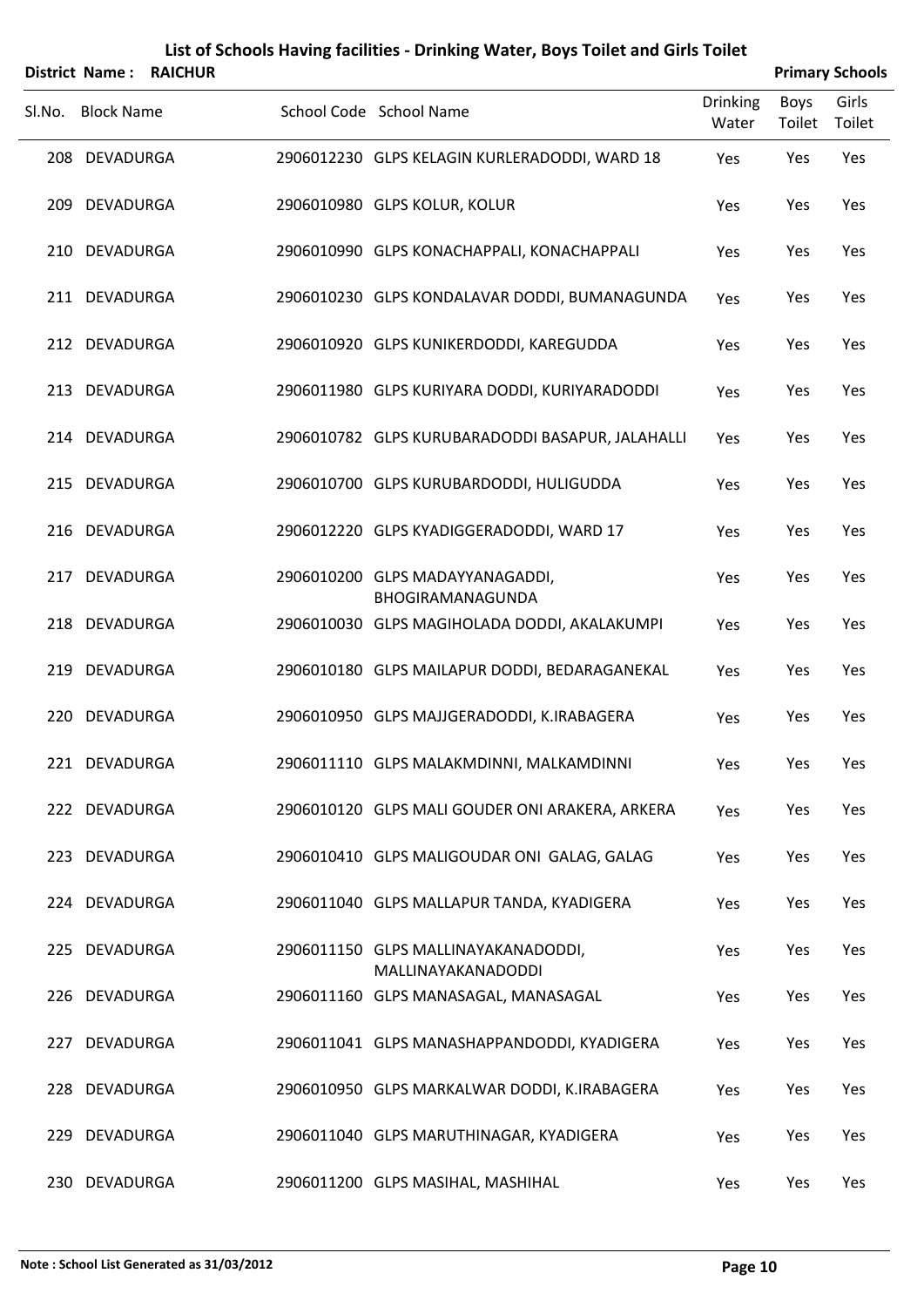|     | <b>District Name:</b> | <b>RAICHUR</b> | List of Schools Having facilities - Drinking Water, Boys Toilet and Girls Toilet |                 |        | <b>Primary Schools</b> |
|-----|-----------------------|----------------|----------------------------------------------------------------------------------|-----------------|--------|------------------------|
|     | Sl.No. Block Name     |                | School Code School Name                                                          | <b>Drinking</b> | Boys   | Girls                  |
|     |                       |                |                                                                                  | Water           | Toilet | Toilet                 |
| 208 | <b>DEVADURGA</b>      |                | 2906012230 GLPS KELAGIN KURLERADODDI, WARD 18                                    | Yes             | Yes    | Yes                    |
| 209 | DEVADURGA             |                | 2906010980 GLPS KOLUR, KOLUR                                                     | Yes             | Yes    | Yes                    |
| 210 | DEVADURGA             |                | 2906010990 GLPS KONACHAPPALI, KONACHAPPALI                                       | Yes             | Yes    | Yes                    |
|     | 211 DEVADURGA         |                | 2906010230 GLPS KONDALAVAR DODDI, BUMANAGUNDA                                    | Yes             | Yes    | Yes                    |
|     | 212 DEVADURGA         |                | 2906010920 GLPS KUNIKERDODDI, KAREGUDDA                                          | Yes             | Yes    | Yes                    |
|     | 213 DEVADURGA         |                | 2906011980 GLPS KURIYARA DODDI, KURIYARADODDI                                    | Yes             | Yes    | Yes                    |
|     | 214 DEVADURGA         |                | 2906010782 GLPS KURUBARADODDI BASAPUR, JALAHALLI                                 | Yes             | Yes    | Yes                    |
|     | 215 DEVADURGA         |                | 2906010700 GLPS KURUBARDODDI, HULIGUDDA                                          | Yes             | Yes    | Yes                    |
|     | 216 DEVADURGA         |                | 2906012220 GLPS KYADIGGERADODDI, WARD 17                                         | Yes             | Yes    | Yes                    |
| 217 | <b>DEVADURGA</b>      |                | 2906010200 GLPS MADAYYANAGADDI,<br>BHOGIRAMANAGUNDA                              | Yes             | Yes    | Yes                    |
|     | 218 DEVADURGA         |                | 2906010030 GLPS MAGIHOLADA DODDI, AKALAKUMPI                                     | Yes             | Yes    | Yes                    |
| 219 | DEVADURGA             |                | 2906010180 GLPS MAILAPUR DODDI, BEDARAGANEKAL                                    | Yes             | Yes    | Yes                    |
|     | 220 DEVADURGA         |                | 2906010950 GLPS MAJJGERADODDI, K.IRABAGERA                                       | Yes             | Yes    | Yes                    |
|     | 221 DEVADURGA         |                | 2906011110 GLPS MALAKMDINNI, MALKAMDINNI                                         | Yes             | Yes    | Yes                    |
|     | 222 DEVADURGA         |                | 2906010120 GLPS MALI GOUDER ONI ARAKERA, ARKERA                                  | Yes             | Yes    | Yes                    |
|     | 223 DEVADURGA         |                | 2906010410 GLPS MALIGOUDAR ONI GALAG, GALAG                                      | Yes             | Yes    | Yes                    |
|     | 224 DEVADURGA         |                | 2906011040 GLPS MALLAPUR TANDA, KYADIGERA                                        | Yes             | Yes    | Yes                    |
|     | 225 DEVADURGA         |                | 2906011150 GLPS MALLINAYAKANADODDI,<br>MALLINAYAKANADODDI                        | Yes             | Yes    | Yes                    |
|     | 226 DEVADURGA         |                | 2906011160 GLPS MANASAGAL, MANASAGAL                                             | Yes             | Yes    | Yes                    |
| 227 | <b>DEVADURGA</b>      |                | 2906011041 GLPS MANASHAPPANDODDI, KYADIGERA                                      | Yes             | Yes    | Yes                    |
| 228 | DEVADURGA             |                | 2906010950 GLPS MARKALWAR DODDI, K.IRABAGERA                                     | Yes             | Yes    | Yes                    |
| 229 | <b>DEVADURGA</b>      |                | 2906011040 GLPS MARUTHINAGAR, KYADIGERA                                          | Yes             | Yes    | Yes                    |
|     | 230 DEVADURGA         |                | 2906011200 GLPS MASIHAL, MASHIHAL                                                | Yes             | Yes    | Yes                    |

# **Note : School List Generated as 31/03/2012 Page 10**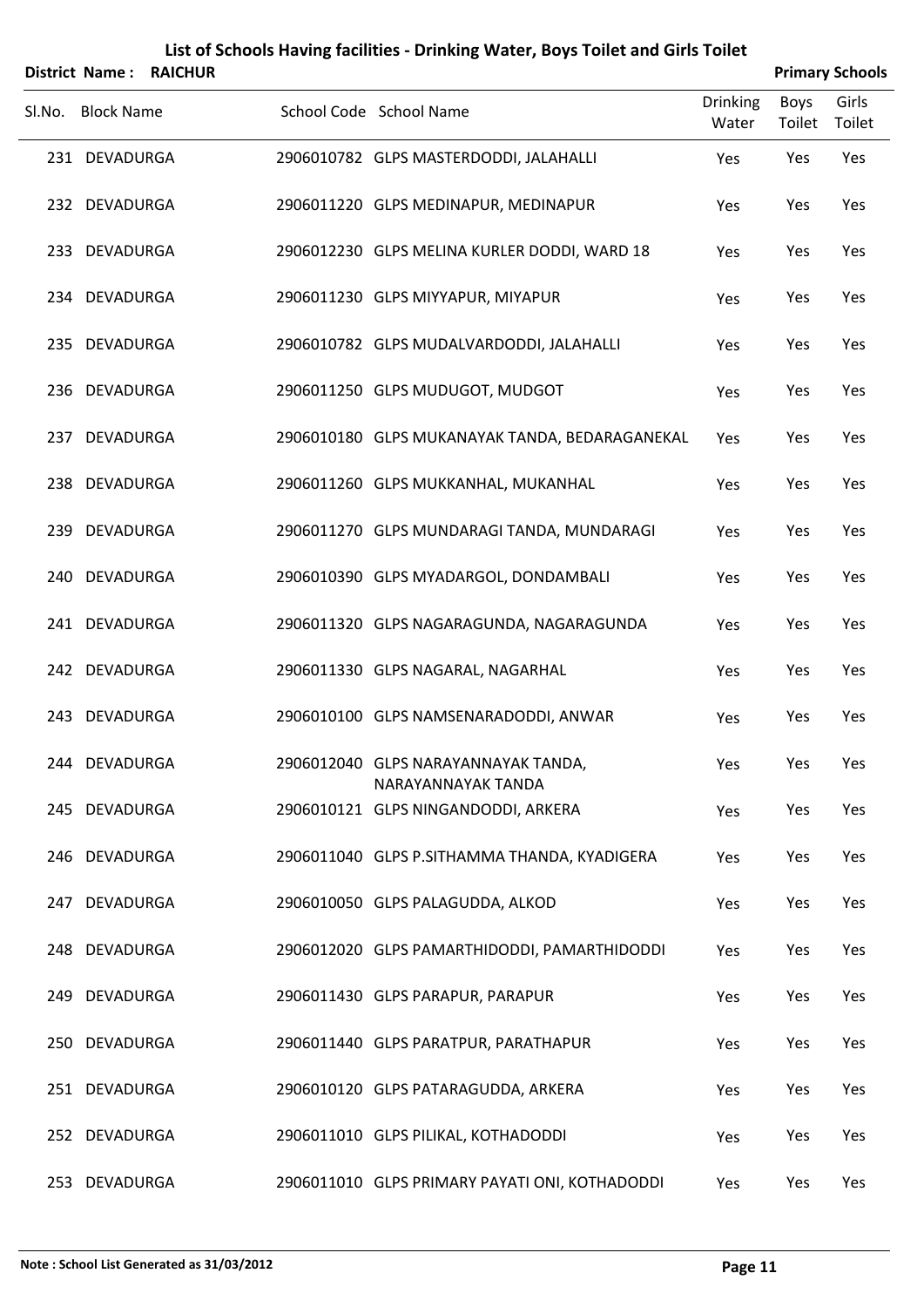|        | <b>District Name:</b> | <b>RAICHUR</b> |                                                           |                          |                       | <b>Primary Schools</b> |
|--------|-----------------------|----------------|-----------------------------------------------------------|--------------------------|-----------------------|------------------------|
| Sl.No. | <b>Block Name</b>     |                | School Code School Name                                   | <b>Drinking</b><br>Water | <b>Boys</b><br>Toilet | Girls<br>Toilet        |
|        | 231 DEVADURGA         |                | 2906010782 GLPS MASTERDODDI, JALAHALLI                    | Yes                      | Yes                   | Yes                    |
|        | 232 DEVADURGA         |                | 2906011220 GLPS MEDINAPUR, MEDINAPUR                      | Yes                      | Yes                   | Yes                    |
|        | 233 DEVADURGA         |                | 2906012230 GLPS MELINA KURLER DODDI, WARD 18              | Yes                      | Yes                   | Yes                    |
|        | 234 DEVADURGA         |                | 2906011230 GLPS MIYYAPUR, MIYAPUR                         | Yes                      | Yes                   | Yes                    |
|        | 235 DEVADURGA         |                | 2906010782 GLPS MUDALVARDODDI, JALAHALLI                  | Yes                      | Yes                   | Yes                    |
|        | 236 DEVADURGA         |                | 2906011250 GLPS MUDUGOT, MUDGOT                           | Yes                      | Yes                   | Yes                    |
|        | 237 DEVADURGA         |                | 2906010180 GLPS MUKANAYAK TANDA, BEDARAGANEKAL            | Yes                      | Yes                   | Yes                    |
|        | 238 DEVADURGA         |                | 2906011260 GLPS MUKKANHAL, MUKANHAL                       | Yes                      | Yes                   | Yes                    |
|        | 239 DEVADURGA         |                | 2906011270 GLPS MUNDARAGI TANDA, MUNDARAGI                | Yes                      | Yes                   | Yes                    |
|        | 240 DEVADURGA         |                | 2906010390 GLPS MYADARGOL, DONDAMBALI                     | Yes                      | Yes                   | Yes                    |
|        | 241 DEVADURGA         |                | 2906011320 GLPS NAGARAGUNDA, NAGARAGUNDA                  | Yes                      | Yes                   | Yes                    |
|        | 242 DEVADURGA         |                | 2906011330 GLPS NAGARAL, NAGARHAL                         | Yes                      | Yes                   | Yes                    |
| 243    | DEVADURGA             |                | 2906010100 GLPS NAMSENARADODDI, ANWAR                     | Yes                      | Yes                   | Yes                    |
|        | 244 DEVADURGA         |                | 2906012040 GLPS NARAYANNAYAK TANDA,<br>NARAYANNAYAK TANDA | Yes                      | Yes                   | Yes                    |
|        | 245 DEVADURGA         |                | 2906010121 GLPS NINGANDODDI, ARKERA                       | Yes                      | Yes                   | Yes                    |
|        | 246 DEVADURGA         |                | 2906011040 GLPS P.SITHAMMA THANDA, KYADIGERA              | Yes                      | Yes                   | Yes                    |
|        | 247 DEVADURGA         |                | 2906010050 GLPS PALAGUDDA, ALKOD                          | Yes                      | Yes                   | Yes                    |
|        | 248 DEVADURGA         |                | 2906012020 GLPS PAMARTHIDODDI, PAMARTHIDODDI              | Yes                      | Yes                   | Yes                    |
|        | 249 DEVADURGA         |                | 2906011430 GLPS PARAPUR, PARAPUR                          | Yes                      | Yes                   | Yes                    |
|        | 250 DEVADURGA         |                | 2906011440 GLPS PARATPUR, PARATHAPUR                      | Yes                      | Yes                   | Yes                    |
|        | 251 DEVADURGA         |                | 2906010120 GLPS PATARAGUDDA, ARKERA                       | Yes                      | Yes                   | Yes                    |
|        | 252 DEVADURGA         |                | 2906011010 GLPS PILIKAL, KOTHADODDI                       | Yes                      | Yes                   | Yes                    |
|        | 253 DEVADURGA         |                | 2906011010 GLPS PRIMARY PAYATI ONI, KOTHADODDI            | Yes                      | Yes                   | Yes                    |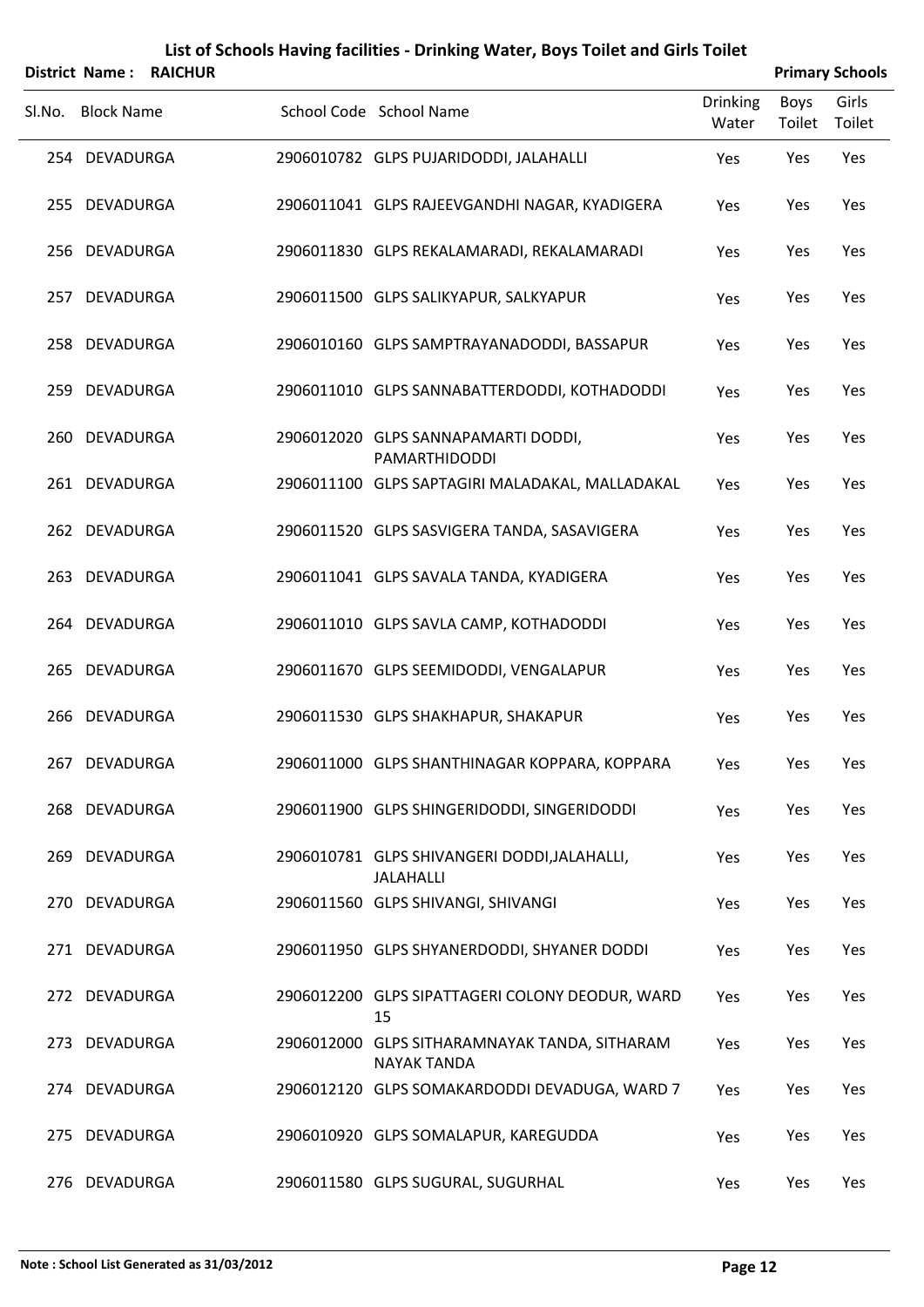|        | <b>District Name:</b> | <b>RAICHUR</b> |                                                                     |                          |                       | <b>Primary Schools</b> |
|--------|-----------------------|----------------|---------------------------------------------------------------------|--------------------------|-----------------------|------------------------|
| Sl.No. | <b>Block Name</b>     |                | School Code School Name                                             | <b>Drinking</b><br>Water | <b>Boys</b><br>Toilet | Girls<br>Toilet        |
|        | 254 DEVADURGA         |                | 2906010782 GLPS PUJARIDODDI, JALAHALLI                              | Yes                      | Yes                   | Yes                    |
|        | 255 DEVADURGA         |                | 2906011041 GLPS RAJEEVGANDHI NAGAR, KYADIGERA                       | Yes                      | Yes                   | Yes                    |
|        | 256 DEVADURGA         |                | 2906011830 GLPS REKALAMARADI, REKALAMARADI                          | Yes                      | Yes                   | Yes                    |
|        | 257 DEVADURGA         |                | 2906011500 GLPS SALIKYAPUR, SALKYAPUR                               | Yes                      | Yes                   | Yes                    |
|        | 258 DEVADURGA         |                | 2906010160 GLPS SAMPTRAYANADODDI, BASSAPUR                          | Yes                      | Yes                   | Yes                    |
|        | 259 DEVADURGA         |                | 2906011010 GLPS SANNABATTERDODDI, KOTHADODDI                        | Yes                      | Yes                   | Yes                    |
|        | 260 DEVADURGA         |                | 2906012020 GLPS SANNAPAMARTI DODDI,<br>PAMARTHIDODDI                | Yes                      | Yes                   | Yes                    |
|        | 261 DEVADURGA         |                | 2906011100 GLPS SAPTAGIRI MALADAKAL, MALLADAKAL                     | Yes                      | Yes                   | Yes                    |
|        | 262 DEVADURGA         |                | 2906011520 GLPS SASVIGERA TANDA, SASAVIGERA                         | Yes                      | Yes                   | Yes                    |
|        | 263 DEVADURGA         |                | 2906011041 GLPS SAVALA TANDA, KYADIGERA                             | Yes                      | Yes                   | Yes                    |
|        | 264 DEVADURGA         |                | 2906011010 GLPS SAVLA CAMP, KOTHADODDI                              | Yes                      | Yes                   | Yes                    |
|        | 265 DEVADURGA         |                | 2906011670 GLPS SEEMIDODDI, VENGALAPUR                              | Yes                      | Yes                   | Yes                    |
| 266    | DEVADURGA             |                | 2906011530 GLPS SHAKHAPUR, SHAKAPUR                                 | Yes                      | Yes                   | Yes                    |
|        | 267 DEVADURGA         |                | 2906011000 GLPS SHANTHINAGAR KOPPARA, KOPPARA                       | Yes                      | Yes                   | Yes                    |
|        | 268 DEVADURGA         |                | 2906011900 GLPS SHINGERIDODDI, SINGERIDODDI                         | Yes                      | Yes                   | Yes                    |
|        | 269 DEVADURGA         |                | 2906010781 GLPS SHIVANGERI DODDI, JALAHALLI,<br><b>JALAHALLI</b>    | Yes                      | Yes                   | Yes                    |
|        | 270 DEVADURGA         |                | 2906011560 GLPS SHIVANGI, SHIVANGI                                  | Yes                      | Yes                   | Yes                    |
|        | 271 DEVADURGA         |                | 2906011950 GLPS SHYANERDODDI, SHYANER DODDI                         | Yes                      | Yes                   | Yes                    |
|        | 272 DEVADURGA         |                | 2906012200 GLPS SIPATTAGERI COLONY DEODUR, WARD<br>15               | Yes                      | Yes                   | Yes                    |
|        | 273 DEVADURGA         |                | 2906012000 GLPS SITHARAMNAYAK TANDA, SITHARAM<br><b>NAYAK TANDA</b> | Yes                      | Yes                   | Yes                    |
|        | 274 DEVADURGA         |                | 2906012120 GLPS SOMAKARDODDI DEVADUGA, WARD 7                       | Yes                      | Yes                   | Yes                    |
|        | 275 DEVADURGA         |                | 2906010920 GLPS SOMALAPUR, KAREGUDDA                                | Yes                      | Yes                   | Yes                    |
|        | 276 DEVADURGA         |                | 2906011580 GLPS SUGURAL, SUGURHAL                                   | Yes                      | Yes                   | Yes                    |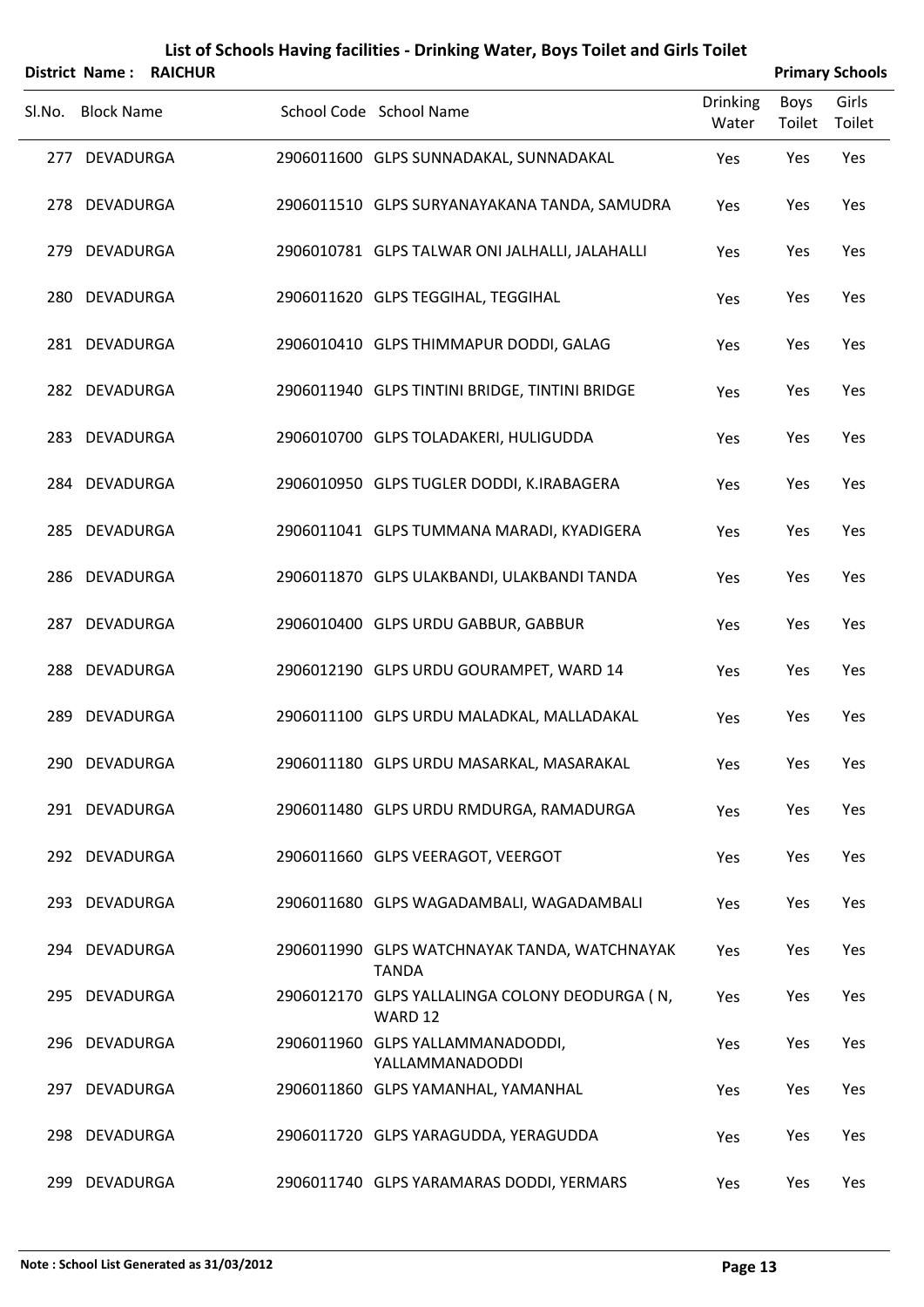|        | <b>District Name:</b> | <b>RAICHUR</b> |                                                              |                          |                | <b>Primary Schools</b> |
|--------|-----------------------|----------------|--------------------------------------------------------------|--------------------------|----------------|------------------------|
| SI.No. | <b>Block Name</b>     |                | School Code School Name                                      | <b>Drinking</b><br>Water | Boys<br>Toilet | Girls<br>Toilet        |
|        | 277 DEVADURGA         |                | 2906011600 GLPS SUNNADAKAL, SUNNADAKAL                       | Yes                      | Yes            | Yes                    |
|        | 278 DEVADURGA         |                | 2906011510 GLPS SURYANAYAKANA TANDA, SAMUDRA                 | Yes                      | Yes            | Yes                    |
| 279    | <b>DEVADURGA</b>      |                | 2906010781 GLPS TALWAR ONI JALHALLI, JALAHALLI               | Yes                      | Yes            | Yes                    |
|        | 280 DEVADURGA         |                | 2906011620 GLPS TEGGIHAL, TEGGIHAL                           | Yes                      | Yes            | Yes                    |
|        | 281 DEVADURGA         |                | 2906010410 GLPS THIMMAPUR DODDI, GALAG                       | Yes                      | Yes            | Yes                    |
|        | 282 DEVADURGA         |                | 2906011940 GLPS TINTINI BRIDGE, TINTINI BRIDGE               | Yes                      | Yes            | Yes                    |
| 283    | DEVADURGA             |                | 2906010700 GLPS TOLADAKERI, HULIGUDDA                        | Yes                      | Yes            | Yes                    |
|        | 284 DEVADURGA         |                | 2906010950 GLPS TUGLER DODDI, K.IRABAGERA                    | Yes                      | Yes            | Yes                    |
| 285    | DEVADURGA             |                | 2906011041 GLPS TUMMANA MARADI, KYADIGERA                    | Yes                      | Yes            | Yes                    |
|        | 286 DEVADURGA         |                | 2906011870 GLPS ULAKBANDI, ULAKBANDI TANDA                   | Yes                      | Yes            | Yes                    |
| 287    | <b>DEVADURGA</b>      |                | 2906010400 GLPS URDU GABBUR, GABBUR                          | Yes                      | Yes            | Yes                    |
| 288    | <b>DEVADURGA</b>      |                | 2906012190 GLPS URDU GOURAMPET, WARD 14                      | Yes                      | Yes            | Yes                    |
| 289    | <b>DEVADURGA</b>      |                | 2906011100 GLPS URDU MALADKAL, MALLADAKAL                    | Yes                      | Yes            | Yes                    |
|        | 290 DEVADURGA         |                | 2906011180 GLPS URDU MASARKAL, MASARAKAL                     | Yes                      | Yes            | Yes                    |
|        | 291 DEVADURGA         |                | 2906011480 GLPS URDU RMDURGA, RAMADURGA                      | Yes                      | Yes            | Yes                    |
|        | 292 DEVADURGA         |                | 2906011660 GLPS VEERAGOT, VEERGOT                            | Yes                      | Yes            | Yes                    |
|        | 293 DEVADURGA         |                | 2906011680 GLPS WAGADAMBALI, WAGADAMBALI                     | Yes                      | Yes            | Yes                    |
|        | 294 DEVADURGA         |                | 2906011990 GLPS WATCHNAYAK TANDA, WATCHNAYAK<br><b>TANDA</b> | Yes                      | Yes            | Yes                    |
|        | 295 DEVADURGA         |                | 2906012170 GLPS YALLALINGA COLONY DEODURGA (N,<br>WARD 12    | Yes                      | Yes            | Yes                    |
|        | 296 DEVADURGA         |                | 2906011960 GLPS YALLAMMANADODDI,<br>YALLAMMANADODDI          | Yes                      | Yes            | Yes                    |
|        | 297 DEVADURGA         |                | 2906011860 GLPS YAMANHAL, YAMANHAL                           | Yes                      | Yes            | Yes                    |
|        | 298 DEVADURGA         |                | 2906011720 GLPS YARAGUDDA, YERAGUDDA                         | Yes                      | Yes            | Yes                    |
|        | 299 DEVADURGA         |                | 2906011740 GLPS YARAMARAS DODDI, YERMARS                     | Yes                      | Yes            | Yes                    |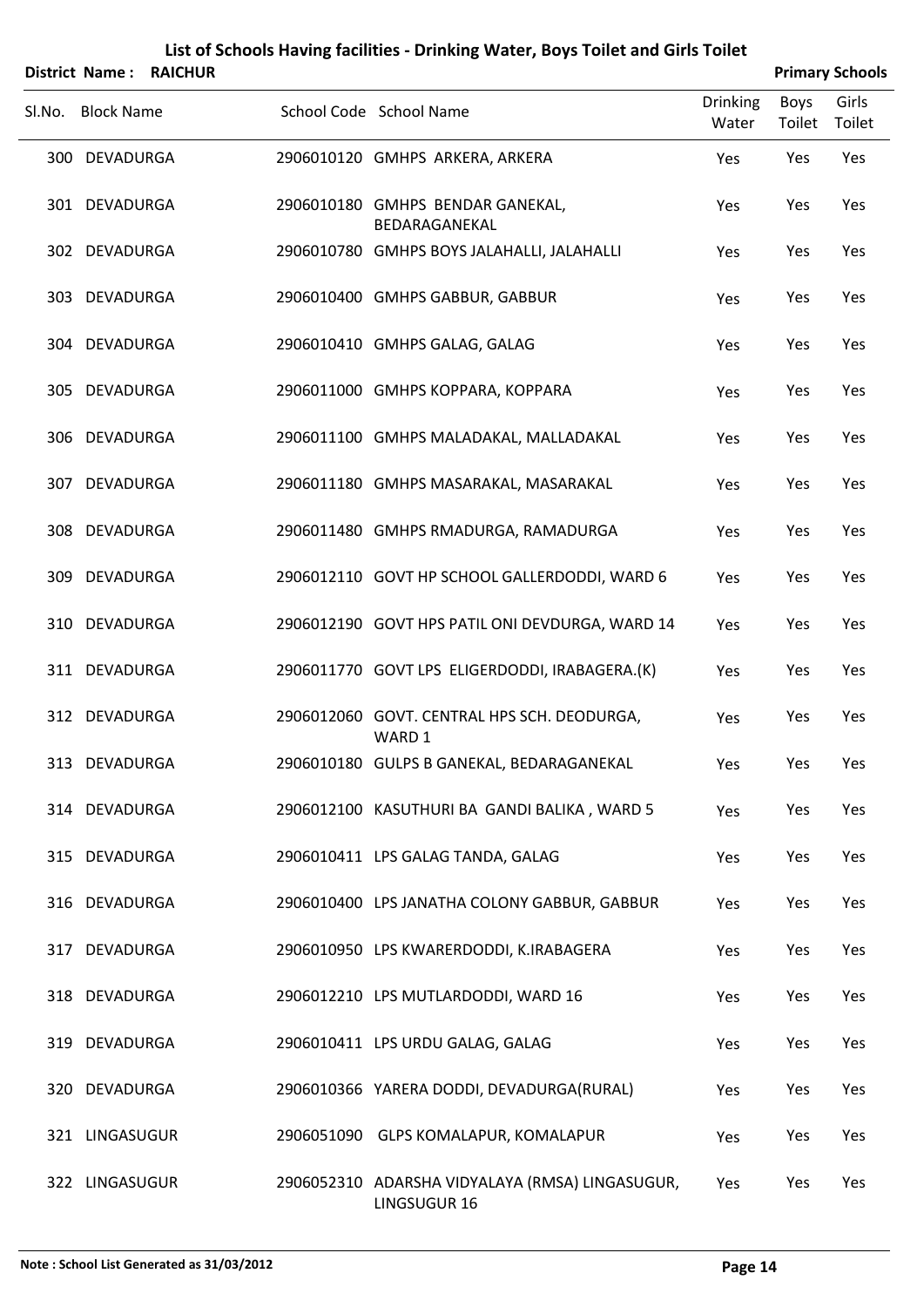|        |                   | District Name: RAICHUR |                                                                 |                          |                | <b>Primary Schools</b> |
|--------|-------------------|------------------------|-----------------------------------------------------------------|--------------------------|----------------|------------------------|
| Sl.No. | <b>Block Name</b> |                        | School Code School Name                                         | <b>Drinking</b><br>Water | Boys<br>Toilet | Girls<br>Toilet        |
|        | 300 DEVADURGA     |                        | 2906010120 GMHPS ARKERA, ARKERA                                 | Yes                      | Yes            | Yes                    |
|        | 301 DEVADURGA     |                        | 2906010180 GMHPS BENDAR GANEKAL,<br>BEDARAGANEKAL               | Yes                      | Yes            | Yes                    |
|        | 302 DEVADURGA     |                        | 2906010780 GMHPS BOYS JALAHALLI, JALAHALLI                      | Yes                      | Yes            | Yes                    |
|        | 303 DEVADURGA     |                        | 2906010400 GMHPS GABBUR, GABBUR                                 | Yes                      | Yes            | Yes                    |
| 304    | DEVADURGA         |                        | 2906010410 GMHPS GALAG, GALAG                                   | Yes                      | Yes            | Yes                    |
|        | 305 DEVADURGA     |                        | 2906011000 GMHPS KOPPARA, KOPPARA                               | Yes                      | Yes            | Yes                    |
| 306    | DEVADURGA         |                        | 2906011100 GMHPS MALADAKAL, MALLADAKAL                          | Yes                      | Yes            | Yes                    |
|        | 307 DEVADURGA     |                        | 2906011180 GMHPS MASARAKAL, MASARAKAL                           | Yes                      | Yes            | Yes                    |
| 308    | DEVADURGA         |                        | 2906011480 GMHPS RMADURGA, RAMADURGA                            | Yes                      | Yes            | Yes                    |
| 309    | DEVADURGA         |                        | 2906012110 GOVT HP SCHOOL GALLERDODDI, WARD 6                   | Yes                      | Yes            | Yes                    |
|        | 310 DEVADURGA     |                        | 2906012190 GOVT HPS PATIL ONI DEVDURGA, WARD 14                 | Yes                      | Yes            | Yes                    |
|        | 311 DEVADURGA     |                        | 2906011770 GOVT LPS ELIGERDODDI, IRABAGERA.(K)                  | Yes                      | Yes            | Yes                    |
|        | 312 DEVADURGA     |                        | 2906012060 GOVT. CENTRAL HPS SCH. DEODURGA,<br>WARD 1           | Yes                      | Yes            | Yes                    |
|        | 313 DEVADURGA     |                        | 2906010180 GULPS B GANEKAL, BEDARAGANEKAL                       | Yes                      | Yes            | Yes                    |
|        | 314 DEVADURGA     |                        | 2906012100 KASUTHURI BA GANDI BALIKA, WARD 5                    | Yes                      | Yes            | Yes                    |
|        | 315 DEVADURGA     |                        | 2906010411 LPS GALAG TANDA, GALAG                               | Yes                      | Yes            | Yes                    |
|        | 316 DEVADURGA     |                        | 2906010400 LPS JANATHA COLONY GABBUR, GABBUR                    | Yes                      | Yes            | Yes                    |
| 317    | DEVADURGA         |                        | 2906010950 LPS KWARERDODDI, K.IRABAGERA                         | Yes                      | Yes            | Yes                    |
|        | 318 DEVADURGA     |                        | 2906012210 LPS MUTLARDODDI, WARD 16                             | Yes                      | Yes            | Yes                    |
| 319    | DEVADURGA         |                        | 2906010411 LPS URDU GALAG, GALAG                                | Yes                      | Yes            | Yes                    |
|        | 320 DEVADURGA     |                        | 2906010366 YARERA DODDI, DEVADURGA(RURAL)                       | Yes                      | Yes            | Yes                    |
|        | 321 LINGASUGUR    |                        | 2906051090 GLPS KOMALAPUR, KOMALAPUR                            | Yes                      | Yes            | Yes                    |
|        | 322 LINGASUGUR    |                        | 2906052310 ADARSHA VIDYALAYA (RMSA) LINGASUGUR,<br>LINGSUGUR 16 | Yes                      | Yes            | Yes                    |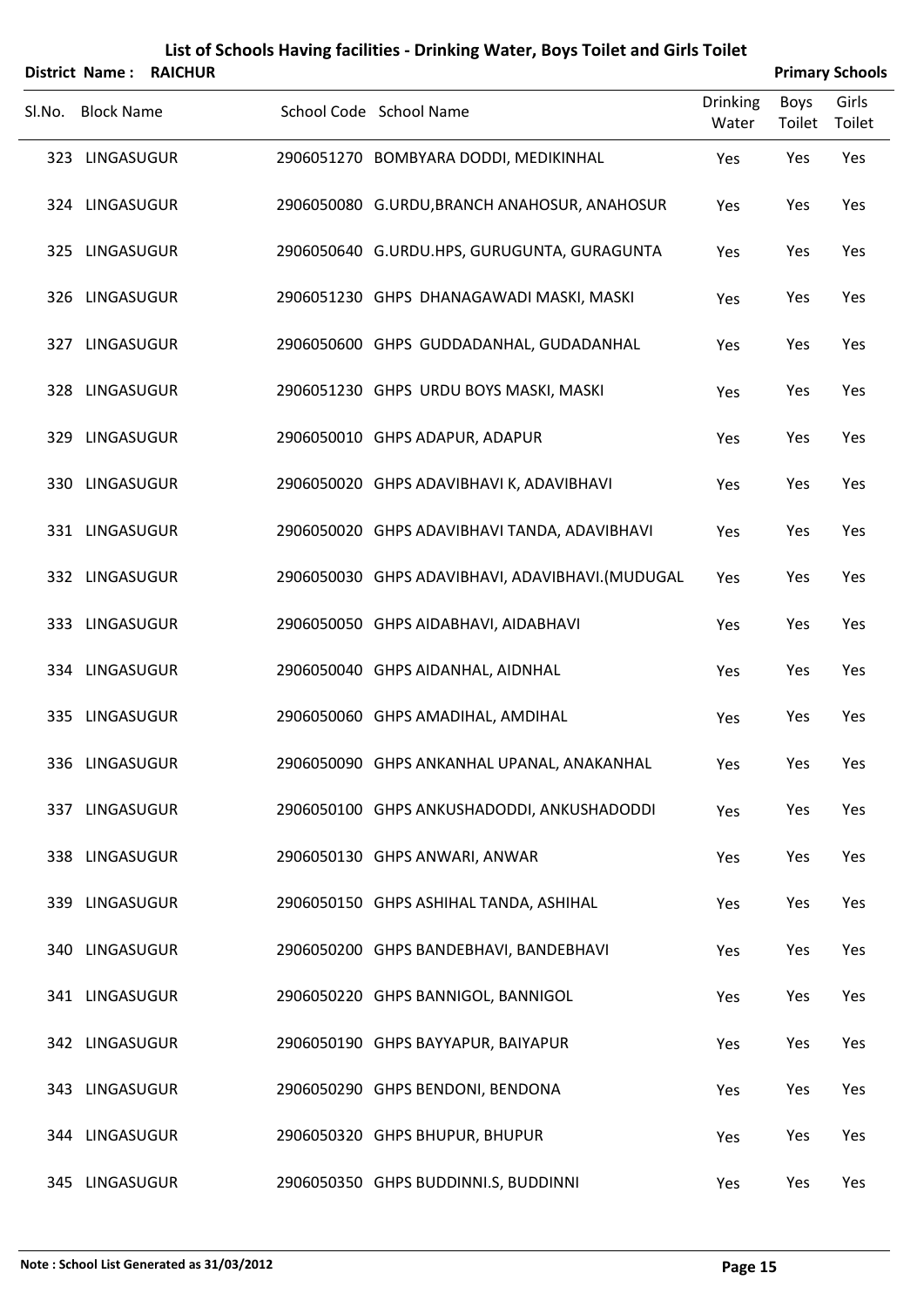|        | <b>District Name:</b> | <b>RAICHUR</b> |                                                 |                          |                       | <b>Primary Schools</b> |
|--------|-----------------------|----------------|-------------------------------------------------|--------------------------|-----------------------|------------------------|
| SI.No. | <b>Block Name</b>     |                | School Code School Name                         | <b>Drinking</b><br>Water | <b>Boys</b><br>Toilet | Girls<br>Toilet        |
|        | 323 LINGASUGUR        |                | 2906051270 BOMBYARA DODDI, MEDIKINHAL           | Yes                      | Yes                   | Yes                    |
|        | 324 LINGASUGUR        |                | 2906050080 G.URDU, BRANCH ANAHOSUR, ANAHOSUR    | Yes                      | Yes                   | Yes                    |
|        | 325 LINGASUGUR        |                | 2906050640 G.URDU.HPS, GURUGUNTA, GURAGUNTA     | Yes                      | Yes                   | Yes                    |
|        | 326 LINGASUGUR        |                | 2906051230 GHPS DHANAGAWADI MASKI, MASKI        | Yes                      | Yes                   | Yes                    |
|        | 327 LINGASUGUR        |                | 2906050600 GHPS GUDDADANHAL, GUDADANHAL         | Yes                      | Yes                   | Yes                    |
|        | 328 LINGASUGUR        |                | 2906051230 GHPS URDU BOYS MASKI, MASKI          | Yes                      | Yes                   | Yes                    |
|        | 329 LINGASUGUR        |                | 2906050010 GHPS ADAPUR, ADAPUR                  | Yes                      | Yes                   | Yes                    |
|        | 330 LINGASUGUR        |                | 2906050020 GHPS ADAVIBHAVI K, ADAVIBHAVI        | Yes                      | Yes                   | Yes                    |
|        | 331 LINGASUGUR        |                | 2906050020 GHPS ADAVIBHAVI TANDA, ADAVIBHAVI    | Yes                      | Yes                   | Yes                    |
|        | 332 LINGASUGUR        |                | 2906050030 GHPS ADAVIBHAVI, ADAVIBHAVI.(MUDUGAL | Yes                      | Yes                   | Yes                    |
|        | 333 LINGASUGUR        |                | 2906050050 GHPS AIDABHAVI, AIDABHAVI            | Yes                      | Yes                   | Yes                    |
|        | 334 LINGASUGUR        |                | 2906050040 GHPS AIDANHAL, AIDNHAL               | Yes                      | Yes                   | Yes                    |
|        | 335 LINGASUGUR        |                | 2906050060 GHPS AMADIHAL, AMDIHAL               | Yes                      | Yes                   | Yes                    |
|        | 336 LINGASUGUR        |                | 2906050090 GHPS ANKANHAL UPANAL, ANAKANHAL      | Yes                      | Yes                   | Yes                    |
|        | 337 LINGASUGUR        |                | 2906050100 GHPS ANKUSHADODDI, ANKUSHADODDI      | Yes                      | Yes                   | Yes                    |
|        | 338 LINGASUGUR        |                | 2906050130 GHPS ANWARI, ANWAR                   | Yes                      | Yes                   | Yes                    |
|        | 339 LINGASUGUR        |                | 2906050150 GHPS ASHIHAL TANDA, ASHIHAL          | Yes                      | Yes                   | Yes                    |
|        | 340 LINGASUGUR        |                | 2906050200 GHPS BANDEBHAVI, BANDEBHAVI          | Yes                      | Yes                   | Yes                    |
|        | 341 LINGASUGUR        |                | 2906050220 GHPS BANNIGOL, BANNIGOL              | Yes                      | Yes                   | Yes                    |
|        | 342 LINGASUGUR        |                | 2906050190 GHPS BAYYAPUR, BAIYAPUR              | Yes                      | Yes                   | Yes                    |
|        | 343 LINGASUGUR        |                | 2906050290 GHPS BENDONI, BENDONA                | Yes                      | Yes                   | Yes                    |
|        | 344 LINGASUGUR        |                | 2906050320 GHPS BHUPUR, BHUPUR                  | Yes                      | Yes                   | Yes                    |
|        | 345 LINGASUGUR        |                | 2906050350 GHPS BUDDINNI.S, BUDDINNI            | Yes                      | Yes                   | Yes                    |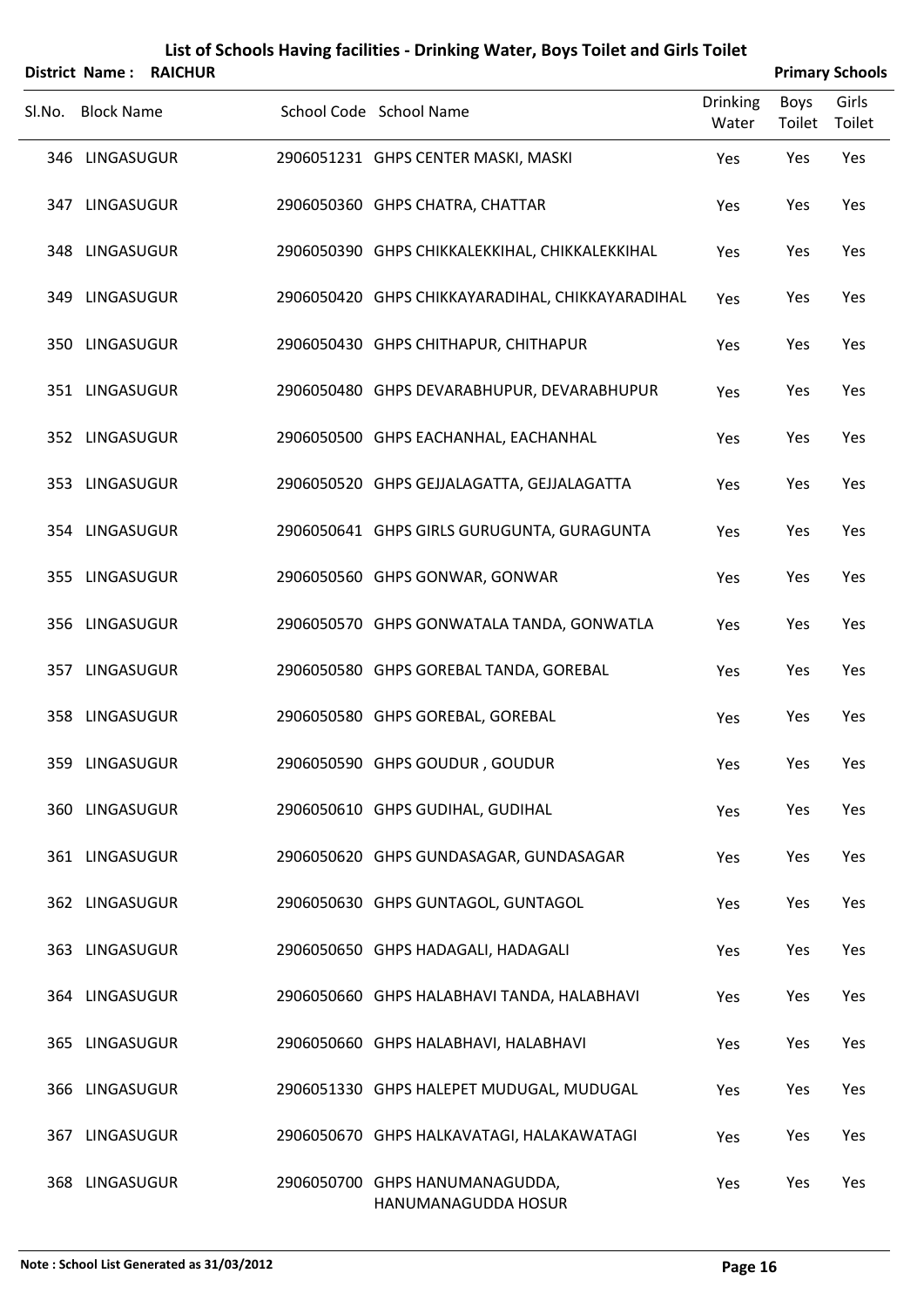|        | District Name:    | <b>RAICHUR</b> |                                                       |                          |                       | <b>Primary Schools</b> |
|--------|-------------------|----------------|-------------------------------------------------------|--------------------------|-----------------------|------------------------|
| Sl.No. | <b>Block Name</b> |                | School Code School Name                               | <b>Drinking</b><br>Water | <b>Boys</b><br>Toilet | Girls<br>Toilet        |
|        | 346 LINGASUGUR    |                | 2906051231 GHPS CENTER MASKI, MASKI                   | Yes                      | Yes                   | Yes                    |
|        | 347 LINGASUGUR    |                | 2906050360 GHPS CHATRA, CHATTAR                       | Yes                      | Yes                   | Yes                    |
|        | 348 LINGASUGUR    |                | 2906050390 GHPS CHIKKALEKKIHAL, CHIKKALEKKIHAL        | Yes                      | Yes                   | Yes                    |
|        | 349 LINGASUGUR    |                | 2906050420 GHPS CHIKKAYARADIHAL, CHIKKAYARADIHAL      | Yes                      | Yes                   | Yes                    |
|        | 350 LINGASUGUR    |                | 2906050430 GHPS CHITHAPUR, CHITHAPUR                  | Yes                      | Yes                   | Yes                    |
|        | 351 LINGASUGUR    |                | 2906050480 GHPS DEVARABHUPUR, DEVARABHUPUR            | Yes                      | Yes                   | Yes                    |
|        | 352 LINGASUGUR    |                | 2906050500 GHPS EACHANHAL, EACHANHAL                  | Yes                      | Yes                   | Yes                    |
|        | 353 LINGASUGUR    |                | 2906050520 GHPS GEJJALAGATTA, GEJJALAGATTA            | Yes                      | Yes                   | Yes                    |
|        | 354 LINGASUGUR    |                | 2906050641 GHPS GIRLS GURUGUNTA, GURAGUNTA            | Yes                      | Yes                   | Yes                    |
|        | 355 LINGASUGUR    |                | 2906050560 GHPS GONWAR, GONWAR                        | Yes                      | Yes                   | Yes                    |
|        | 356 LINGASUGUR    |                | 2906050570 GHPS GONWATALA TANDA, GONWATLA             | Yes                      | Yes                   | Yes                    |
|        | 357 LINGASUGUR    |                | 2906050580 GHPS GOREBAL TANDA, GOREBAL                | Yes                      | Yes                   | Yes                    |
|        | 358 LINGASUGUR    |                | 2906050580 GHPS GOREBAL, GOREBAL                      | Yes                      | Yes                   | Yes                    |
|        | 359 LINGASUGUR    |                | 2906050590 GHPS GOUDUR, GOUDUR                        | Yes                      | Yes                   | Yes                    |
|        | 360 LINGASUGUR    |                | 2906050610 GHPS GUDIHAL, GUDIHAL                      | Yes                      | Yes                   | Yes                    |
|        | 361 LINGASUGUR    |                | 2906050620 GHPS GUNDASAGAR, GUNDASAGAR                | Yes                      | Yes                   | Yes                    |
|        | 362 LINGASUGUR    |                | 2906050630 GHPS GUNTAGOL, GUNTAGOL                    | Yes                      | Yes                   | Yes                    |
|        | 363 LINGASUGUR    |                | 2906050650 GHPS HADAGALI, HADAGALI                    | Yes                      | Yes                   | Yes                    |
|        | 364 LINGASUGUR    |                | 2906050660 GHPS HALABHAVI TANDA, HALABHAVI            | Yes                      | Yes                   | Yes                    |
|        | 365 LINGASUGUR    |                | 2906050660 GHPS HALABHAVI, HALABHAVI                  | Yes                      | Yes                   | Yes                    |
|        | 366 LINGASUGUR    |                | 2906051330 GHPS HALEPET MUDUGAL, MUDUGAL              | Yes                      | Yes                   | Yes                    |
|        | 367 LINGASUGUR    |                | 2906050670 GHPS HALKAVATAGI, HALAKAWATAGI             | Yes                      | Yes                   | Yes                    |
|        | 368 LINGASUGUR    |                | 2906050700 GHPS HANUMANAGUDDA,<br>HANUMANAGUDDA HOSUR | Yes                      | Yes                   | Yes                    |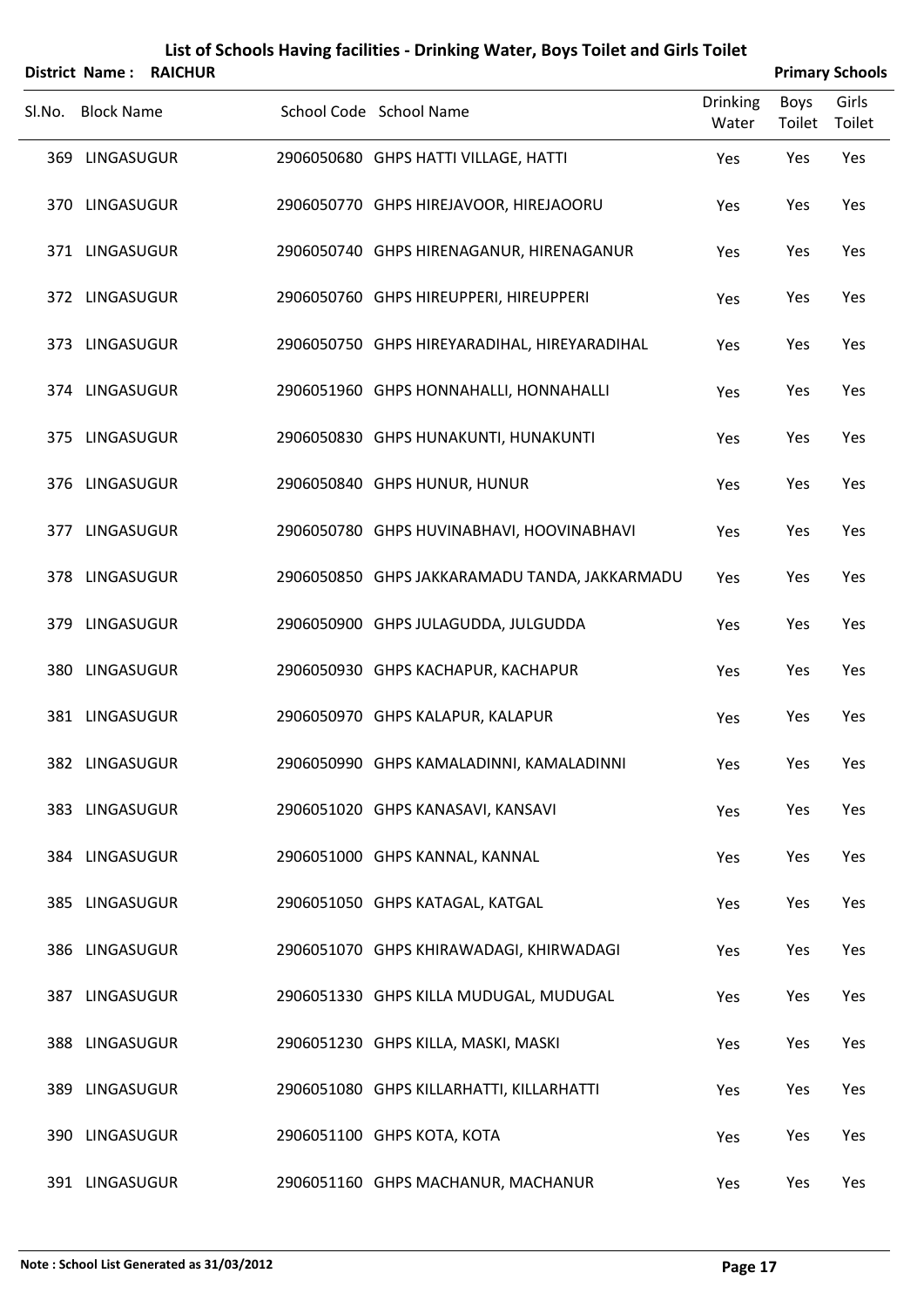|        | <b>District Name:</b> | <b>RAICHUR</b> |                                               |                          |                       | <b>Primary Schools</b> |
|--------|-----------------------|----------------|-----------------------------------------------|--------------------------|-----------------------|------------------------|
| Sl.No. | <b>Block Name</b>     |                | School Code School Name                       | <b>Drinking</b><br>Water | <b>Boys</b><br>Toilet | Girls<br>Toilet        |
|        | 369 LINGASUGUR        |                | 2906050680 GHPS HATTI VILLAGE, HATTI          | Yes                      | Yes                   | Yes                    |
|        | 370 LINGASUGUR        |                | 2906050770 GHPS HIREJAVOOR, HIREJAOORU        | Yes                      | Yes                   | Yes                    |
|        | 371 LINGASUGUR        |                | 2906050740 GHPS HIRENAGANUR, HIRENAGANUR      | Yes                      | Yes                   | Yes                    |
|        | 372 LINGASUGUR        |                | 2906050760 GHPS HIREUPPERI, HIREUPPERI        | Yes                      | Yes                   | Yes                    |
|        | 373 LINGASUGUR        |                | 2906050750 GHPS HIREYARADIHAL, HIREYARADIHAL  | Yes                      | Yes                   | Yes                    |
|        | 374 LINGASUGUR        |                | 2906051960 GHPS HONNAHALLI, HONNAHALLI        | Yes                      | Yes                   | Yes                    |
|        | 375 LINGASUGUR        |                | 2906050830 GHPS HUNAKUNTI, HUNAKUNTI          | Yes                      | Yes                   | Yes                    |
|        | 376 LINGASUGUR        |                | 2906050840 GHPS HUNUR, HUNUR                  | Yes                      | Yes                   | Yes                    |
|        | 377 LINGASUGUR        |                | 2906050780 GHPS HUVINABHAVI, HOOVINABHAVI     | Yes                      | Yes                   | Yes                    |
|        | 378 LINGASUGUR        |                | 2906050850 GHPS JAKKARAMADU TANDA, JAKKARMADU | Yes                      | Yes                   | Yes                    |
|        | 379 LINGASUGUR        |                | 2906050900 GHPS JULAGUDDA, JULGUDDA           | Yes                      | Yes                   | Yes                    |
|        | 380 LINGASUGUR        |                | 2906050930 GHPS KACHAPUR, KACHAPUR            | Yes                      | Yes                   | Yes                    |
|        | 381 LINGASUGUR        |                | 2906050970 GHPS KALAPUR, KALAPUR              | Yes                      | Yes                   | Yes                    |
|        | 382 LINGASUGUR        |                | 2906050990 GHPS KAMALADINNI, KAMALADINNI      | Yes                      | Yes                   | Yes                    |
|        | 383 LINGASUGUR        |                | 2906051020 GHPS KANASAVI, KANSAVI             | Yes                      | Yes                   | Yes                    |
|        | 384 LINGASUGUR        |                | 2906051000 GHPS KANNAL, KANNAL                | Yes                      | Yes                   | Yes                    |
|        | 385 LINGASUGUR        |                | 2906051050 GHPS KATAGAL, KATGAL               | Yes                      | Yes                   | Yes                    |
|        | 386 LINGASUGUR        |                | 2906051070 GHPS KHIRAWADAGI, KHIRWADAGI       | Yes                      | Yes                   | Yes                    |
|        | 387 LINGASUGUR        |                | 2906051330 GHPS KILLA MUDUGAL, MUDUGAL        | Yes                      | Yes                   | Yes                    |
|        | 388 LINGASUGUR        |                | 2906051230 GHPS KILLA, MASKI, MASKI           | Yes                      | Yes                   | Yes                    |
|        | 389 LINGASUGUR        |                | 2906051080 GHPS KILLARHATTI, KILLARHATTI      | Yes                      | Yes                   | Yes                    |
|        | 390 LINGASUGUR        |                | 2906051100 GHPS KOTA, KOTA                    | Yes                      | Yes                   | Yes                    |
|        | 391 LINGASUGUR        |                | 2906051160 GHPS MACHANUR, MACHANUR            | Yes                      | Yes                   | Yes                    |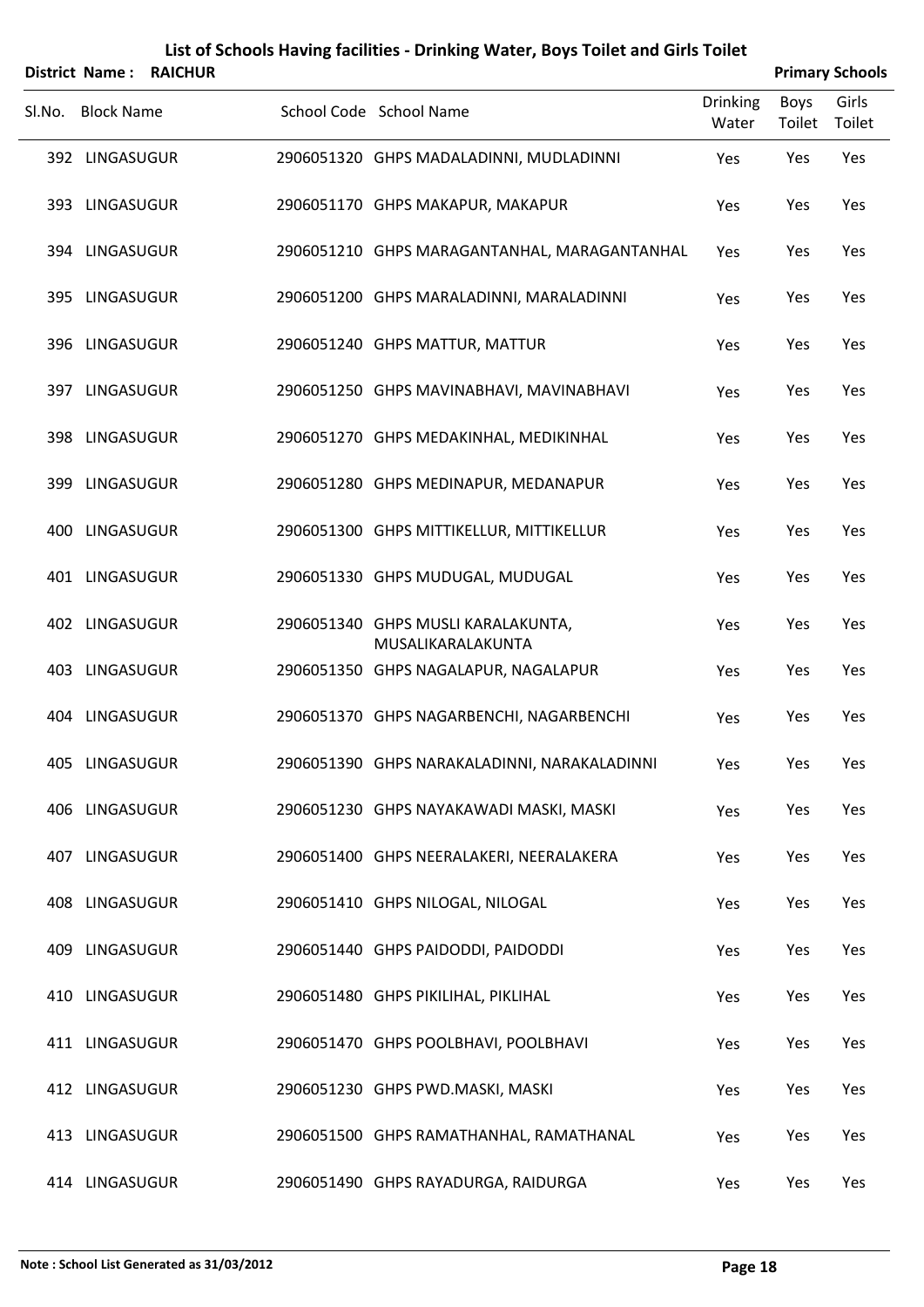|                   | <b>District Name: RAICHUR</b> |                                                         |                          |                | <b>Primary Schools</b> |
|-------------------|-------------------------------|---------------------------------------------------------|--------------------------|----------------|------------------------|
| Sl.No. Block Name |                               | School Code School Name                                 | <b>Drinking</b><br>Water | Boys<br>Toilet | Girls<br>Toilet        |
| 392 LINGASUGUR    |                               | 2906051320 GHPS MADALADINNI, MUDLADINNI                 | Yes                      | Yes            | Yes                    |
| 393 LINGASUGUR    |                               | 2906051170 GHPS MAKAPUR, MAKAPUR                        | Yes                      | Yes            | Yes                    |
| 394 LINGASUGUR    |                               | 2906051210 GHPS MARAGANTANHAL, MARAGANTANHAL            | Yes                      | Yes            | Yes                    |
| 395 LINGASUGUR    |                               | 2906051200 GHPS MARALADINNI, MARALADINNI                | Yes                      | Yes            | Yes                    |
| 396 LINGASUGUR    |                               | 2906051240 GHPS MATTUR, MATTUR                          | Yes                      | Yes            | Yes                    |
| 397 LINGASUGUR    |                               | 2906051250 GHPS MAVINABHAVI, MAVINABHAVI                | Yes                      | Yes            | Yes                    |
| 398 LINGASUGUR    |                               | 2906051270 GHPS MEDAKINHAL, MEDIKINHAL                  | Yes                      | Yes            | Yes                    |
| 399 LINGASUGUR    |                               | 2906051280 GHPS MEDINAPUR, MEDANAPUR                    | Yes                      | Yes            | Yes                    |
| 400 LINGASUGUR    |                               | 2906051300 GHPS MITTIKELLUR, MITTIKELLUR                | Yes                      | Yes            | Yes                    |
| 401 LINGASUGUR    |                               | 2906051330 GHPS MUDUGAL, MUDUGAL                        | Yes                      | Yes            | Yes                    |
| 402 LINGASUGUR    |                               | 2906051340 GHPS MUSLI KARALAKUNTA,<br>MUSALIKARALAKUNTA | Yes                      | Yes            | Yes                    |
| 403 LINGASUGUR    |                               | 2906051350 GHPS NAGALAPUR, NAGALAPUR                    | Yes                      | Yes            | Yes                    |
| 404 LINGASUGUR    |                               | 2906051370 GHPS NAGARBENCHI, NAGARBENCHI                | Yes                      | Yes            | Yes                    |
| 405 LINGASUGUR    |                               | 2906051390 GHPS NARAKALADINNI, NARAKALADINNI            | Yes                      | Yes            | Yes                    |
| 406 LINGASUGUR    |                               | 2906051230 GHPS NAYAKAWADI MASKI, MASKI                 | Yes                      | Yes            | Yes                    |
| 407 LINGASUGUR    |                               | 2906051400 GHPS NEERALAKERI, NEERALAKERA                | Yes                      | Yes            | Yes                    |
| 408 LINGASUGUR    |                               | 2906051410 GHPS NILOGAL, NILOGAL                        | Yes                      | Yes            | Yes                    |
| 409 LINGASUGUR    |                               | 2906051440 GHPS PAIDODDI, PAIDODDI                      | Yes                      | Yes            | Yes                    |
| 410 LINGASUGUR    |                               | 2906051480 GHPS PIKILIHAL, PIKLIHAL                     | Yes                      | Yes            | Yes                    |
| 411 LINGASUGUR    |                               | 2906051470 GHPS POOLBHAVI, POOLBHAVI                    | Yes                      | Yes            | Yes                    |
| 412 LINGASUGUR    |                               | 2906051230 GHPS PWD.MASKI, MASKI                        | Yes                      | Yes            | Yes                    |
| 413 LINGASUGUR    |                               | 2906051500 GHPS RAMATHANHAL, RAMATHANAL                 | Yes                      | Yes            | Yes                    |
| 414 LINGASUGUR    |                               | 2906051490 GHPS RAYADURGA, RAIDURGA                     | Yes                      | Yes            | Yes                    |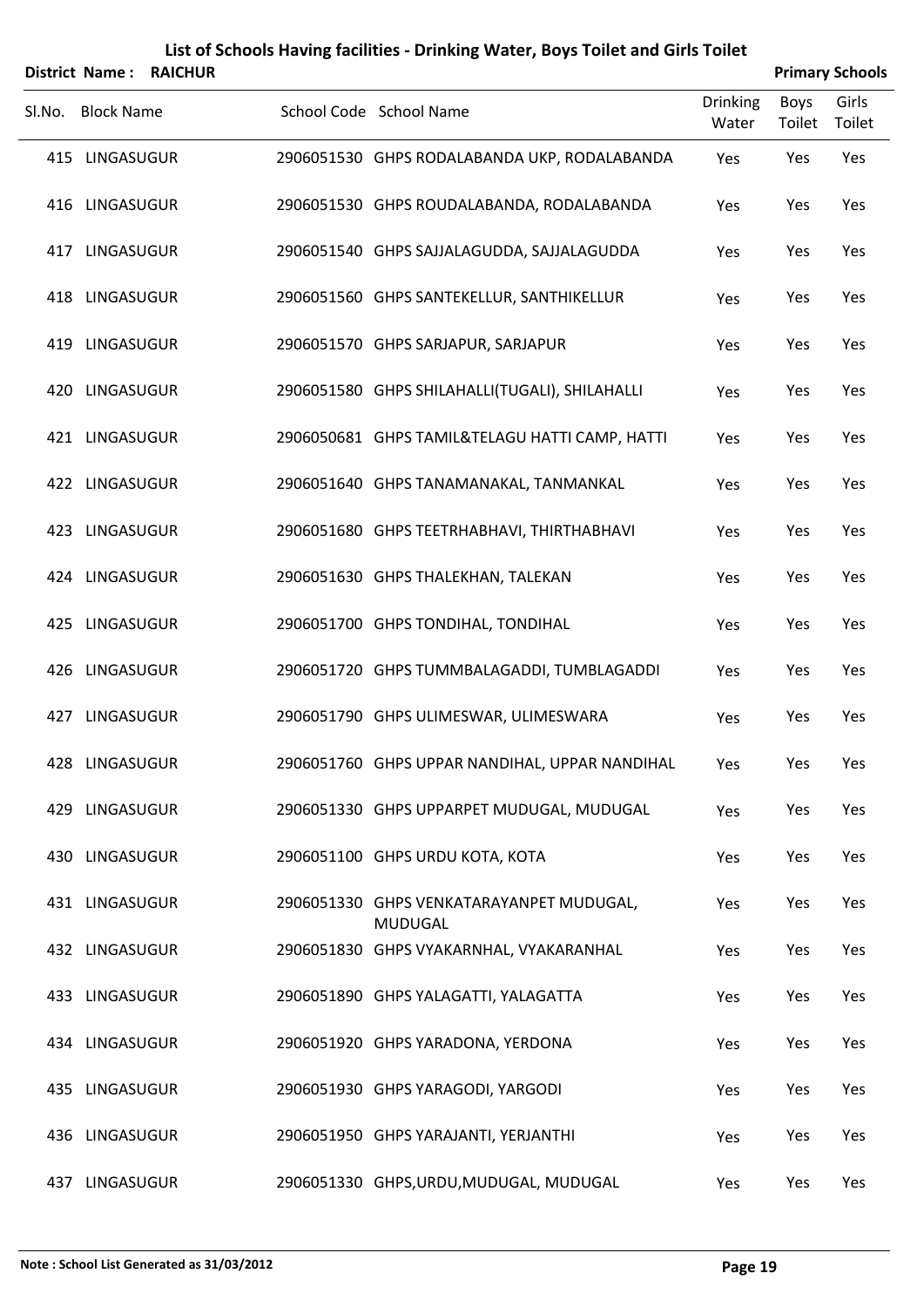|        |                   | <b>District Name: RAICHUR</b> |                                                            |                          |                       | <b>Primary Schools</b> |
|--------|-------------------|-------------------------------|------------------------------------------------------------|--------------------------|-----------------------|------------------------|
| Sl.No. | <b>Block Name</b> |                               | School Code School Name                                    | <b>Drinking</b><br>Water | <b>Boys</b><br>Toilet | Girls<br>Toilet        |
|        | 415 LINGASUGUR    |                               | 2906051530 GHPS RODALABANDA UKP, RODALABANDA               | Yes                      | Yes                   | Yes                    |
|        | 416 LINGASUGUR    |                               | 2906051530 GHPS ROUDALABANDA, RODALABANDA                  | Yes                      | Yes                   | Yes                    |
|        | 417 LINGASUGUR    |                               | 2906051540 GHPS SAJJALAGUDDA, SAJJALAGUDDA                 | Yes                      | Yes                   | Yes                    |
|        | 418 LINGASUGUR    |                               | 2906051560 GHPS SANTEKELLUR, SANTHIKELLUR                  | Yes                      | Yes                   | Yes                    |
|        | 419 LINGASUGUR    |                               | 2906051570 GHPS SARJAPUR, SARJAPUR                         | Yes                      | Yes                   | Yes                    |
|        | 420 LINGASUGUR    |                               | 2906051580 GHPS SHILAHALLI(TUGALI), SHILAHALLI             | Yes                      | Yes                   | Yes                    |
|        | 421 LINGASUGUR    |                               | 2906050681 GHPS TAMIL&TELAGU HATTI CAMP, HATTI             | Yes                      | Yes                   | Yes                    |
|        | 422 LINGASUGUR    |                               | 2906051640 GHPS TANAMANAKAL, TANMANKAL                     | Yes                      | Yes                   | Yes                    |
|        | 423 LINGASUGUR    |                               | 2906051680 GHPS TEETRHABHAVI, THIRTHABHAVI                 | Yes                      | Yes                   | Yes                    |
|        | 424 LINGASUGUR    |                               | 2906051630 GHPS THALEKHAN, TALEKAN                         | Yes                      | Yes                   | Yes                    |
|        | 425 LINGASUGUR    |                               | 2906051700 GHPS TONDIHAL, TONDIHAL                         | Yes                      | Yes                   | Yes                    |
|        | 426 LINGASUGUR    |                               | 2906051720 GHPS TUMMBALAGADDI, TUMBLAGADDI                 | Yes                      | Yes                   | Yes                    |
| 427    | <b>LINGASUGUR</b> |                               | 2906051790 GHPS ULIMESWAR, ULIMESWARA                      | Yes                      | Yes                   | Yes                    |
|        | 428 LINGASUGUR    |                               | 2906051760 GHPS UPPAR NANDIHAL, UPPAR NANDIHAL             | Yes                      | Yes                   | Yes                    |
|        | 429 LINGASUGUR    |                               | 2906051330 GHPS UPPARPET MUDUGAL, MUDUGAL                  | Yes                      | Yes                   | Yes                    |
|        | 430 LINGASUGUR    |                               | 2906051100 GHPS URDU KOTA, KOTA                            | Yes                      | Yes                   | Yes                    |
|        | 431 LINGASUGUR    |                               | 2906051330 GHPS VENKATARAYANPET MUDUGAL,<br><b>MUDUGAL</b> | Yes                      | Yes                   | Yes                    |
|        | 432 LINGASUGUR    |                               | 2906051830 GHPS VYAKARNHAL, VYAKARANHAL                    | Yes                      | Yes                   | Yes                    |
|        | 433 LINGASUGUR    |                               | 2906051890 GHPS YALAGATTI, YALAGATTA                       | Yes                      | Yes                   | Yes                    |
|        | 434 LINGASUGUR    |                               | 2906051920 GHPS YARADONA, YERDONA                          | Yes                      | Yes                   | Yes                    |
|        | 435 LINGASUGUR    |                               | 2906051930 GHPS YARAGODI, YARGODI                          | Yes                      | Yes                   | Yes                    |
|        | 436 LINGASUGUR    |                               | 2906051950 GHPS YARAJANTI, YERJANTHI                       | Yes                      | Yes                   | Yes                    |
|        | 437 LINGASUGUR    |                               | 2906051330 GHPS, URDU, MUDUGAL, MUDUGAL                    | Yes                      | Yes                   | Yes                    |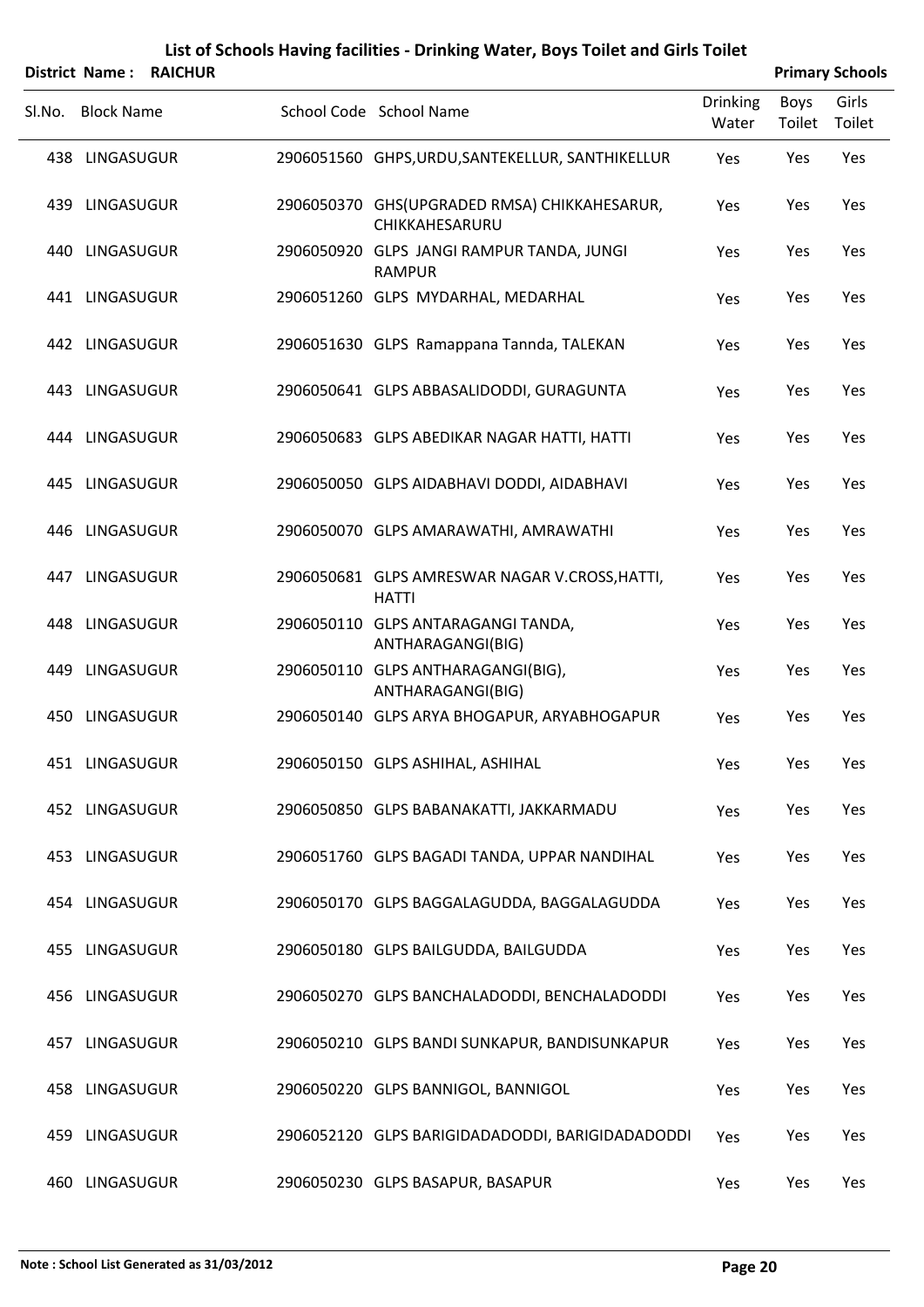|        | District Name:    | <b>RAICHUR</b> |                                                                |                          | <b>Primary Schools</b> |                 |
|--------|-------------------|----------------|----------------------------------------------------------------|--------------------------|------------------------|-----------------|
| SI.No. | <b>Block Name</b> |                | School Code School Name                                        | <b>Drinking</b><br>Water | <b>Boys</b><br>Toilet  | Girls<br>Toilet |
|        | 438 LINGASUGUR    |                | 2906051560 GHPS, URDU, SANTEKELLUR, SANTHIKELLUR               | Yes                      | Yes                    | Yes             |
|        | 439 LINGASUGUR    |                | 2906050370 GHS(UPGRADED RMSA) CHIKKAHESARUR,<br>CHIKKAHESARURU | Yes                      | Yes                    | Yes             |
|        | 440 LINGASUGUR    |                | 2906050920 GLPS JANGI RAMPUR TANDA, JUNGI<br><b>RAMPUR</b>     | Yes                      | Yes                    | Yes             |
|        | 441 LINGASUGUR    |                | 2906051260 GLPS MYDARHAL, MEDARHAL                             | Yes                      | Yes                    | Yes             |
|        | 442 LINGASUGUR    |                | 2906051630 GLPS Ramappana Tannda, TALEKAN                      | Yes                      | Yes                    | Yes             |
|        | 443 LINGASUGUR    |                | 2906050641 GLPS ABBASALIDODDI, GURAGUNTA                       | Yes                      | Yes                    | Yes             |
|        | 444 LINGASUGUR    |                | 2906050683 GLPS ABEDIKAR NAGAR HATTI, HATTI                    | Yes                      | Yes                    | Yes             |
|        | 445 LINGASUGUR    |                | 2906050050 GLPS AIDABHAVI DODDI, AIDABHAVI                     | Yes                      | Yes                    | Yes             |
|        | 446 LINGASUGUR    |                | 2906050070 GLPS AMARAWATHI, AMRAWATHI                          | Yes                      | Yes                    | Yes             |
|        | 447 LINGASUGUR    |                | 2906050681 GLPS AMRESWAR NAGAR V.CROSS, HATTI,<br><b>HATTI</b> | Yes                      | Yes                    | Yes             |
|        | 448 LINGASUGUR    |                | 2906050110 GLPS ANTARAGANGI TANDA,<br>ANTHARAGANGI(BIG)        | Yes                      | Yes                    | Yes             |
|        | 449 LINGASUGUR    |                | 2906050110 GLPS ANTHARAGANGI(BIG),<br>ANTHARAGANGI(BIG)        | Yes                      | Yes                    | Yes             |
|        | 450 LINGASUGUR    |                | 2906050140 GLPS ARYA BHOGAPUR, ARYABHOGAPUR                    | Yes                      | Yes                    | Yes             |
|        | 451 LINGASUGUR    |                | 2906050150 GLPS ASHIHAL, ASHIHAL                               | Yes                      | Yes                    | Yes             |
|        | 452 LINGASUGUR    |                | 2906050850 GLPS BABANAKATTI, JAKKARMADU                        | Yes                      | Yes                    | Yes             |
|        | 453 LINGASUGUR    |                | 2906051760 GLPS BAGADI TANDA, UPPAR NANDIHAL                   | Yes                      | Yes                    | Yes             |
|        | 454 LINGASUGUR    |                | 2906050170 GLPS BAGGALAGUDDA, BAGGALAGUDDA                     | Yes                      | Yes                    | Yes             |
|        | 455 LINGASUGUR    |                | 2906050180 GLPS BAILGUDDA, BAILGUDDA                           | Yes                      | Yes                    | Yes             |
|        | 456 LINGASUGUR    |                | 2906050270 GLPS BANCHALADODDI, BENCHALADODDI                   | Yes                      | Yes                    | Yes             |
|        | 457 LINGASUGUR    |                | 2906050210 GLPS BANDI SUNKAPUR, BANDISUNKAPUR                  | Yes                      | Yes                    | Yes             |
|        | 458 LINGASUGUR    |                | 2906050220 GLPS BANNIGOL, BANNIGOL                             | Yes                      | Yes                    | Yes             |

459 LINGASUGUR 2906052120 GLPS BARIGIDADADODDI, BARIGIDADADODDI Yes Yes Yes

460 LINGASUGUR 2906050230 GLPS BASAPUR, BASAPUR THE Yes Yes Yes Yes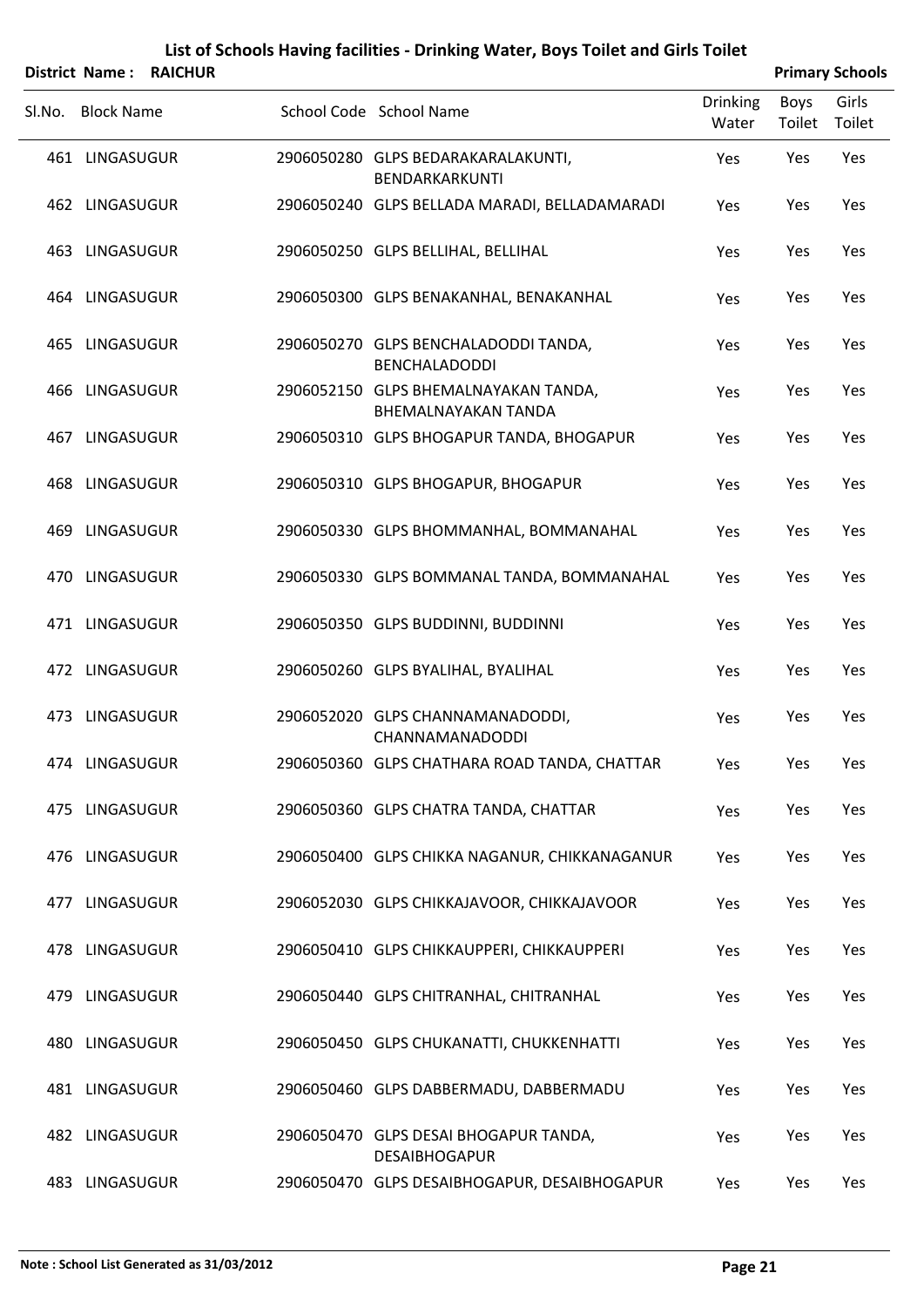|        |                   | District Name: RAICHUR |                                                                    |                          |                | <b>Primary Schools</b> |
|--------|-------------------|------------------------|--------------------------------------------------------------------|--------------------------|----------------|------------------------|
| Sl.No. | <b>Block Name</b> |                        | School Code School Name                                            | <b>Drinking</b><br>Water | Boys<br>Toilet | Girls<br>Toilet        |
|        | 461 LINGASUGUR    |                        | 2906050280 GLPS BEDARAKARALAKUNTI,<br>BENDARKARKUNTI               | Yes                      | Yes            | Yes                    |
|        | 462 LINGASUGUR    |                        | 2906050240 GLPS BELLADA MARADI, BELLADAMARADI                      | Yes                      | Yes            | Yes                    |
|        | 463 LINGASUGUR    |                        | 2906050250 GLPS BELLIHAL, BELLIHAL                                 | Yes                      | Yes            | Yes                    |
|        | 464 LINGASUGUR    |                        | 2906050300 GLPS BENAKANHAL, BENAKANHAL                             | Yes                      | Yes            | Yes                    |
|        | 465 LINGASUGUR    |                        | 2906050270 GLPS BENCHALADODDI TANDA,<br><b>BENCHALADODDI</b>       | Yes                      | Yes            | Yes                    |
|        | 466 LINGASUGUR    |                        | 2906052150 GLPS BHEMALNAYAKAN TANDA,<br><b>BHEMALNAYAKAN TANDA</b> | Yes                      | Yes            | Yes                    |
|        | 467 LINGASUGUR    |                        | 2906050310 GLPS BHOGAPUR TANDA, BHOGAPUR                           | Yes                      | Yes            | Yes                    |
|        | 468 LINGASUGUR    |                        | 2906050310 GLPS BHOGAPUR, BHOGAPUR                                 | Yes                      | Yes            | Yes                    |
|        | 469 LINGASUGUR    |                        | 2906050330 GLPS BHOMMANHAL, BOMMANAHAL                             | Yes                      | Yes            | Yes                    |
|        | 470 LINGASUGUR    |                        | 2906050330 GLPS BOMMANAL TANDA, BOMMANAHAL                         | Yes                      | Yes            | Yes                    |
|        | 471 LINGASUGUR    |                        | 2906050350 GLPS BUDDINNI, BUDDINNI                                 | Yes                      | Yes            | Yes                    |
|        | 472 LINGASUGUR    |                        | 2906050260 GLPS BYALIHAL, BYALIHAL                                 | Yes                      | Yes            | Yes                    |
|        | 473 LINGASUGUR    |                        | 2906052020 GLPS CHANNAMANADODDI,<br><b>CHANNAMANADODDI</b>         | Yes                      | Yes            | Yes                    |
|        | 474 LINGASUGUR    |                        | 2906050360 GLPS CHATHARA ROAD TANDA, CHATTAR                       | Yes                      | Yes            | Yes                    |
|        | 475 LINGASUGUR    |                        | 2906050360 GLPS CHATRA TANDA, CHATTAR                              | Yes                      | Yes            | Yes                    |
|        | 476 LINGASUGUR    |                        | 2906050400 GLPS CHIKKA NAGANUR, CHIKKANAGANUR                      | Yes                      | Yes            | Yes                    |
|        | 477 LINGASUGUR    |                        | 2906052030 GLPS CHIKKAJAVOOR, CHIKKAJAVOOR                         | Yes                      | Yes            | Yes                    |
|        | 478 LINGASUGUR    |                        | 2906050410 GLPS CHIKKAUPPERI, CHIKKAUPPERI                         | Yes                      | Yes            | Yes                    |
|        | 479 LINGASUGUR    |                        | 2906050440 GLPS CHITRANHAL, CHITRANHAL                             | Yes                      | Yes            | Yes                    |
|        | 480 LINGASUGUR    |                        | 2906050450 GLPS CHUKANATTI, CHUKKENHATTI                           | Yes                      | Yes            | Yes                    |
|        | 481 LINGASUGUR    |                        | 2906050460 GLPS DABBERMADU, DABBERMADU                             | Yes                      | Yes            | Yes                    |
|        | 482 LINGASUGUR    |                        | 2906050470 GLPS DESAI BHOGAPUR TANDA,<br><b>DESAIBHOGAPUR</b>      | Yes                      | Yes            | Yes                    |
|        | 483 LINGASUGUR    |                        | 2906050470 GLPS DESAIBHOGAPUR, DESAIBHOGAPUR                       | Yes                      | Yes            | Yes                    |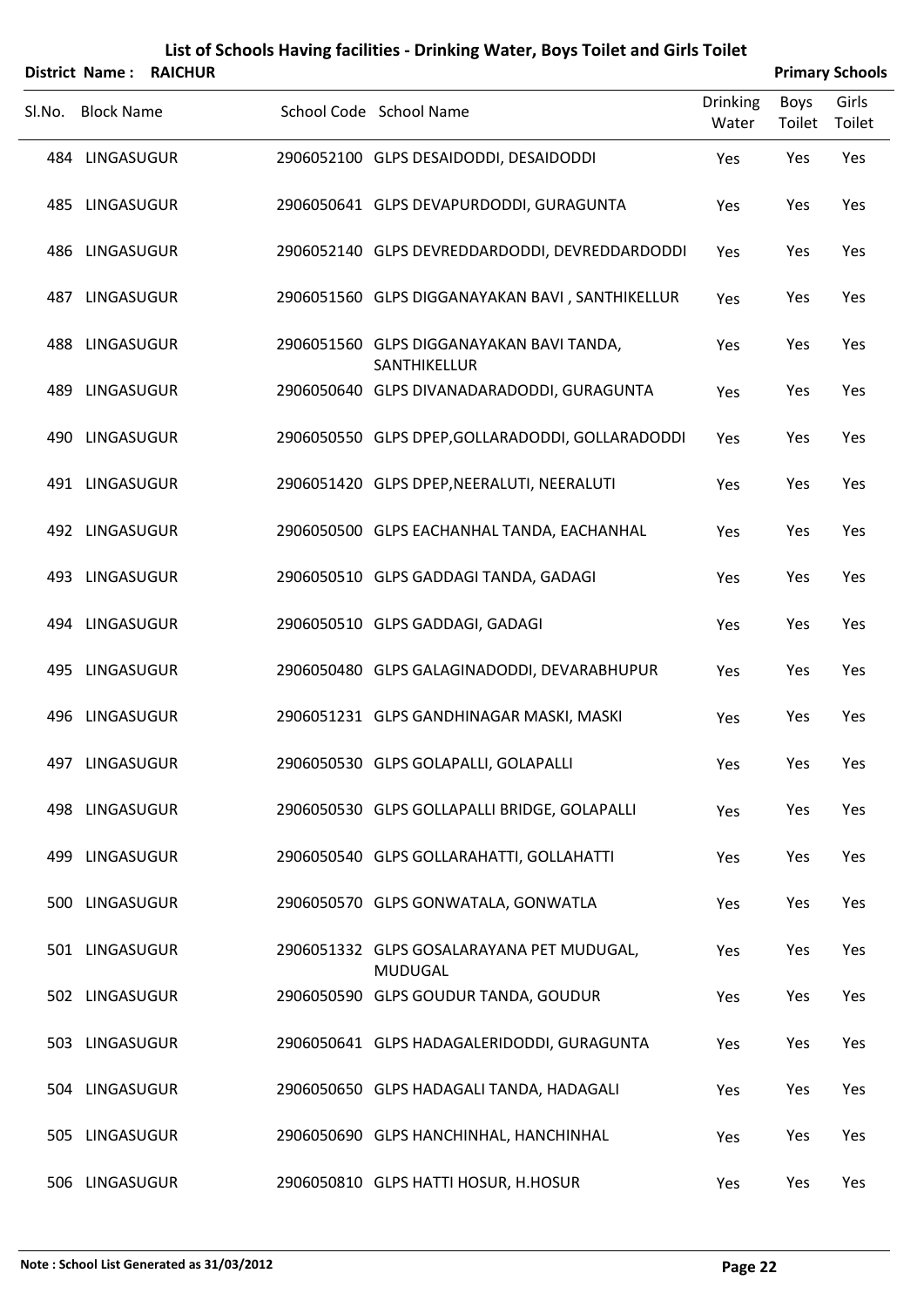|                   | District Name: RAICHUR |                                                             |                          |                | <b>Primary Schools</b> |
|-------------------|------------------------|-------------------------------------------------------------|--------------------------|----------------|------------------------|
| Sl.No. Block Name |                        | School Code School Name                                     | <b>Drinking</b><br>Water | Boys<br>Toilet | Girls<br>Toilet        |
| 484 LINGASUGUR    |                        | 2906052100 GLPS DESAIDODDI, DESAIDODDI                      | Yes                      | Yes            | Yes                    |
| 485 LINGASUGUR    |                        | 2906050641 GLPS DEVAPURDODDI, GURAGUNTA                     | Yes                      | Yes            | Yes                    |
| 486 LINGASUGUR    |                        | 2906052140 GLPS DEVREDDARDODDI, DEVREDDARDODDI              | Yes                      | Yes            | Yes                    |
| 487 LINGASUGUR    |                        | 2906051560 GLPS DIGGANAYAKAN BAVI, SANTHIKELLUR             | Yes                      | Yes            | Yes                    |
| 488 LINGASUGUR    |                        | 2906051560 GLPS DIGGANAYAKAN BAVI TANDA,<br>SANTHIKELLUR    | Yes                      | Yes            | Yes                    |
| 489 LINGASUGUR    |                        | 2906050640 GLPS DIVANADARADODDI, GURAGUNTA                  | Yes                      | Yes            | Yes                    |
| 490 LINGASUGUR    |                        | 2906050550 GLPS DPEP, GOLLARADODDI, GOLLARADODDI            | Yes                      | Yes            | Yes                    |
| 491 LINGASUGUR    |                        | 2906051420 GLPS DPEP, NEERALUTI, NEERALUTI                  | Yes                      | Yes            | Yes                    |
| 492 LINGASUGUR    |                        | 2906050500 GLPS EACHANHAL TANDA, EACHANHAL                  | Yes                      | Yes            | Yes                    |
| 493 LINGASUGUR    |                        | 2906050510 GLPS GADDAGI TANDA, GADAGI                       | Yes                      | Yes            | Yes                    |
| 494 LINGASUGUR    |                        | 2906050510 GLPS GADDAGI, GADAGI                             | Yes                      | Yes            | Yes                    |
| 495 LINGASUGUR    |                        | 2906050480 GLPS GALAGINADODDI, DEVARABHUPUR                 | Yes                      | Yes            | Yes                    |
| 496 LINGASUGUR    |                        | 2906051231 GLPS GANDHINAGAR MASKI, MASKI                    | Yes                      | Yes            | Yes                    |
| 497 LINGASUGUR    |                        | 2906050530 GLPS GOLAPALLI, GOLAPALLI                        | Yes                      | Yes            | Yes                    |
| 498 LINGASUGUR    |                        | 2906050530 GLPS GOLLAPALLI BRIDGE, GOLAPALLI                | Yes                      | Yes            | Yes                    |
| 499 LINGASUGUR    |                        | 2906050540 GLPS GOLLARAHATTI, GOLLAHATTI                    | Yes                      | Yes            | Yes                    |
| 500 LINGASUGUR    |                        | 2906050570 GLPS GONWATALA, GONWATLA                         | Yes                      | Yes            | Yes                    |
| 501 LINGASUGUR    |                        | 2906051332 GLPS GOSALARAYANA PET MUDUGAL,<br><b>MUDUGAL</b> | Yes                      | Yes            | Yes                    |
| 502 LINGASUGUR    |                        | 2906050590 GLPS GOUDUR TANDA, GOUDUR                        | Yes                      | Yes            | Yes                    |
| 503 LINGASUGUR    |                        | 2906050641 GLPS HADAGALERIDODDI, GURAGUNTA                  | Yes                      | Yes            | Yes                    |
| 504 LINGASUGUR    |                        | 2906050650 GLPS HADAGALI TANDA, HADAGALI                    | Yes                      | Yes            | Yes                    |
| 505 LINGASUGUR    |                        | 2906050690 GLPS HANCHINHAL, HANCHINHAL                      | Yes                      | Yes            | Yes                    |
|                   |                        |                                                             |                          |                |                        |

506 LINGASUGUR 2906050810 GLPS HATTI HOSUR, H.HOSUR Yes Yes Yes Yes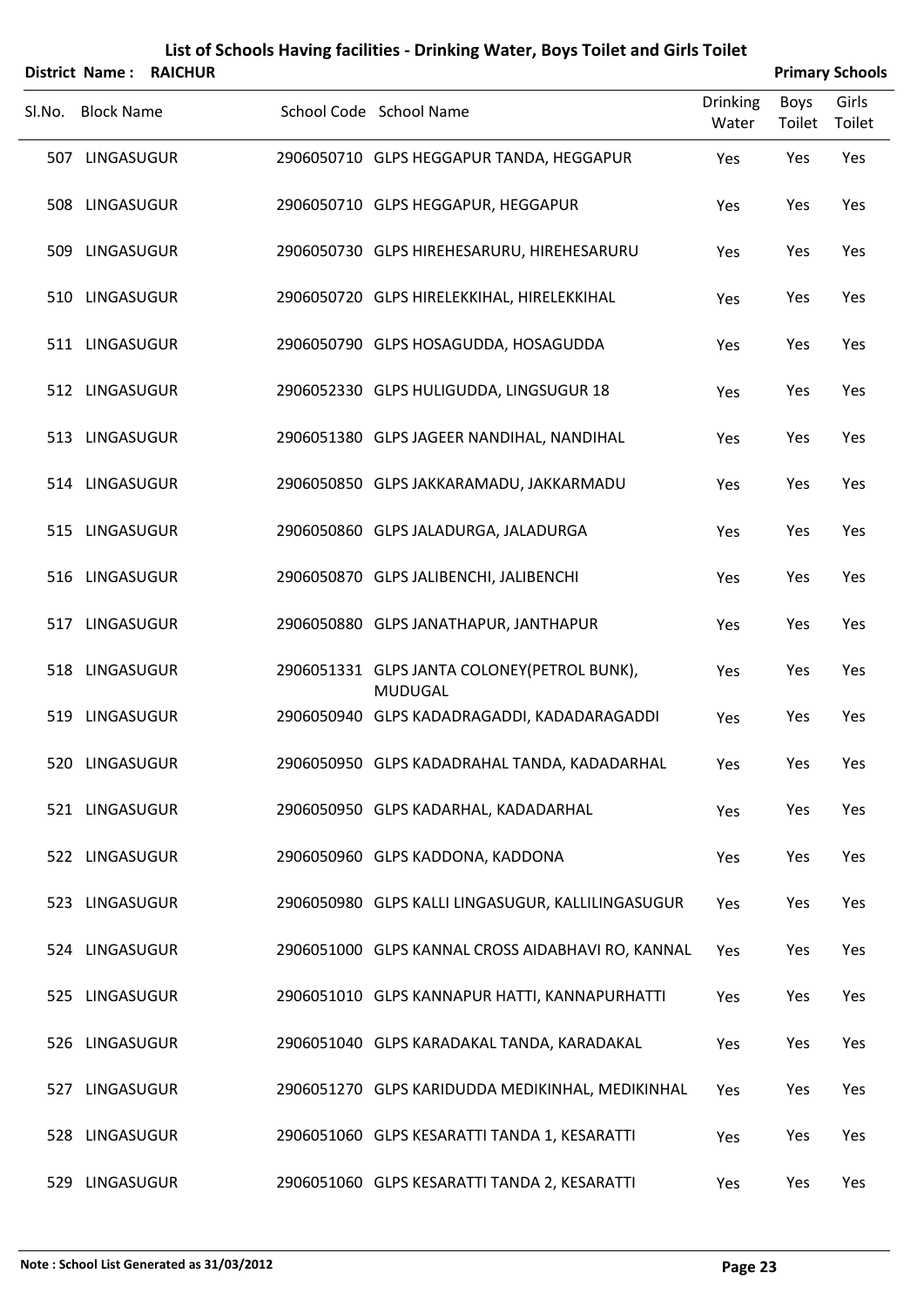|        | <b>District Name:</b> | <b>RAICHUR</b> |                                                               |                          |                       | <b>Primary Schools</b> |
|--------|-----------------------|----------------|---------------------------------------------------------------|--------------------------|-----------------------|------------------------|
| Sl.No. | <b>Block Name</b>     |                | School Code School Name                                       | <b>Drinking</b><br>Water | <b>Boys</b><br>Toilet | Girls<br>Toilet        |
|        | 507 LINGASUGUR        |                | 2906050710 GLPS HEGGAPUR TANDA, HEGGAPUR                      | Yes                      | Yes                   | Yes                    |
|        | 508 LINGASUGUR        |                | 2906050710 GLPS HEGGAPUR, HEGGAPUR                            | Yes                      | Yes                   | Yes                    |
|        | 509 LINGASUGUR        |                | 2906050730 GLPS HIREHESARURU, HIREHESARURU                    | Yes                      | Yes                   | Yes                    |
|        | 510 LINGASUGUR        |                | 2906050720 GLPS HIRELEKKIHAL, HIRELEKKIHAL                    | Yes                      | Yes                   | Yes                    |
|        | 511 LINGASUGUR        |                | 2906050790 GLPS HOSAGUDDA, HOSAGUDDA                          | Yes                      | Yes                   | Yes                    |
|        | 512 LINGASUGUR        |                | 2906052330 GLPS HULIGUDDA, LINGSUGUR 18                       | Yes                      | Yes                   | Yes                    |
|        | 513 LINGASUGUR        |                | 2906051380 GLPS JAGEER NANDIHAL, NANDIHAL                     | Yes                      | Yes                   | Yes                    |
|        | 514 LINGASUGUR        |                | 2906050850 GLPS JAKKARAMADU, JAKKARMADU                       | Yes                      | Yes                   | Yes                    |
|        | 515 LINGASUGUR        |                | 2906050860 GLPS JALADURGA, JALADURGA                          | Yes                      | Yes                   | Yes                    |
|        | 516 LINGASUGUR        |                | 2906050870 GLPS JALIBENCHI, JALIBENCHI                        | Yes                      | Yes                   | Yes                    |
|        | 517 LINGASUGUR        |                | 2906050880 GLPS JANATHAPUR, JANTHAPUR                         | Yes                      | Yes                   | Yes                    |
|        | 518 LINGASUGUR        |                | 2906051331 GLPS JANTA COLONEY(PETROL BUNK),<br><b>MUDUGAL</b> | Yes                      | Yes                   | Yes                    |
|        | 519 LINGASUGUR        |                | 2906050940 GLPS KADADRAGADDI, KADADARAGADDI                   | Yes                      | Yes                   | Yes                    |
|        | 520 LINGASUGUR        |                | 2906050950 GLPS KADADRAHAL TANDA, KADADARHAL                  | Yes                      | Yes                   | Yes                    |
|        | 521 LINGASUGUR        |                | 2906050950 GLPS KADARHAL, KADADARHAL                          | Yes                      | Yes                   | Yes                    |
|        | 522 LINGASUGUR        |                | 2906050960 GLPS KADDONA, KADDONA                              | Yes                      | Yes                   | Yes                    |
|        | 523 LINGASUGUR        |                | 2906050980 GLPS KALLI LINGASUGUR, KALLILINGASUGUR             | Yes                      | Yes                   | Yes                    |
|        | 524 LINGASUGUR        |                | 2906051000 GLPS KANNAL CROSS AIDABHAVI RO, KANNAL             | Yes                      | Yes                   | Yes                    |
|        | 525 LINGASUGUR        |                | 2906051010 GLPS KANNAPUR HATTI, KANNAPURHATTI                 | Yes                      | Yes                   | Yes                    |
|        | 526 LINGASUGUR        |                | 2906051040 GLPS KARADAKAL TANDA, KARADAKAL                    | Yes                      | Yes                   | Yes                    |
|        | 527 LINGASUGUR        |                | 2906051270 GLPS KARIDUDDA MEDIKINHAL, MEDIKINHAL              | Yes                      | Yes                   | Yes                    |
|        | 528 LINGASUGUR        |                | 2906051060 GLPS KESARATTI TANDA 1, KESARATTI                  | Yes                      | Yes                   | Yes                    |
|        | 529 LINGASUGUR        |                | 2906051060 GLPS KESARATTI TANDA 2, KESARATTI                  | Yes                      | Yes                   | Yes                    |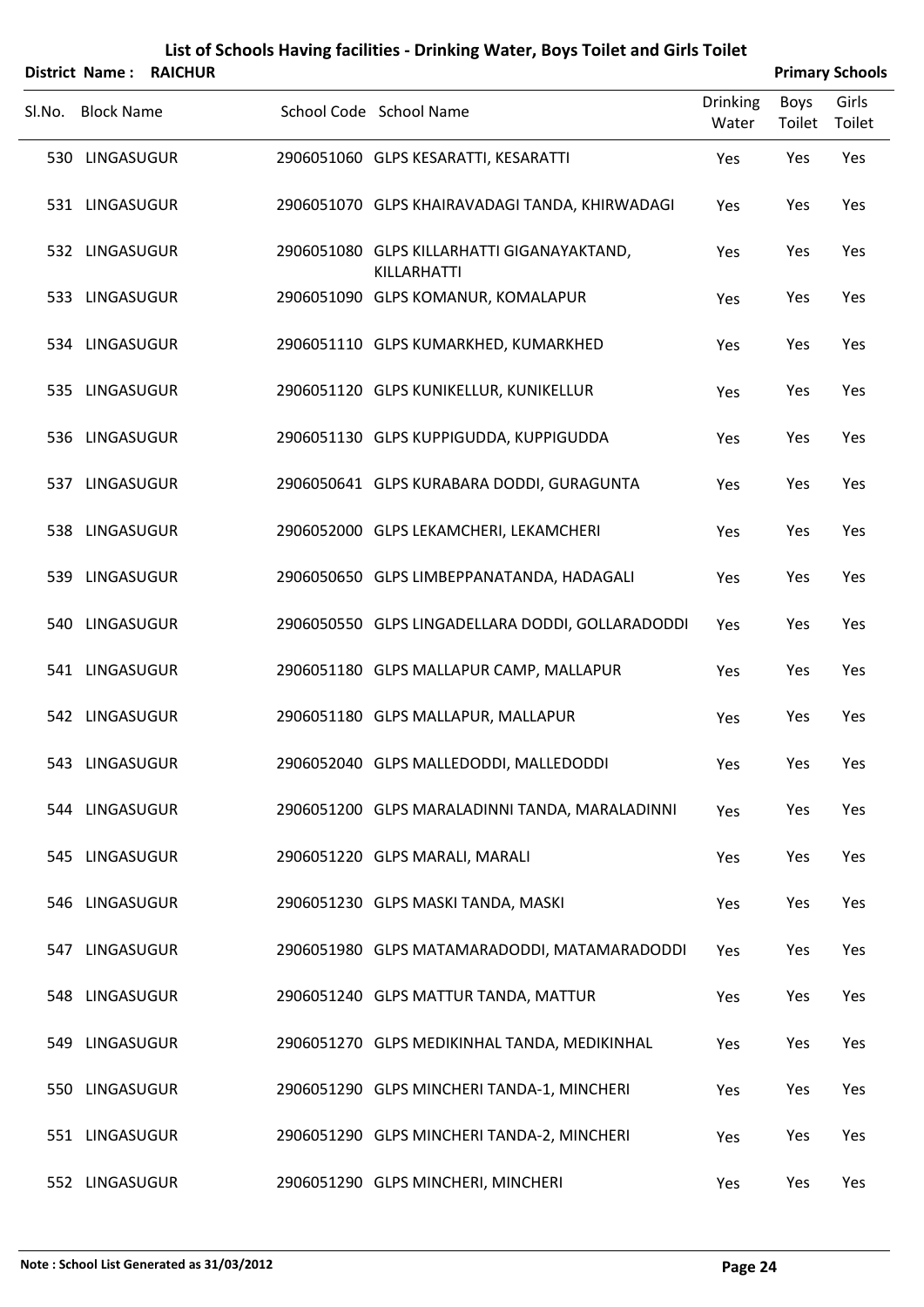|        | <b>District Name:</b> | <b>RAICHUR</b> |                                                           |                          |                | <b>Primary Schools</b> |
|--------|-----------------------|----------------|-----------------------------------------------------------|--------------------------|----------------|------------------------|
| SI.No. | <b>Block Name</b>     |                | School Code School Name                                   | <b>Drinking</b><br>Water | Boys<br>Toilet | Girls<br>Toilet        |
|        | 530 LINGASUGUR        |                | 2906051060 GLPS KESARATTI, KESARATTI                      | Yes                      | Yes            | Yes                    |
|        | 531 LINGASUGUR        |                | 2906051070 GLPS KHAIRAVADAGI TANDA, KHIRWADAGI            | Yes                      | Yes            | Yes                    |
|        | 532 LINGASUGUR        |                | 2906051080 GLPS KILLARHATTI GIGANAYAKTAND,<br>KILLARHATTI | Yes                      | Yes            | Yes                    |
|        | 533 LINGASUGUR        |                | 2906051090 GLPS KOMANUR, KOMALAPUR                        | Yes                      | Yes            | Yes                    |
|        | 534 LINGASUGUR        |                | 2906051110 GLPS KUMARKHED, KUMARKHED                      | Yes                      | Yes            | Yes                    |
|        | 535 LINGASUGUR        |                | 2906051120 GLPS KUNIKELLUR, KUNIKELLUR                    | Yes                      | Yes            | Yes                    |
|        | 536 LINGASUGUR        |                | 2906051130 GLPS KUPPIGUDDA, KUPPIGUDDA                    | Yes                      | Yes            | Yes                    |
|        | 537 LINGASUGUR        |                | 2906050641 GLPS KURABARA DODDI, GURAGUNTA                 | Yes                      | Yes            | Yes                    |
|        | 538 LINGASUGUR        |                | 2906052000 GLPS LEKAMCHERI, LEKAMCHERI                    | Yes                      | Yes            | Yes                    |
|        | 539 LINGASUGUR        |                | 2906050650 GLPS LIMBEPPANATANDA, HADAGALI                 | Yes                      | Yes            | Yes                    |
|        | 540 LINGASUGUR        |                | 2906050550 GLPS LINGADELLARA DODDI, GOLLARADODDI          | Yes                      | Yes            | Yes                    |
|        | 541 LINGASUGUR        |                | 2906051180 GLPS MALLAPUR CAMP, MALLAPUR                   | Yes                      | Yes            | Yes                    |
|        | 542 LINGASUGUR        |                | 2906051180 GLPS MALLAPUR, MALLAPUR                        | Yes                      | Yes            | Yes                    |
|        | 543 LINGASUGUR        |                | 2906052040 GLPS MALLEDODDI, MALLEDODDI                    | Yes                      | Yes            | Yes                    |
|        | 544 LINGASUGUR        |                | 2906051200 GLPS MARALADINNI TANDA, MARALADINNI            | Yes                      | Yes            | Yes                    |
|        | 545 LINGASUGUR        |                | 2906051220 GLPS MARALI, MARALI                            | Yes                      | Yes            | Yes                    |
|        | 546 LINGASUGUR        |                | 2906051230 GLPS MASKI TANDA, MASKI                        | Yes                      | Yes            | Yes                    |
|        | 547 LINGASUGUR        |                | 2906051980 GLPS MATAMARADODDI, MATAMARADODDI              | Yes                      | Yes            | Yes                    |
|        | 548 LINGASUGUR        |                | 2906051240 GLPS MATTUR TANDA, MATTUR                      | Yes                      | Yes            | Yes                    |
|        | 549 LINGASUGUR        |                | 2906051270 GLPS MEDIKINHAL TANDA, MEDIKINHAL              | Yes                      | Yes            | Yes                    |
|        | 550 LINGASUGUR        |                | 2906051290 GLPS MINCHERI TANDA-1, MINCHERI                | Yes                      | Yes            | Yes                    |
|        | 551 LINGASUGUR        |                | 2906051290 GLPS MINCHERI TANDA-2, MINCHERI                | Yes                      | Yes            | Yes                    |
|        | 552 LINGASUGUR        |                | 2906051290 GLPS MINCHERI, MINCHERI                        | Yes                      | Yes            | Yes                    |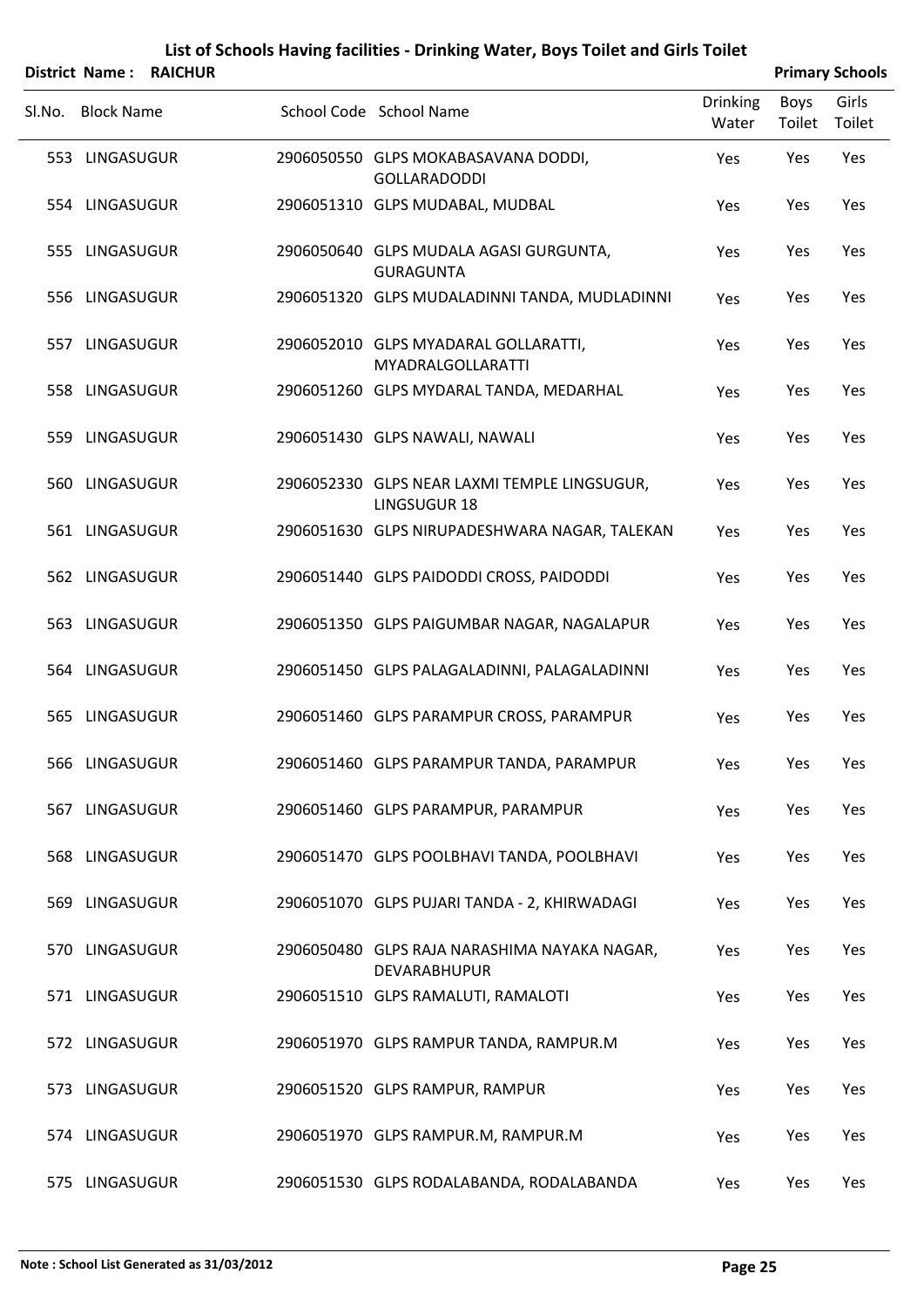|                   | District Name: RAICHUR |                                                                     |                          |                | <b>Primary Schools</b> |
|-------------------|------------------------|---------------------------------------------------------------------|--------------------------|----------------|------------------------|
| SI.No. Block Name |                        | School Code School Name                                             | <b>Drinking</b><br>Water | Boys<br>Toilet | Girls<br>Toilet        |
| 553 LINGASUGUR    |                        | 2906050550 GLPS MOKABASAVANA DODDI,<br><b>GOLLARADODDI</b>          | Yes                      | Yes            | Yes                    |
| 554 LINGASUGUR    |                        | 2906051310 GLPS MUDABAL, MUDBAL                                     | Yes                      | Yes            | Yes                    |
| 555 LINGASUGUR    |                        | 2906050640 GLPS MUDALA AGASI GURGUNTA,<br><b>GURAGUNTA</b>          | Yes                      | Yes            | Yes                    |
| 556 LINGASUGUR    |                        | 2906051320 GLPS MUDALADINNI TANDA, MUDLADINNI                       | Yes                      | Yes            | Yes                    |
| 557 LINGASUGUR    |                        | 2906052010 GLPS MYADARAL GOLLARATTI,<br><b>MYADRALGOLLARATTI</b>    | Yes                      | Yes            | Yes                    |
| 558 LINGASUGUR    |                        | 2906051260 GLPS MYDARAL TANDA, MEDARHAL                             | Yes                      | Yes            | Yes                    |
| 559 LINGASUGUR    |                        | 2906051430 GLPS NAWALI, NAWALI                                      | Yes                      | Yes            | Yes                    |
| 560 LINGASUGUR    |                        | 2906052330 GLPS NEAR LAXMI TEMPLE LINGSUGUR,<br><b>LINGSUGUR 18</b> | Yes                      | Yes            | Yes                    |
| 561 LINGASUGUR    |                        | 2906051630 GLPS NIRUPADESHWARA NAGAR, TALEKAN                       | Yes                      | Yes            | Yes                    |
| 562 LINGASUGUR    |                        | 2906051440 GLPS PAIDODDI CROSS, PAIDODDI                            | Yes                      | Yes            | Yes                    |
| 563 LINGASUGUR    |                        | 2906051350 GLPS PAIGUMBAR NAGAR, NAGALAPUR                          | Yes                      | Yes            | Yes                    |
| 564 LINGASUGUR    |                        | 2906051450 GLPS PALAGALADINNI, PALAGALADINNI                        | Yes                      | Yes            | Yes                    |
| 565 LINGASUGUR    |                        | 2906051460 GLPS PARAMPUR CROSS, PARAMPUR                            | Yes                      | Yes            | Yes                    |
| 566 LINGASUGUR    |                        | 2906051460 GLPS PARAMPUR TANDA, PARAMPUR                            | Yes                      | Yes            | Yes                    |
| 567 LINGASUGUR    |                        | 2906051460 GLPS PARAMPUR, PARAMPUR                                  | Yes                      | Yes            | Yes                    |
| 568 LINGASUGUR    |                        | 2906051470 GLPS POOLBHAVI TANDA, POOLBHAVI                          | Yes                      | Yes            | Yes                    |
| 569 LINGASUGUR    |                        | 2906051070 GLPS PUJARI TANDA - 2, KHIRWADAGI                        | Yes                      | Yes            | Yes                    |
| 570 LINGASUGUR    |                        | 2906050480 GLPS RAJA NARASHIMA NAYAKA NAGAR,<br>DEVARABHUPUR        | Yes                      | Yes            | Yes                    |
| 571 LINGASUGUR    |                        | 2906051510 GLPS RAMALUTI, RAMALOTI                                  | Yes                      | Yes            | Yes                    |
| 572 LINGASUGUR    |                        | 2906051970 GLPS RAMPUR TANDA, RAMPUR.M                              | Yes                      | Yes            | Yes                    |
| 573 LINGASUGUR    |                        | 2906051520 GLPS RAMPUR, RAMPUR                                      | Yes                      | Yes            | Yes                    |
| 574 LINGASUGUR    |                        | 2906051970 GLPS RAMPUR.M, RAMPUR.M                                  | Yes                      | Yes            | Yes                    |
| 575 LINGASUGUR    |                        | 2906051530 GLPS RODALABANDA, RODALABANDA                            | Yes                      | Yes            | Yes                    |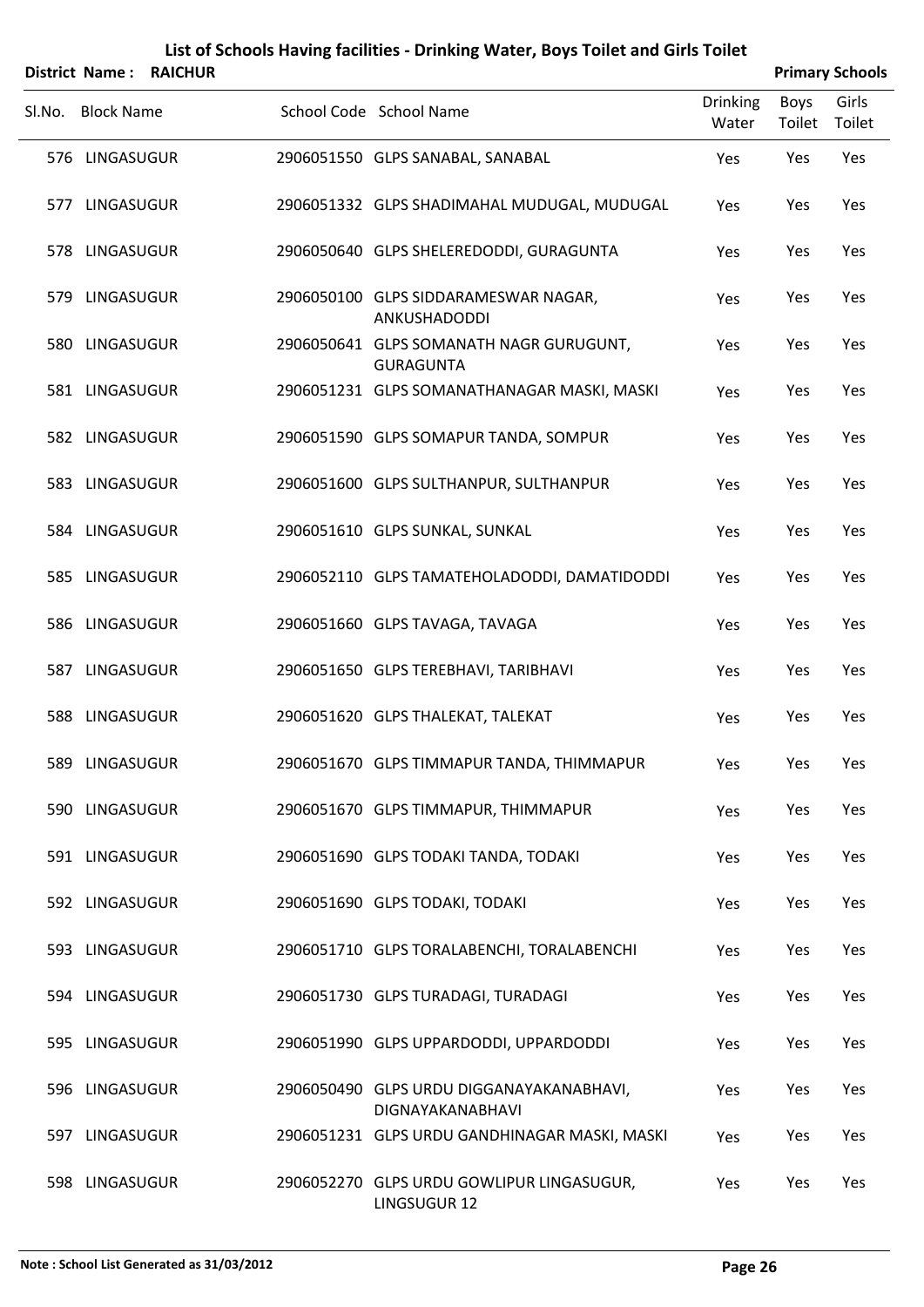|        | District Name:    | <b>RAICHUR</b> |                                                                     |                          | <b>Primary Schools</b> |                 |
|--------|-------------------|----------------|---------------------------------------------------------------------|--------------------------|------------------------|-----------------|
| Sl.No. | <b>Block Name</b> |                | School Code School Name                                             | <b>Drinking</b><br>Water | <b>Boys</b><br>Toilet  | Girls<br>Toilet |
|        | 576 LINGASUGUR    |                | 2906051550 GLPS SANABAL, SANABAL                                    | Yes                      | Yes                    | Yes             |
|        | 577 LINGASUGUR    |                | 2906051332 GLPS SHADIMAHAL MUDUGAL, MUDUGAL                         | Yes                      | Yes                    | Yes             |
|        | 578 LINGASUGUR    |                | 2906050640 GLPS SHELEREDODDI, GURAGUNTA                             | Yes                      | Yes                    | Yes             |
|        | 579 LINGASUGUR    |                | 2906050100 GLPS SIDDARAMESWAR NAGAR,<br>ANKUSHADODDI                | Yes                      | Yes                    | Yes             |
|        | 580 LINGASUGUR    |                | 2906050641 GLPS SOMANATH NAGR GURUGUNT,<br><b>GURAGUNTA</b>         | Yes                      | Yes                    | Yes             |
|        | 581 LINGASUGUR    |                | 2906051231 GLPS SOMANATHANAGAR MASKI, MASKI                         | Yes                      | Yes                    | Yes             |
|        | 582 LINGASUGUR    |                | 2906051590 GLPS SOMAPUR TANDA, SOMPUR                               | Yes                      | Yes                    | Yes             |
|        | 583 LINGASUGUR    |                | 2906051600 GLPS SULTHANPUR, SULTHANPUR                              | Yes                      | Yes                    | Yes             |
|        | 584 LINGASUGUR    |                | 2906051610 GLPS SUNKAL, SUNKAL                                      | Yes                      | Yes                    | Yes             |
|        | 585 LINGASUGUR    |                | 2906052110 GLPS TAMATEHOLADODDI, DAMATIDODDI                        | Yes                      | Yes                    | Yes             |
|        | 586 LINGASUGUR    |                | 2906051660 GLPS TAVAGA, TAVAGA                                      | Yes                      | Yes                    | Yes             |
|        | 587 LINGASUGUR    |                | 2906051650 GLPS TEREBHAVI, TARIBHAVI                                | Yes                      | Yes                    | Yes             |
|        | 588 LINGASUGUR    |                | 2906051620 GLPS THALEKAT, TALEKAT                                   | Yes                      | Yes                    | Yes             |
|        | 589 LINGASUGUR    |                | 2906051670 GLPS TIMMAPUR TANDA, THIMMAPUR                           | Yes                      | Yes                    | Yes             |
|        | 590 LINGASUGUR    |                | 2906051670 GLPS TIMMAPUR, THIMMAPUR                                 | Yes                      | Yes                    | Yes             |
|        | 591 LINGASUGUR    |                | 2906051690 GLPS TODAKI TANDA, TODAKI                                | Yes                      | Yes                    | Yes             |
|        | 592 LINGASUGUR    |                | 2906051690 GLPS TODAKI, TODAKI                                      | Yes                      | Yes                    | Yes             |
|        | 593 LINGASUGUR    |                | 2906051710 GLPS TORALABENCHI, TORALABENCHI                          | Yes                      | Yes                    | Yes             |
|        | 594 LINGASUGUR    |                | 2906051730 GLPS TURADAGI, TURADAGI                                  | Yes                      | Yes                    | Yes             |
|        | 595 LINGASUGUR    |                | 2906051990 GLPS UPPARDODDI, UPPARDODDI                              | Yes                      | Yes                    | Yes             |
|        | 596 LINGASUGUR    |                | 2906050490 GLPS URDU DIGGANAYAKANABHAVI,<br><b>DIGNAYAKANABHAVI</b> | Yes                      | Yes                    | Yes             |
|        | 597 LINGASUGUR    |                | 2906051231 GLPS URDU GANDHINAGAR MASKI, MASKI                       | Yes                      | Yes                    | Yes             |
|        | 598 LINGASUGUR    |                | 2906052270 GLPS URDU GOWLIPUR LINGASUGUR,                           | Yes                      | Yes                    | Yes             |

LINGSUGUR 12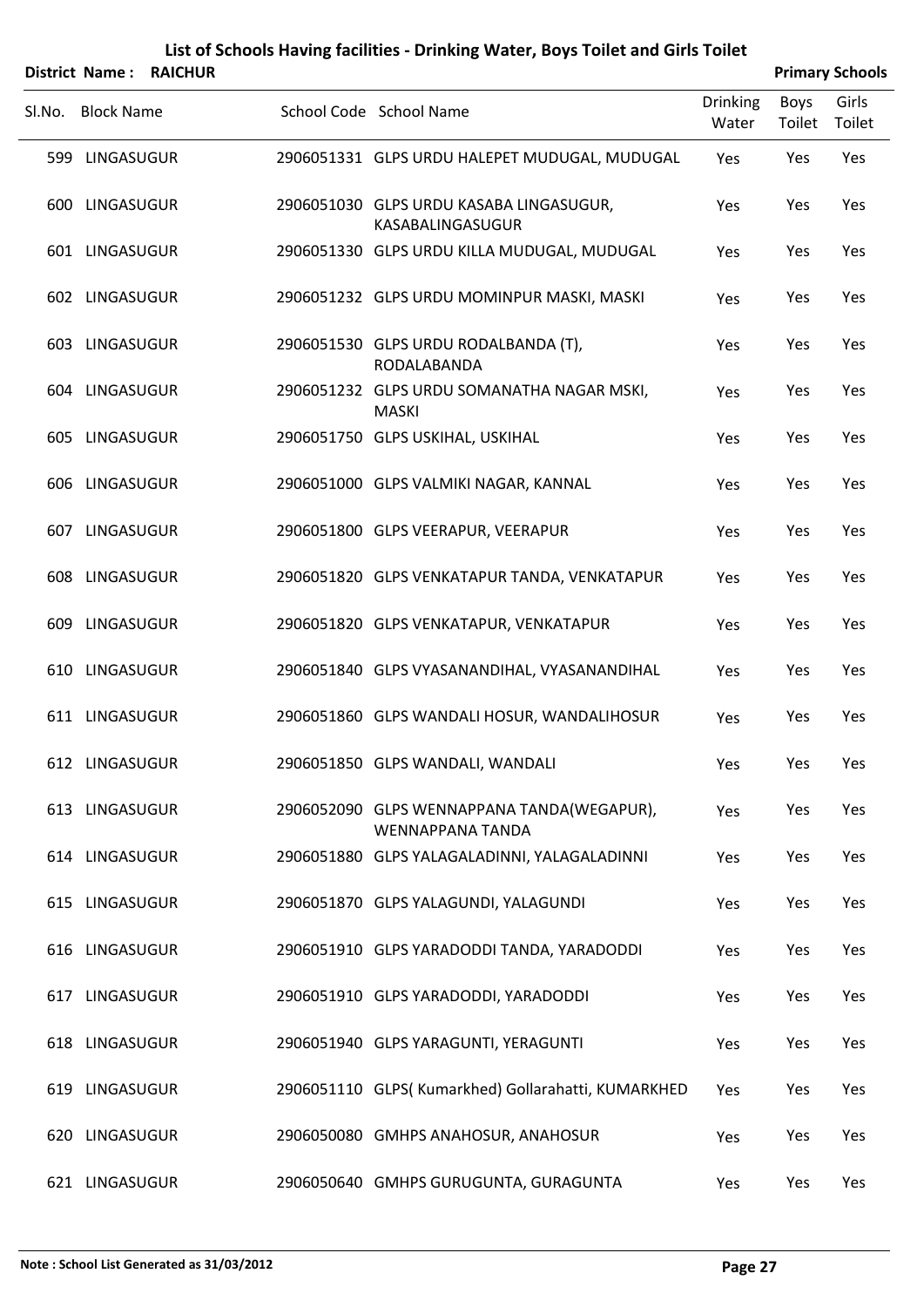|                   | District Name: RAICHUR |                                                                       |                          |                | <b>Primary Schools</b> |
|-------------------|------------------------|-----------------------------------------------------------------------|--------------------------|----------------|------------------------|
| SI.No. Block Name |                        | School Code School Name                                               | <b>Drinking</b><br>Water | Boys<br>Toilet | Girls<br>Toilet        |
| 599 LINGASUGUR    |                        | 2906051331 GLPS URDU HALEPET MUDUGAL, MUDUGAL                         | Yes                      | Yes            | Yes                    |
| 600 LINGASUGUR    |                        | 2906051030 GLPS URDU KASABA LINGASUGUR,<br>KASABALINGASUGUR           | Yes                      | Yes            | Yes                    |
| 601 LINGASUGUR    |                        | 2906051330 GLPS URDU KILLA MUDUGAL, MUDUGAL                           | Yes                      | Yes            | Yes                    |
| 602 LINGASUGUR    |                        | 2906051232 GLPS URDU MOMINPUR MASKI, MASKI                            | Yes                      | Yes            | Yes                    |
| 603 LINGASUGUR    |                        | 2906051530 GLPS URDU RODALBANDA (T),<br>RODALABANDA                   | Yes                      | Yes            | Yes                    |
| 604 LINGASUGUR    |                        | 2906051232 GLPS URDU SOMANATHA NAGAR MSKI,<br><b>MASKI</b>            | Yes                      | Yes            | Yes                    |
| 605 LINGASUGUR    |                        | 2906051750 GLPS USKIHAL, USKIHAL                                      | Yes                      | Yes            | Yes                    |
| 606 LINGASUGUR    |                        | 2906051000 GLPS VALMIKI NAGAR, KANNAL                                 | Yes                      | Yes            | Yes                    |
| 607 LINGASUGUR    |                        | 2906051800 GLPS VEERAPUR, VEERAPUR                                    | Yes                      | Yes            | Yes                    |
| 608 LINGASUGUR    |                        | 2906051820 GLPS VENKATAPUR TANDA, VENKATAPUR                          | Yes                      | Yes            | Yes                    |
| 609 LINGASUGUR    |                        | 2906051820 GLPS VENKATAPUR, VENKATAPUR                                | Yes                      | Yes            | Yes                    |
| 610 LINGASUGUR    |                        | 2906051840 GLPS VYASANANDIHAL, VYASANANDIHAL                          | Yes                      | Yes            | Yes                    |
| 611 LINGASUGUR    |                        | 2906051860 GLPS WANDALI HOSUR, WANDALIHOSUR                           | Yes                      | Yes            | Yes                    |
| 612 LINGASUGUR    |                        | 2906051850 GLPS WANDALI, WANDALI                                      | Yes                      | Yes            | Yes                    |
| 613 LINGASUGUR    |                        | 2906052090 GLPS WENNAPPANA TANDA(WEGAPUR),<br><b>WENNAPPANA TANDA</b> | Yes                      | Yes            | Yes                    |
| 614 LINGASUGUR    |                        | 2906051880 GLPS YALAGALADINNI, YALAGALADINNI                          | Yes                      | Yes            | Yes                    |
| 615 LINGASUGUR    |                        | 2906051870 GLPS YALAGUNDI, YALAGUNDI                                  | Yes                      | Yes            | Yes                    |
| 616 LINGASUGUR    |                        | 2906051910 GLPS YARADODDI TANDA, YARADODDI                            | Yes                      | Yes            | Yes                    |
| 617 LINGASUGUR    |                        | 2906051910 GLPS YARADODDI, YARADODDI                                  | Yes                      | Yes            | Yes                    |
| 618 LINGASUGUR    |                        | 2906051940 GLPS YARAGUNTI, YERAGUNTI                                  | Yes                      | Yes            | Yes                    |
| 619 LINGASUGUR    |                        | 2906051110 GLPS(Kumarkhed) Gollarahatti, KUMARKHED                    | Yes                      | Yes            | Yes                    |
| 620 LINGASUGUR    |                        | 2906050080 GMHPS ANAHOSUR, ANAHOSUR                                   | Yes                      | Yes            | Yes                    |
| 621 LINGASUGUR    |                        | 2906050640 GMHPS GURUGUNTA, GURAGUNTA                                 | Yes                      | Yes            | Yes                    |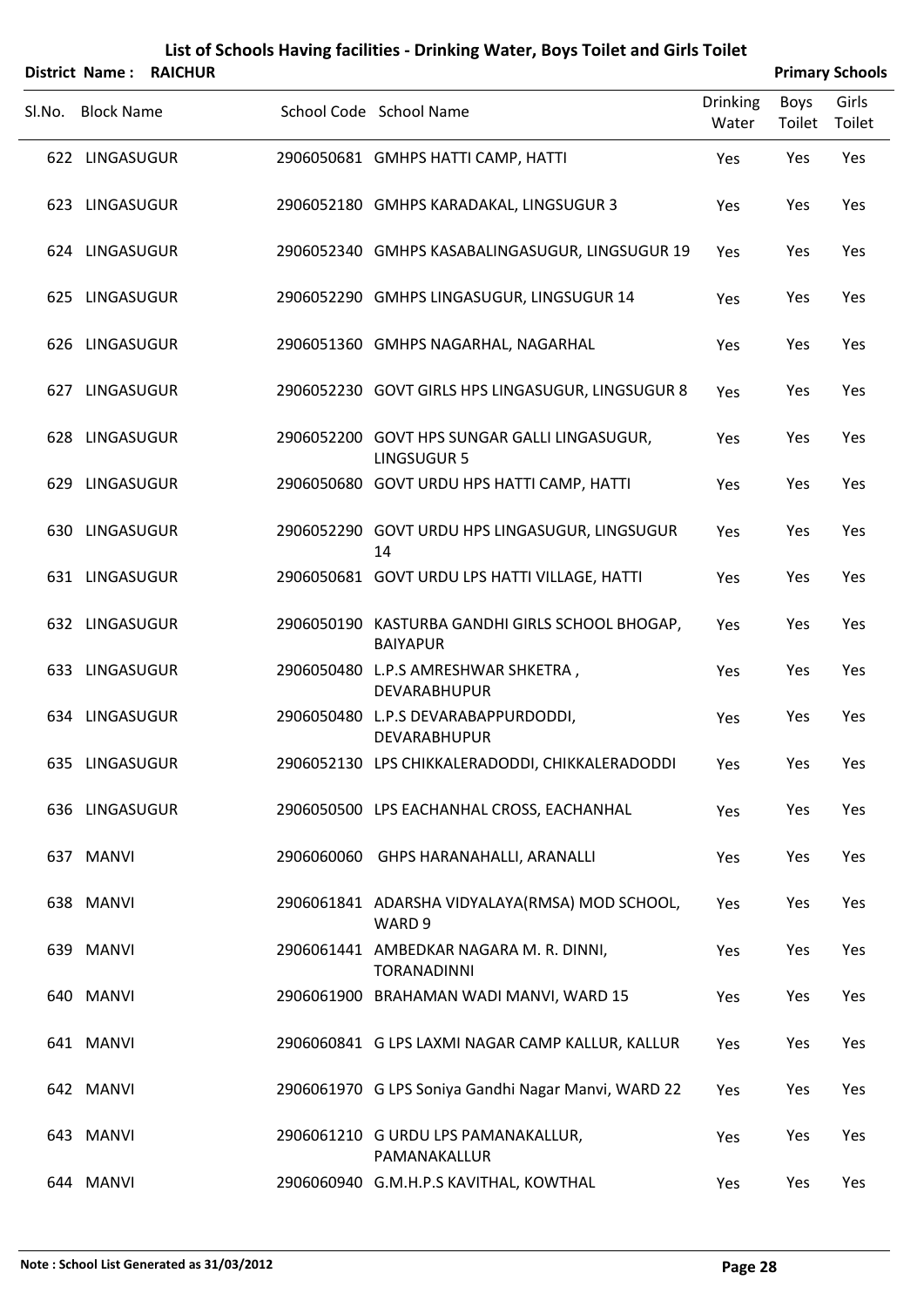|        |                   | District Name: RAICHUR |                                                                    |                          |                       | <b>Primary Schools</b> |
|--------|-------------------|------------------------|--------------------------------------------------------------------|--------------------------|-----------------------|------------------------|
| Sl.No. | <b>Block Name</b> |                        | School Code School Name                                            | <b>Drinking</b><br>Water | <b>Boys</b><br>Toilet | Girls<br>Toilet        |
|        | 622 LINGASUGUR    |                        | 2906050681 GMHPS HATTI CAMP, HATTI                                 | Yes                      | Yes                   | Yes                    |
|        | 623 LINGASUGUR    |                        | 2906052180 GMHPS KARADAKAL, LINGSUGUR 3                            | Yes                      | Yes                   | Yes                    |
|        | 624 LINGASUGUR    |                        | 2906052340 GMHPS KASABALINGASUGUR, LINGSUGUR 19                    | Yes                      | Yes                   | Yes                    |
|        | 625 LINGASUGUR    |                        | 2906052290 GMHPS LINGASUGUR, LINGSUGUR 14                          | Yes                      | Yes                   | Yes                    |
|        | 626 LINGASUGUR    |                        | 2906051360 GMHPS NAGARHAL, NAGARHAL                                | Yes                      | Yes                   | Yes                    |
|        | 627 LINGASUGUR    |                        | 2906052230 GOVT GIRLS HPS LINGASUGUR, LINGSUGUR 8                  | Yes                      | Yes                   | Yes                    |
|        | 628 LINGASUGUR    |                        | 2906052200 GOVT HPS SUNGAR GALLI LINGASUGUR,<br><b>LINGSUGUR 5</b> | Yes                      | Yes                   | Yes                    |
|        | 629 LINGASUGUR    |                        | 2906050680 GOVT URDU HPS HATTI CAMP, HATTI                         | Yes                      | Yes                   | Yes                    |
|        | 630 LINGASUGUR    |                        | 2906052290 GOVT URDU HPS LINGASUGUR, LINGSUGUR<br>14               | Yes                      | Yes                   | Yes                    |
|        | 631 LINGASUGUR    |                        | 2906050681 GOVT URDU LPS HATTI VILLAGE, HATTI                      | Yes                      | Yes                   | Yes                    |
|        | 632 LINGASUGUR    |                        | 2906050190 KASTURBA GANDHI GIRLS SCHOOL BHOGAP,<br><b>BAIYAPUR</b> | Yes                      | Yes                   | Yes                    |
|        | 633 LINGASUGUR    |                        | 2906050480 L.P.S AMRESHWAR SHKETRA,<br>DEVARABHUPUR                | Yes                      | Yes                   | Yes                    |
|        | 634 LINGASUGUR    |                        | 2906050480 L.P.S DEVARABAPPURDODDI,<br>DEVARABHUPUR                | Yes                      | Yes                   | Yes                    |
|        | 635 LINGASUGUR    |                        | 2906052130 LPS CHIKKALERADODDI, CHIKKALERADODDI                    | Yes                      | Yes                   | Yes                    |
|        | 636 LINGASUGUR    |                        | 2906050500 LPS EACHANHAL CROSS, EACHANHAL                          | Yes                      | Yes                   | Yes                    |
|        | 637 MANVI         |                        | 2906060060 GHPS HARANAHALLI, ARANALLI                              | Yes                      | Yes                   | Yes                    |
|        | 638 MANVI         |                        | 2906061841 ADARSHA VIDYALAYA(RMSA) MOD SCHOOL,<br>WARD 9           | Yes                      | Yes                   | Yes                    |
|        | 639 MANVI         |                        | 2906061441 AMBEDKAR NAGARA M. R. DINNI,<br><b>TORANADINNI</b>      | Yes                      | Yes                   | Yes                    |
|        | 640 MANVI         |                        | 2906061900 BRAHAMAN WADI MANVI, WARD 15                            | Yes                      | Yes                   | Yes                    |
|        | 641 MANVI         |                        | 2906060841 G LPS LAXMI NAGAR CAMP KALLUR, KALLUR                   | Yes                      | Yes                   | Yes                    |
|        | 642 MANVI         |                        | 2906061970 G LPS Soniya Gandhi Nagar Manvi, WARD 22                | Yes                      | Yes                   | Yes                    |
|        | 643 MANVI         |                        | 2906061210 G URDU LPS PAMANAKALLUR,<br>PAMANAKALLUR                | Yes                      | Yes                   | Yes                    |

644 MANVI 2906060940 G.M.H.P.S KAVITHAL, KOWTHAL Yes Yes Yes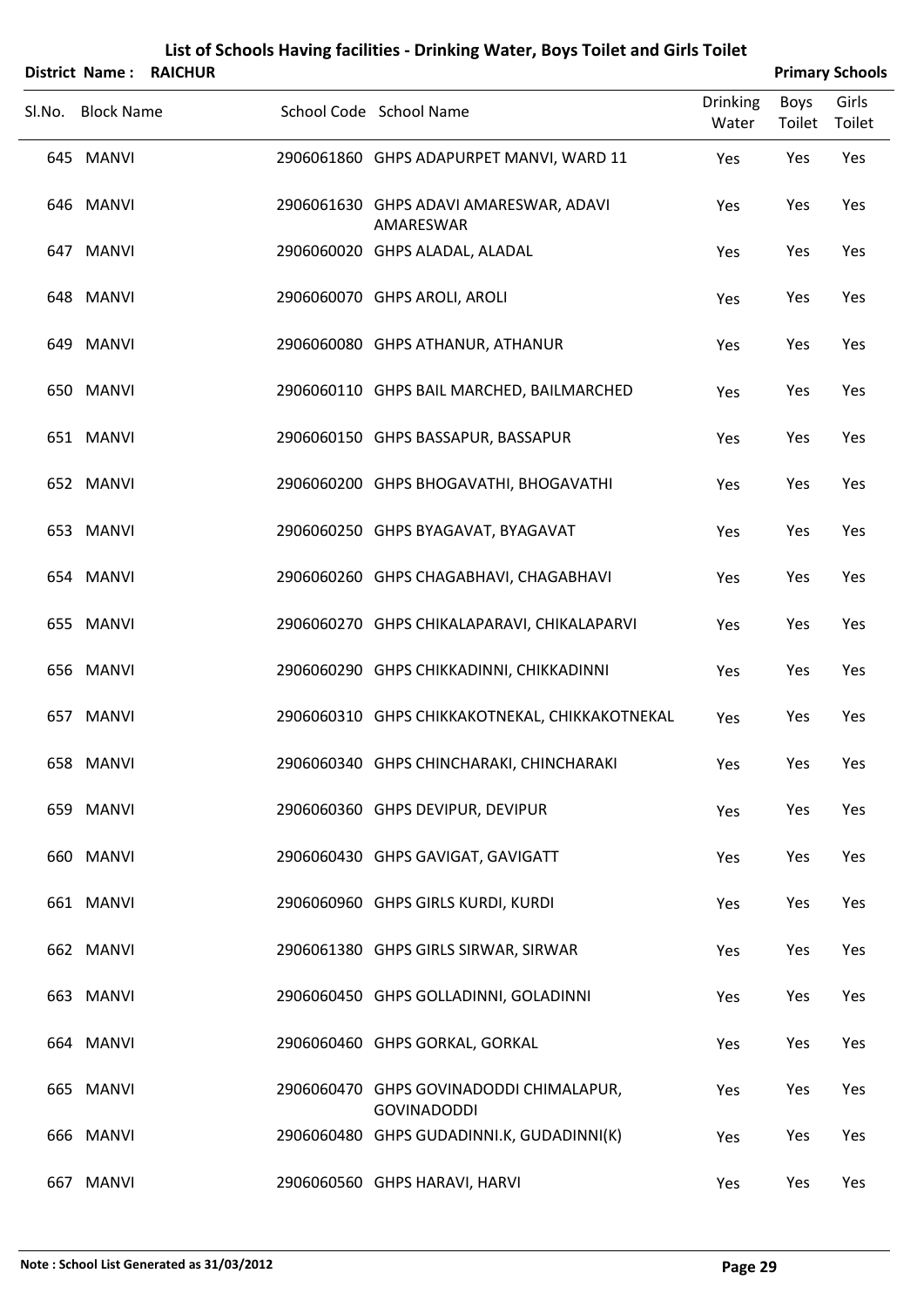|        |                   | <b>District Name: RAICHUR</b> |                                                               |                          |                | <b>Primary Schools</b> |
|--------|-------------------|-------------------------------|---------------------------------------------------------------|--------------------------|----------------|------------------------|
| SI.No. | <b>Block Name</b> |                               | School Code School Name                                       | <b>Drinking</b><br>Water | Boys<br>Toilet | Girls<br>Toilet        |
|        | 645 MANVI         |                               | 2906061860 GHPS ADAPURPET MANVI, WARD 11                      | Yes                      | Yes            | Yes                    |
|        | 646 MANVI         |                               | 2906061630 GHPS ADAVI AMARESWAR, ADAVI<br>AMARESWAR           | Yes                      | Yes            | Yes                    |
|        | 647 MANVI         |                               | 2906060020 GHPS ALADAL, ALADAL                                | Yes                      | Yes            | Yes                    |
|        | 648 MANVI         |                               | 2906060070 GHPS AROLI, AROLI                                  | Yes                      | Yes            | Yes                    |
|        | 649 MANVI         |                               | 2906060080 GHPS ATHANUR, ATHANUR                              | Yes                      | Yes            | Yes                    |
|        | 650 MANVI         |                               | 2906060110 GHPS BAIL MARCHED, BAILMARCHED                     | Yes                      | Yes            | Yes                    |
|        | 651 MANVI         |                               | 2906060150 GHPS BASSAPUR, BASSAPUR                            | Yes                      | Yes            | Yes                    |
|        | 652 MANVI         |                               | 2906060200 GHPS BHOGAVATHI, BHOGAVATHI                        | Yes                      | Yes            | Yes                    |
|        | 653 MANVI         |                               | 2906060250 GHPS BYAGAVAT, BYAGAVAT                            | Yes                      | Yes            | Yes                    |
|        | 654 MANVI         |                               | 2906060260 GHPS CHAGABHAVI, CHAGABHAVI                        | Yes                      | Yes            | Yes                    |
|        | 655 MANVI         |                               | 2906060270 GHPS CHIKALAPARAVI, CHIKALAPARVI                   | Yes                      | Yes            | Yes                    |
|        | 656 MANVI         |                               | 2906060290 GHPS CHIKKADINNI, CHIKKADINNI                      | Yes                      | Yes            | Yes                    |
|        | 657 MANVI         |                               | 2906060310 GHPS CHIKKAKOTNEKAL, CHIKKAKOTNEKAL                | Yes                      | Yes            | Yes                    |
|        | 658 MANVI         |                               | 2906060340 GHPS CHINCHARAKI, CHINCHARAKI                      | Yes                      | Yes            | Yes                    |
|        | 659 MANVI         |                               | 2906060360 GHPS DEVIPUR, DEVIPUR                              | Yes                      | Yes            | Yes                    |
|        | 660 MANVI         |                               | 2906060430 GHPS GAVIGAT, GAVIGATT                             | Yes                      | Yes            | Yes                    |
|        | 661 MANVI         |                               | 2906060960 GHPS GIRLS KURDI, KURDI                            | Yes                      | Yes            | Yes                    |
|        | 662 MANVI         |                               | 2906061380 GHPS GIRLS SIRWAR, SIRWAR                          | Yes                      | Yes            | Yes                    |
|        | 663 MANVI         |                               | 2906060450 GHPS GOLLADINNI, GOLADINNI                         | Yes                      | Yes            | Yes                    |
|        | 664 MANVI         |                               | 2906060460 GHPS GORKAL, GORKAL                                | Yes                      | Yes            | Yes                    |
|        | 665 MANVI         |                               | 2906060470 GHPS GOVINADODDI CHIMALAPUR,<br><b>GOVINADODDI</b> | Yes                      | Yes            | Yes                    |
|        | 666 MANVI         |                               | 2906060480 GHPS GUDADINNI.K, GUDADINNI(K)                     | Yes                      | Yes            | Yes                    |
|        | 667 MANVI         |                               | 2906060560 GHPS HARAVI, HARVI                                 | Yes                      | Yes            | Yes                    |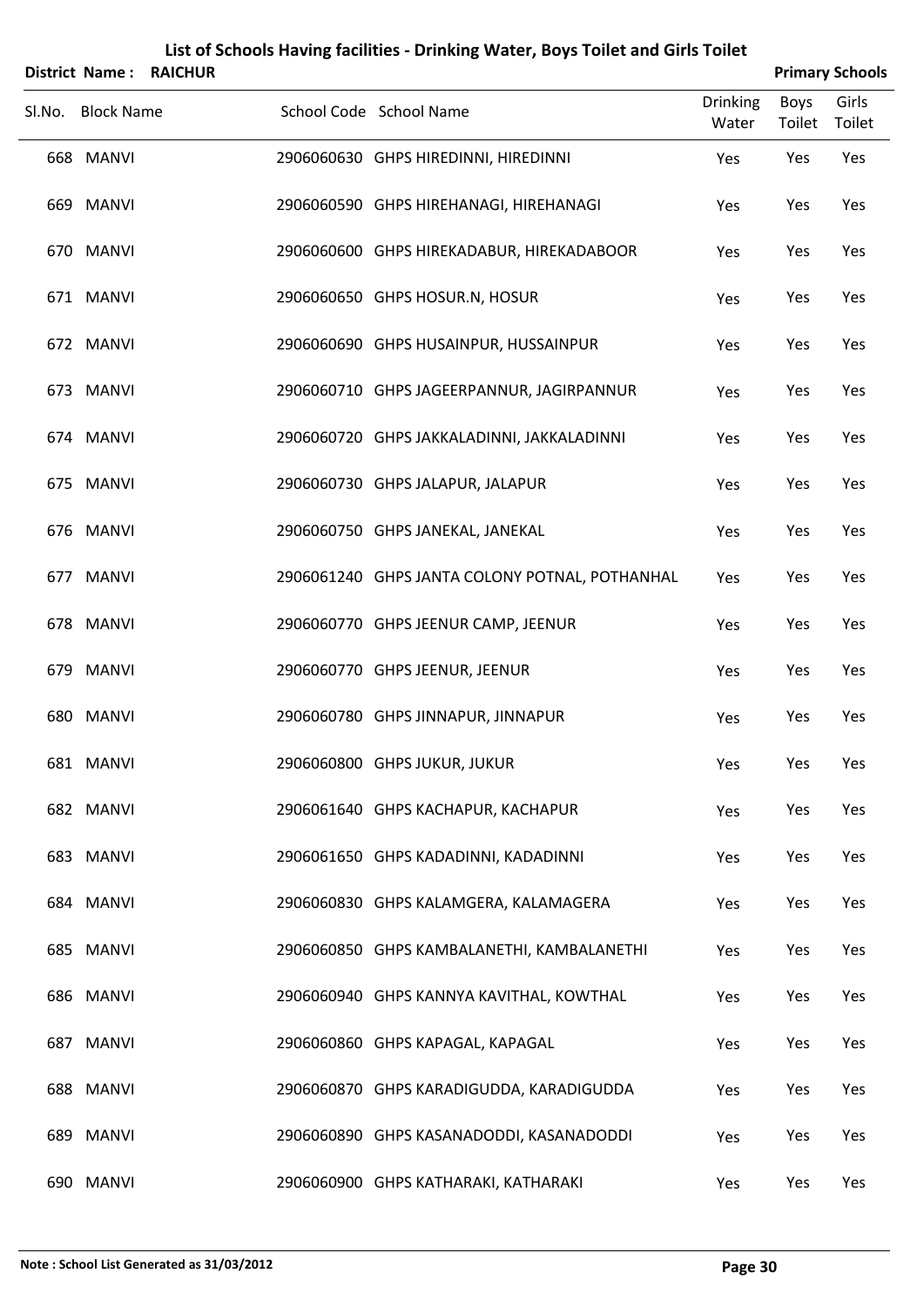| <b>District Name:</b> | <b>RAICHUR</b> |                                                |                          |                | <b>Primary Schools</b> |
|-----------------------|----------------|------------------------------------------------|--------------------------|----------------|------------------------|
| Sl.No. Block Name     |                | School Code School Name                        | <b>Drinking</b><br>Water | Boys<br>Toilet | Girls<br>Toilet        |
| 668 MANVI             |                | 2906060630 GHPS HIREDINNI, HIREDINNI           | Yes                      | Yes            | Yes                    |
| 669 MANVI             |                | 2906060590 GHPS HIREHANAGI, HIREHANAGI         | Yes                      | Yes            | Yes                    |
| 670 MANVI             |                | 2906060600 GHPS HIREKADABUR, HIREKADABOOR      | Yes                      | Yes            | Yes                    |
| 671 MANVI             |                | 2906060650 GHPS HOSUR.N, HOSUR                 | Yes                      | Yes            | Yes                    |
| 672 MANVI             |                | 2906060690 GHPS HUSAINPUR, HUSSAINPUR          | Yes                      | Yes            | Yes                    |
| 673 MANVI             |                | 2906060710 GHPS JAGEERPANNUR, JAGIRPANNUR      | Yes                      | Yes            | Yes                    |
| 674 MANVI             |                | 2906060720 GHPS JAKKALADINNI, JAKKALADINNI     | Yes                      | Yes            | Yes                    |
| 675 MANVI             |                | 2906060730 GHPS JALAPUR, JALAPUR               | Yes                      | Yes            | Yes                    |
| 676 MANVI             |                | 2906060750 GHPS JANEKAL, JANEKAL               | Yes                      | Yes            | Yes                    |
| 677 MANVI             |                | 2906061240 GHPS JANTA COLONY POTNAL, POTHANHAL | Yes                      | Yes            | Yes                    |
| 678 MANVI             |                | 2906060770 GHPS JEENUR CAMP, JEENUR            | Yes                      | Yes            | Yes                    |
| 679 MANVI             |                | 2906060770 GHPS JEENUR, JEENUR                 | Yes                      | Yes            | Yes                    |
| 680 MANVI             |                | 2906060780 GHPS JINNAPUR, JINNAPUR             | Yes                      | Yes            | Yes                    |
| 681 MANVI             |                | 2906060800 GHPS JUKUR, JUKUR                   | Yes                      | Yes            | Yes                    |
| 682 MANVI             |                | 2906061640 GHPS KACHAPUR, KACHAPUR             | Yes                      | Yes            | Yes                    |
| 683 MANVI             |                | 2906061650 GHPS KADADINNI, KADADINNI           | Yes                      | Yes            | Yes                    |
| 684 MANVI             |                | 2906060830 GHPS KALAMGERA, KALAMAGERA          | Yes                      | Yes            | Yes                    |
| 685 MANVI             |                | 2906060850 GHPS KAMBALANETHI, KAMBALANETHI     | Yes                      | Yes            | Yes                    |
| 686 MANVI             |                | 2906060940 GHPS KANNYA KAVITHAL, KOWTHAL       | Yes                      | Yes            | Yes                    |
| 687 MANVI             |                | 2906060860 GHPS KAPAGAL, KAPAGAL               | Yes                      | Yes            | Yes                    |
| 688 MANVI             |                | 2906060870 GHPS KARADIGUDDA, KARADIGUDDA       | Yes                      | Yes            | Yes                    |
| 689 MANVI             |                | 2906060890 GHPS KASANADODDI, KASANADODDI       | Yes                      | Yes            | Yes                    |
| 690 MANVI             |                | 2906060900 GHPS KATHARAKI, KATHARAKI           | Yes                      | Yes            | Yes                    |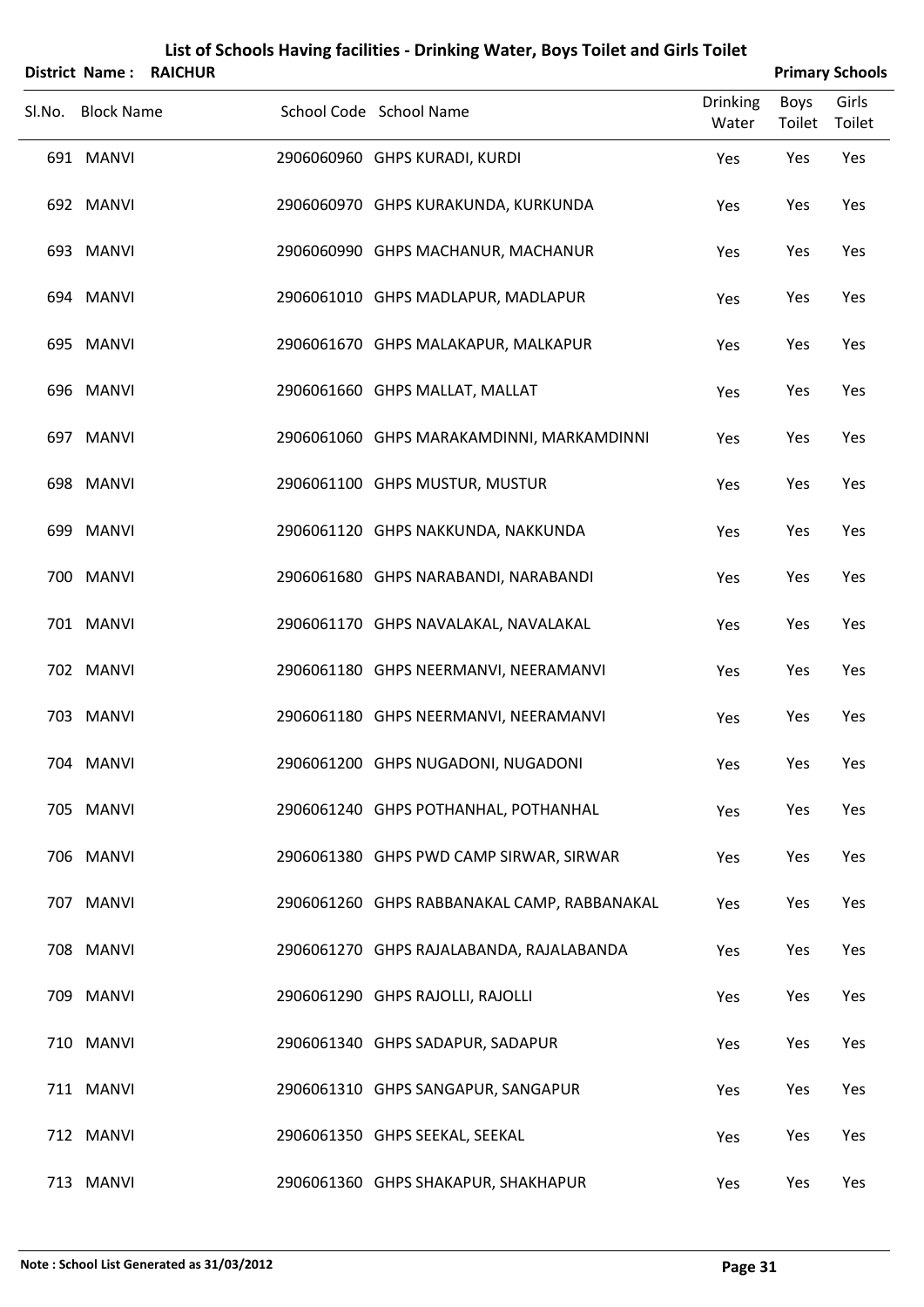| <b>District Name:</b> | <b>RAICHUR</b> |                                             |                          |                | <b>Primary Schools</b> |
|-----------------------|----------------|---------------------------------------------|--------------------------|----------------|------------------------|
| Sl.No. Block Name     |                | School Code School Name                     | <b>Drinking</b><br>Water | Boys<br>Toilet | Girls<br>Toilet        |
| 691 MANVI             |                | 2906060960 GHPS KURADI, KURDI               | Yes                      | Yes            | Yes                    |
| 692 MANVI             |                | 2906060970 GHPS KURAKUNDA, KURKUNDA         | Yes                      | Yes            | Yes                    |
| 693 MANVI             |                | 2906060990 GHPS MACHANUR, MACHANUR          | Yes                      | Yes            | Yes                    |
| 694 MANVI             |                | 2906061010 GHPS MADLAPUR, MADLAPUR          | Yes                      | Yes            | Yes                    |
| 695 MANVI             |                | 2906061670 GHPS MALAKAPUR, MALKAPUR         | Yes                      | Yes            | Yes                    |
| 696 MANVI             |                | 2906061660 GHPS MALLAT, MALLAT              | Yes                      | Yes            | Yes                    |
| 697 MANVI             |                | 2906061060 GHPS MARAKAMDINNI, MARKAMDINNI   | Yes                      | Yes            | Yes                    |
| 698 MANVI             |                | 2906061100 GHPS MUSTUR, MUSTUR              | Yes                      | Yes            | Yes                    |
| 699 MANVI             |                | 2906061120 GHPS NAKKUNDA, NAKKUNDA          | Yes                      | Yes            | Yes                    |
| 700 MANVI             |                | 2906061680 GHPS NARABANDI, NARABANDI        | Yes                      | Yes            | Yes                    |
| 701 MANVI             |                | 2906061170 GHPS NAVALAKAL, NAVALAKAL        | Yes                      | Yes            | Yes                    |
| 702 MANVI             |                | 2906061180 GHPS NEERMANVI, NEERAMANVI       | Yes                      | Yes            | Yes                    |
| 703 MANVI             |                | 2906061180 GHPS NEERMANVI, NEERAMANVI       | Yes                      | Yes            | Yes                    |
| 704 MANVI             |                | 2906061200 GHPS NUGADONI, NUGADONI          | Yes                      | Yes            | Yes                    |
| 705 MANVI             |                | 2906061240 GHPS POTHANHAL, POTHANHAL        | Yes                      | Yes            | Yes                    |
| 706 MANVI             |                | 2906061380 GHPS PWD CAMP SIRWAR, SIRWAR     | Yes                      | Yes            | Yes                    |
| 707 MANVI             |                | 2906061260 GHPS RABBANAKAL CAMP, RABBANAKAL | Yes                      | Yes            | Yes                    |
| 708 MANVI             |                | 2906061270 GHPS RAJALABANDA, RAJALABANDA    | Yes                      | Yes            | Yes                    |
| 709 MANVI             |                | 2906061290 GHPS RAJOLLI, RAJOLLI            | Yes                      | Yes            | Yes                    |
| 710 MANVI             |                | 2906061340 GHPS SADAPUR, SADAPUR            | Yes                      | Yes            | Yes                    |
| 711 MANVI             |                | 2906061310 GHPS SANGAPUR, SANGAPUR          | Yes                      | Yes            | Yes                    |
| 712 MANVI             |                | 2906061350 GHPS SEEKAL, SEEKAL              | Yes                      | Yes            | Yes                    |
| 713 MANVI             |                | 2906061360 GHPS SHAKAPUR, SHAKHAPUR         | Yes                      | Yes            | Yes                    |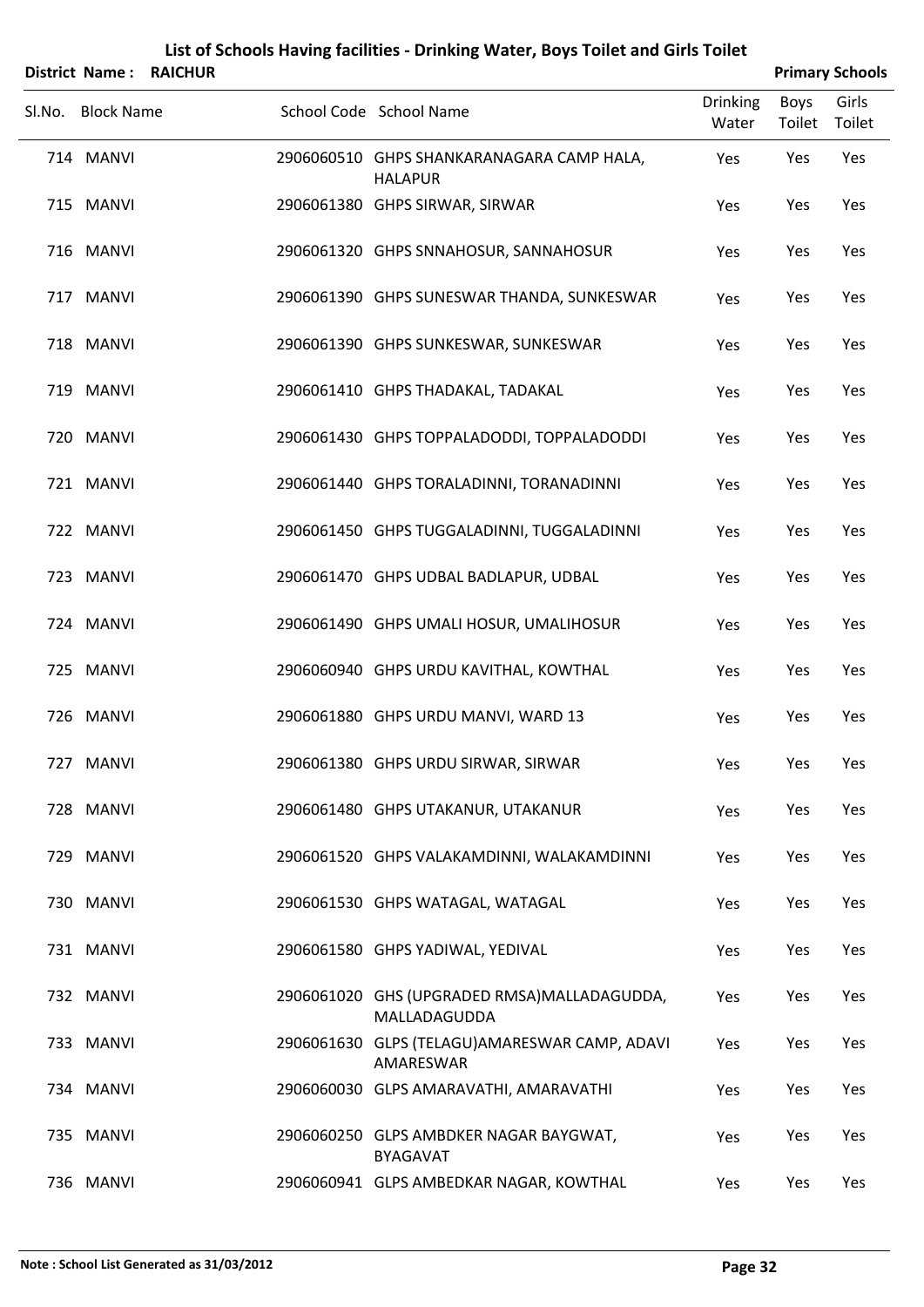|        |                   | <b>District Name: RAICHUR</b> |                                                             |                          |                | <b>Primary Schools</b> |
|--------|-------------------|-------------------------------|-------------------------------------------------------------|--------------------------|----------------|------------------------|
| SI.No. | <b>Block Name</b> |                               | School Code School Name                                     | <b>Drinking</b><br>Water | Boys<br>Toilet | Girls<br>Toilet        |
|        | 714 MANVI         |                               | 2906060510 GHPS SHANKARANAGARA CAMP HALA,<br><b>HALAPUR</b> | Yes                      | Yes            | Yes                    |
|        | 715 MANVI         |                               | 2906061380 GHPS SIRWAR, SIRWAR                              | Yes                      | Yes            | Yes                    |
|        | 716 MANVI         |                               | 2906061320 GHPS SNNAHOSUR, SANNAHOSUR                       | Yes                      | Yes            | Yes                    |
|        | 717 MANVI         |                               | 2906061390 GHPS SUNESWAR THANDA, SUNKESWAR                  | Yes                      | Yes            | Yes                    |
|        | 718 MANVI         |                               | 2906061390 GHPS SUNKESWAR, SUNKESWAR                        | Yes                      | Yes            | Yes                    |
|        | 719 MANVI         |                               | 2906061410 GHPS THADAKAL, TADAKAL                           | Yes                      | Yes            | Yes                    |
|        | 720 MANVI         |                               | 2906061430 GHPS TOPPALADODDI, TOPPALADODDI                  | Yes                      | Yes            | Yes                    |
|        | 721 MANVI         |                               | 2906061440 GHPS TORALADINNI, TORANADINNI                    | Yes                      | Yes            | Yes                    |
|        | 722 MANVI         |                               | 2906061450 GHPS TUGGALADINNI, TUGGALADINNI                  | Yes                      | Yes            | Yes                    |
|        | 723 MANVI         |                               | 2906061470 GHPS UDBAL BADLAPUR, UDBAL                       | Yes                      | Yes            | Yes                    |
|        | 724 MANVI         |                               | 2906061490 GHPS UMALI HOSUR, UMALIHOSUR                     | Yes                      | Yes            | Yes                    |
|        | 725 MANVI         |                               | 2906060940 GHPS URDU KAVITHAL, KOWTHAL                      | Yes                      | Yes            | Yes                    |
|        | 726 MANVI         |                               | 2906061880 GHPS URDU MANVI, WARD 13                         | Yes                      | Yes            | Yes                    |
|        | 727 MANVI         |                               | 2906061380 GHPS URDU SIRWAR, SIRWAR                         | Yes                      | Yes            | Yes                    |
|        | 728 MANVI         |                               | 2906061480 GHPS UTAKANUR, UTAKANUR                          | Yes                      | Yes            | Yes                    |
|        | 729 MANVI         |                               | 2906061520 GHPS VALAKAMDINNI, WALAKAMDINNI                  | Yes                      | Yes            | Yes                    |
|        | 730 MANVI         |                               | 2906061530 GHPS WATAGAL, WATAGAL                            | Yes                      | Yes            | Yes                    |
|        | 731 MANVI         |                               | 2906061580 GHPS YADIWAL, YEDIVAL                            | Yes                      | Yes            | Yes                    |
|        | 732 MANVI         |                               | 2906061020 GHS (UPGRADED RMSA)MALLADAGUDDA,<br>MALLADAGUDDA | Yes                      | Yes            | Yes                    |
|        | 733 MANVI         |                               | 2906061630 GLPS (TELAGU) AMARESWAR CAMP, ADAVI<br>AMARESWAR | Yes                      | Yes            | Yes                    |
|        | 734 MANVI         |                               | 2906060030 GLPS AMARAVATHI, AMARAVATHI                      | Yes                      | Yes            | Yes                    |
|        | 735 MANVI         |                               | 2906060250 GLPS AMBDKER NAGAR BAYGWAT,<br><b>BYAGAVAT</b>   | Yes                      | Yes            | Yes                    |
|        | 736 MANVI         |                               | 2906060941 GLPS AMBEDKAR NAGAR, KOWTHAL                     | Yes                      | Yes            | Yes                    |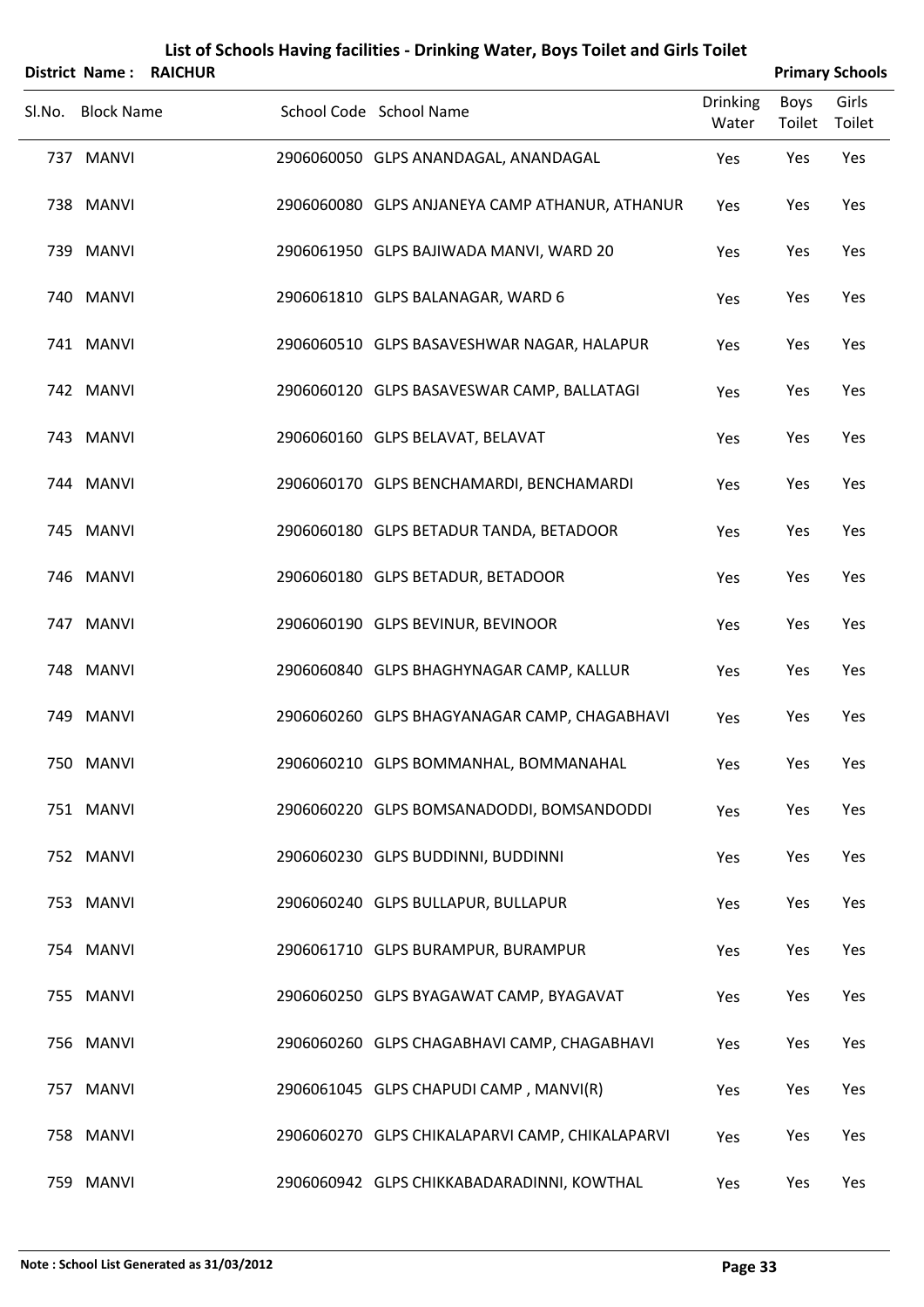| <b>District Name:</b> | <b>RAICHUR</b> |                                                 |                          |                | <b>Primary Schools</b> |
|-----------------------|----------------|-------------------------------------------------|--------------------------|----------------|------------------------|
| Sl.No. Block Name     |                | School Code School Name                         | <b>Drinking</b><br>Water | Boys<br>Toilet | Girls<br>Toilet        |
| 737 MANVI             |                | 2906060050 GLPS ANANDAGAL, ANANDAGAL            | Yes                      | Yes            | Yes                    |
| 738 MANVI             |                | 2906060080 GLPS ANJANEYA CAMP ATHANUR, ATHANUR  | Yes                      | Yes            | Yes                    |
| 739 MANVI             |                | 2906061950 GLPS BAJIWADA MANVI, WARD 20         | Yes                      | Yes            | Yes                    |
| 740 MANVI             |                | 2906061810 GLPS BALANAGAR, WARD 6               | Yes                      | Yes            | Yes                    |
| 741 MANVI             |                | 2906060510 GLPS BASAVESHWAR NAGAR, HALAPUR      | Yes                      | Yes            | Yes                    |
| 742 MANVI             |                | 2906060120 GLPS BASAVESWAR CAMP, BALLATAGI      | Yes                      | Yes            | Yes                    |
| 743 MANVI             |                | 2906060160 GLPS BELAVAT, BELAVAT                | Yes                      | Yes            | Yes                    |
| 744 MANVI             |                | 2906060170 GLPS BENCHAMARDI, BENCHAMARDI        | Yes                      | Yes            | Yes                    |
| 745 MANVI             |                | 2906060180 GLPS BETADUR TANDA, BETADOOR         | Yes                      | Yes            | Yes                    |
| 746 MANVI             |                | 2906060180 GLPS BETADUR, BETADOOR               | Yes                      | Yes            | Yes                    |
| 747 MANVI             |                | 2906060190 GLPS BEVINUR, BEVINOOR               | Yes                      | Yes            | Yes                    |
| 748 MANVI             |                | 2906060840 GLPS BHAGHYNAGAR CAMP, KALLUR        | Yes                      | Yes            | Yes                    |
| 749 MANVI             |                | 2906060260 GLPS BHAGYANAGAR CAMP, CHAGABHAVI    | Yes                      | Yes            | Yes                    |
| 750 MANVI             |                | 2906060210 GLPS BOMMANHAL, BOMMANAHAL           | Yes                      | Yes            | Yes                    |
| 751 MANVI             |                | 2906060220 GLPS BOMSANADODDI, BOMSANDODDI       | Yes                      | Yes            | Yes                    |
| 752 MANVI             |                | 2906060230 GLPS BUDDINNI, BUDDINNI              | Yes                      | Yes            | Yes                    |
| 753 MANVI             |                | 2906060240 GLPS BULLAPUR, BULLAPUR              | Yes                      | Yes            | Yes                    |
| 754 MANVI             |                | 2906061710 GLPS BURAMPUR, BURAMPUR              | Yes                      | Yes            | Yes                    |
| 755 MANVI             |                | 2906060250 GLPS BYAGAWAT CAMP, BYAGAVAT         | Yes                      | Yes            | Yes                    |
| 756 MANVI             |                | 2906060260 GLPS CHAGABHAVI CAMP, CHAGABHAVI     | Yes                      | Yes            | Yes                    |
| 757 MANVI             |                | 2906061045 GLPS CHAPUDI CAMP, MANVI(R)          | Yes                      | Yes            | Yes                    |
| 758 MANVI             |                | 2906060270 GLPS CHIKALAPARVI CAMP, CHIKALAPARVI | Yes                      | Yes            | Yes                    |
| 759 MANVI             |                | 2906060942 GLPS CHIKKABADARADINNI, KOWTHAL      | Yes                      | Yes            | Yes                    |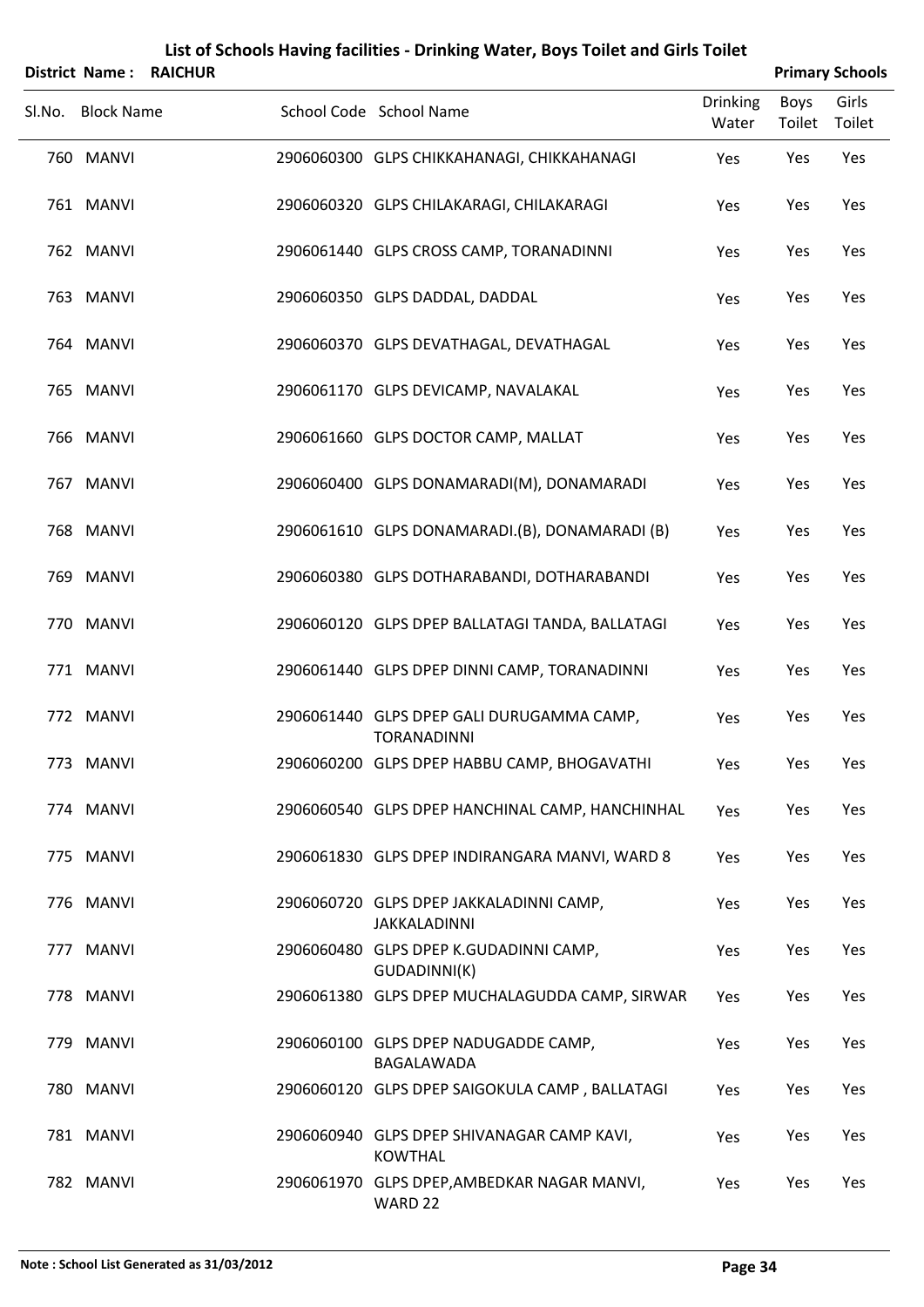| <b>District Name:</b> | List of Schools Having facilities - Drinking Water, Boys Toilet and Girls Toilet<br><b>RAICHUR</b> | <b>Primary Schools</b>                                          |                          |                |                 |
|-----------------------|----------------------------------------------------------------------------------------------------|-----------------------------------------------------------------|--------------------------|----------------|-----------------|
| Sl.No. Block Name     |                                                                                                    | School Code School Name                                         | <b>Drinking</b><br>Water | Boys<br>Toilet | Girls<br>Toilet |
| 760 MANVI             |                                                                                                    | 2906060300 GLPS CHIKKAHANAGI, CHIKKAHANAGI                      | Yes                      | Yes            | Yes             |
| 761 MANVI             |                                                                                                    | 2906060320 GLPS CHILAKARAGI, CHILAKARAGI                        | Yes                      | Yes            | Yes             |
| 762 MANVI             |                                                                                                    | 2906061440 GLPS CROSS CAMP, TORANADINNI                         | Yes                      | Yes            | Yes             |
| 763 MANVI             |                                                                                                    | 2906060350 GLPS DADDAL, DADDAL                                  | Yes                      | Yes            | Yes             |
| 764 MANVI             |                                                                                                    | 2906060370 GLPS DEVATHAGAL, DEVATHAGAL                          | Yes                      | Yes            | Yes             |
| 765 MANVI             |                                                                                                    | 2906061170 GLPS DEVICAMP, NAVALAKAL                             | Yes                      | Yes            | Yes             |
| 766 MANVI             |                                                                                                    | 2906061660 GLPS DOCTOR CAMP, MALLAT                             | Yes                      | Yes            | Yes             |
| 767 MANVI             |                                                                                                    | 2906060400 GLPS DONAMARADI(M), DONAMARADI                       | Yes                      | Yes            | Yes             |
| 768 MANVI             |                                                                                                    | 2906061610 GLPS DONAMARADI.(B), DONAMARADI (B)                  | Yes                      | Yes            | Yes             |
| 769 MANVI             |                                                                                                    | 2906060380 GLPS DOTHARABANDI, DOTHARABANDI                      | Yes                      | Yes            | Yes             |
| 770 MANVI             |                                                                                                    | 2906060120 GLPS DPEP BALLATAGI TANDA, BALLATAGI                 | Yes                      | Yes            | Yes             |
| 771 MANVI             |                                                                                                    | 2906061440 GLPS DPEP DINNI CAMP, TORANADINNI                    | Yes                      | Yes            | Yes             |
| 772 MANVI             |                                                                                                    | 2906061440 GLPS DPEP GALI DURUGAMMA CAMP,<br><b>TORANADINNI</b> | Yes                      | Yes            | Yes             |
| 773 MANVI             |                                                                                                    | 2906060200 GLPS DPEP HABBU CAMP, BHOGAVATHI                     | Yes                      | Yes            | Yes             |
| 774 MANVI             |                                                                                                    | 2906060540 GLPS DPEP HANCHINAL CAMP, HANCHINHAL                 | Yes                      | Yes            | Yes             |
| 775 MANVI             |                                                                                                    | 2906061830 GLPS DPEP INDIRANGARA MANVI, WARD 8                  | Yes                      | Yes            | Yes             |
| 776 MANVI             |                                                                                                    | 2906060720 GLPS DPEP JAKKALADINNI CAMP,<br>JAKKALADINNI         | Yes                      | Yes            | Yes             |
| 777 MANVI             |                                                                                                    | 2906060480 GLPS DPEP K.GUDADINNI CAMP,<br>GUDADINNI(K)          | Yes                      | Yes            | Yes             |
| 778 MANVI             |                                                                                                    | 2906061380 GLPS DPEP MUCHALAGUDDA CAMP, SIRWAR                  | Yes                      | Yes            | Yes             |
| 779 MANVI             |                                                                                                    | 2906060100 GLPS DPEP NADUGADDE CAMP,<br>BAGALAWADA              | Yes                      | Yes            | Yes             |
| 780 MANVI             |                                                                                                    | 2906060120 GLPS DPEP SAIGOKULA CAMP, BALLATAGI                  | Yes                      | Yes            | Yes             |
| 781 MANVI             |                                                                                                    | 2906060940 GLPS DPEP SHIVANAGAR CAMP KAVI,<br><b>KOWTHAL</b>    | Yes                      | Yes            | Yes             |
| 782 MANVI             |                                                                                                    | 2906061970 GLPS DPEP, AMBEDKAR NAGAR MANVI,<br>WARD 22          | Yes                      | Yes            | Yes             |

# **Note : School List Generated as 31/03/2012 Page 34**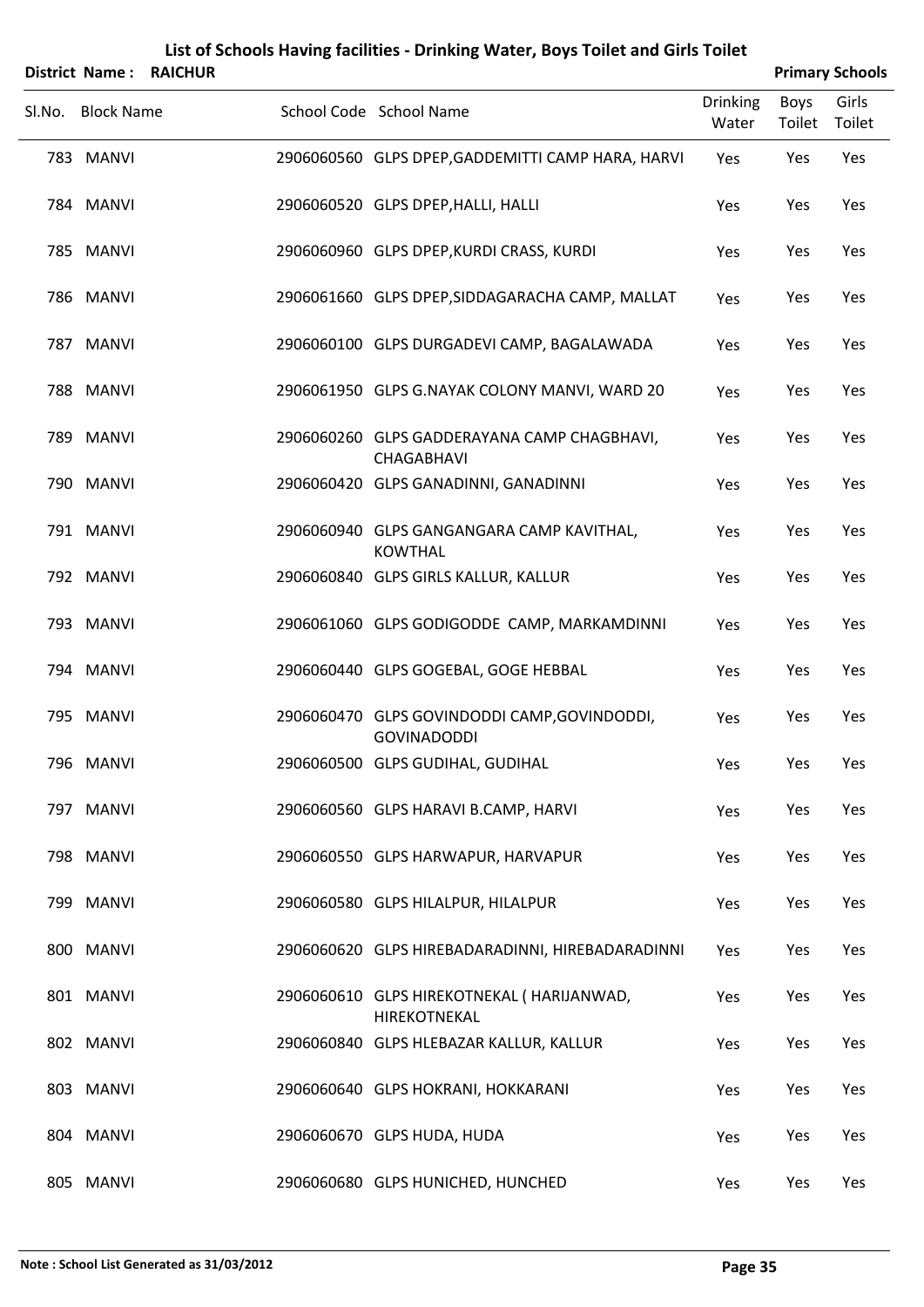| List of Schools Having facilities - Drinking Water, Boys Toilet and Girls Toilet<br><b>Primary Schools</b><br><b>District Name:</b><br><b>RAICHUR</b> |                   |  |                                                                    |                          |                       |                 |
|-------------------------------------------------------------------------------------------------------------------------------------------------------|-------------------|--|--------------------------------------------------------------------|--------------------------|-----------------------|-----------------|
| Sl.No.                                                                                                                                                | <b>Block Name</b> |  | School Code School Name                                            | <b>Drinking</b><br>Water | <b>Boys</b><br>Toilet | Girls<br>Toilet |
|                                                                                                                                                       | 783 MANVI         |  | 2906060560 GLPS DPEP, GADDEMITTI CAMP HARA, HARVI                  | Yes                      | Yes                   | Yes             |
|                                                                                                                                                       | 784 MANVI         |  | 2906060520 GLPS DPEP, HALLI, HALLI                                 | Yes                      | Yes                   | Yes             |
|                                                                                                                                                       | 785 MANVI         |  | 2906060960 GLPS DPEP, KURDI CRASS, KURDI                           | Yes                      | Yes                   | Yes             |
|                                                                                                                                                       | 786 MANVI         |  | 2906061660 GLPS DPEP, SIDDAGARACHA CAMP, MALLAT                    | Yes                      | Yes                   | Yes             |
|                                                                                                                                                       | 787 MANVI         |  | 2906060100 GLPS DURGADEVI CAMP, BAGALAWADA                         | Yes                      | Yes                   | Yes             |
|                                                                                                                                                       | 788 MANVI         |  | 2906061950 GLPS G.NAYAK COLONY MANVI, WARD 20                      | Yes                      | Yes                   | Yes             |
|                                                                                                                                                       | 789 MANVI         |  | 2906060260 GLPS GADDERAYANA CAMP CHAGBHAVI,<br>CHAGABHAVI          | Yes                      | Yes                   | Yes             |
|                                                                                                                                                       | 790 MANVI         |  | 2906060420 GLPS GANADINNI, GANADINNI                               | Yes                      | Yes                   | Yes             |
|                                                                                                                                                       | 791 MANVI         |  | 2906060940 GLPS GANGANGARA CAMP KAVITHAL,<br><b>KOWTHAL</b>        | Yes                      | Yes                   | Yes             |
|                                                                                                                                                       | 792 MANVI         |  | 2906060840 GLPS GIRLS KALLUR, KALLUR                               | Yes                      | Yes                   | Yes             |
|                                                                                                                                                       | 793 MANVI         |  | 2906061060 GLPS GODIGODDE CAMP, MARKAMDINNI                        | Yes                      | Yes                   | Yes             |
|                                                                                                                                                       | 794 MANVI         |  | 2906060440 GLPS GOGEBAL, GOGE HEBBAL                               | Yes                      | Yes                   | Yes             |
|                                                                                                                                                       | 795 MANVI         |  | 2906060470 GLPS GOVINDODDI CAMP, GOVINDODDI,<br><b>GOVINADODDI</b> | Yes                      | Yes                   | Yes             |
|                                                                                                                                                       | 796 MANVI         |  | 2906060500 GLPS GUDIHAL, GUDIHAL                                   | Yes                      | Yes                   | Yes             |
|                                                                                                                                                       | 797 MANVI         |  | 2906060560 GLPS HARAVI B.CAMP, HARVI                               | Yes                      | Yes                   | Yes             |
|                                                                                                                                                       | 798 MANVI         |  | 2906060550 GLPS HARWAPUR, HARVAPUR                                 | Yes                      | Yes                   | Yes             |
|                                                                                                                                                       | 799 MANVI         |  | 2906060580 GLPS HILALPUR, HILALPUR                                 | Yes                      | Yes                   | Yes             |
|                                                                                                                                                       | 800 MANVI         |  | 2906060620 GLPS HIREBADARADINNI, HIREBADARADINNI                   | Yes                      | Yes                   | Yes             |
|                                                                                                                                                       | 801 MANVI         |  | 2906060610 GLPS HIREKOTNEKAL ( HARIJANWAD,<br>HIREKOTNEKAL         | Yes                      | Yes                   | Yes             |
|                                                                                                                                                       | 802 MANVI         |  | 2906060840 GLPS HLEBAZAR KALLUR, KALLUR                            | Yes                      | Yes                   | Yes             |
|                                                                                                                                                       | 803 MANVI         |  | 2906060640 GLPS HOKRANI, HOKKARANI                                 | Yes                      | Yes                   | Yes             |
|                                                                                                                                                       | 804 MANVI         |  | 2906060670 GLPS HUDA, HUDA                                         | Yes                      | Yes                   | Yes             |
|                                                                                                                                                       | 805 MANVI         |  | 2906060680 GLPS HUNICHED, HUNCHED                                  | Yes                      | Yes                   | Yes             |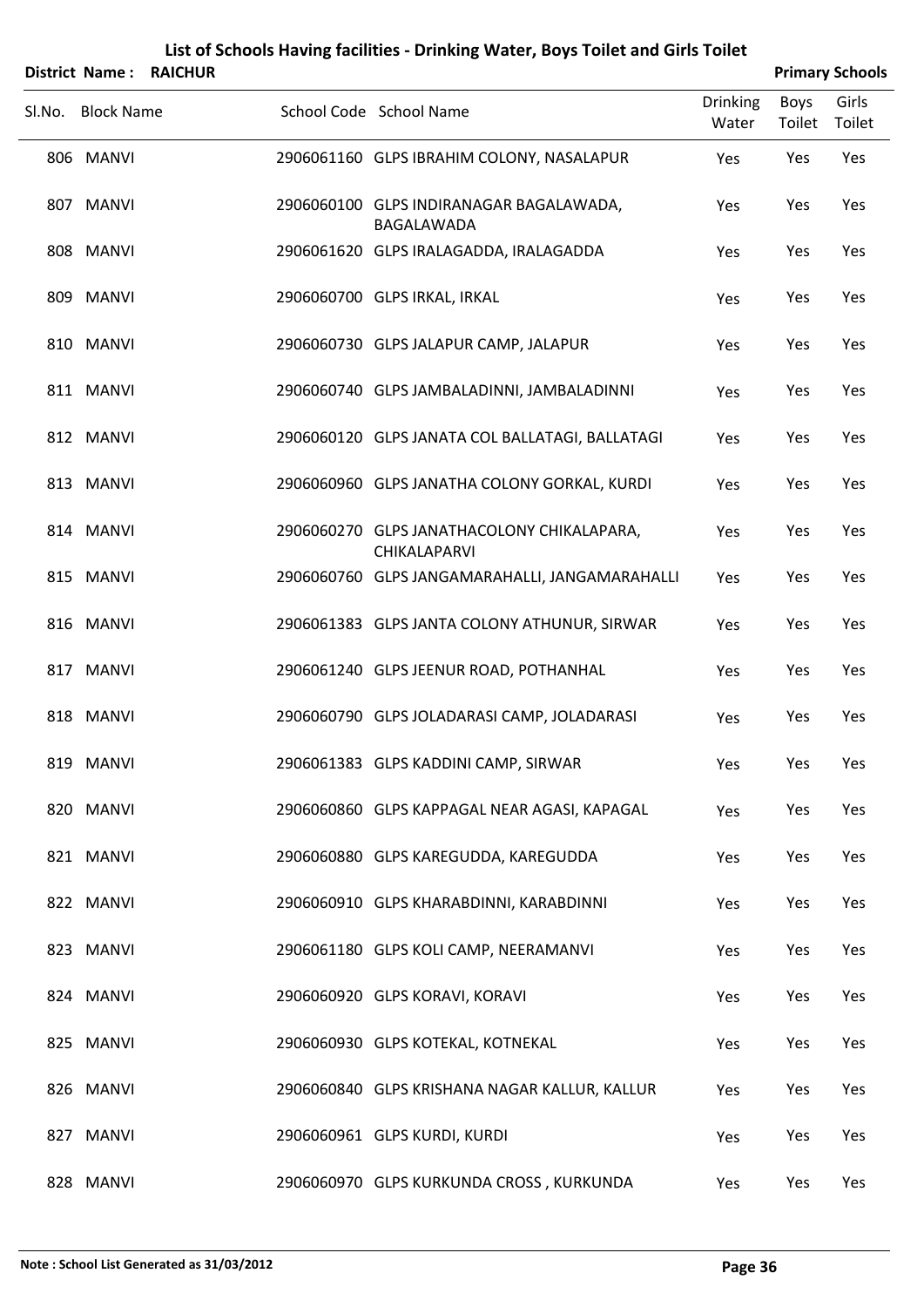|        |                   | <b>District Name: RAICHUR</b> |                                                              |                          |                | <b>Primary Schools</b> |
|--------|-------------------|-------------------------------|--------------------------------------------------------------|--------------------------|----------------|------------------------|
| Sl.No. | <b>Block Name</b> |                               | School Code School Name                                      | <b>Drinking</b><br>Water | Boys<br>Toilet | Girls<br>Toilet        |
|        | 806 MANVI         |                               | 2906061160 GLPS IBRAHIM COLONY, NASALAPUR                    | Yes                      | Yes            | Yes                    |
|        | 807 MANVI         |                               | 2906060100 GLPS INDIRANAGAR BAGALAWADA,<br><b>BAGALAWADA</b> | Yes                      | Yes            | Yes                    |
|        | 808 MANVI         |                               | 2906061620 GLPS IRALAGADDA, IRALAGADDA                       | Yes                      | Yes            | Yes                    |
|        | 809 MANVI         |                               | 2906060700 GLPS IRKAL, IRKAL                                 | Yes                      | Yes            | Yes                    |
|        | 810 MANVI         |                               | 2906060730 GLPS JALAPUR CAMP, JALAPUR                        | Yes                      | Yes            | Yes                    |
|        | 811 MANVI         |                               | 2906060740 GLPS JAMBALADINNI, JAMBALADINNI                   | Yes                      | Yes            | Yes                    |
|        | 812 MANVI         |                               | 2906060120 GLPS JANATA COL BALLATAGI, BALLATAGI              | Yes                      | Yes            | Yes                    |
|        | 813 MANVI         |                               | 2906060960 GLPS JANATHA COLONY GORKAL, KURDI                 | Yes                      | Yes            | Yes                    |
|        | 814 MANVI         |                               | 2906060270 GLPS JANATHACOLONY CHIKALAPARA,<br>CHIKALAPARVI   | Yes                      | Yes            | Yes                    |
|        | 815 MANVI         |                               | 2906060760 GLPS JANGAMARAHALLI, JANGAMARAHALLI               | Yes                      | Yes            | Yes                    |
|        | 816 MANVI         |                               | 2906061383 GLPS JANTA COLONY ATHUNUR, SIRWAR                 | Yes                      | Yes            | Yes                    |
|        | 817 MANVI         |                               | 2906061240 GLPS JEENUR ROAD, POTHANHAL                       | Yes                      | Yes            | Yes                    |
|        | 818 MANVI         |                               | 2906060790 GLPS JOLADARASI CAMP, JOLADARASI                  | Yes                      | Yes            | Yes                    |
|        | 819 MANVI         |                               | 2906061383 GLPS KADDINI CAMP, SIRWAR                         | Yes                      | Yes            | Yes                    |
|        | 820 MANVI         |                               | 2906060860 GLPS KAPPAGAL NEAR AGASI, KAPAGAL                 | Yes                      | Yes            | Yes                    |
|        | 821 MANVI         |                               | 2906060880 GLPS KAREGUDDA, KAREGUDDA                         | Yes                      | Yes            | Yes                    |
|        | 822 MANVI         |                               | 2906060910 GLPS KHARABDINNI, KARABDINNI                      | Yes                      | Yes            | Yes                    |
|        | 823 MANVI         |                               | 2906061180 GLPS KOLI CAMP, NEERAMANVI                        | Yes                      | Yes            | Yes                    |
|        | 824 MANVI         |                               | 2906060920 GLPS KORAVI, KORAVI                               | Yes                      | Yes            | Yes                    |
|        | 825 MANVI         |                               | 2906060930 GLPS KOTEKAL, KOTNEKAL                            | Yes                      | Yes            | Yes                    |
|        | 826 MANVI         |                               | 2906060840 GLPS KRISHANA NAGAR KALLUR, KALLUR                | Yes                      | Yes            | Yes                    |
|        | 827 MANVI         |                               | 2906060961 GLPS KURDI, KURDI                                 | Yes                      | Yes            | Yes                    |
|        | 828 MANVI         |                               | 2906060970 GLPS KURKUNDA CROSS, KURKUNDA                     | Yes                      | Yes            | Yes                    |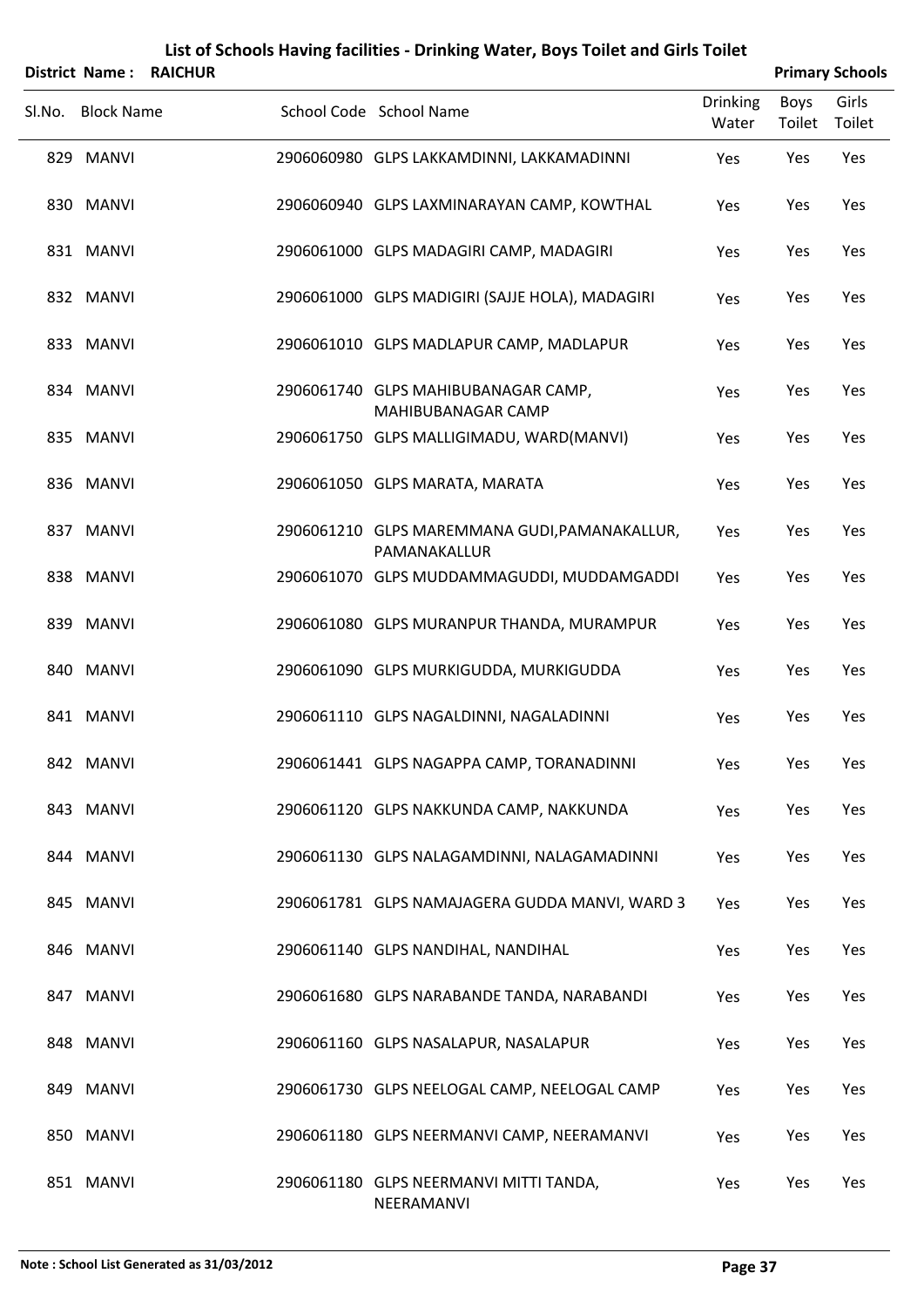|        |                   | District Name: RAICHUR |                                                               |                          |                | <b>Primary Schools</b> |
|--------|-------------------|------------------------|---------------------------------------------------------------|--------------------------|----------------|------------------------|
| Sl.No. | <b>Block Name</b> |                        | School Code School Name                                       | <b>Drinking</b><br>Water | Boys<br>Toilet | Girls<br>Toilet        |
|        | 829 MANVI         |                        | 2906060980 GLPS LAKKAMDINNI, LAKKAMADINNI                     | Yes                      | Yes            | Yes                    |
|        | 830 MANVI         |                        | 2906060940 GLPS LAXMINARAYAN CAMP, KOWTHAL                    | Yes                      | Yes            | Yes                    |
|        | 831 MANVI         |                        | 2906061000 GLPS MADAGIRI CAMP, MADAGIRI                       | Yes                      | Yes            | Yes                    |
|        | 832 MANVI         |                        | 2906061000 GLPS MADIGIRI (SAJJE HOLA), MADAGIRI               | Yes                      | Yes            | Yes                    |
|        | 833 MANVI         |                        | 2906061010 GLPS MADLAPUR CAMP, MADLAPUR                       | Yes                      | Yes            | Yes                    |
|        | 834 MANVI         |                        | 2906061740 GLPS MAHIBUBANAGAR CAMP,<br>MAHIBUBANAGAR CAMP     | Yes                      | Yes            | Yes                    |
|        | 835 MANVI         |                        | 2906061750 GLPS MALLIGIMADU, WARD(MANVI)                      | Yes                      | Yes            | Yes                    |
|        | 836 MANVI         |                        | 2906061050 GLPS MARATA, MARATA                                | Yes                      | Yes            | Yes                    |
|        | 837 MANVI         |                        | 2906061210 GLPS MAREMMANA GUDI, PAMANAKALLUR,<br>PAMANAKALLUR | Yes                      | Yes            | Yes                    |
|        | 838 MANVI         |                        | 2906061070 GLPS MUDDAMMAGUDDI, MUDDAMGADDI                    | Yes                      | Yes            | Yes                    |
|        | 839 MANVI         |                        | 2906061080 GLPS MURANPUR THANDA, MURAMPUR                     | Yes                      | Yes            | Yes                    |
|        | 840 MANVI         |                        | 2906061090 GLPS MURKIGUDDA, MURKIGUDDA                        | Yes                      | Yes            | Yes                    |
|        | 841 MANVI         |                        | 2906061110 GLPS NAGALDINNI, NAGALADINNI                       | Yes                      | Yes            | Yes                    |
|        | 842 MANVI         |                        | 2906061441 GLPS NAGAPPA CAMP, TORANADINNI                     | Yes                      | Yes            | Yes                    |
|        | 843 MANVI         |                        | 2906061120 GLPS NAKKUNDA CAMP, NAKKUNDA                       | Yes                      | Yes            | Yes                    |
|        | 844 MANVI         |                        | 2906061130 GLPS NALAGAMDINNI, NALAGAMADINNI                   | Yes                      | Yes            | Yes                    |
|        | 845 MANVI         |                        | 2906061781 GLPS NAMAJAGERA GUDDA MANVI, WARD 3                | Yes                      | Yes            | Yes                    |
|        | 846 MANVI         |                        | 2906061140 GLPS NANDIHAL, NANDIHAL                            | Yes                      | Yes            | Yes                    |
|        | 847 MANVI         |                        | 2906061680 GLPS NARABANDE TANDA, NARABANDI                    | Yes                      | Yes            | Yes                    |
|        | 848 MANVI         |                        | 2906061160 GLPS NASALAPUR, NASALAPUR                          | Yes                      | Yes            | Yes                    |
|        | 849 MANVI         |                        | 2906061730 GLPS NEELOGAL CAMP, NEELOGAL CAMP                  | Yes                      | Yes            | Yes                    |
|        | 850 MANVI         |                        | 2906061180 GLPS NEERMANVI CAMP, NEERAMANVI                    | Yes                      | Yes            | Yes                    |
|        | 851 MANVI         |                        | 2906061180 GLPS NEERMANVI MITTI TANDA,<br>NEERAMANVI          | Yes                      | Yes            | Yes                    |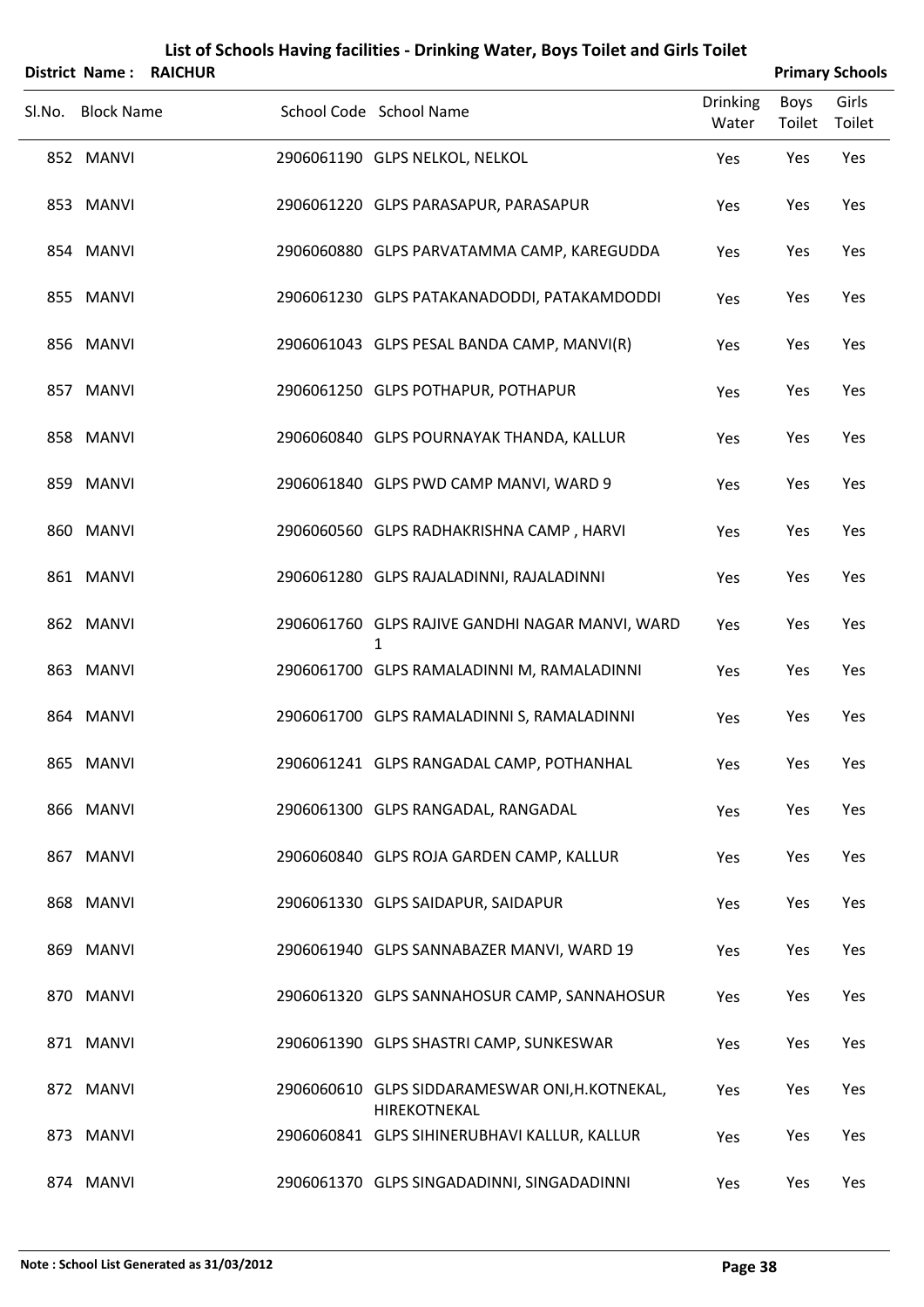|                   | District Name: RAICHUR |                                                                |                          |                | <b>Primary Schools</b> |
|-------------------|------------------------|----------------------------------------------------------------|--------------------------|----------------|------------------------|
| Sl.No. Block Name |                        | School Code School Name                                        | <b>Drinking</b><br>Water | Boys<br>Toilet | Girls<br>Toilet        |
| 852 MANVI         |                        | 2906061190 GLPS NELKOL, NELKOL                                 | Yes                      | Yes            | Yes                    |
| 853 MANVI         |                        | 2906061220 GLPS PARASAPUR, PARASAPUR                           | Yes                      | Yes            | Yes                    |
| 854 MANVI         |                        | 2906060880 GLPS PARVATAMMA CAMP, KAREGUDDA                     | Yes                      | Yes            | Yes                    |
| 855 MANVI         |                        | 2906061230 GLPS PATAKANADODDI, PATAKAMDODDI                    | Yes                      | Yes            | Yes                    |
| 856 MANVI         |                        | 2906061043 GLPS PESAL BANDA CAMP, MANVI(R)                     | Yes                      | Yes            | Yes                    |
| 857 MANVI         |                        | 2906061250 GLPS POTHAPUR, POTHAPUR                             | Yes                      | Yes            | Yes                    |
| 858 MANVI         |                        | 2906060840 GLPS POURNAYAK THANDA, KALLUR                       | Yes                      | Yes            | Yes                    |
| 859 MANVI         |                        | 2906061840 GLPS PWD CAMP MANVI, WARD 9                         | Yes                      | Yes            | Yes                    |
| 860 MANVI         |                        | 2906060560 GLPS RADHAKRISHNA CAMP, HARVI                       | Yes                      | Yes            | Yes                    |
| 861 MANVI         |                        | 2906061280 GLPS RAJALADINNI, RAJALADINNI                       | Yes                      | Yes            | Yes                    |
| 862 MANVI         |                        | 2906061760 GLPS RAJIVE GANDHI NAGAR MANVI, WARD<br>1           | Yes                      | Yes            | Yes                    |
| 863 MANVI         |                        | 2906061700 GLPS RAMALADINNI M, RAMALADINNI                     | Yes                      | Yes            | Yes                    |
| 864 MANVI         |                        | 2906061700 GLPS RAMALADINNI S, RAMALADINNI                     | Yes                      | Yes            | Yes                    |
| 865 MANVI         |                        | 2906061241 GLPS RANGADAL CAMP, POTHANHAL                       | Yes                      | Yes            | Yes                    |
| 866 MANVI         |                        | 2906061300 GLPS RANGADAL, RANGADAL                             | Yes                      | Yes            | Yes                    |
| 867 MANVI         |                        | 2906060840 GLPS ROJA GARDEN CAMP, KALLUR                       | Yes                      | Yes            | Yes                    |
| 868 MANVI         |                        | 2906061330 GLPS SAIDAPUR, SAIDAPUR                             | Yes                      | Yes            | Yes                    |
| 869 MANVI         |                        | 2906061940 GLPS SANNABAZER MANVI, WARD 19                      | Yes                      | Yes            | Yes                    |
| 870 MANVI         |                        | 2906061320 GLPS SANNAHOSUR CAMP, SANNAHOSUR                    | Yes                      | Yes            | Yes                    |
| 871 MANVI         |                        | 2906061390 GLPS SHASTRI CAMP, SUNKESWAR                        | Yes                      | Yes            | Yes                    |
| 872 MANVI         |                        | 2906060610 GLPS SIDDARAMESWAR ONI, H.KOTNEKAL,<br>HIREKOTNEKAL | Yes                      | Yes            | Yes                    |
| 873 MANVI         |                        | 2906060841 GLPS SIHINERUBHAVI KALLUR, KALLUR                   | Yes                      | Yes            | Yes                    |
| 874 MANVI         |                        | 2906061370 GLPS SINGADADINNI, SINGADADINNI                     | Yes                      | Yes            | Yes                    |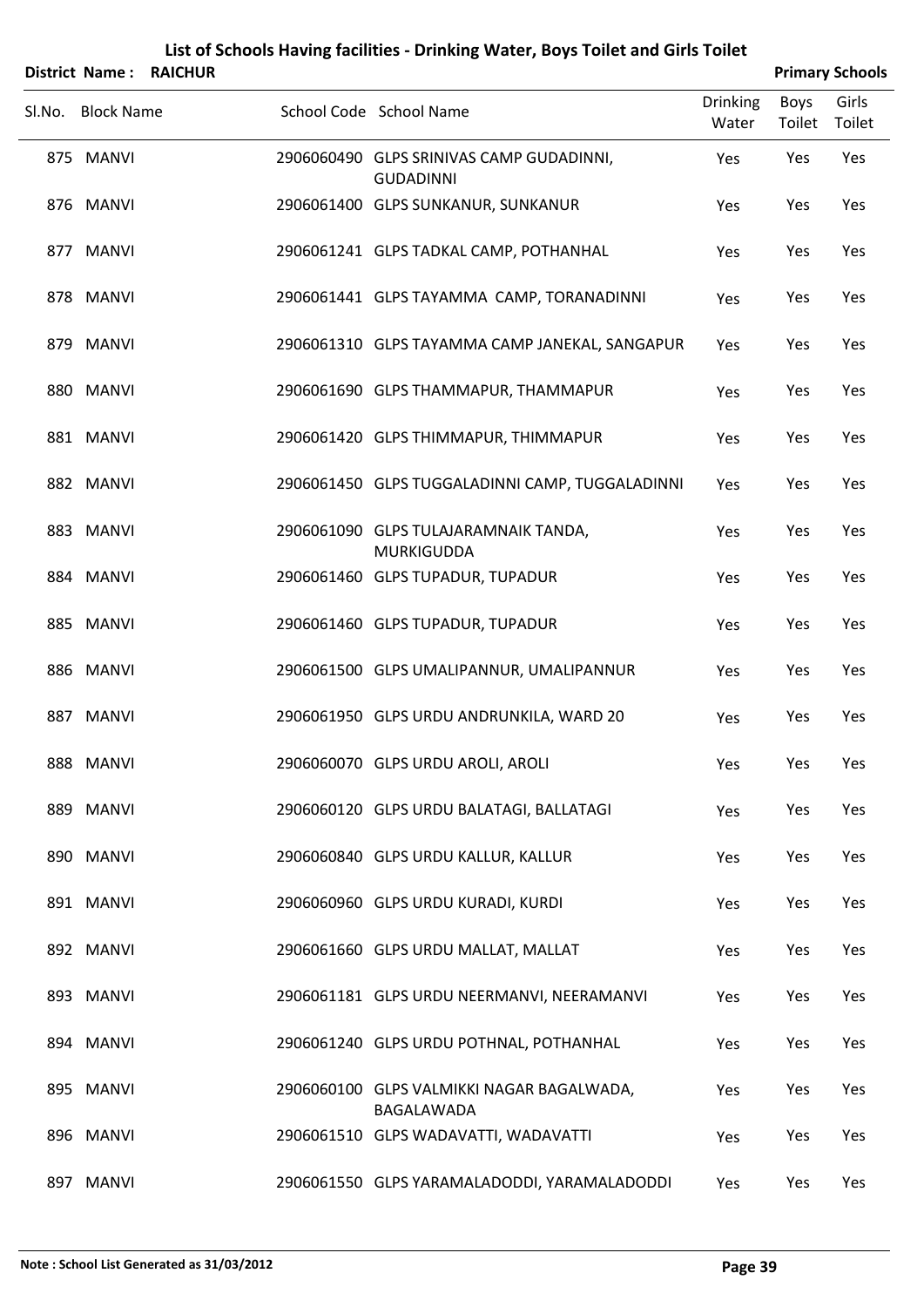|                   | <b>District Name: RAICHUR</b> |                                                              |                          |                | <b>Primary Schools</b> |
|-------------------|-------------------------------|--------------------------------------------------------------|--------------------------|----------------|------------------------|
| Sl.No. Block Name |                               | School Code School Name                                      | <b>Drinking</b><br>Water | Boys<br>Toilet | Girls<br>Toilet        |
| 875 MANVI         |                               | 2906060490 GLPS SRINIVAS CAMP GUDADINNI,<br><b>GUDADINNI</b> | Yes                      | Yes            | Yes                    |
| 876 MANVI         |                               | 2906061400 GLPS SUNKANUR, SUNKANUR                           | Yes                      | Yes            | Yes                    |
| 877 MANVI         |                               | 2906061241 GLPS TADKAL CAMP, POTHANHAL                       | Yes                      | Yes            | Yes                    |
| 878 MANVI         |                               | 2906061441 GLPS TAYAMMA CAMP, TORANADINNI                    | Yes                      | Yes            | Yes                    |
| 879 MANVI         |                               | 2906061310 GLPS TAYAMMA CAMP JANEKAL, SANGAPUR               | Yes                      | Yes            | Yes                    |
| 880 MANVI         |                               | 2906061690 GLPS THAMMAPUR, THAMMAPUR                         | Yes                      | Yes            | Yes                    |
| 881 MANVI         |                               | 2906061420 GLPS THIMMAPUR, THIMMAPUR                         | Yes                      | Yes            | Yes                    |
| 882 MANVI         |                               | 2906061450 GLPS TUGGALADINNI CAMP, TUGGALADINNI              | Yes                      | Yes            | Yes                    |
| 883 MANVI         |                               | 2906061090 GLPS TULAJARAMNAIK TANDA,<br><b>MURKIGUDDA</b>    | Yes                      | Yes            | Yes                    |
| 884 MANVI         |                               | 2906061460 GLPS TUPADUR, TUPADUR                             | Yes                      | Yes            | Yes                    |
| 885 MANVI         |                               | 2906061460 GLPS TUPADUR, TUPADUR                             | Yes                      | Yes            | Yes                    |
| 886 MANVI         |                               | 2906061500 GLPS UMALIPANNUR, UMALIPANNUR                     | Yes                      | Yes            | Yes                    |
| 887 MANVI         |                               | 2906061950 GLPS URDU ANDRUNKILA, WARD 20                     | Yes                      | Yes            | Yes                    |
| 888 MANVI         |                               | 2906060070 GLPS URDU AROLI, AROLI                            | Yes                      | Yes            | Yes                    |
| 889 MANVI         |                               | 2906060120 GLPS URDU BALATAGI, BALLATAGI                     | Yes                      | Yes            | Yes                    |
| 890 MANVI         |                               | 2906060840 GLPS URDU KALLUR, KALLUR                          | Yes                      | Yes            | Yes                    |
| 891 MANVI         |                               | 2906060960 GLPS URDU KURADI, KURDI                           | Yes                      | Yes            | Yes                    |
| 892 MANVI         |                               | 2906061660 GLPS URDU MALLAT, MALLAT                          | Yes                      | Yes            | Yes                    |
| 893 MANVI         |                               | 2906061181 GLPS URDU NEERMANVI, NEERAMANVI                   | Yes                      | Yes            | Yes                    |
| 894 MANVI         |                               | 2906061240 GLPS URDU POTHNAL, POTHANHAL                      | Yes                      | Yes            | Yes                    |
| 895 MANVI         |                               | 2906060100 GLPS VALMIKKI NAGAR BAGALWADA,<br>BAGALAWADA      | Yes                      | Yes            | Yes                    |
| 896 MANVI         |                               | 2906061510 GLPS WADAVATTI, WADAVATTI                         | Yes                      | Yes            | Yes                    |
| 897 MANVI         |                               | 2906061550 GLPS YARAMALADODDI, YARAMALADODDI                 | Yes                      | Yes            | Yes                    |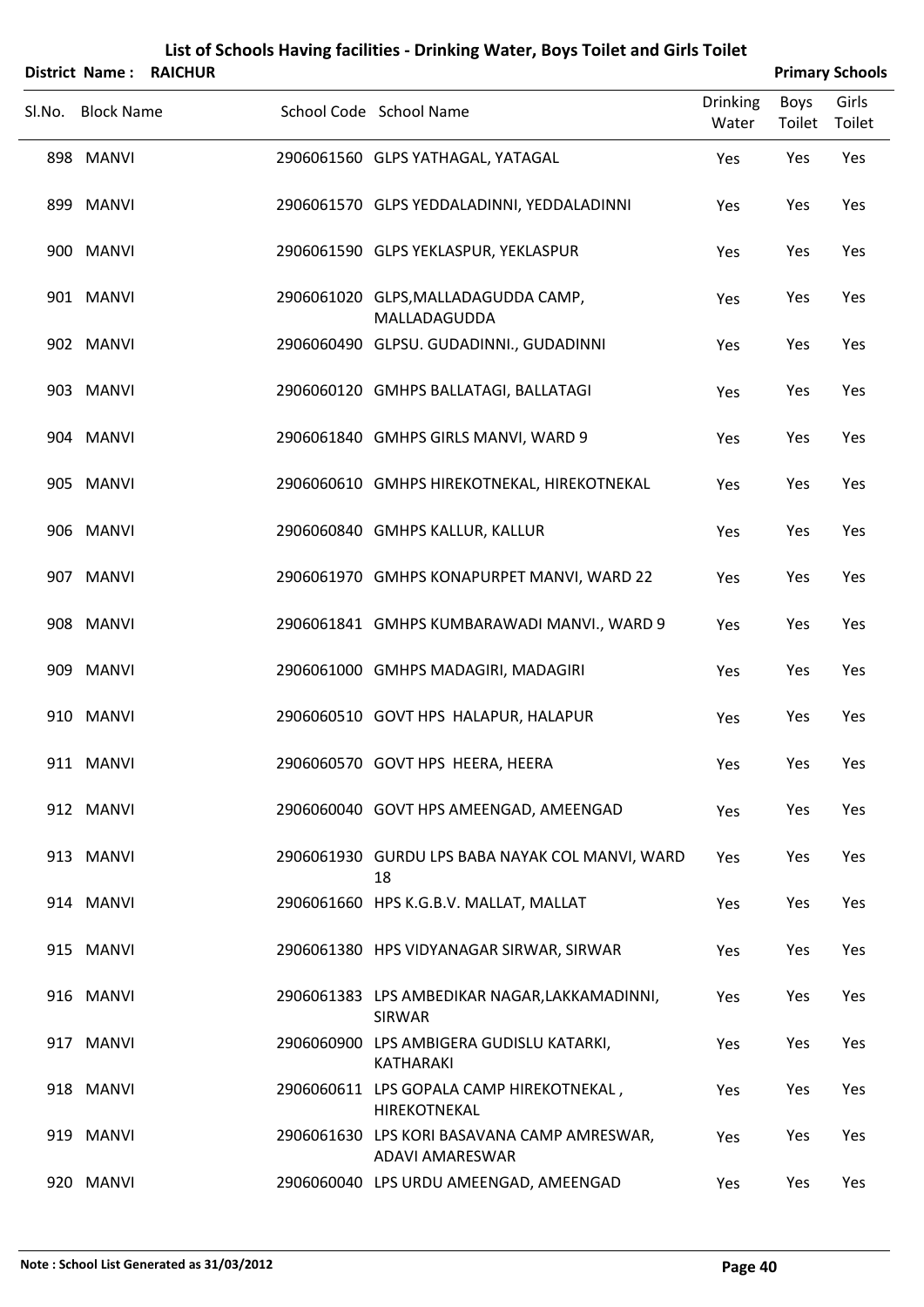|        | <b>District Name:</b> | <b>RAICHUR</b> |                                                                |                          |                | <b>Primary Schools</b> |
|--------|-----------------------|----------------|----------------------------------------------------------------|--------------------------|----------------|------------------------|
| SI.No. | <b>Block Name</b>     |                | School Code School Name                                        | <b>Drinking</b><br>Water | Boys<br>Toilet | Girls<br>Toilet        |
|        | 898 MANVI             |                | 2906061560 GLPS YATHAGAL, YATAGAL                              | Yes                      | Yes            | Yes                    |
|        | 899 MANVI             |                | 2906061570 GLPS YEDDALADINNI, YEDDALADINNI                     | Yes                      | Yes            | Yes                    |
|        | 900 MANVI             |                | 2906061590 GLPS YEKLASPUR, YEKLASPUR                           | Yes                      | Yes            | Yes                    |
|        | 901 MANVI             |                | 2906061020 GLPS, MALLADAGUDDA CAMP,<br>MALLADAGUDDA            | Yes                      | Yes            | Yes                    |
|        | 902 MANVI             |                | 2906060490 GLPSU. GUDADINNI., GUDADINNI                        | Yes                      | Yes            | Yes                    |
|        | 903 MANVI             |                | 2906060120 GMHPS BALLATAGI, BALLATAGI                          | Yes                      | Yes            | Yes                    |
|        | 904 MANVI             |                | 2906061840 GMHPS GIRLS MANVI, WARD 9                           | Yes                      | Yes            | Yes                    |
|        | 905 MANVI             |                | 2906060610 GMHPS HIREKOTNEKAL, HIREKOTNEKAL                    | Yes                      | Yes            | Yes                    |
|        | 906 MANVI             |                | 2906060840 GMHPS KALLUR, KALLUR                                | Yes                      | Yes            | Yes                    |
|        | 907 MANVI             |                | 2906061970 GMHPS KONAPURPET MANVI, WARD 22                     | Yes                      | Yes            | Yes                    |
|        | 908 MANVI             |                | 2906061841 GMHPS KUMBARAWADI MANVI., WARD 9                    | Yes                      | Yes            | Yes                    |
|        | 909 MANVI             |                | 2906061000 GMHPS MADAGIRI, MADAGIRI                            | Yes                      | Yes            | Yes                    |
|        | 910 MANVI             |                | 2906060510 GOVT HPS HALAPUR, HALAPUR                           | Yes                      | Yes            | Yes                    |
|        | 911 MANVI             |                | 2906060570 GOVT HPS HEERA, HEERA                               | Yes                      | Yes            | Yes                    |
|        | 912 MANVI             |                | 2906060040 GOVT HPS AMEENGAD, AMEENGAD                         | Yes                      | Yes            | Yes                    |
|        | 913 MANVI             |                | 2906061930 GURDU LPS BABA NAYAK COL MANVI, WARD<br>18          | Yes                      | Yes            | Yes                    |
|        | 914 MANVI             |                | 2906061660 HPS K.G.B.V. MALLAT, MALLAT                         | Yes                      | Yes            | Yes                    |
|        | 915 MANVI             |                | 2906061380 HPS VIDYANAGAR SIRWAR, SIRWAR                       | Yes                      | Yes            | Yes                    |
|        | 916 MANVI             |                | 2906061383 LPS AMBEDIKAR NAGAR, LAKKAMADINNI,<br><b>SIRWAR</b> | Yes                      | Yes            | Yes                    |
|        | 917 MANVI             |                | 2906060900 LPS AMBIGERA GUDISLU KATARKI,<br><b>KATHARAKI</b>   | Yes                      | Yes            | Yes                    |
|        | 918 MANVI             |                | 2906060611 LPS GOPALA CAMP HIREKOTNEKAL,<br>HIREKOTNEKAL       | Yes                      | Yes            | Yes                    |
|        | 919 MANVI             |                | 2906061630 LPS KORI BASAVANA CAMP AMRESWAR,<br>ADAVI AMARESWAR | Yes                      | Yes            | Yes                    |
|        | 920 MANVI             |                | 2906060040 LPS URDU AMEENGAD, AMEENGAD                         | Yes                      | Yes            | Yes                    |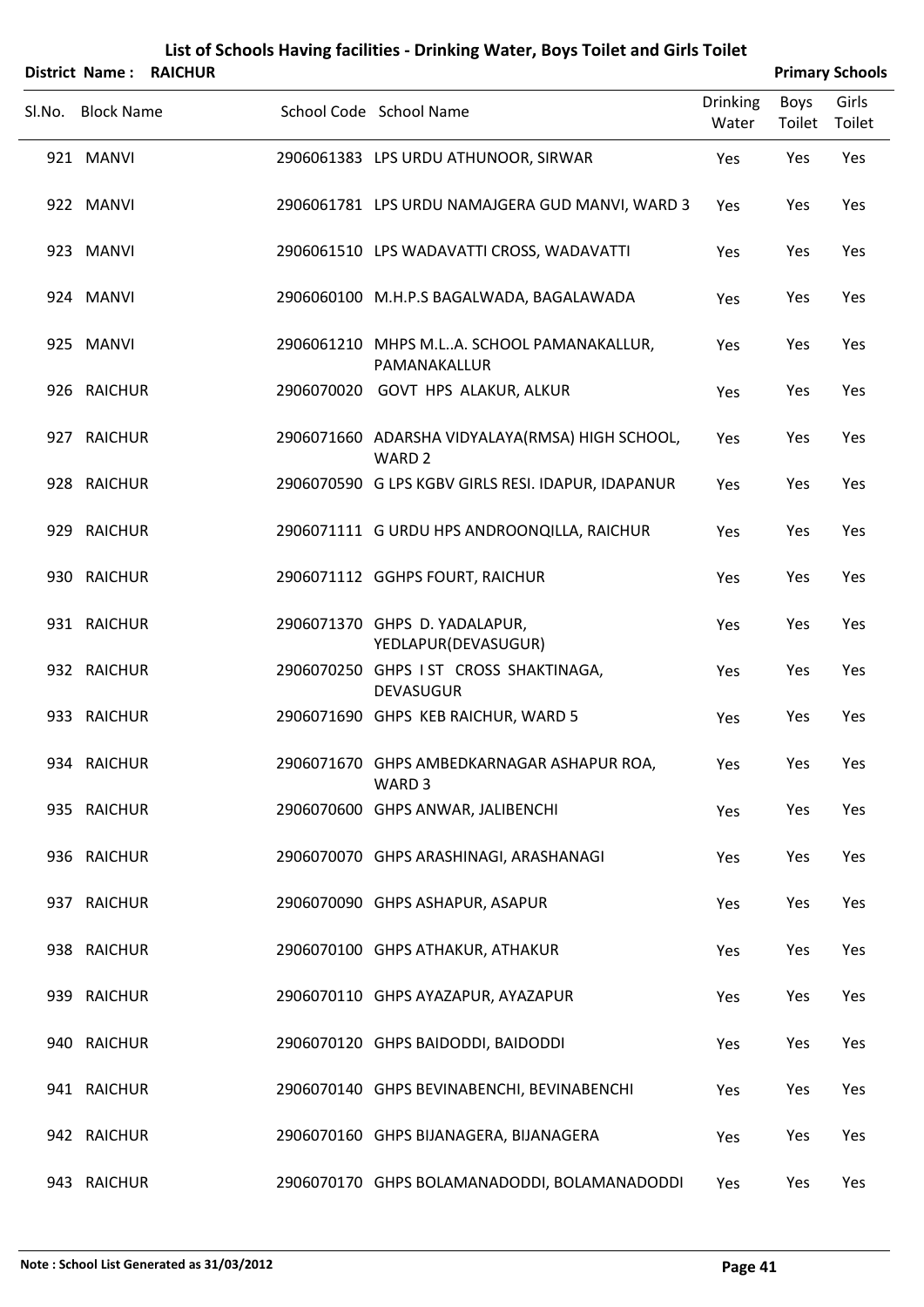|                   | District Name: RAICHUR |                                                                      |                          |                | <b>Primary Schools</b> |
|-------------------|------------------------|----------------------------------------------------------------------|--------------------------|----------------|------------------------|
| Sl.No. Block Name |                        | School Code School Name                                              | <b>Drinking</b><br>Water | Boys<br>Toilet | Girls<br>Toilet        |
| 921 MANVI         |                        | 2906061383 LPS URDU ATHUNOOR, SIRWAR                                 | Yes                      | Yes            | Yes                    |
| 922 MANVI         |                        | 2906061781 LPS URDU NAMAJGERA GUD MANVI, WARD 3                      | Yes                      | Yes            | Yes                    |
| 923 MANVI         |                        | 2906061510 LPS WADAVATTI CROSS, WADAVATTI                            | Yes                      | Yes            | Yes                    |
| 924 MANVI         |                        | 2906060100 M.H.P.S BAGALWADA, BAGALAWADA                             | Yes                      | Yes            | Yes                    |
| 925 MANVI         |                        | 2906061210 MHPS M.LA. SCHOOL PAMANAKALLUR,<br>PAMANAKALLUR           | Yes                      | Yes            | Yes                    |
| 926 RAICHUR       |                        | 2906070020 GOVT HPS ALAKUR, ALKUR                                    | Yes                      | Yes            | Yes                    |
| 927 RAICHUR       |                        | 2906071660 ADARSHA VIDYALAYA(RMSA) HIGH SCHOOL,<br>WARD <sub>2</sub> | Yes                      | Yes            | Yes                    |
| 928 RAICHUR       |                        | 2906070590 G LPS KGBV GIRLS RESI. IDAPUR, IDAPANUR                   | Yes                      | Yes            | Yes                    |
| 929 RAICHUR       |                        | 2906071111 G URDU HPS ANDROONQILLA, RAICHUR                          | Yes                      | Yes            | Yes                    |
| 930 RAICHUR       |                        | 2906071112 GGHPS FOURT, RAICHUR                                      | Yes                      | Yes            | Yes                    |
| 931 RAICHUR       |                        | 2906071370 GHPS D. YADALAPUR,<br>YEDLAPUR(DEVASUGUR)                 | Yes                      | Yes            | Yes                    |
| 932 RAICHUR       |                        | 2906070250 GHPS IST CROSS SHAKTINAGA,<br><b>DEVASUGUR</b>            | Yes                      | Yes            | Yes                    |
| 933 RAICHUR       |                        | 2906071690 GHPS KEB RAICHUR, WARD 5                                  | Yes                      | Yes            | Yes                    |
| 934 RAICHUR       |                        | 2906071670 GHPS AMBEDKARNAGAR ASHAPUR ROA,<br>WARD <sub>3</sub>      | Yes                      | Yes            | Yes                    |
| 935 RAICHUR       |                        | 2906070600 GHPS ANWAR, JALIBENCHI                                    | Yes                      | Yes            | Yes                    |
| 936 RAICHUR       |                        | 2906070070 GHPS ARASHINAGI, ARASHANAGI                               | Yes                      | Yes            | Yes                    |
| 937 RAICHUR       |                        | 2906070090 GHPS ASHAPUR, ASAPUR                                      | Yes                      | Yes            | Yes                    |
| 938 RAICHUR       |                        | 2906070100 GHPS ATHAKUR, ATHAKUR                                     | Yes                      | Yes            | Yes                    |
| 939 RAICHUR       |                        | 2906070110 GHPS AYAZAPUR, AYAZAPUR                                   | Yes                      | Yes            | Yes                    |
| 940 RAICHUR       |                        | 2906070120 GHPS BAIDODDI, BAIDODDI                                   | Yes                      | Yes            | Yes                    |
| 941 RAICHUR       |                        | 2906070140 GHPS BEVINABENCHI, BEVINABENCHI                           | Yes                      | Yes            | Yes                    |
| 942 RAICHUR       |                        | 2906070160 GHPS BIJANAGERA, BIJANAGERA                               | Yes                      | Yes            | Yes                    |
| 943 RAICHUR       |                        | 2906070170 GHPS BOLAMANADODDI, BOLAMANADODDI                         | Yes                      | Yes            | Yes                    |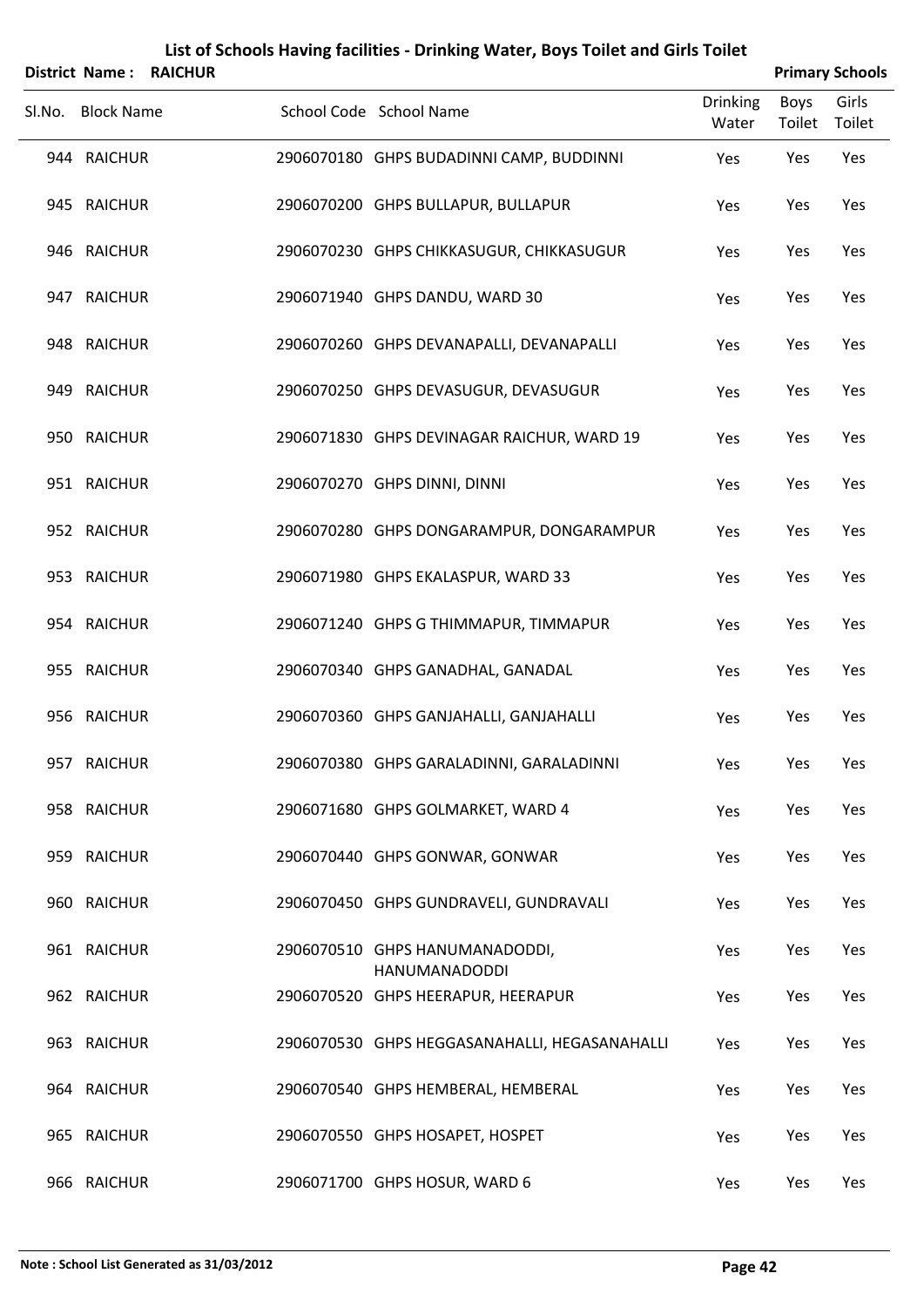|        | <b>District Name:</b> | <b>RAICHUR</b> |                                                        |                          |                | <b>Primary Schools</b> |
|--------|-----------------------|----------------|--------------------------------------------------------|--------------------------|----------------|------------------------|
| SI.No. | <b>Block Name</b>     |                | School Code School Name                                | <b>Drinking</b><br>Water | Boys<br>Toilet | Girls<br>Toilet        |
|        | 944 RAICHUR           |                | 2906070180 GHPS BUDADINNI CAMP, BUDDINNI               | Yes                      | Yes            | Yes                    |
|        | 945 RAICHUR           |                | 2906070200 GHPS BULLAPUR, BULLAPUR                     | Yes                      | Yes            | Yes                    |
|        | 946 RAICHUR           |                | 2906070230 GHPS CHIKKASUGUR, CHIKKASUGUR               | Yes                      | Yes            | Yes                    |
|        | 947 RAICHUR           |                | 2906071940 GHPS DANDU, WARD 30                         | Yes                      | Yes            | Yes                    |
|        | 948 RAICHUR           |                | 2906070260 GHPS DEVANAPALLI, DEVANAPALLI               | Yes                      | Yes            | Yes                    |
|        | 949 RAICHUR           |                | 2906070250 GHPS DEVASUGUR, DEVASUGUR                   | Yes                      | Yes            | Yes                    |
|        | 950 RAICHUR           |                | 2906071830 GHPS DEVINAGAR RAICHUR, WARD 19             | Yes                      | Yes            | Yes                    |
|        | 951 RAICHUR           |                | 2906070270 GHPS DINNI, DINNI                           | Yes                      | Yes            | Yes                    |
|        | 952 RAICHUR           |                | 2906070280 GHPS DONGARAMPUR, DONGARAMPUR               | Yes                      | Yes            | Yes                    |
|        | 953 RAICHUR           |                | 2906071980 GHPS EKALASPUR, WARD 33                     | Yes                      | Yes            | Yes                    |
|        | 954 RAICHUR           |                | 2906071240 GHPS G THIMMAPUR, TIMMAPUR                  | Yes                      | Yes            | Yes                    |
|        | 955 RAICHUR           |                | 2906070340 GHPS GANADHAL, GANADAL                      | Yes                      | Yes            | Yes                    |
|        | 956 RAICHUR           |                | 2906070360 GHPS GANJAHALLI, GANJAHALLI                 | Yes                      | Yes            | Yes                    |
|        | 957 RAICHUR           |                | 2906070380 GHPS GARALADINNI, GARALADINNI               | Yes                      | Yes            | Yes                    |
|        | 958 RAICHUR           |                | 2906071680 GHPS GOLMARKET, WARD 4                      | Yes                      | Yes            | Yes                    |
|        | 959 RAICHUR           |                | 2906070440 GHPS GONWAR, GONWAR                         | Yes                      | Yes            | Yes                    |
|        | 960 RAICHUR           |                | 2906070450 GHPS GUNDRAVELI, GUNDRAVALI                 | Yes                      | Yes            | Yes                    |
|        | 961 RAICHUR           |                | 2906070510 GHPS HANUMANADODDI,<br><b>HANUMANADODDI</b> | Yes                      | Yes            | Yes                    |
|        | 962 RAICHUR           |                | 2906070520 GHPS HEERAPUR, HEERAPUR                     | Yes                      | Yes            | Yes                    |
|        | 963 RAICHUR           |                | 2906070530 GHPS HEGGASANAHALLI, HEGASANAHALLI          | Yes                      | Yes            | Yes                    |
|        | 964 RAICHUR           |                | 2906070540 GHPS HEMBERAL, HEMBERAL                     | Yes                      | Yes            | Yes                    |
|        | 965 RAICHUR           |                | 2906070550 GHPS HOSAPET, HOSPET                        | Yes                      | Yes            | Yes                    |
|        | 966 RAICHUR           |                | 2906071700 GHPS HOSUR, WARD 6                          | Yes                      | Yes            | Yes                    |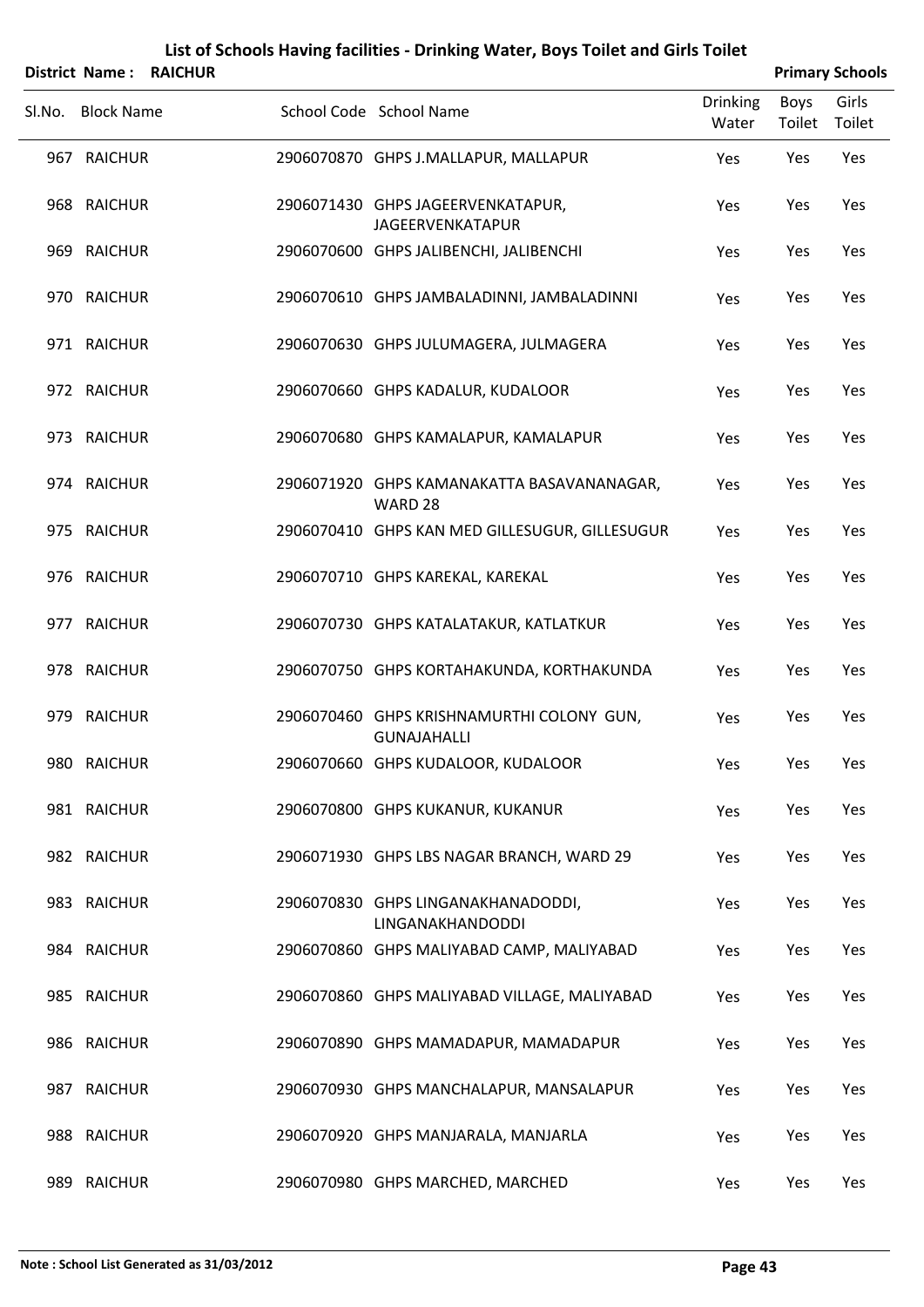|        |                   | District Name: RAICHUR |                                                                 |                          |                | <b>Primary Schools</b> |
|--------|-------------------|------------------------|-----------------------------------------------------------------|--------------------------|----------------|------------------------|
| SI.No. | <b>Block Name</b> |                        | School Code School Name                                         | <b>Drinking</b><br>Water | Boys<br>Toilet | Girls<br>Toilet        |
|        | 967 RAICHUR       |                        | 2906070870 GHPS J.MALLAPUR, MALLAPUR                            | Yes                      | Yes            | Yes                    |
|        | 968 RAICHUR       |                        | 2906071430 GHPS JAGEERVENKATAPUR,<br><b>JAGEERVENKATAPUR</b>    | Yes                      | Yes            | Yes                    |
|        | 969 RAICHUR       |                        | 2906070600 GHPS JALIBENCHI, JALIBENCHI                          | Yes                      | Yes            | Yes                    |
|        | 970 RAICHUR       |                        | 2906070610 GHPS JAMBALADINNI, JAMBALADINNI                      | Yes                      | Yes            | Yes                    |
|        | 971 RAICHUR       |                        | 2906070630 GHPS JULUMAGERA, JULMAGERA                           | Yes                      | Yes            | Yes                    |
|        | 972 RAICHUR       |                        | 2906070660 GHPS KADALUR, KUDALOOR                               | Yes                      | Yes            | Yes                    |
|        | 973 RAICHUR       |                        | 2906070680 GHPS KAMALAPUR, KAMALAPUR                            | Yes                      | Yes            | Yes                    |
|        | 974 RAICHUR       |                        | 2906071920 GHPS KAMANAKATTA BASAVANANAGAR,<br>WARD 28           | Yes                      | Yes            | Yes                    |
|        | 975 RAICHUR       |                        | 2906070410 GHPS KAN MED GILLESUGUR, GILLESUGUR                  | Yes                      | Yes            | Yes                    |
|        | 976 RAICHUR       |                        | 2906070710 GHPS KAREKAL, KAREKAL                                | Yes                      | Yes            | Yes                    |
|        | 977 RAICHUR       |                        | 2906070730 GHPS KATALATAKUR, KATLATKUR                          | Yes                      | Yes            | Yes                    |
|        | 978 RAICHUR       |                        | 2906070750 GHPS KORTAHAKUNDA, KORTHAKUNDA                       | Yes                      | Yes            | Yes                    |
|        | 979 RAICHUR       |                        | 2906070460 GHPS KRISHNAMURTHI COLONY GUN,<br><b>GUNAJAHALLI</b> | Yes                      | Yes            | Yes                    |
|        | 980 RAICHUR       |                        | 2906070660 GHPS KUDALOOR, KUDALOOR                              | Yes                      | Yes            | Yes                    |
|        | 981 RAICHUR       |                        | 2906070800 GHPS KUKANUR, KUKANUR                                | Yes                      | Yes            | Yes                    |
|        | 982 RAICHUR       |                        | 2906071930 GHPS LBS NAGAR BRANCH, WARD 29                       | Yes                      | Yes            | Yes                    |
|        | 983 RAICHUR       |                        | 2906070830 GHPS LINGANAKHANADODDI,<br>LINGANAKHANDODDI          | Yes                      | Yes            | Yes                    |
|        | 984 RAICHUR       |                        | 2906070860 GHPS MALIYABAD CAMP, MALIYABAD                       | Yes                      | Yes            | Yes                    |
|        | 985 RAICHUR       |                        | 2906070860 GHPS MALIYABAD VILLAGE, MALIYABAD                    | Yes                      | Yes            | Yes                    |
|        | 986 RAICHUR       |                        | 2906070890 GHPS MAMADAPUR, MAMADAPUR                            | Yes                      | Yes            | Yes                    |
|        | 987 RAICHUR       |                        | 2906070930 GHPS MANCHALAPUR, MANSALAPUR                         | Yes                      | Yes            | Yes                    |
|        | 988 RAICHUR       |                        | 2906070920 GHPS MANJARALA, MANJARLA                             | Yes                      | Yes            | Yes                    |
|        | 989 RAICHUR       |                        | 2906070980 GHPS MARCHED, MARCHED                                | Yes                      | Yes            | Yes                    |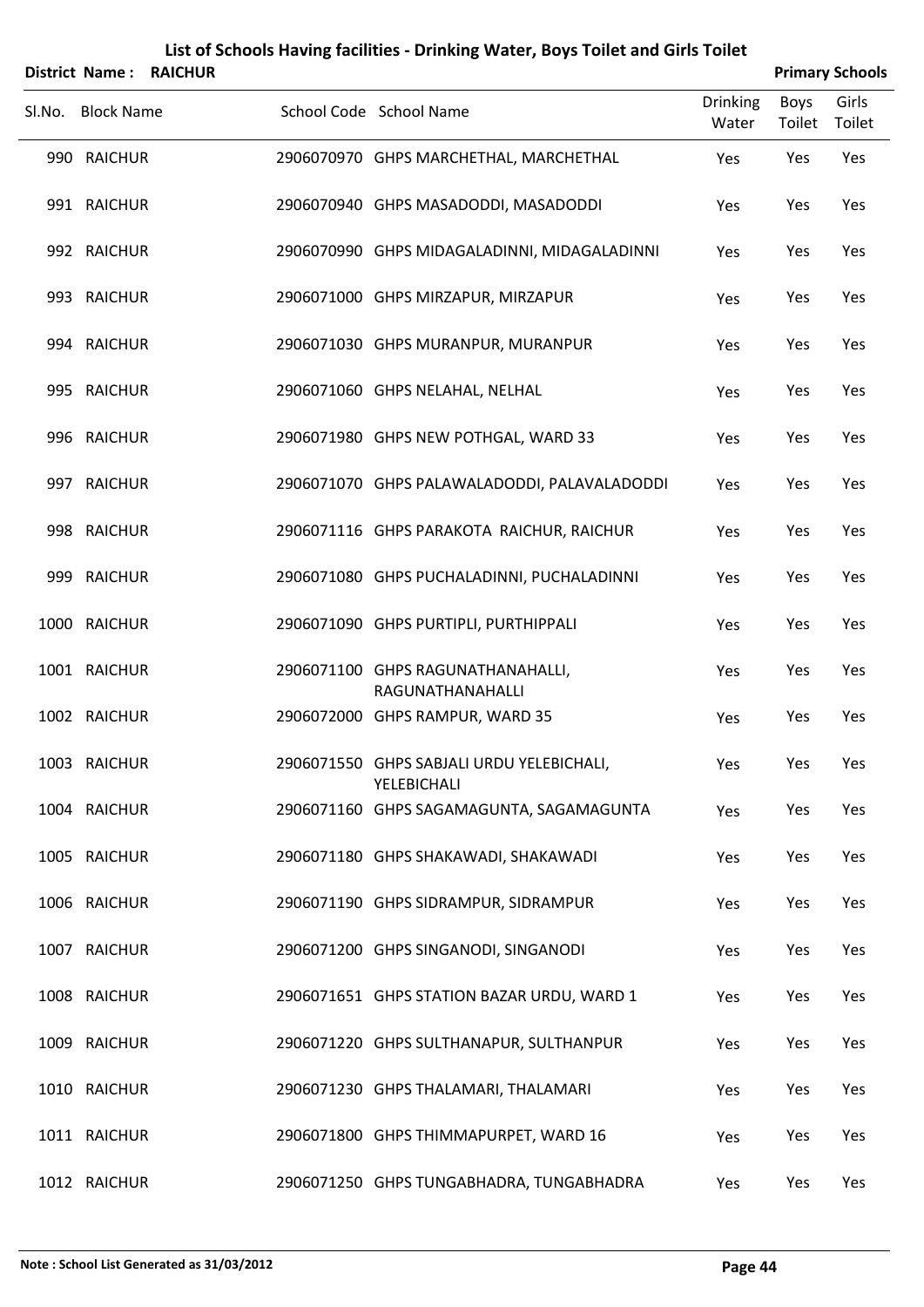|        | <b>District Name:</b> | <b>RAICHUR</b> |                                                          |                          |                | <b>Primary Schools</b> |
|--------|-----------------------|----------------|----------------------------------------------------------|--------------------------|----------------|------------------------|
| SI.No. | <b>Block Name</b>     |                | School Code School Name                                  | <b>Drinking</b><br>Water | Boys<br>Toilet | Girls<br>Toilet        |
|        | 990 RAICHUR           |                | 2906070970 GHPS MARCHETHAL, MARCHETHAL                   | Yes                      | Yes            | Yes                    |
|        | 991 RAICHUR           |                | 2906070940 GHPS MASADODDI, MASADODDI                     | Yes                      | Yes            | Yes                    |
|        | 992 RAICHUR           |                | 2906070990 GHPS MIDAGALADINNI, MIDAGALADINNI             | Yes                      | Yes            | Yes                    |
|        | 993 RAICHUR           |                | 2906071000 GHPS MIRZAPUR, MIRZAPUR                       | Yes                      | Yes            | Yes                    |
|        | 994 RAICHUR           |                | 2906071030 GHPS MURANPUR, MURANPUR                       | Yes                      | Yes            | Yes                    |
|        | 995 RAICHUR           |                | 2906071060 GHPS NELAHAL, NELHAL                          | Yes                      | Yes            | Yes                    |
|        | 996 RAICHUR           |                | 2906071980 GHPS NEW POTHGAL, WARD 33                     | Yes                      | Yes            | Yes                    |
|        | 997 RAICHUR           |                | 2906071070 GHPS PALAWALADODDI, PALAVALADODDI             | Yes                      | Yes            | Yes                    |
|        | 998 RAICHUR           |                | 2906071116 GHPS PARAKOTA RAICHUR, RAICHUR                | Yes                      | Yes            | Yes                    |
|        | 999 RAICHUR           |                | 2906071080 GHPS PUCHALADINNI, PUCHALADINNI               | Yes                      | Yes            | Yes                    |
|        | 1000 RAICHUR          |                | 2906071090 GHPS PURTIPLI, PURTHIPPALI                    | Yes                      | Yes            | Yes                    |
|        | 1001 RAICHUR          |                | 2906071100 GHPS RAGUNATHANAHALLI,<br>RAGUNATHANAHALLI    | Yes                      | Yes            | Yes                    |
|        | 1002 RAICHUR          |                | 2906072000 GHPS RAMPUR, WARD 35                          | Yes                      | Yes            | Yes                    |
|        | 1003 RAICHUR          |                | 2906071550 GHPS SABJALI URDU YELEBICHALI,<br>YELEBICHALI | Yes                      | Yes            | Yes                    |
|        | 1004 RAICHUR          |                | 2906071160 GHPS SAGAMAGUNTA, SAGAMAGUNTA                 | Yes                      | Yes            | Yes                    |
|        | 1005 RAICHUR          |                | 2906071180 GHPS SHAKAWADI, SHAKAWADI                     | Yes                      | Yes            | Yes                    |
|        | 1006 RAICHUR          |                | 2906071190 GHPS SIDRAMPUR, SIDRAMPUR                     | Yes                      | Yes            | Yes                    |
|        | 1007 RAICHUR          |                | 2906071200 GHPS SINGANODI, SINGANODI                     | Yes                      | Yes            | Yes                    |
|        | 1008 RAICHUR          |                | 2906071651 GHPS STATION BAZAR URDU, WARD 1               | Yes                      | Yes            | Yes                    |
|        | 1009 RAICHUR          |                | 2906071220 GHPS SULTHANAPUR, SULTHANPUR                  | Yes                      | Yes            | Yes                    |
|        | 1010 RAICHUR          |                | 2906071230 GHPS THALAMARI, THALAMARI                     | Yes                      | Yes            | Yes                    |
|        | 1011 RAICHUR          |                | 2906071800 GHPS THIMMAPURPET, WARD 16                    | Yes                      | Yes            | Yes                    |
|        | 1012 RAICHUR          |                | 2906071250 GHPS TUNGABHADRA, TUNGABHADRA                 | Yes                      | Yes            | Yes                    |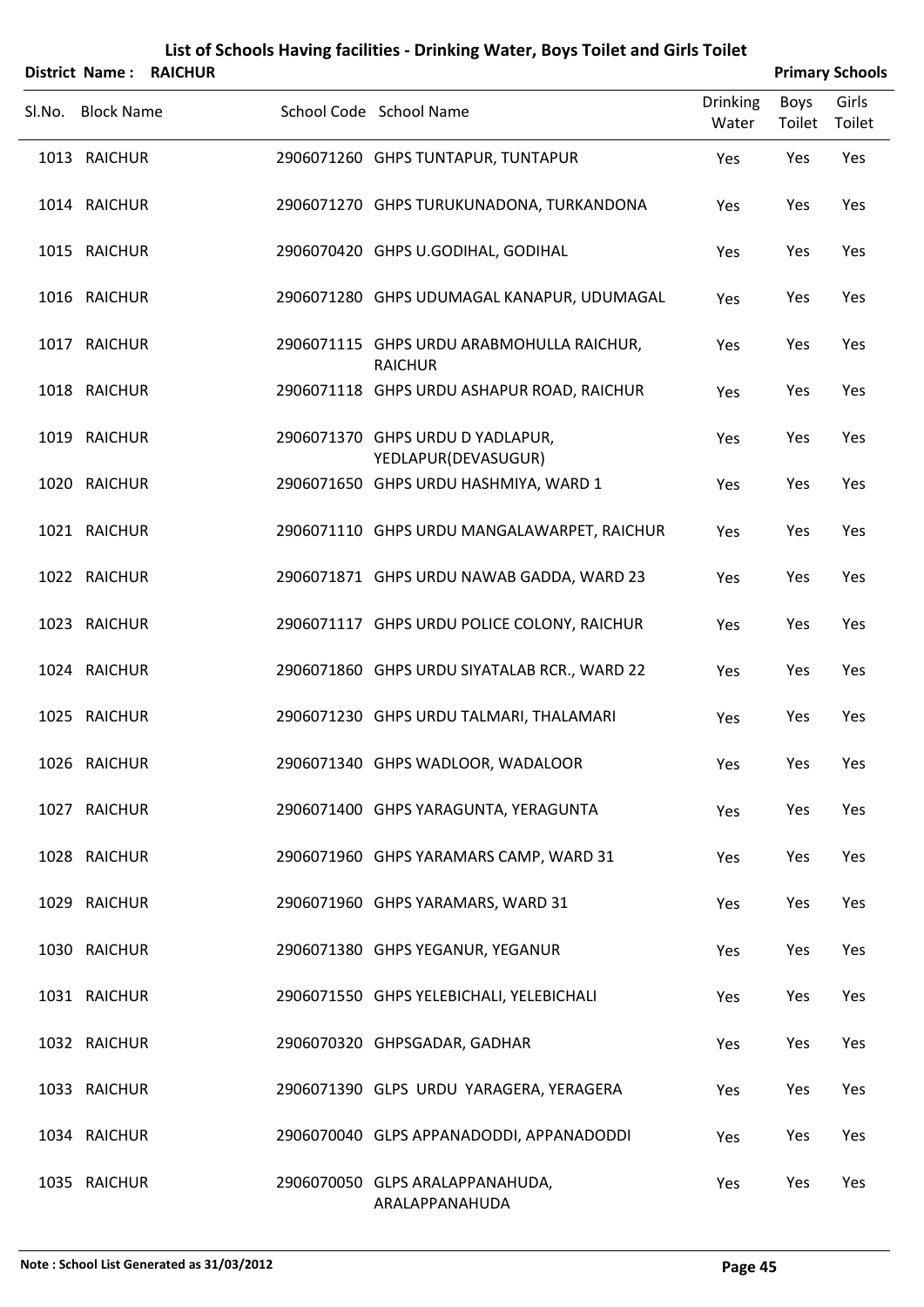|        |                   |                | List of Schools Having facilities - Drinking Water, Boys Toilet and Girls Toilet |                          |                       |                        |
|--------|-------------------|----------------|----------------------------------------------------------------------------------|--------------------------|-----------------------|------------------------|
|        | District Name:    | <b>RAICHUR</b> |                                                                                  |                          |                       | <b>Primary Schools</b> |
| Sl.No. | <b>Block Name</b> |                | School Code School Name                                                          | <b>Drinking</b><br>Water | <b>Boys</b><br>Toilet | Girls<br>Toilet        |
|        | 1013 RAICHUR      |                | 2906071260 GHPS TUNTAPUR, TUNTAPUR                                               | Yes                      | Yes                   | Yes                    |
|        | 1014 RAICHUR      |                | 2906071270 GHPS TURUKUNADONA, TURKANDONA                                         | Yes                      | Yes                   | Yes                    |
|        | 1015 RAICHUR      |                | 2906070420 GHPS U.GODIHAL, GODIHAL                                               | Yes                      | Yes                   | Yes                    |
|        | 1016 RAICHUR      |                | 2906071280 GHPS UDUMAGAL KANAPUR, UDUMAGAL                                       | Yes                      | Yes                   | Yes                    |
|        | 1017 RAICHUR      |                | 2906071115 GHPS URDU ARABMOHULLA RAICHUR,<br><b>RAICHUR</b>                      | Yes                      | Yes                   | Yes                    |
|        | 1018 RAICHUR      |                | 2906071118 GHPS URDU ASHAPUR ROAD, RAICHUR                                       | Yes                      | Yes                   | Yes                    |
|        | 1019 RAICHUR      |                | 2906071370 GHPS URDU D YADLAPUR,<br>YEDLAPUR(DEVASUGUR)                          | Yes                      | Yes                   | Yes                    |
|        | 1020 RAICHUR      |                | 2906071650 GHPS URDU HASHMIYA, WARD 1                                            | Yes                      | Yes                   | Yes                    |
|        | 1021 RAICHUR      |                | 2906071110 GHPS URDU MANGALAWARPET, RAICHUR                                      | Yes                      | Yes                   | Yes                    |
|        | 1022 RAICHUR      |                | 2906071871 GHPS URDU NAWAB GADDA, WARD 23                                        | Yes                      | Yes                   | Yes                    |
|        | 1023 RAICHUR      |                | 2906071117 GHPS URDU POLICE COLONY, RAICHUR                                      | Yes                      | Yes                   | Yes                    |
|        | 1024 RAICHUR      |                | 2906071860 GHPS URDU SIYATALAB RCR., WARD 22                                     | Yes                      | Yes                   | Yes                    |
|        | 1025 RAICHUR      |                | 2906071230 GHPS URDU TALMARI, THALAMARI                                          | Yes                      | Yes                   | Yes                    |
|        | 1026 RAICHUR      |                | 2906071340 GHPS WADLOOR, WADALOOR                                                | Yes                      | Yes                   | Yes                    |
|        | 1027 RAICHUR      |                | 2906071400 GHPS YARAGUNTA, YERAGUNTA                                             | Yes                      | Yes                   | Yes                    |
|        | 1028 RAICHUR      |                | 2906071960 GHPS YARAMARS CAMP, WARD 31                                           | Yes                      | Yes                   | Yes                    |
|        | 1029 RAICHUR      |                | 2906071960 GHPS YARAMARS, WARD 31                                                | Yes                      | Yes                   | Yes                    |
|        | 1030 RAICHUR      |                | 2906071380 GHPS YEGANUR, YEGANUR                                                 | Yes                      | Yes                   | Yes                    |
|        | 1031 RAICHUR      |                | 2906071550 GHPS YELEBICHALI, YELEBICHALI                                         | Yes                      | Yes                   | Yes                    |
|        | 1032 RAICHUR      |                | 2906070320 GHPSGADAR, GADHAR                                                     | Yes                      | Yes                   | Yes                    |
|        | 1033 RAICHUR      |                | 2906071390 GLPS URDU YARAGERA, YERAGERA                                          | Yes                      | Yes                   | Yes                    |
|        | 1034 RAICHUR      |                | 2906070040 GLPS APPANADODDI, APPANADODDI                                         | Yes                      | Yes                   | Yes                    |
|        |                   |                |                                                                                  |                          |                       |                        |

RAICHUR 2906070050 GLPS ARALAPPANAHUDA, Yes Yes Yes ARALAPPANAHUDA

l.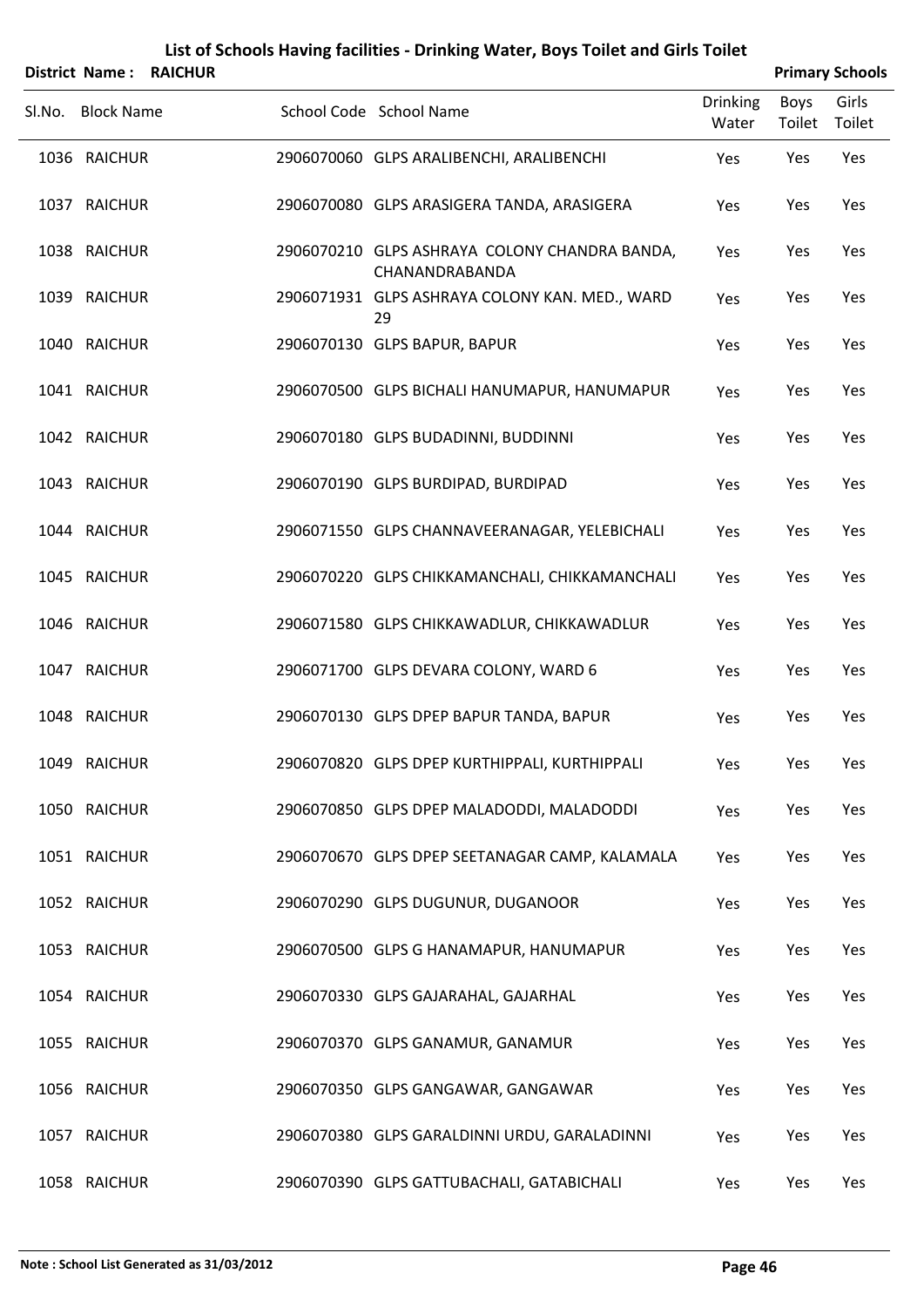|        | <b>District Name:</b> | <b>RAICHUR</b> |                                                                 |                          |                | <b>Primary Schools</b> |
|--------|-----------------------|----------------|-----------------------------------------------------------------|--------------------------|----------------|------------------------|
| Sl.No. | <b>Block Name</b>     |                | School Code School Name                                         | <b>Drinking</b><br>Water | Boys<br>Toilet | Girls<br>Toilet        |
|        | 1036 RAICHUR          |                | 2906070060 GLPS ARALIBENCHI, ARALIBENCHI                        | Yes                      | Yes            | Yes                    |
|        | 1037 RAICHUR          |                | 2906070080 GLPS ARASIGERA TANDA, ARASIGERA                      | Yes                      | Yes            | Yes                    |
|        | 1038 RAICHUR          |                | 2906070210 GLPS ASHRAYA COLONY CHANDRA BANDA,<br>CHANANDRABANDA | Yes                      | Yes            | Yes                    |
|        | 1039 RAICHUR          |                | 2906071931 GLPS ASHRAYA COLONY KAN. MED., WARD<br>29            | Yes                      | Yes            | Yes                    |
|        | 1040 RAICHUR          |                | 2906070130 GLPS BAPUR, BAPUR                                    | Yes                      | Yes            | Yes                    |
|        | 1041 RAICHUR          |                | 2906070500 GLPS BICHALI HANUMAPUR, HANUMAPUR                    | Yes                      | Yes            | Yes                    |
|        | 1042 RAICHUR          |                | 2906070180 GLPS BUDADINNI, BUDDINNI                             | Yes                      | Yes            | Yes                    |
|        | 1043 RAICHUR          |                | 2906070190 GLPS BURDIPAD, BURDIPAD                              | Yes                      | Yes            | Yes                    |
|        | 1044 RAICHUR          |                | 2906071550 GLPS CHANNAVEERANAGAR, YELEBICHALI                   | Yes                      | Yes            | Yes                    |
|        | 1045 RAICHUR          |                | 2906070220 GLPS CHIKKAMANCHALI, CHIKKAMANCHALI                  | Yes                      | Yes            | Yes                    |
|        | 1046 RAICHUR          |                | 2906071580 GLPS CHIKKAWADLUR, CHIKKAWADLUR                      | Yes                      | Yes            | Yes                    |
|        | 1047 RAICHUR          |                | 2906071700 GLPS DEVARA COLONY, WARD 6                           | Yes                      | Yes            | Yes                    |
|        | 1048 RAICHUR          |                | 2906070130 GLPS DPEP BAPUR TANDA, BAPUR                         | Yes                      | Yes            | Yes                    |
|        | 1049 RAICHUR          |                | 2906070820 GLPS DPEP KURTHIPPALI, KURTHIPPALI                   | Yes                      | Yes            | Yes                    |
|        | 1050 RAICHUR          |                | 2906070850 GLPS DPEP MALADODDI, MALADODDI                       | Yes                      | Yes            | Yes                    |
|        | 1051 RAICHUR          |                | 2906070670 GLPS DPEP SEETANAGAR CAMP, KALAMALA                  | Yes                      | Yes            | Yes                    |
|        | 1052 RAICHUR          |                | 2906070290 GLPS DUGUNUR, DUGANOOR                               | Yes                      | Yes            | Yes                    |
|        | 1053 RAICHUR          |                | 2906070500 GLPS G HANAMAPUR, HANUMAPUR                          | Yes                      | Yes            | Yes                    |
|        | 1054 RAICHUR          |                | 2906070330 GLPS GAJARAHAL, GAJARHAL                             | Yes                      | Yes            | Yes                    |
|        | 1055 RAICHUR          |                | 2906070370 GLPS GANAMUR, GANAMUR                                | Yes                      | Yes            | Yes                    |
|        | 1056 RAICHUR          |                | 2906070350 GLPS GANGAWAR, GANGAWAR                              | Yes                      | Yes            | Yes                    |
|        | 1057 RAICHUR          |                | 2906070380 GLPS GARALDINNI URDU, GARALADINNI                    | Yes                      | Yes            | Yes                    |
|        | 1058 RAICHUR          |                | 2906070390 GLPS GATTUBACHALI, GATABICHALI                       | Yes                      | Yes            | Yes                    |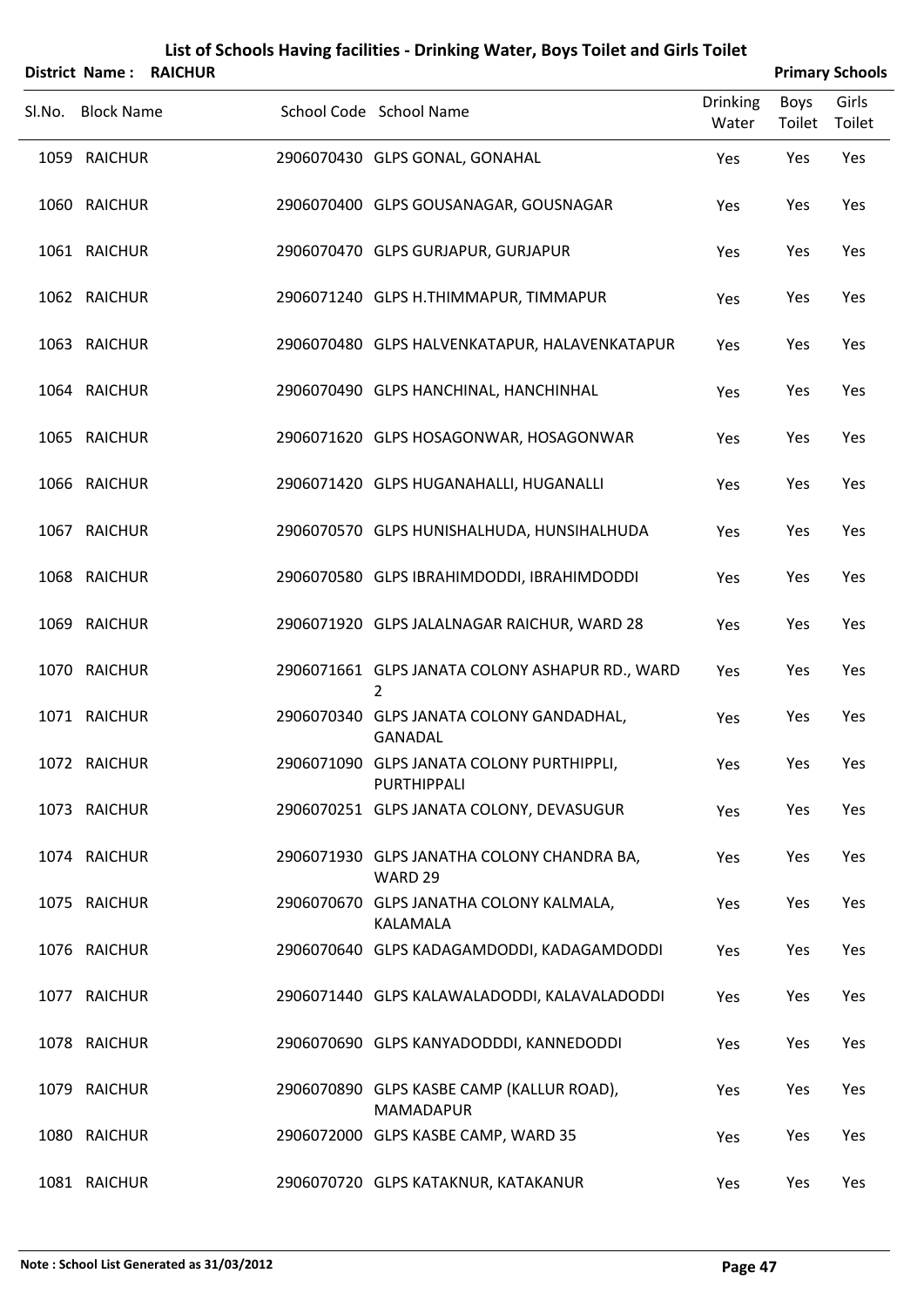|        |                   | District Name: RAICHUR |                                                               |                          |                       | <b>Primary Schools</b> |
|--------|-------------------|------------------------|---------------------------------------------------------------|--------------------------|-----------------------|------------------------|
| SI.No. | <b>Block Name</b> |                        | School Code School Name                                       | <b>Drinking</b><br>Water | <b>Boys</b><br>Toilet | Girls<br>Toilet        |
|        | 1059 RAICHUR      |                        | 2906070430 GLPS GONAL, GONAHAL                                | Yes                      | Yes                   | Yes                    |
|        | 1060 RAICHUR      |                        | 2906070400 GLPS GOUSANAGAR, GOUSNAGAR                         | Yes                      | Yes                   | Yes                    |
|        | 1061 RAICHUR      |                        | 2906070470 GLPS GURJAPUR, GURJAPUR                            | Yes                      | Yes                   | Yes                    |
|        | 1062 RAICHUR      |                        | 2906071240 GLPS H.THIMMAPUR, TIMMAPUR                         | Yes                      | Yes                   | Yes                    |
|        | 1063 RAICHUR      |                        | 2906070480 GLPS HALVENKATAPUR, HALAVENKATAPUR                 | Yes                      | Yes                   | Yes                    |
|        | 1064 RAICHUR      |                        | 2906070490 GLPS HANCHINAL, HANCHINHAL                         | Yes                      | Yes                   | Yes                    |
|        | 1065 RAICHUR      |                        | 2906071620 GLPS HOSAGONWAR, HOSAGONWAR                        | Yes                      | Yes                   | Yes                    |
|        | 1066 RAICHUR      |                        | 2906071420 GLPS HUGANAHALLI, HUGANALLI                        | Yes                      | Yes                   | Yes                    |
|        | 1067 RAICHUR      |                        | 2906070570 GLPS HUNISHALHUDA, HUNSIHALHUDA                    | Yes                      | Yes                   | Yes                    |
|        | 1068 RAICHUR      |                        | 2906070580 GLPS IBRAHIMDODDI, IBRAHIMDODDI                    | Yes                      | Yes                   | Yes                    |
|        | 1069 RAICHUR      |                        | 2906071920 GLPS JALALNAGAR RAICHUR, WARD 28                   | Yes                      | Yes                   | Yes                    |
|        | 1070 RAICHUR      |                        | 2906071661 GLPS JANATA COLONY ASHAPUR RD., WARD<br>2          | Yes                      | Yes                   | Yes                    |
|        | 1071 RAICHUR      |                        | 2906070340 GLPS JANATA COLONY GANDADHAL,<br><b>GANADAL</b>    | Yes                      | Yes                   | Yes                    |
|        | 1072 RAICHUR      |                        | 2906071090 GLPS JANATA COLONY PURTHIPPLI,<br>PURTHIPPALI      | Yes                      | Yes                   | Yes                    |
|        | 1073 RAICHUR      |                        | 2906070251 GLPS JANATA COLONY, DEVASUGUR                      | Yes                      | Yes                   | Yes                    |
|        | 1074 RAICHUR      |                        | 2906071930 GLPS JANATHA COLONY CHANDRA BA,<br>WARD 29         | Yes                      | Yes                   | Yes                    |
|        | 1075 RAICHUR      |                        | 2906070670 GLPS JANATHA COLONY KALMALA,<br>KALAMALA           | Yes                      | Yes                   | Yes                    |
|        | 1076 RAICHUR      |                        | 2906070640 GLPS KADAGAMDODDI, KADAGAMDODDI                    | Yes                      | Yes                   | Yes                    |
|        | 1077 RAICHUR      |                        | 2906071440 GLPS KALAWALADODDI, KALAVALADODDI                  | Yes                      | Yes                   | Yes                    |
|        | 1078 RAICHUR      |                        | 2906070690 GLPS KANYADODDDI, KANNEDODDI                       | Yes                      | Yes                   | Yes                    |
|        | 1079 RAICHUR      |                        | 2906070890 GLPS KASBE CAMP (KALLUR ROAD),<br><b>MAMADAPUR</b> | Yes                      | Yes                   | Yes                    |
|        | 1080 RAICHUR      |                        | 2906072000 GLPS KASBE CAMP, WARD 35                           | Yes                      | Yes                   | Yes                    |
|        | 1081 RAICHUR      |                        | 2906070720 GLPS KATAKNUR, KATAKANUR                           | Yes                      | Yes                   | Yes                    |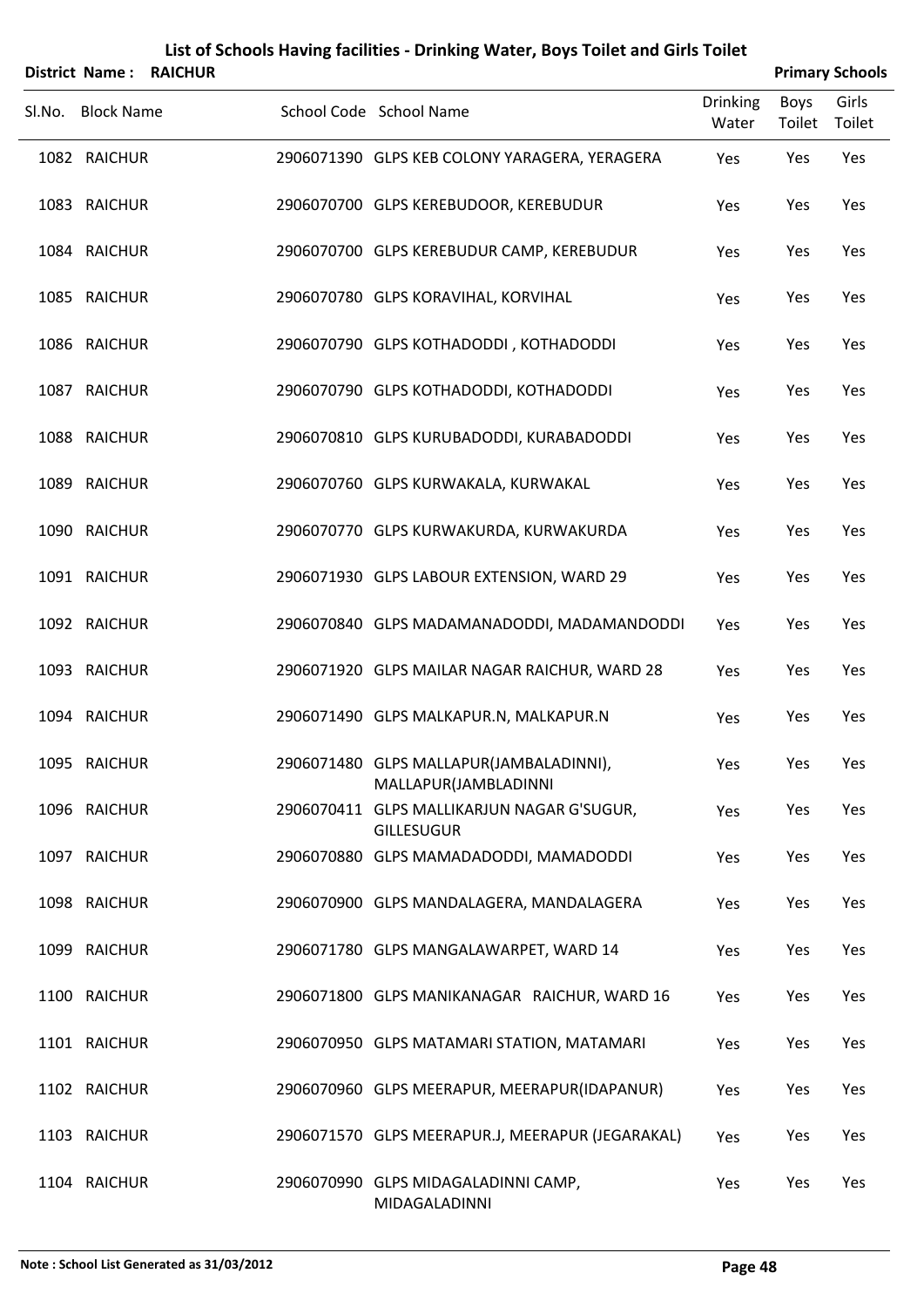| District Name:    | <b>RAICHUR</b> | List of Schools Having facilities - Drinking Water, Boys Toilet and Girls Toilet |                          |                       | <b>Primary Schools</b> |
|-------------------|----------------|----------------------------------------------------------------------------------|--------------------------|-----------------------|------------------------|
| Sl.No. Block Name |                | School Code School Name                                                          | <b>Drinking</b><br>Water | <b>Boys</b><br>Toilet | Girls<br>Toilet        |
| 1082 RAICHUR      |                | 2906071390 GLPS KEB COLONY YARAGERA, YERAGERA                                    | Yes                      | Yes                   | Yes                    |
| 1083 RAICHUR      |                | 2906070700 GLPS KEREBUDOOR, KEREBUDUR                                            | Yes                      | Yes                   | Yes                    |
| 1084 RAICHUR      |                | 2906070700 GLPS KEREBUDUR CAMP, KEREBUDUR                                        | Yes                      | Yes                   | Yes                    |
| 1085 RAICHUR      |                | 2906070780 GLPS KORAVIHAL, KORVIHAL                                              | Yes                      | Yes                   | Yes                    |
| 1086 RAICHUR      |                | 2906070790 GLPS KOTHADODDI, KOTHADODDI                                           | Yes                      | Yes                   | Yes                    |
| 1087 RAICHUR      |                | 2906070790 GLPS KOTHADODDI, KOTHADODDI                                           | Yes                      | Yes                   | Yes                    |
| 1088 RAICHUR      |                | 2906070810 GLPS KURUBADODDI, KURABADODDI                                         | Yes                      | Yes                   | Yes                    |
| 1089 RAICHUR      |                | 2906070760 GLPS KURWAKALA, KURWAKAL                                              | Yes                      | Yes                   | Yes                    |
| 1090 RAICHUR      |                | 2906070770 GLPS KURWAKURDA, KURWAKURDA                                           | Yes                      | Yes                   | Yes                    |
| 1091 RAICHUR      |                | 2906071930 GLPS LABOUR EXTENSION, WARD 29                                        | Yes                      | Yes                   | Yes                    |
| 1092 RAICHUR      |                | 2906070840 GLPS MADAMANADODDI, MADAMANDODDI                                      | Yes                      | Yes                   | Yes                    |
| 1093 RAICHUR      |                | 2906071920 GLPS MAILAR NAGAR RAICHUR, WARD 28                                    | Yes                      | Yes                   | Yes                    |
| 1094 RAICHUR      |                | 2906071490 GLPS MALKAPUR.N, MALKAPUR.N                                           | Yes                      | Yes                   | Yes                    |
| 1095 RAICHUR      |                | 2906071480 GLPS MALLAPUR(JAMBALADINNI),<br>MALLAPUR(JAMBLADINNI                  | Yes                      | Yes                   | Yes                    |
| 1096 RAICHUR      |                | 2906070411 GLPS MALLIKARJUN NAGAR G'SUGUR,<br><b>GILLESUGUR</b>                  | Yes                      | Yes                   | Yes                    |
| 1097 RAICHUR      |                | 2906070880 GLPS MAMADADODDI, MAMADODDI                                           | Yes                      | Yes                   | Yes                    |
| 1098 RAICHUR      |                | 2906070900 GLPS MANDALAGERA, MANDALAGERA                                         | Yes                      | Yes                   | Yes                    |
| 1099 RAICHUR      |                | 2906071780 GLPS MANGALAWARPET, WARD 14                                           | Yes                      | Yes                   | Yes                    |
| 1100 RAICHUR      |                | 2906071800 GLPS MANIKANAGAR RAICHUR, WARD 16                                     | Yes                      | Yes                   | Yes                    |
| 1101 RAICHUR      |                | 2906070950 GLPS MATAMARI STATION, MATAMARI                                       | Yes                      | Yes                   | Yes                    |
| 1102 RAICHUR      |                | 2906070960 GLPS MEERAPUR, MEERAPUR(IDAPANUR)                                     | Yes                      | Yes                   | Yes                    |
| 1103 RAICHUR      |                | 2906071570 GLPS MEERAPUR.J, MEERAPUR (JEGARAKAL)                                 | Yes                      | Yes                   | Yes                    |
| 1104 RAICHUR      |                | 2906070990 GLPS MIDAGALADINNI CAMP,<br>MIDAGALADINNI                             | Yes                      | Yes                   | Yes                    |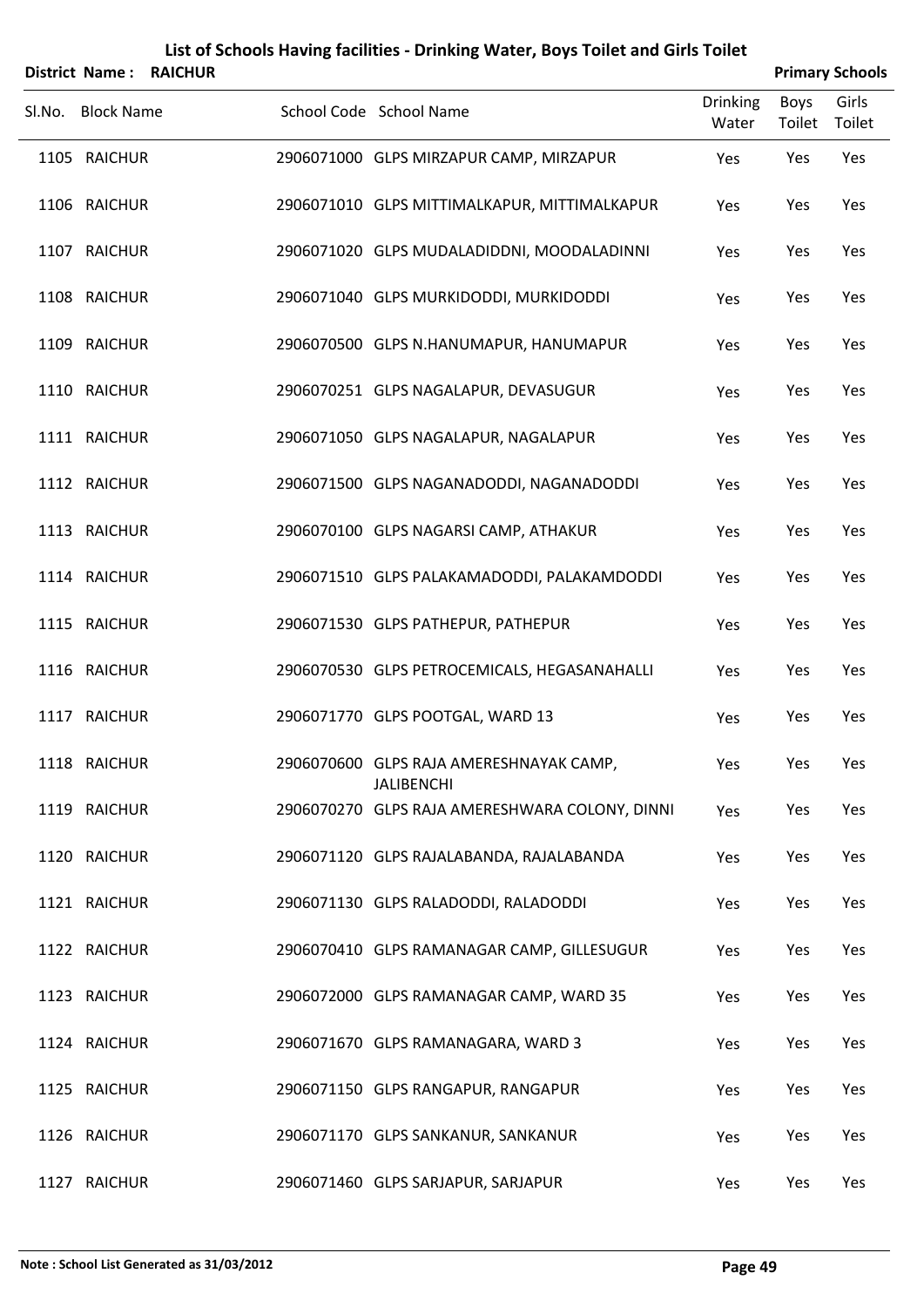|        | <b>District Name:</b> | <b>RAICHUR</b> |                                                              |                          |                | <b>Primary Schools</b> |
|--------|-----------------------|----------------|--------------------------------------------------------------|--------------------------|----------------|------------------------|
| Sl.No. | <b>Block Name</b>     |                | School Code School Name                                      | <b>Drinking</b><br>Water | Boys<br>Toilet | Girls<br>Toilet        |
|        | 1105 RAICHUR          |                | 2906071000 GLPS MIRZAPUR CAMP, MIRZAPUR                      | Yes                      | Yes            | Yes                    |
|        | 1106 RAICHUR          |                | 2906071010 GLPS MITTIMALKAPUR, MITTIMALKAPUR                 | Yes                      | Yes            | Yes                    |
|        | 1107 RAICHUR          |                | 2906071020 GLPS MUDALADIDDNI, MOODALADINNI                   | Yes                      | Yes            | Yes                    |
|        | 1108 RAICHUR          |                | 2906071040 GLPS MURKIDODDI, MURKIDODDI                       | Yes                      | Yes            | Yes                    |
|        | 1109 RAICHUR          |                | 2906070500 GLPS N.HANUMAPUR, HANUMAPUR                       | Yes                      | Yes            | Yes                    |
|        | 1110 RAICHUR          |                | 2906070251 GLPS NAGALAPUR, DEVASUGUR                         | Yes                      | Yes            | Yes                    |
|        | 1111 RAICHUR          |                | 2906071050 GLPS NAGALAPUR, NAGALAPUR                         | Yes                      | Yes            | Yes                    |
|        | 1112 RAICHUR          |                | 2906071500 GLPS NAGANADODDI, NAGANADODDI                     | Yes                      | Yes            | Yes                    |
|        | 1113 RAICHUR          |                | 2906070100 GLPS NAGARSI CAMP, ATHAKUR                        | Yes                      | Yes            | Yes                    |
|        | 1114 RAICHUR          |                | 2906071510 GLPS PALAKAMADODDI, PALAKAMDODDI                  | Yes                      | Yes            | Yes                    |
|        | 1115 RAICHUR          |                | 2906071530 GLPS PATHEPUR, PATHEPUR                           | Yes                      | Yes            | Yes                    |
|        | 1116 RAICHUR          |                | 2906070530 GLPS PETROCEMICALS, HEGASANAHALLI                 | Yes                      | Yes            | Yes                    |
|        | 1117 RAICHUR          |                | 2906071770 GLPS POOTGAL, WARD 13                             | Yes                      | Yes            | Yes                    |
|        | 1118 RAICHUR          |                | 2906070600 GLPS RAJA AMERESHNAYAK CAMP,<br><b>JALIBENCHI</b> | Yes                      | Yes            | Yes                    |
|        | 1119 RAICHUR          |                | 2906070270 GLPS RAJA AMERESHWARA COLONY, DINNI               | Yes                      | Yes            | Yes                    |
|        | 1120 RAICHUR          |                | 2906071120 GLPS RAJALABANDA, RAJALABANDA                     | Yes                      | Yes            | Yes                    |
|        | 1121 RAICHUR          |                | 2906071130 GLPS RALADODDI, RALADODDI                         | Yes                      | Yes            | Yes                    |
|        | 1122 RAICHUR          |                | 2906070410 GLPS RAMANAGAR CAMP, GILLESUGUR                   | Yes                      | Yes            | Yes                    |
|        | 1123 RAICHUR          |                | 2906072000 GLPS RAMANAGAR CAMP, WARD 35                      | Yes                      | Yes            | Yes                    |
|        | 1124 RAICHUR          |                | 2906071670 GLPS RAMANAGARA, WARD 3                           | Yes                      | Yes            | Yes                    |
|        | 1125 RAICHUR          |                | 2906071150 GLPS RANGAPUR, RANGAPUR                           | Yes                      | Yes            | Yes                    |
|        | 1126 RAICHUR          |                | 2906071170 GLPS SANKANUR, SANKANUR                           | Yes                      | Yes            | Yes                    |
|        | 1127 RAICHUR          |                | 2906071460 GLPS SARJAPUR, SARJAPUR                           | Yes                      | Yes            | Yes                    |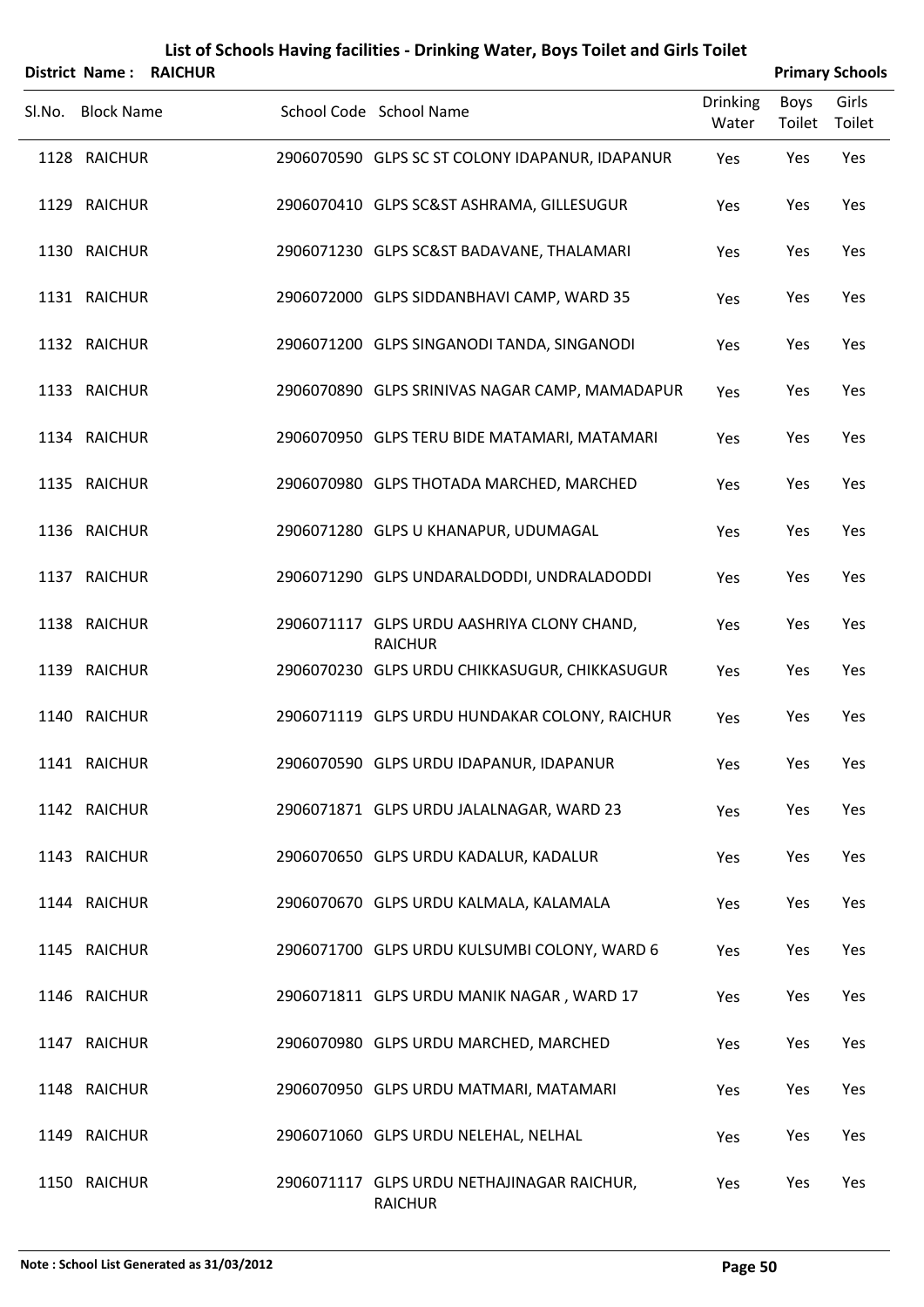| District Name:    | <b>RAICHUR</b> | List of Schools Having facilities - Drinking Water, Boys Toilet and Girls Toilet |                          |                       | <b>Primary Schools</b> |
|-------------------|----------------|----------------------------------------------------------------------------------|--------------------------|-----------------------|------------------------|
| Sl.No. Block Name |                | School Code School Name                                                          | <b>Drinking</b><br>Water | <b>Boys</b><br>Toilet | Girls<br>Toilet        |
| 1128 RAICHUR      |                | 2906070590 GLPS SC ST COLONY IDAPANUR, IDAPANUR                                  | Yes                      | Yes                   | Yes                    |
| 1129 RAICHUR      |                | 2906070410 GLPS SC&ST ASHRAMA, GILLESUGUR                                        | Yes                      | Yes                   | Yes                    |
| 1130 RAICHUR      |                | 2906071230 GLPS SC&ST BADAVANE, THALAMARI                                        | Yes                      | Yes                   | Yes                    |
| 1131 RAICHUR      |                | 2906072000 GLPS SIDDANBHAVI CAMP, WARD 35                                        | Yes                      | Yes                   | Yes                    |
| 1132 RAICHUR      |                | 2906071200 GLPS SINGANODI TANDA, SINGANODI                                       | Yes                      | Yes                   | Yes                    |
| 1133 RAICHUR      |                | 2906070890 GLPS SRINIVAS NAGAR CAMP, MAMADAPUR                                   | Yes                      | Yes                   | Yes                    |
| 1134 RAICHUR      |                | 2906070950 GLPS TERU BIDE MATAMARI, MATAMARI                                     | Yes                      | Yes                   | Yes                    |
| 1135 RAICHUR      |                | 2906070980 GLPS THOTADA MARCHED, MARCHED                                         | Yes                      | Yes                   | Yes                    |
| 1136 RAICHUR      |                | 2906071280 GLPS U KHANAPUR, UDUMAGAL                                             | Yes                      | Yes                   | Yes                    |
| 1137 RAICHUR      |                | 2906071290 GLPS UNDARALDODDI, UNDRALADODDI                                       | Yes                      | Yes                   | Yes                    |
| 1138 RAICHUR      |                | 2906071117 GLPS URDU AASHRIYA CLONY CHAND,<br><b>RAICHUR</b>                     | Yes                      | Yes                   | Yes                    |
| 1139 RAICHUR      |                | 2906070230 GLPS URDU CHIKKASUGUR, CHIKKASUGUR                                    | Yes                      | Yes                   | Yes                    |
| 1140 RAICHUR      |                | 2906071119 GLPS URDU HUNDAKAR COLONY, RAICHUR                                    | Yes                      | Yes                   | Yes                    |
| 1141 RAICHUR      |                | 2906070590 GLPS URDU IDAPANUR, IDAPANUR                                          | Yes                      | Yes                   | Yes                    |
| 1142 RAICHUR      |                | 2906071871 GLPS URDU JALALNAGAR, WARD 23                                         | Yes                      | Yes                   | Yes                    |
| 1143 RAICHUR      |                | 2906070650 GLPS URDU KADALUR, KADALUR                                            | Yes                      | Yes                   | Yes                    |
| 1144 RAICHUR      |                | 2906070670 GLPS URDU KALMALA, KALAMALA                                           | Yes                      | Yes                   | Yes                    |
| 1145 RAICHUR      |                | 2906071700 GLPS URDU KULSUMBI COLONY, WARD 6                                     | Yes                      | Yes                   | Yes                    |
| 1146 RAICHUR      |                | 2906071811 GLPS URDU MANIK NAGAR, WARD 17                                        | Yes                      | Yes                   | Yes                    |
| 1147 RAICHUR      |                | 2906070980 GLPS URDU MARCHED, MARCHED                                            | Yes                      | Yes                   | Yes                    |
| 1148 RAICHUR      |                | 2906070950 GLPS URDU MATMARI, MATAMARI                                           | Yes                      | Yes                   | Yes                    |
| 1149 RAICHUR      |                | 2906071060 GLPS URDU NELEHAL, NELHAL                                             | Yes                      | Yes                   | Yes                    |
| 1150 RAICHUR      |                | 2906071117 GLPS URDU NETHAJINAGAR RAICHUR,<br><b>RAICHUR</b>                     | Yes                      | Yes                   | Yes                    |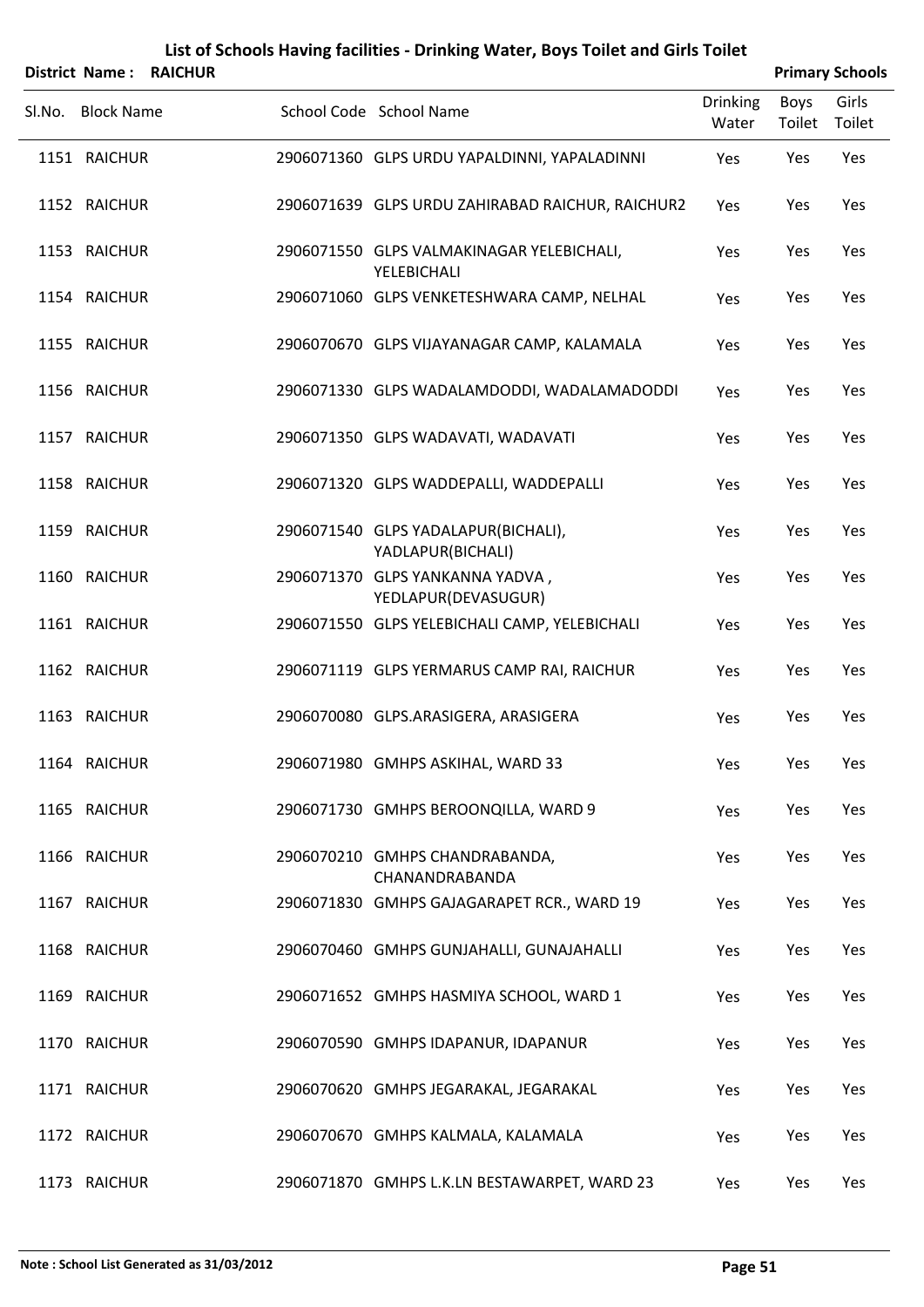|        | District Name:    | <b>RAICHUR</b> |                                                          |                          |                | <b>Primary Schools</b> |
|--------|-------------------|----------------|----------------------------------------------------------|--------------------------|----------------|------------------------|
| SI.No. | <b>Block Name</b> |                | School Code School Name                                  | <b>Drinking</b><br>Water | Boys<br>Toilet | Girls<br>Toilet        |
|        | 1151 RAICHUR      |                | 2906071360 GLPS URDU YAPALDINNI, YAPALADINNI             | Yes                      | Yes            | Yes                    |
|        | 1152 RAICHUR      |                | 2906071639 GLPS URDU ZAHIRABAD RAICHUR, RAICHUR2         | Yes                      | Yes            | Yes                    |
|        | 1153 RAICHUR      |                | 2906071550 GLPS VALMAKINAGAR YELEBICHALI,<br>YELEBICHALI | Yes                      | Yes            | Yes                    |
|        | 1154 RAICHUR      |                | 2906071060 GLPS VENKETESHWARA CAMP, NELHAL               | Yes                      | Yes            | Yes                    |
|        | 1155 RAICHUR      |                | 2906070670 GLPS VIJAYANAGAR CAMP, KALAMALA               | Yes                      | Yes            | Yes                    |
|        | 1156 RAICHUR      |                | 2906071330 GLPS WADALAMDODDI, WADALAMADODDI              | Yes                      | Yes            | Yes                    |
|        | 1157 RAICHUR      |                | 2906071350 GLPS WADAVATI, WADAVATI                       | Yes                      | Yes            | Yes                    |
|        | 1158 RAICHUR      |                | 2906071320 GLPS WADDEPALLI, WADDEPALLI                   | Yes                      | Yes            | Yes                    |
|        | 1159 RAICHUR      |                | 2906071540 GLPS YADALAPUR(BICHALI),<br>YADLAPUR(BICHALI) | Yes                      | Yes            | Yes                    |
|        | 1160 RAICHUR      |                | 2906071370 GLPS YANKANNA YADVA,<br>YEDLAPUR(DEVASUGUR)   | Yes                      | Yes            | Yes                    |
|        | 1161 RAICHUR      |                | 2906071550 GLPS YELEBICHALI CAMP, YELEBICHALI            | Yes                      | Yes            | Yes                    |
|        | 1162 RAICHUR      |                | 2906071119 GLPS YERMARUS CAMP RAI, RAICHUR               | Yes                      | Yes            | Yes                    |
|        | 1163 RAICHUR      |                | 2906070080 GLPS.ARASIGERA, ARASIGERA                     | Yes                      | Yes            | Yes                    |
|        | 1164 RAICHUR      |                | 2906071980 GMHPS ASKIHAL, WARD 33                        | Yes                      | Yes            | Yes                    |
|        | 1165 RAICHUR      |                | 2906071730 GMHPS BEROONQILLA, WARD 9                     | Yes                      | Yes            | Yes                    |
|        | 1166 RAICHUR      |                | 2906070210 GMHPS CHANDRABANDA,<br>CHANANDRABANDA         | Yes                      | Yes            | Yes                    |
|        | 1167 RAICHUR      |                | 2906071830 GMHPS GAJAGARAPET RCR., WARD 19               | Yes                      | Yes            | Yes                    |
|        | 1168 RAICHUR      |                | 2906070460 GMHPS GUNJAHALLI, GUNAJAHALLI                 | Yes                      | Yes            | Yes                    |
|        | 1169 RAICHUR      |                | 2906071652 GMHPS HASMIYA SCHOOL, WARD 1                  | Yes                      | Yes            | Yes                    |
|        | 1170 RAICHUR      |                | 2906070590 GMHPS IDAPANUR, IDAPANUR                      | Yes                      | Yes            | Yes                    |
|        | 1171 RAICHUR      |                | 2906070620 GMHPS JEGARAKAL, JEGARAKAL                    | Yes                      | Yes            | Yes                    |
|        | 1172 RAICHUR      |                | 2906070670 GMHPS KALMALA, KALAMALA                       | Yes                      | Yes            | Yes                    |
|        | 1173 RAICHUR      |                | 2906071870 GMHPS L.K.LN BESTAWARPET, WARD 23             | Yes                      | Yes            | Yes                    |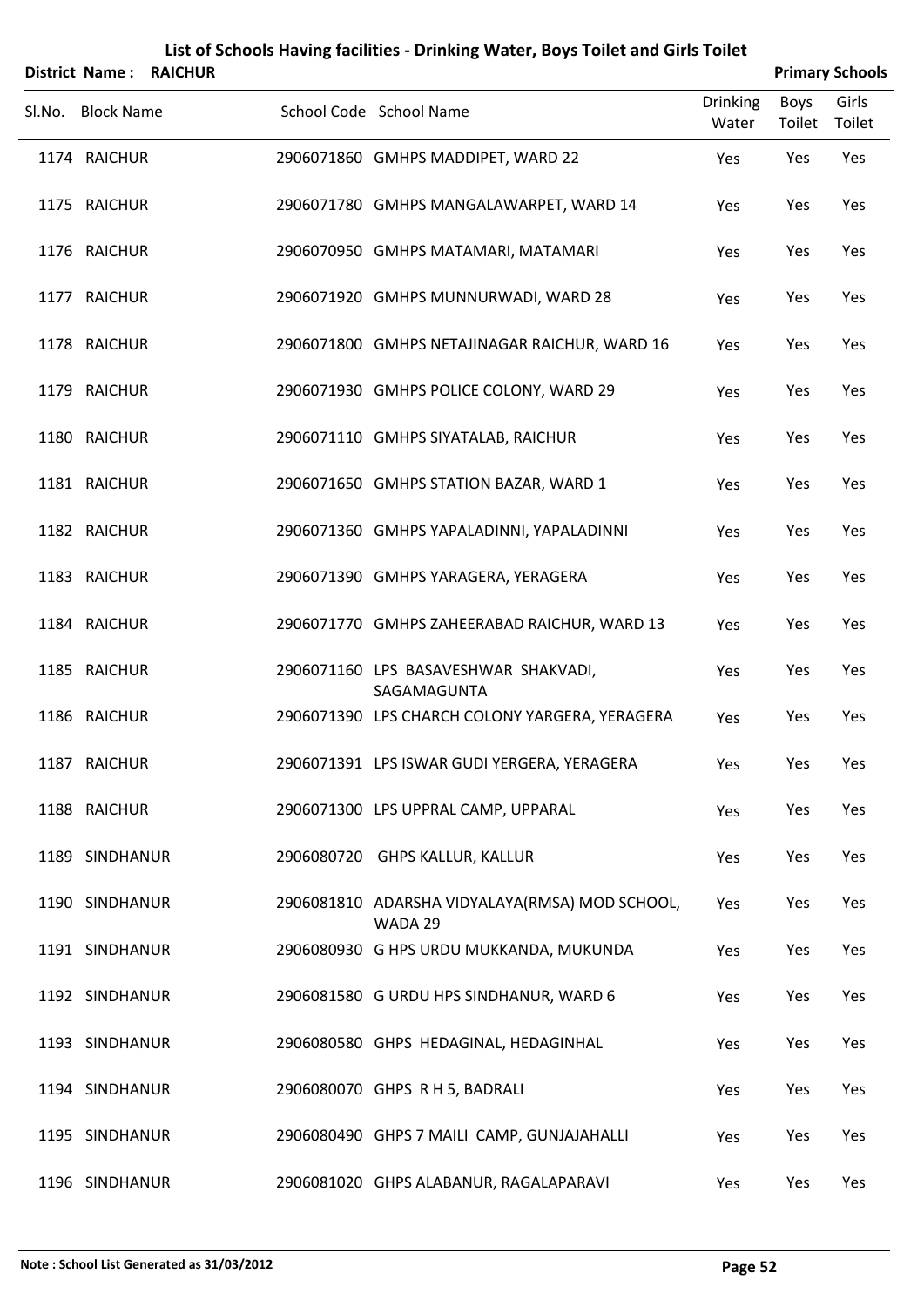|        |                   | <b>District Name: RAICHUR</b> |                                                           |                          |                | <b>Primary Schools</b> |
|--------|-------------------|-------------------------------|-----------------------------------------------------------|--------------------------|----------------|------------------------|
| Sl.No. | <b>Block Name</b> |                               | School Code School Name                                   | <b>Drinking</b><br>Water | Boys<br>Toilet | Girls<br>Toilet        |
|        | 1174 RAICHUR      |                               | 2906071860 GMHPS MADDIPET, WARD 22                        | Yes                      | Yes            | Yes                    |
|        | 1175 RAICHUR      |                               | 2906071780 GMHPS MANGALAWARPET, WARD 14                   | Yes                      | Yes            | Yes                    |
|        | 1176 RAICHUR      |                               | 2906070950 GMHPS MATAMARI, MATAMARI                       | Yes                      | Yes            | Yes                    |
|        | 1177 RAICHUR      |                               | 2906071920 GMHPS MUNNURWADI, WARD 28                      | Yes                      | Yes            | Yes                    |
|        | 1178 RAICHUR      |                               | 2906071800 GMHPS NETAJINAGAR RAICHUR, WARD 16             | Yes                      | Yes            | Yes                    |
|        | 1179 RAICHUR      |                               | 2906071930 GMHPS POLICE COLONY, WARD 29                   | Yes                      | Yes            | Yes                    |
|        | 1180 RAICHUR      |                               | 2906071110 GMHPS SIYATALAB, RAICHUR                       | Yes                      | Yes            | Yes                    |
|        | 1181 RAICHUR      |                               | 2906071650 GMHPS STATION BAZAR, WARD 1                    | Yes                      | Yes            | Yes                    |
|        | 1182 RAICHUR      |                               | 2906071360 GMHPS YAPALADINNI, YAPALADINNI                 | Yes                      | Yes            | Yes                    |
|        | 1183 RAICHUR      |                               | 2906071390 GMHPS YARAGERA, YERAGERA                       | Yes                      | Yes            | Yes                    |
|        | 1184 RAICHUR      |                               | 2906071770 GMHPS ZAHEERABAD RAICHUR, WARD 13              | Yes                      | Yes            | Yes                    |
|        | 1185 RAICHUR      |                               | 2906071160 LPS BASAVESHWAR SHAKVADI,<br>SAGAMAGUNTA       | Yes                      | Yes            | Yes                    |
|        | 1186 RAICHUR      |                               | 2906071390 LPS CHARCH COLONY YARGERA, YERAGERA            | Yes                      | Yes            | Yes                    |
|        | 1187 RAICHUR      |                               | 2906071391 LPS ISWAR GUDI YERGERA, YERAGERA               | Yes                      | Yes            | Yes                    |
|        | 1188 RAICHUR      |                               | 2906071300 LPS UPPRAL CAMP, UPPARAL                       | Yes                      | Yes            | Yes                    |
|        | 1189 SINDHANUR    |                               | 2906080720 GHPS KALLUR, KALLUR                            | Yes                      | Yes            | Yes                    |
|        | 1190 SINDHANUR    |                               | 2906081810 ADARSHA VIDYALAYA(RMSA) MOD SCHOOL,<br>WADA 29 | Yes                      | Yes            | Yes                    |
|        | 1191 SINDHANUR    |                               | 2906080930 G HPS URDU MUKKANDA, MUKUNDA                   | Yes                      | Yes            | Yes                    |
|        | 1192 SINDHANUR    |                               | 2906081580 G URDU HPS SINDHANUR, WARD 6                   | Yes                      | Yes            | Yes                    |
|        | 1193 SINDHANUR    |                               | 2906080580 GHPS HEDAGINAL, HEDAGINHAL                     | Yes                      | Yes            | Yes                    |
|        | 1194 SINDHANUR    |                               | 2906080070 GHPS R H 5, BADRALI                            | Yes                      | Yes            | Yes                    |
|        | 1195 SINDHANUR    |                               | 2906080490 GHPS 7 MAILI CAMP, GUNJAJAHALLI                | Yes                      | Yes            | Yes                    |
|        | 1196 SINDHANUR    |                               | 2906081020 GHPS ALABANUR, RAGALAPARAVI                    | Yes                      | Yes            | Yes                    |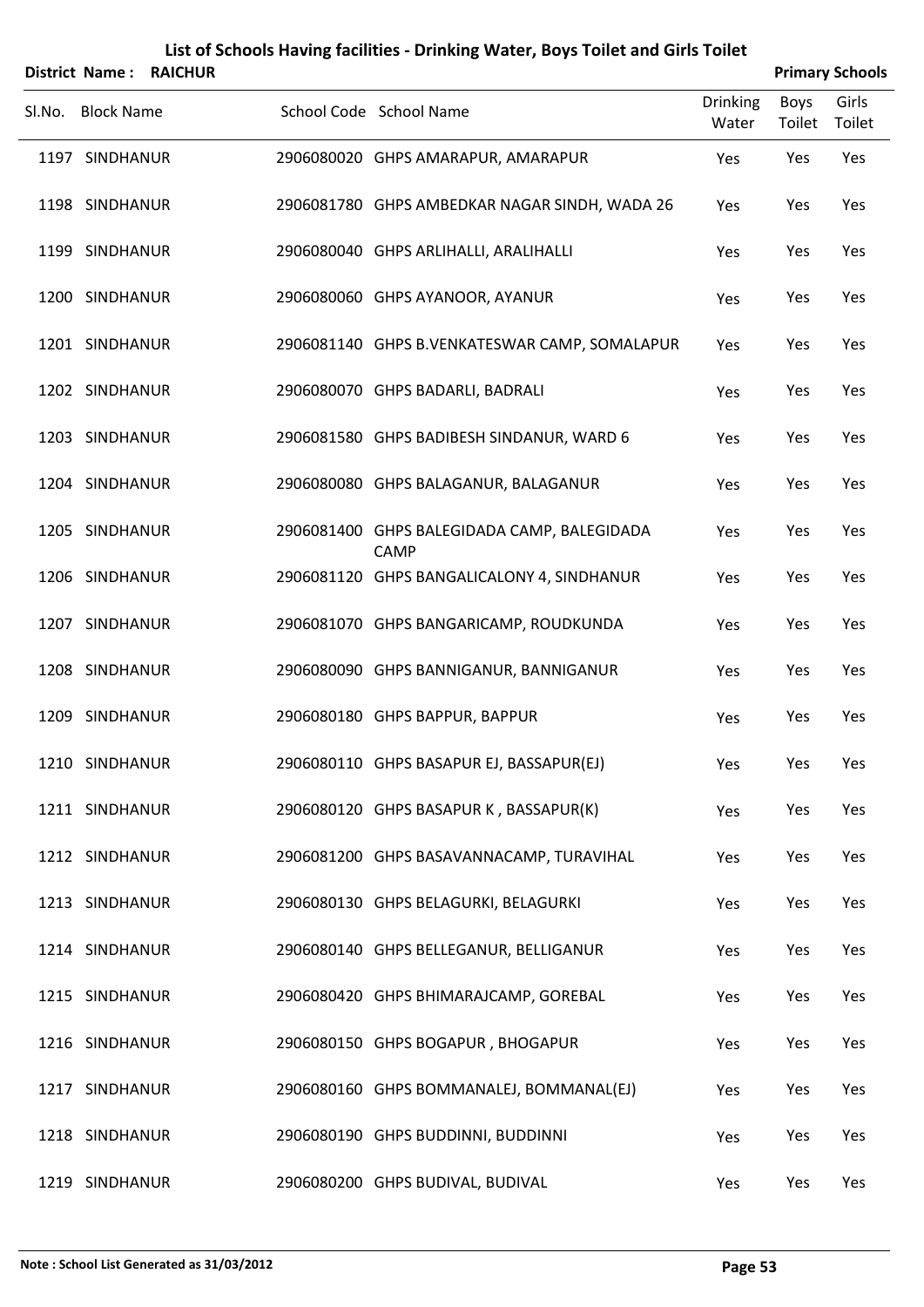|        | District Name:    | <b>RAICHUR</b> |                                                            |                          |                       | <b>Primary Schools</b> |
|--------|-------------------|----------------|------------------------------------------------------------|--------------------------|-----------------------|------------------------|
| Sl.No. | <b>Block Name</b> |                | School Code School Name                                    | <b>Drinking</b><br>Water | <b>Boys</b><br>Toilet | Girls<br>Toilet        |
|        | 1197 SINDHANUR    |                | 2906080020 GHPS AMARAPUR, AMARAPUR                         | Yes                      | Yes                   | Yes                    |
|        | 1198 SINDHANUR    |                | 2906081780 GHPS AMBEDKAR NAGAR SINDH, WADA 26              | Yes                      | Yes                   | Yes                    |
|        | 1199 SINDHANUR    |                | 2906080040 GHPS ARLIHALLI, ARALIHALLI                      | Yes                      | Yes                   | Yes                    |
|        | 1200 SINDHANUR    |                | 2906080060 GHPS AYANOOR, AYANUR                            | Yes                      | Yes                   | Yes                    |
|        | 1201 SINDHANUR    |                | 2906081140 GHPS B.VENKATESWAR CAMP, SOMALAPUR              | Yes                      | Yes                   | Yes                    |
|        | 1202 SINDHANUR    |                | 2906080070 GHPS BADARLI, BADRALI                           | Yes                      | Yes                   | Yes                    |
|        | 1203 SINDHANUR    |                | 2906081580 GHPS BADIBESH SINDANUR, WARD 6                  | Yes                      | Yes                   | Yes                    |
|        | 1204 SINDHANUR    |                | 2906080080 GHPS BALAGANUR, BALAGANUR                       | Yes                      | Yes                   | Yes                    |
|        | 1205 SINDHANUR    |                | 2906081400 GHPS BALEGIDADA CAMP, BALEGIDADA<br><b>CAMP</b> | Yes                      | Yes                   | Yes                    |
|        | 1206 SINDHANUR    |                | 2906081120 GHPS BANGALICALONY 4, SINDHANUR                 | Yes                      | Yes                   | Yes                    |
|        | 1207 SINDHANUR    |                | 2906081070 GHPS BANGARICAMP, ROUDKUNDA                     | Yes                      | Yes                   | Yes                    |
|        | 1208 SINDHANUR    |                | 2906080090 GHPS BANNIGANUR, BANNIGANUR                     | Yes                      | Yes                   | Yes                    |
|        | 1209 SINDHANUR    |                | 2906080180 GHPS BAPPUR, BAPPUR                             | Yes                      | Yes                   | Yes                    |
|        | 1210 SINDHANUR    |                | 2906080110 GHPS BASAPUR EJ, BASSAPUR(EJ)                   | Yes                      | Yes                   | Yes                    |
|        | 1211 SINDHANUR    |                | 2906080120 GHPS BASAPUR K, BASSAPUR(K)                     | Yes                      | Yes                   | Yes                    |
|        | 1212 SINDHANUR    |                | 2906081200 GHPS BASAVANNACAMP, TURAVIHAL                   | Yes                      | Yes                   | Yes                    |
|        | 1213 SINDHANUR    |                | 2906080130 GHPS BELAGURKI, BELAGURKI                       | Yes                      | Yes                   | Yes                    |
|        | 1214 SINDHANUR    |                | 2906080140 GHPS BELLEGANUR, BELLIGANUR                     | Yes                      | Yes                   | Yes                    |
|        | 1215 SINDHANUR    |                | 2906080420 GHPS BHIMARAJCAMP, GOREBAL                      | Yes                      | Yes                   | Yes                    |
|        | 1216 SINDHANUR    |                | 2906080150 GHPS BOGAPUR, BHOGAPUR                          | Yes                      | Yes                   | Yes                    |
|        | 1217 SINDHANUR    |                | 2906080160 GHPS BOMMANALEJ, BOMMANAL(EJ)                   | Yes                      | Yes                   | Yes                    |
|        | 1218 SINDHANUR    |                | 2906080190 GHPS BUDDINNI, BUDDINNI                         | Yes                      | Yes                   | Yes                    |
|        | 1219 SINDHANUR    |                | 2906080200 GHPS BUDIVAL, BUDIVAL                           | Yes                      | Yes                   | Yes                    |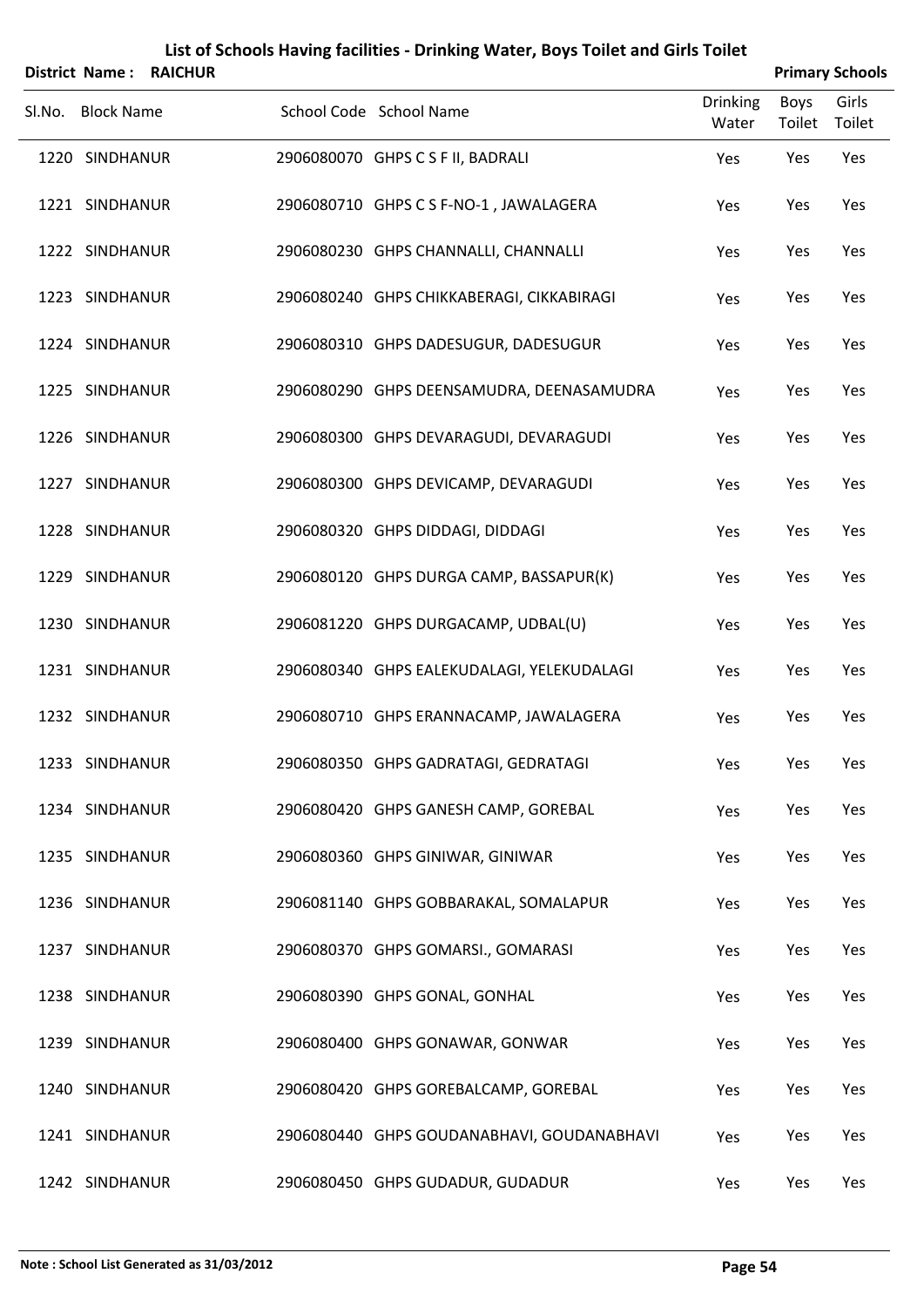|        |                   | District Name: RAICHUR |                                            |                          | <b>Primary Schools</b> |                 |
|--------|-------------------|------------------------|--------------------------------------------|--------------------------|------------------------|-----------------|
| Sl.No. | <b>Block Name</b> |                        | School Code School Name                    | <b>Drinking</b><br>Water | Boys<br>Toilet         | Girls<br>Toilet |
|        | 1220 SINDHANUR    |                        | 2906080070 GHPS C S F II, BADRALI          | Yes                      | Yes                    | Yes             |
|        | 1221 SINDHANUR    |                        | 2906080710 GHPS C S F-NO-1, JAWALAGERA     | Yes                      | Yes                    | Yes             |
|        | 1222 SINDHANUR    |                        | 2906080230 GHPS CHANNALLI, CHANNALLI       | Yes                      | Yes                    | Yes             |
|        | 1223 SINDHANUR    |                        | 2906080240 GHPS CHIKKABERAGI, CIKKABIRAGI  | Yes                      | Yes                    | Yes             |
|        | 1224 SINDHANUR    |                        | 2906080310 GHPS DADESUGUR, DADESUGUR       | Yes                      | Yes                    | Yes             |
|        | 1225 SINDHANUR    |                        | 2906080290 GHPS DEENSAMUDRA, DEENASAMUDRA  | Yes                      | Yes                    | Yes             |
|        | 1226 SINDHANUR    |                        | 2906080300 GHPS DEVARAGUDI, DEVARAGUDI     | Yes                      | Yes                    | Yes             |
|        | 1227 SINDHANUR    |                        | 2906080300 GHPS DEVICAMP, DEVARAGUDI       | Yes                      | Yes                    | Yes             |
|        | 1228 SINDHANUR    |                        | 2906080320 GHPS DIDDAGI, DIDDAGI           | Yes                      | Yes                    | Yes             |
|        | 1229 SINDHANUR    |                        | 2906080120 GHPS DURGA CAMP, BASSAPUR(K)    | Yes                      | Yes                    | Yes             |
|        | 1230 SINDHANUR    |                        | 2906081220 GHPS DURGACAMP, UDBAL(U)        | Yes                      | Yes                    | Yes             |
|        | 1231 SINDHANUR    |                        | 2906080340 GHPS EALEKUDALAGI, YELEKUDALAGI | Yes                      | Yes                    | Yes             |
|        | 1232 SINDHANUR    |                        | 2906080710 GHPS ERANNACAMP, JAWALAGERA     | Yes                      | Yes                    | Yes             |
|        | 1233 SINDHANUR    |                        | 2906080350 GHPS GADRATAGI, GEDRATAGI       | Yes                      | Yes                    | Yes             |
|        | 1234 SINDHANUR    |                        | 2906080420 GHPS GANESH CAMP, GOREBAL       | Yes                      | Yes                    | Yes             |
|        | 1235 SINDHANUR    |                        | 2906080360 GHPS GINIWAR, GINIWAR           | Yes                      | Yes                    | Yes             |
|        | 1236 SINDHANUR    |                        | 2906081140 GHPS GOBBARAKAL, SOMALAPUR      | Yes                      | Yes                    | Yes             |
|        | 1237 SINDHANUR    |                        | 2906080370 GHPS GOMARSI., GOMARASI         | Yes                      | Yes                    | Yes             |
|        | 1238 SINDHANUR    |                        | 2906080390 GHPS GONAL, GONHAL              | Yes                      | Yes                    | Yes             |
|        | 1239 SINDHANUR    |                        | 2906080400 GHPS GONAWAR, GONWAR            | Yes                      | Yes                    | Yes             |
|        | 1240 SINDHANUR    |                        | 2906080420 GHPS GOREBALCAMP, GOREBAL       | Yes                      | Yes                    | Yes             |
|        | 1241 SINDHANUR    |                        | 2906080440 GHPS GOUDANABHAVI, GOUDANABHAVI | Yes                      | Yes                    | Yes             |
|        | 1242 SINDHANUR    |                        | 2906080450 GHPS GUDADUR, GUDADUR           | Yes                      | Yes                    | Yes             |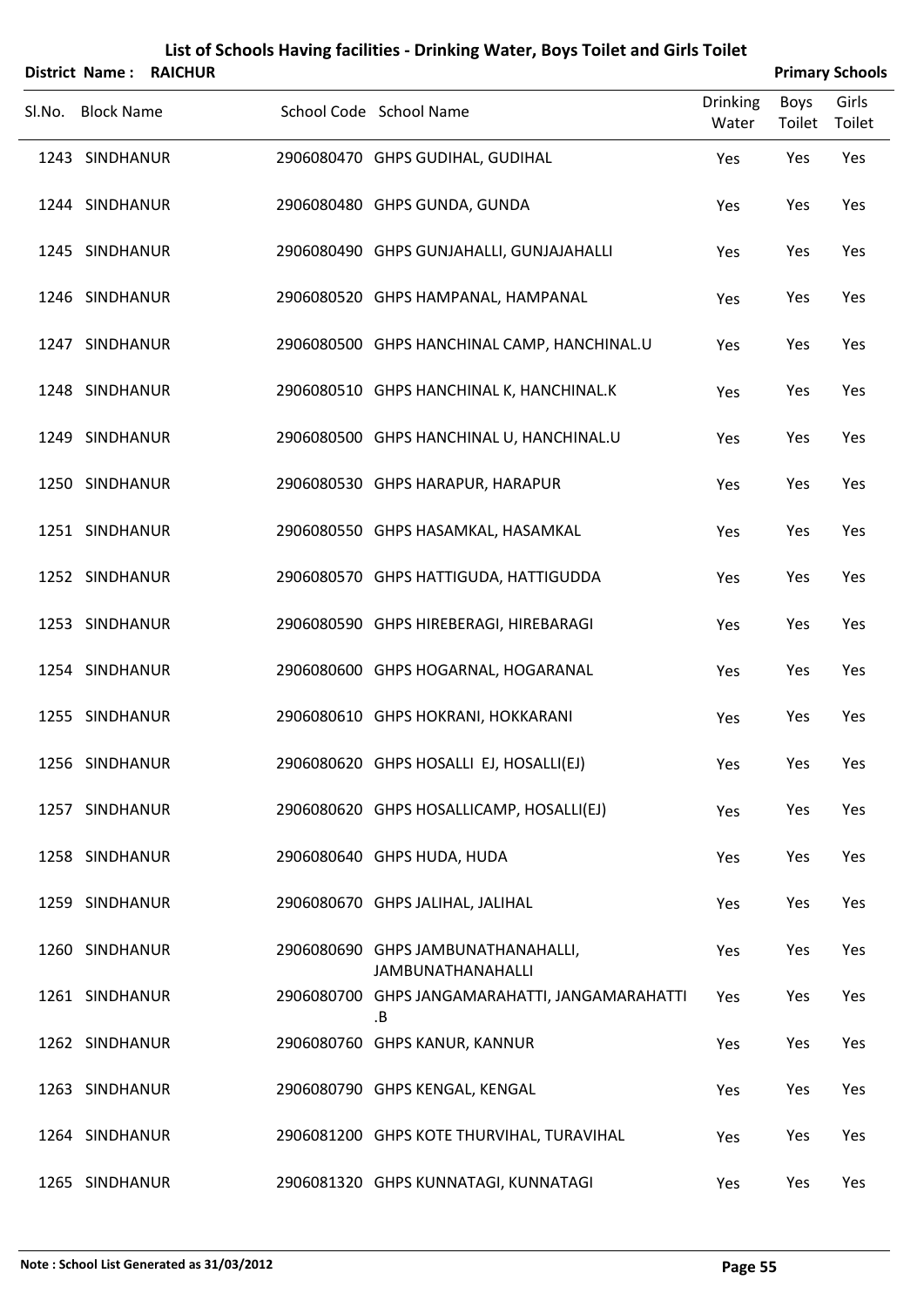|        | <b>District Name:</b> | <b>RAICHUR</b> |                                                                |                          |                | <b>Primary Schools</b> |
|--------|-----------------------|----------------|----------------------------------------------------------------|--------------------------|----------------|------------------------|
| SI.No. | <b>Block Name</b>     |                | School Code School Name                                        | <b>Drinking</b><br>Water | Boys<br>Toilet | Girls<br>Toilet        |
|        | 1243 SINDHANUR        |                | 2906080470 GHPS GUDIHAL, GUDIHAL                               | Yes                      | Yes            | Yes                    |
|        | 1244 SINDHANUR        |                | 2906080480 GHPS GUNDA, GUNDA                                   | Yes                      | Yes            | Yes                    |
|        | 1245 SINDHANUR        |                | 2906080490 GHPS GUNJAHALLI, GUNJAJAHALLI                       | Yes                      | Yes            | Yes                    |
|        | 1246 SINDHANUR        |                | 2906080520 GHPS HAMPANAL, HAMPANAL                             | Yes                      | Yes            | Yes                    |
|        | 1247 SINDHANUR        |                | 2906080500 GHPS HANCHINAL CAMP, HANCHINAL.U                    | Yes                      | Yes            | Yes                    |
|        | 1248 SINDHANUR        |                | 2906080510 GHPS HANCHINAL K, HANCHINAL.K                       | Yes                      | Yes            | Yes                    |
|        | 1249 SINDHANUR        |                | 2906080500 GHPS HANCHINAL U, HANCHINAL.U                       | Yes                      | Yes            | Yes                    |
|        | 1250 SINDHANUR        |                | 2906080530 GHPS HARAPUR, HARAPUR                               | Yes                      | Yes            | Yes                    |
|        | 1251 SINDHANUR        |                | 2906080550 GHPS HASAMKAL, HASAMKAL                             | Yes                      | Yes            | Yes                    |
|        | 1252 SINDHANUR        |                | 2906080570 GHPS HATTIGUDA, HATTIGUDDA                          | Yes                      | Yes            | Yes                    |
|        | 1253 SINDHANUR        |                | 2906080590 GHPS HIREBERAGI, HIREBARAGI                         | Yes                      | Yes            | Yes                    |
|        | 1254 SINDHANUR        |                | 2906080600 GHPS HOGARNAL, HOGARANAL                            | Yes                      | Yes            | Yes                    |
|        | 1255 SINDHANUR        |                | 2906080610 GHPS HOKRANI, HOKKARANI                             | Yes                      | Yes            | Yes                    |
|        | 1256 SINDHANUR        |                | 2906080620 GHPS HOSALLI EJ, HOSALLI(EJ)                        | Yes                      | Yes            | Yes                    |
|        | 1257 SINDHANUR        |                | 2906080620 GHPS HOSALLICAMP, HOSALLI(EJ)                       | Yes                      | Yes            | Yes                    |
|        | 1258 SINDHANUR        |                | 2906080640 GHPS HUDA, HUDA                                     | Yes                      | Yes            | Yes                    |
|        | 1259 SINDHANUR        |                | 2906080670 GHPS JALIHAL, JALIHAL                               | Yes                      | Yes            | Yes                    |
|        | 1260 SINDHANUR        |                | 2906080690 GHPS JAMBUNATHANAHALLI,<br><b>JAMBUNATHANAHALLI</b> | Yes                      | Yes            | Yes                    |
|        | 1261 SINDHANUR        |                | 2906080700 GHPS JANGAMARAHATTI, JANGAMARAHATTI<br>.В           | Yes                      | Yes            | Yes                    |
|        | 1262 SINDHANUR        |                | 2906080760 GHPS KANUR, KANNUR                                  | Yes                      | Yes            | Yes                    |
|        | 1263 SINDHANUR        |                | 2906080790 GHPS KENGAL, KENGAL                                 | Yes                      | Yes            | Yes                    |
|        | 1264 SINDHANUR        |                | 2906081200 GHPS KOTE THURVIHAL, TURAVIHAL                      | Yes                      | Yes            | Yes                    |
|        | 1265 SINDHANUR        |                | 2906081320 GHPS KUNNATAGI, KUNNATAGI                           | Yes                      | Yes            | Yes                    |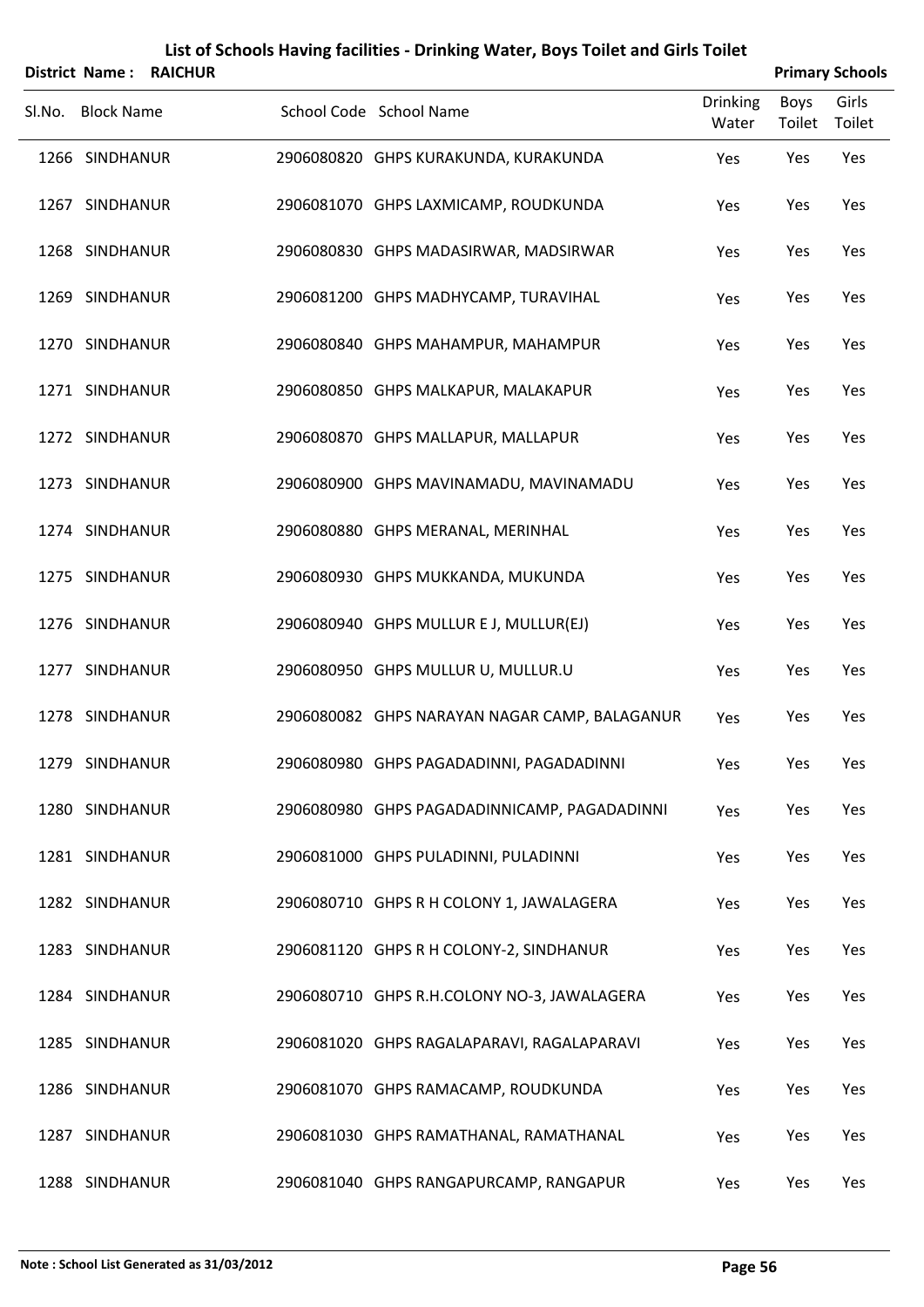|        | District Name:    | <b>RAICHUR</b> |                                               |                          |                       | <b>Primary Schools</b> |
|--------|-------------------|----------------|-----------------------------------------------|--------------------------|-----------------------|------------------------|
| Sl.No. | <b>Block Name</b> |                | School Code School Name                       | <b>Drinking</b><br>Water | <b>Boys</b><br>Toilet | Girls<br>Toilet        |
|        | 1266 SINDHANUR    |                | 2906080820 GHPS KURAKUNDA, KURAKUNDA          | Yes                      | Yes                   | Yes                    |
|        | 1267 SINDHANUR    |                | 2906081070 GHPS LAXMICAMP, ROUDKUNDA          | Yes                      | Yes                   | Yes                    |
|        | 1268 SINDHANUR    |                | 2906080830 GHPS MADASIRWAR, MADSIRWAR         | Yes                      | Yes                   | Yes                    |
|        | 1269 SINDHANUR    |                | 2906081200 GHPS MADHYCAMP, TURAVIHAL          | Yes                      | Yes                   | Yes                    |
|        | 1270 SINDHANUR    |                | 2906080840 GHPS MAHAMPUR, MAHAMPUR            | Yes                      | Yes                   | Yes                    |
|        | 1271 SINDHANUR    |                | 2906080850 GHPS MALKAPUR, MALAKAPUR           | Yes                      | Yes                   | Yes                    |
|        | 1272 SINDHANUR    |                | 2906080870 GHPS MALLAPUR, MALLAPUR            | Yes                      | Yes                   | Yes                    |
|        | 1273 SINDHANUR    |                | 2906080900 GHPS MAVINAMADU, MAVINAMADU        | Yes                      | Yes                   | Yes                    |
|        | 1274 SINDHANUR    |                | 2906080880 GHPS MERANAL, MERINHAL             | Yes                      | Yes                   | Yes                    |
|        | 1275 SINDHANUR    |                | 2906080930 GHPS MUKKANDA, MUKUNDA             | Yes                      | Yes                   | Yes                    |
|        | 1276 SINDHANUR    |                | 2906080940 GHPS MULLUR E J, MULLUR(EJ)        | Yes                      | Yes                   | Yes                    |
|        | 1277 SINDHANUR    |                | 2906080950 GHPS MULLUR U, MULLUR.U            | Yes                      | Yes                   | Yes                    |
|        | 1278 SINDHANUR    |                | 2906080082 GHPS NARAYAN NAGAR CAMP, BALAGANUR | Yes                      | Yes                   | Yes                    |
|        | 1279 SINDHANUR    |                | 2906080980 GHPS PAGADADINNI, PAGADADINNI      | Yes                      | Yes                   | Yes                    |
|        | 1280 SINDHANUR    |                | 2906080980 GHPS PAGADADINNICAMP, PAGADADINNI  | Yes                      | Yes                   | Yes                    |
|        | 1281 SINDHANUR    |                | 2906081000 GHPS PULADINNI, PULADINNI          | Yes                      | Yes                   | Yes                    |
|        | 1282 SINDHANUR    |                | 2906080710 GHPS R H COLONY 1, JAWALAGERA      | Yes                      | Yes                   | Yes                    |
|        | 1283 SINDHANUR    |                | 2906081120 GHPS R H COLONY-2, SINDHANUR       | Yes                      | Yes                   | Yes                    |
|        | 1284 SINDHANUR    |                | 2906080710 GHPS R.H.COLONY NO-3, JAWALAGERA   | Yes                      | Yes                   | Yes                    |
|        | 1285 SINDHANUR    |                | 2906081020 GHPS RAGALAPARAVI, RAGALAPARAVI    | Yes                      | Yes                   | Yes                    |
|        | 1286 SINDHANUR    |                | 2906081070 GHPS RAMACAMP, ROUDKUNDA           | Yes                      | Yes                   | Yes                    |
|        | 1287 SINDHANUR    |                | 2906081030 GHPS RAMATHANAL, RAMATHANAL        | Yes                      | Yes                   | Yes                    |
|        | 1288 SINDHANUR    |                | 2906081040 GHPS RANGAPURCAMP, RANGAPUR        | Yes                      | Yes                   | Yes                    |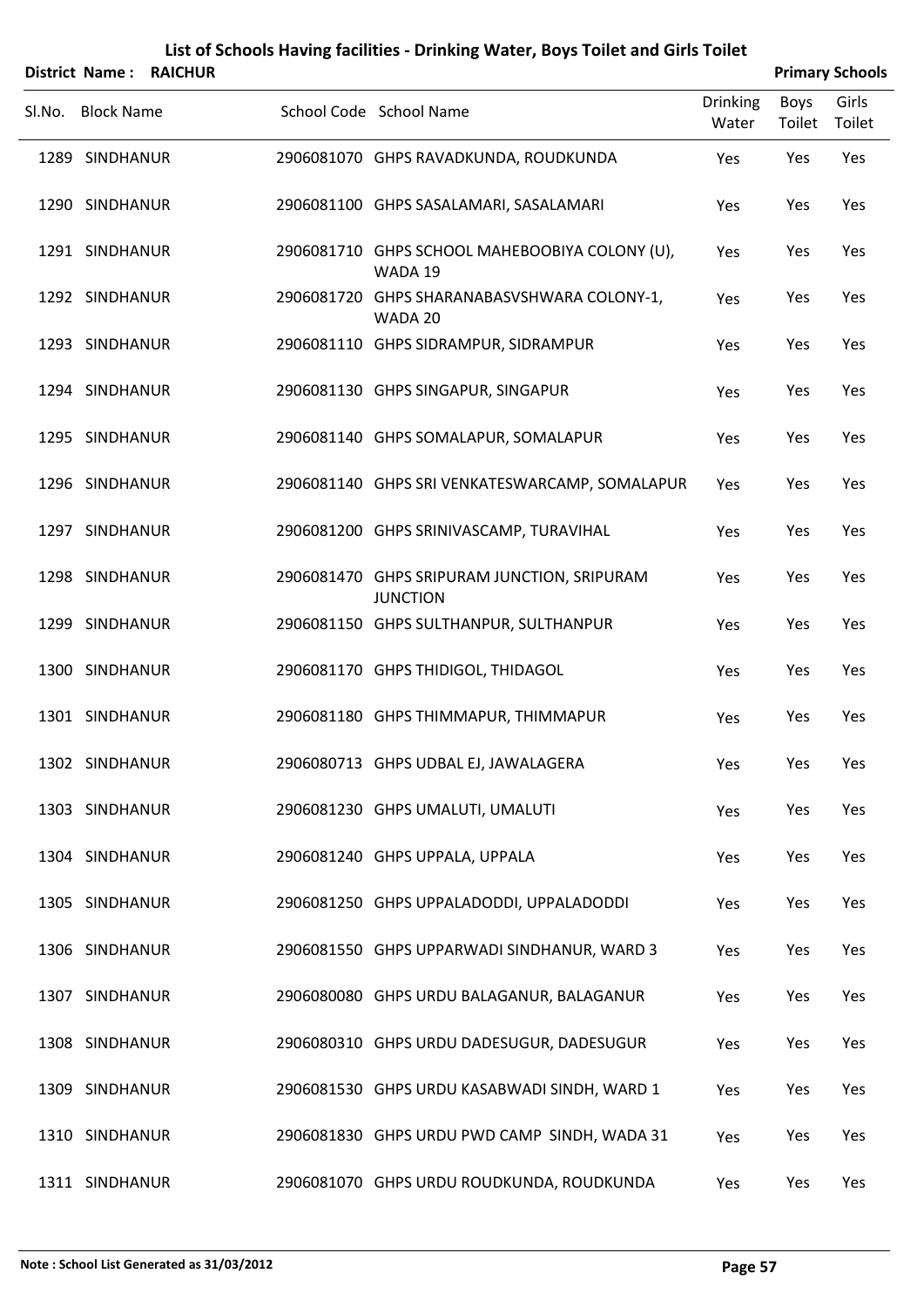|        |                   | District Name: RAICHUR |                                                                |                          | <b>Primary Schools</b> |                 |
|--------|-------------------|------------------------|----------------------------------------------------------------|--------------------------|------------------------|-----------------|
| Sl.No. | <b>Block Name</b> |                        | School Code School Name                                        | <b>Drinking</b><br>Water | Boys<br>Toilet         | Girls<br>Toilet |
|        | 1289 SINDHANUR    |                        | 2906081070 GHPS RAVADKUNDA, ROUDKUNDA                          | Yes                      | Yes                    | Yes             |
|        | 1290 SINDHANUR    |                        | 2906081100 GHPS SASALAMARI, SASALAMARI                         | Yes                      | Yes                    | Yes             |
|        | 1291 SINDHANUR    |                        | 2906081710 GHPS SCHOOL MAHEBOOBIYA COLONY (U),<br>WADA 19      | Yes                      | Yes                    | Yes             |
|        | 1292 SINDHANUR    |                        | 2906081720 GHPS SHARANABASVSHWARA COLONY-1,<br>WADA 20         | Yes                      | Yes                    | Yes             |
|        | 1293 SINDHANUR    |                        | 2906081110 GHPS SIDRAMPUR, SIDRAMPUR                           | Yes                      | Yes                    | Yes             |
|        | 1294 SINDHANUR    |                        | 2906081130 GHPS SINGAPUR, SINGAPUR                             | Yes                      | Yes                    | Yes             |
|        | 1295 SINDHANUR    |                        | 2906081140 GHPS SOMALAPUR, SOMALAPUR                           | Yes                      | Yes                    | Yes             |
|        | 1296 SINDHANUR    |                        | 2906081140 GHPS SRI VENKATESWARCAMP, SOMALAPUR                 | Yes                      | Yes                    | Yes             |
|        | 1297 SINDHANUR    |                        | 2906081200 GHPS SRINIVASCAMP, TURAVIHAL                        | Yes                      | Yes                    | Yes             |
|        | 1298 SINDHANUR    |                        | 2906081470 GHPS SRIPURAM JUNCTION, SRIPURAM<br><b>JUNCTION</b> | Yes                      | Yes                    | Yes             |
|        | 1299 SINDHANUR    |                        | 2906081150 GHPS SULTHANPUR, SULTHANPUR                         | Yes                      | Yes                    | Yes             |
|        | 1300 SINDHANUR    |                        | 2906081170 GHPS THIDIGOL, THIDAGOL                             | Yes                      | Yes                    | Yes             |
|        | 1301 SINDHANUR    |                        | 2906081180 GHPS THIMMAPUR, THIMMAPUR                           | Yes                      | Yes                    | Yes             |
|        | 1302 SINDHANUR    |                        | 2906080713 GHPS UDBAL EJ, JAWALAGERA                           | Yes                      | Yes                    | Yes             |
|        | 1303 SINDHANUR    |                        | 2906081230 GHPS UMALUTI, UMALUTI                               | Yes                      | Yes                    | Yes             |
|        | 1304 SINDHANUR    |                        | 2906081240 GHPS UPPALA, UPPALA                                 | Yes                      | Yes                    | Yes             |
|        | 1305 SINDHANUR    |                        | 2906081250 GHPS UPPALADODDI, UPPALADODDI                       | Yes                      | Yes                    | Yes             |
|        | 1306 SINDHANUR    |                        | 2906081550 GHPS UPPARWADI SINDHANUR, WARD 3                    | Yes                      | Yes                    | Yes             |
|        | 1307 SINDHANUR    |                        | 2906080080 GHPS URDU BALAGANUR, BALAGANUR                      | Yes                      | Yes                    | Yes             |
|        | 1308 SINDHANUR    |                        | 2906080310 GHPS URDU DADESUGUR, DADESUGUR                      | Yes                      | Yes                    | Yes             |
|        | 1309 SINDHANUR    |                        | 2906081530 GHPS URDU KASABWADI SINDH, WARD 1                   | Yes                      | Yes                    | Yes             |
|        | 1310 SINDHANUR    |                        | 2906081830 GHPS URDU PWD CAMP SINDH, WADA 31                   | Yes                      | Yes                    | Yes             |
|        | 1311 SINDHANUR    |                        | 2906081070 GHPS URDU ROUDKUNDA, ROUDKUNDA                      | Yes                      | Yes                    | Yes             |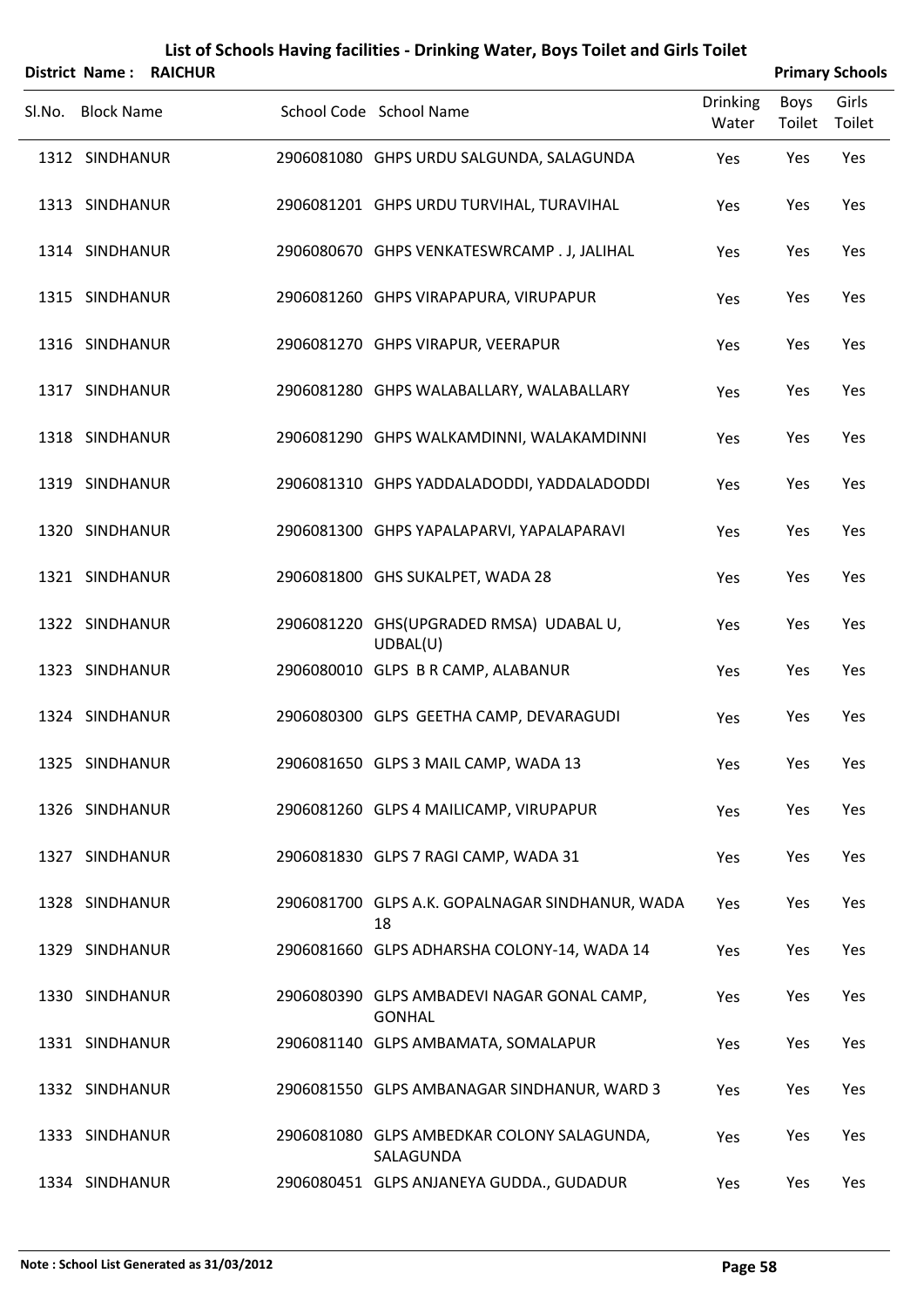|        | <b>District Name:</b> | <b>RAICHUR</b> |                                                             |                          | <b>Primary Schools</b> |                 |
|--------|-----------------------|----------------|-------------------------------------------------------------|--------------------------|------------------------|-----------------|
| Sl.No. | <b>Block Name</b>     |                | School Code School Name                                     | <b>Drinking</b><br>Water | <b>Boys</b><br>Toilet  | Girls<br>Toilet |
|        | 1312 SINDHANUR        |                | 2906081080 GHPS URDU SALGUNDA, SALAGUNDA                    | Yes                      | Yes                    | Yes             |
|        | 1313 SINDHANUR        |                | 2906081201 GHPS URDU TURVIHAL, TURAVIHAL                    | Yes                      | Yes                    | Yes             |
|        | 1314 SINDHANUR        |                | 2906080670 GHPS VENKATESWRCAMP . J, JALIHAL                 | Yes                      | Yes                    | Yes             |
|        | 1315 SINDHANUR        |                | 2906081260 GHPS VIRAPAPURA, VIRUPAPUR                       | Yes                      | Yes                    | Yes             |
|        | 1316 SINDHANUR        |                | 2906081270 GHPS VIRAPUR, VEERAPUR                           | Yes                      | Yes                    | Yes             |
|        | 1317 SINDHANUR        |                | 2906081280 GHPS WALABALLARY, WALABALLARY                    | Yes                      | Yes                    | Yes             |
|        | 1318 SINDHANUR        |                | 2906081290 GHPS WALKAMDINNI, WALAKAMDINNI                   | Yes                      | Yes                    | Yes             |
|        | 1319 SINDHANUR        |                | 2906081310 GHPS YADDALADODDI, YADDALADODDI                  | Yes                      | Yes                    | Yes             |
|        | 1320 SINDHANUR        |                | 2906081300 GHPS YAPALAPARVI, YAPALAPARAVI                   | Yes                      | Yes                    | Yes             |
|        | 1321 SINDHANUR        |                | 2906081800 GHS SUKALPET, WADA 28                            | Yes                      | Yes                    | Yes             |
|        | 1322 SINDHANUR        |                | 2906081220 GHS(UPGRADED RMSA) UDABAL U,<br>UDBAL(U)         | Yes                      | Yes                    | Yes             |
|        | 1323 SINDHANUR        |                | 2906080010 GLPS B R CAMP, ALABANUR                          | Yes                      | Yes                    | Yes             |
|        | 1324 SINDHANUR        |                | 2906080300 GLPS GEETHA CAMP, DEVARAGUDI                     | Yes                      | Yes                    | Yes             |
|        | 1325 SINDHANUR        |                | 2906081650 GLPS 3 MAIL CAMP, WADA 13                        | Yes                      | Yes                    | Yes             |
|        | 1326 SINDHANUR        |                | 2906081260 GLPS 4 MAILICAMP, VIRUPAPUR                      | Yes                      | Yes                    | Yes             |
|        | 1327 SINDHANUR        |                | 2906081830 GLPS 7 RAGI CAMP, WADA 31                        | Yes                      | Yes                    | Yes             |
|        | 1328 SINDHANUR        |                | 2906081700 GLPS A.K. GOPALNAGAR SINDHANUR, WADA<br>18       | Yes                      | Yes                    | Yes             |
|        | 1329 SINDHANUR        |                | 2906081660 GLPS ADHARSHA COLONY-14, WADA 14                 | Yes                      | Yes                    | Yes             |
|        | 1330 SINDHANUR        |                | 2906080390 GLPS AMBADEVI NAGAR GONAL CAMP,<br><b>GONHAL</b> | Yes                      | Yes                    | Yes             |
|        | 1331 SINDHANUR        |                | 2906081140 GLPS AMBAMATA, SOMALAPUR                         | Yes                      | Yes                    | Yes             |
|        | 1332 SINDHANUR        |                | 2906081550 GLPS AMBANAGAR SINDHANUR, WARD 3                 | Yes                      | Yes                    | Yes             |
|        | 1333 SINDHANUR        |                | 2906081080 GLPS AMBEDKAR COLONY SALAGUNDA,<br>SALAGUNDA     | Yes                      | Yes                    | Yes             |
|        | 1334 SINDHANUR        |                | 2906080451 GLPS ANJANEYA GUDDA., GUDADUR                    | Yes                      | Yes                    | Yes             |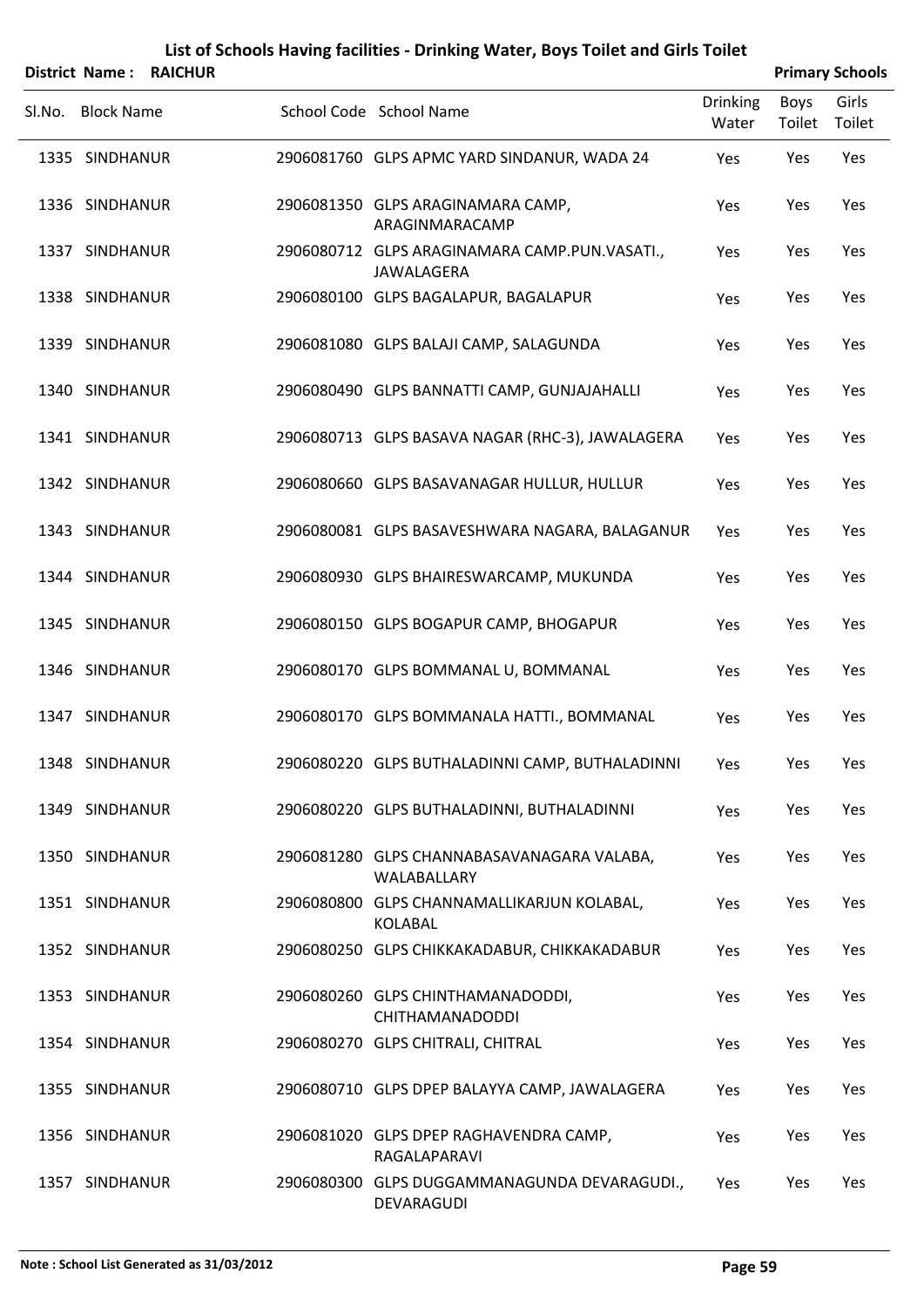|        |                   | <b>District Name: RAICHUR</b> |                                                             |                          |                | <b>Primary Schools</b> |
|--------|-------------------|-------------------------------|-------------------------------------------------------------|--------------------------|----------------|------------------------|
| Sl.No. | <b>Block Name</b> |                               | School Code School Name                                     | <b>Drinking</b><br>Water | Boys<br>Toilet | Girls<br>Toilet        |
|        | 1335 SINDHANUR    |                               | 2906081760 GLPS APMC YARD SINDANUR, WADA 24                 | Yes                      | Yes            | Yes                    |
|        | 1336 SINDHANUR    |                               | 2906081350 GLPS ARAGINAMARA CAMP,<br>ARAGINMARACAMP         | Yes                      | Yes            | Yes                    |
|        | 1337 SINDHANUR    |                               | 2906080712 GLPS ARAGINAMARA CAMP.PUN.VASATI.,<br>JAWALAGERA | Yes                      | Yes            | Yes                    |
|        | 1338 SINDHANUR    |                               | 2906080100 GLPS BAGALAPUR, BAGALAPUR                        | Yes                      | Yes            | Yes                    |
|        | 1339 SINDHANUR    |                               | 2906081080 GLPS BALAJI CAMP, SALAGUNDA                      | Yes                      | Yes            | Yes                    |
|        | 1340 SINDHANUR    |                               | 2906080490 GLPS BANNATTI CAMP, GUNJAJAHALLI                 | Yes                      | Yes            | Yes                    |
|        | 1341 SINDHANUR    |                               | 2906080713 GLPS BASAVA NAGAR (RHC-3), JAWALAGERA            | Yes                      | Yes            | Yes                    |
|        | 1342 SINDHANUR    |                               | 2906080660 GLPS BASAVANAGAR HULLUR, HULLUR                  | Yes                      | Yes            | Yes                    |
|        | 1343 SINDHANUR    |                               | 2906080081 GLPS BASAVESHWARA NAGARA, BALAGANUR              | Yes                      | Yes            | Yes                    |
|        | 1344 SINDHANUR    |                               | 2906080930 GLPS BHAIRESWARCAMP, MUKUNDA                     | Yes                      | Yes            | Yes                    |
|        | 1345 SINDHANUR    |                               | 2906080150 GLPS BOGAPUR CAMP, BHOGAPUR                      | Yes                      | Yes            | Yes                    |
|        | 1346 SINDHANUR    |                               | 2906080170 GLPS BOMMANAL U, BOMMANAL                        | Yes                      | Yes            | Yes                    |
|        | 1347 SINDHANUR    |                               | 2906080170 GLPS BOMMANALA HATTI., BOMMANAL                  | Yes                      | Yes            | Yes                    |
|        | 1348 SINDHANUR    |                               | 2906080220 GLPS BUTHALADINNI CAMP, BUTHALADINNI             | Yes                      | Yes            | Yes                    |
|        | 1349 SINDHANUR    |                               | 2906080220 GLPS BUTHALADINNI, BUTHALADINNI                  | Yes                      | Yes            | Yes                    |
|        | 1350 SINDHANUR    |                               | 2906081280 GLPS CHANNABASAVANAGARA VALABA,<br>WALABALLARY   | Yes                      | Yes            | Yes                    |
|        | 1351 SINDHANUR    |                               | 2906080800 GLPS CHANNAMALLIKARJUN KOLABAL,<br>KOLABAL       | Yes                      | Yes            | Yes                    |
|        | 1352 SINDHANUR    |                               | 2906080250 GLPS CHIKKAKADABUR, CHIKKAKADABUR                | Yes                      | Yes            | Yes                    |
|        | 1353 SINDHANUR    |                               | 2906080260 GLPS CHINTHAMANADODDI,<br>CHITHAMANADODDI        | Yes                      | Yes            | Yes                    |
|        | 1354 SINDHANUR    |                               | 2906080270 GLPS CHITRALI, CHITRAL                           | Yes                      | Yes            | Yes                    |
|        | 1355 SINDHANUR    |                               | 2906080710 GLPS DPEP BALAYYA CAMP, JAWALAGERA               | Yes                      | Yes            | Yes                    |
|        | 1356 SINDHANUR    |                               | 2906081020 GLPS DPEP RAGHAVENDRA CAMP,<br>RAGALAPARAVI      | Yes                      | Yes            | Yes                    |
|        | 1357 SINDHANUR    |                               | 2906080300 GLPS DUGGAMMANAGUNDA DEVARAGUDI.,<br>DEVARAGUDI  | Yes                      | Yes            | Yes                    |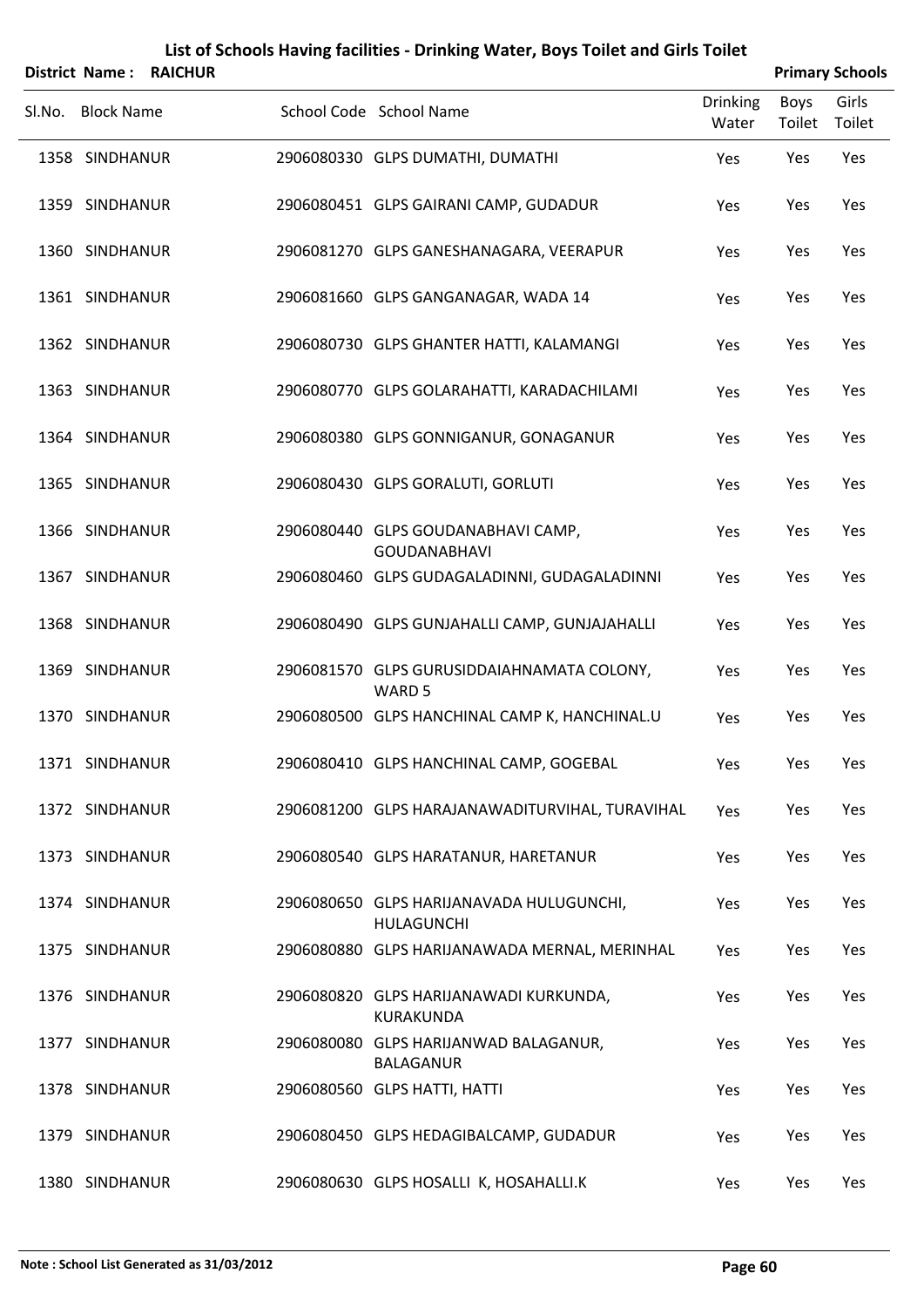|        | <b>District Name:</b> | <b>RAICHUR</b> |                                                                 |                          |                | <b>Primary Schools</b> |
|--------|-----------------------|----------------|-----------------------------------------------------------------|--------------------------|----------------|------------------------|
| Sl.No. | <b>Block Name</b>     |                | School Code School Name                                         | <b>Drinking</b><br>Water | Boys<br>Toilet | Girls<br>Toilet        |
|        | 1358 SINDHANUR        |                | 2906080330 GLPS DUMATHI, DUMATHI                                | Yes                      | Yes            | Yes                    |
|        | 1359 SINDHANUR        |                | 2906080451 GLPS GAIRANI CAMP, GUDADUR                           | Yes                      | Yes            | Yes                    |
|        | 1360 SINDHANUR        |                | 2906081270 GLPS GANESHANAGARA, VEERAPUR                         | Yes                      | Yes            | Yes                    |
|        | 1361 SINDHANUR        |                | 2906081660 GLPS GANGANAGAR, WADA 14                             | Yes                      | Yes            | Yes                    |
|        | 1362 SINDHANUR        |                | 2906080730 GLPS GHANTER HATTI, KALAMANGI                        | Yes                      | Yes            | Yes                    |
|        | 1363 SINDHANUR        |                | 2906080770 GLPS GOLARAHATTI, KARADACHILAMI                      | Yes                      | Yes            | Yes                    |
|        | 1364 SINDHANUR        |                | 2906080380 GLPS GONNIGANUR, GONAGANUR                           | Yes                      | Yes            | Yes                    |
|        | 1365 SINDHANUR        |                | 2906080430 GLPS GORALUTI, GORLUTI                               | Yes                      | Yes            | Yes                    |
|        | 1366 SINDHANUR        |                | 2906080440 GLPS GOUDANABHAVI CAMP,<br><b>GOUDANABHAVI</b>       | Yes                      | Yes            | Yes                    |
|        | 1367 SINDHANUR        |                | 2906080460 GLPS GUDAGALADINNI, GUDAGALADINNI                    | Yes                      | Yes            | Yes                    |
|        | 1368 SINDHANUR        |                | 2906080490 GLPS GUNJAHALLI CAMP, GUNJAJAHALLI                   | Yes                      | Yes            | Yes                    |
|        | 1369 SINDHANUR        |                | 2906081570 GLPS GURUSIDDAIAHNAMATA COLONY,<br>WARD <sub>5</sub> | Yes                      | Yes            | Yes                    |
|        | 1370 SINDHANUR        |                | 2906080500 GLPS HANCHINAL CAMP K, HANCHINAL.U                   | Yes                      | Yes            | Yes                    |
|        | 1371 SINDHANUR        |                | 2906080410 GLPS HANCHINAL CAMP, GOGEBAL                         | Yes                      | Yes            | Yes                    |
|        | 1372 SINDHANUR        |                | 2906081200 GLPS HARAJANAWADITURVIHAL, TURAVIHAL                 | Yes                      | Yes            | Yes                    |
|        | 1373 SINDHANUR        |                | 2906080540 GLPS HARATANUR, HARETANUR                            | Yes                      | Yes            | Yes                    |
|        | 1374 SINDHANUR        |                | 2906080650 GLPS HARIJANAVADA HULUGUNCHI,<br><b>HULAGUNCHI</b>   | Yes                      | Yes            | Yes                    |
|        | 1375 SINDHANUR        |                | 2906080880 GLPS HARIJANAWADA MERNAL, MERINHAL                   | Yes                      | Yes            | Yes                    |
|        | 1376 SINDHANUR        |                | 2906080820 GLPS HARIJANAWADI KURKUNDA,<br><b>KURAKUNDA</b>      | Yes                      | Yes            | Yes                    |
|        | 1377 SINDHANUR        |                | 2906080080 GLPS HARIJANWAD BALAGANUR,<br><b>BALAGANUR</b>       | Yes                      | Yes            | Yes                    |
|        | 1378 SINDHANUR        |                | 2906080560 GLPS HATTI, HATTI                                    | Yes                      | Yes            | Yes                    |
|        | 1379 SINDHANUR        |                | 2906080450 GLPS HEDAGIBALCAMP, GUDADUR                          | Yes                      | Yes            | Yes                    |
|        | 1380 SINDHANUR        |                | 2906080630 GLPS HOSALLI K, HOSAHALLI.K                          | Yes                      | Yes            | Yes                    |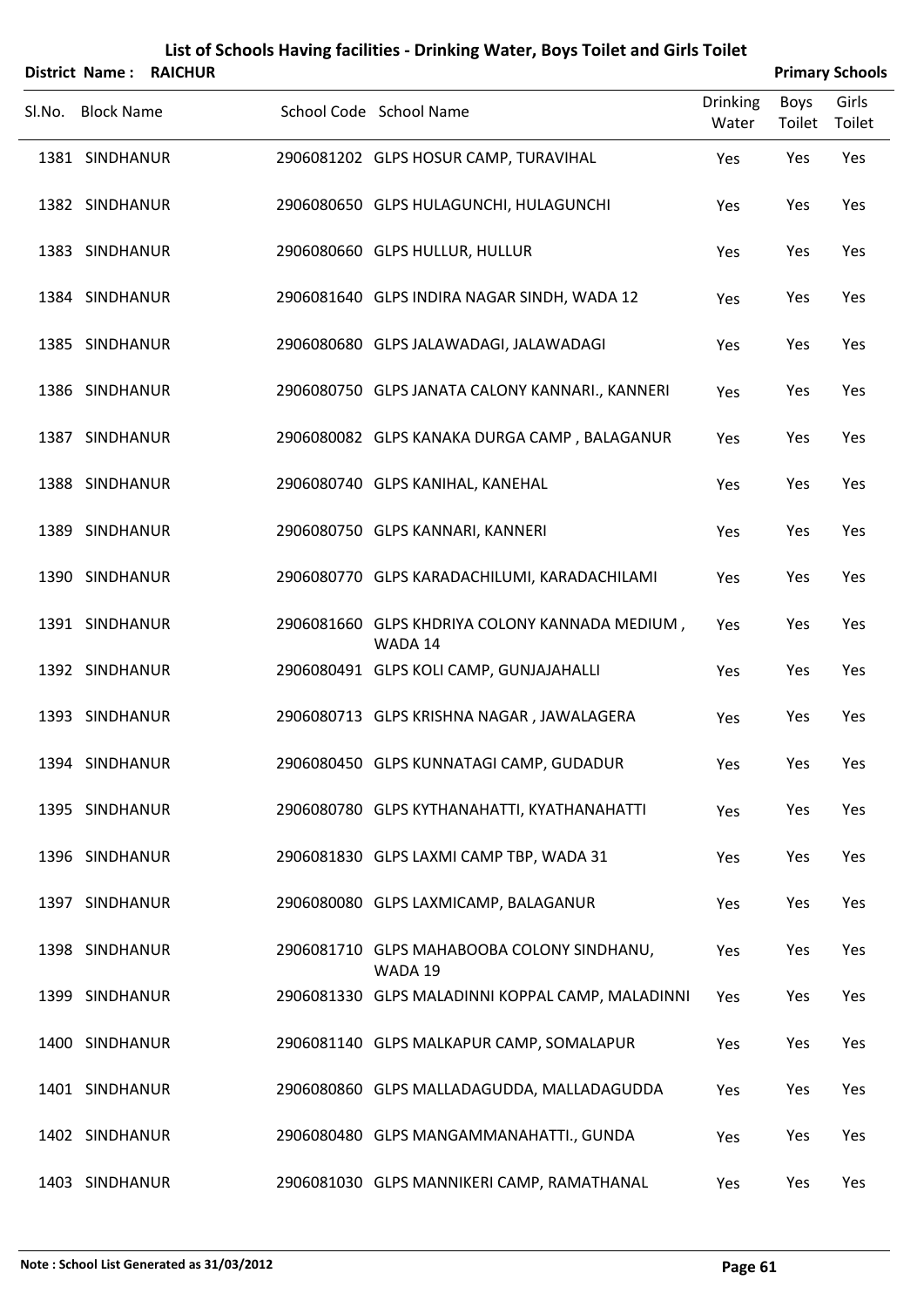|        | <b>District Name:</b> | <b>RAICHUR</b> |                                                           |                          |                | <b>Primary Schools</b> |
|--------|-----------------------|----------------|-----------------------------------------------------------|--------------------------|----------------|------------------------|
| Sl.No. | <b>Block Name</b>     |                | School Code School Name                                   | <b>Drinking</b><br>Water | Boys<br>Toilet | Girls<br>Toilet        |
|        | 1381 SINDHANUR        |                | 2906081202 GLPS HOSUR CAMP, TURAVIHAL                     | Yes                      | Yes            | Yes                    |
|        | 1382 SINDHANUR        |                | 2906080650 GLPS HULAGUNCHI, HULAGUNCHI                    | Yes                      | Yes            | Yes                    |
|        | 1383 SINDHANUR        |                | 2906080660 GLPS HULLUR, HULLUR                            | Yes                      | Yes            | Yes                    |
|        | 1384 SINDHANUR        |                | 2906081640 GLPS INDIRA NAGAR SINDH, WADA 12               | Yes                      | Yes            | Yes                    |
|        | 1385 SINDHANUR        |                | 2906080680 GLPS JALAWADAGI, JALAWADAGI                    | Yes                      | Yes            | Yes                    |
|        | 1386 SINDHANUR        |                | 2906080750 GLPS JANATA CALONY KANNARI., KANNERI           | Yes                      | Yes            | Yes                    |
|        | 1387 SINDHANUR        |                | 2906080082 GLPS KANAKA DURGA CAMP, BALAGANUR              | Yes                      | Yes            | Yes                    |
|        | 1388 SINDHANUR        |                | 2906080740 GLPS KANIHAL, KANEHAL                          | Yes                      | Yes            | Yes                    |
|        | 1389 SINDHANUR        |                | 2906080750 GLPS KANNARI, KANNERI                          | Yes                      | Yes            | Yes                    |
|        | 1390 SINDHANUR        |                | 2906080770 GLPS KARADACHILUMI, KARADACHILAMI              | Yes                      | Yes            | Yes                    |
|        | 1391 SINDHANUR        |                | 2906081660 GLPS KHDRIYA COLONY KANNADA MEDIUM,<br>WADA 14 | Yes                      | Yes            | Yes                    |
|        | 1392 SINDHANUR        |                | 2906080491 GLPS KOLI CAMP, GUNJAJAHALLI                   | Yes                      | Yes            | Yes                    |
|        | 1393 SINDHANUR        |                | 2906080713 GLPS KRISHNA NAGAR, JAWALAGERA                 | Yes                      | Yes            | Yes                    |
|        | 1394 SINDHANUR        |                | 2906080450 GLPS KUNNATAGI CAMP, GUDADUR                   | Yes                      | Yes            | Yes                    |
|        | 1395 SINDHANUR        |                | 2906080780 GLPS KYTHANAHATTI, KYATHANAHATTI               | Yes                      | Yes            | Yes                    |
|        | 1396 SINDHANUR        |                | 2906081830 GLPS LAXMI CAMP TBP, WADA 31                   | Yes                      | Yes            | Yes                    |
|        | 1397 SINDHANUR        |                | 2906080080 GLPS LAXMICAMP, BALAGANUR                      | Yes                      | Yes            | Yes                    |
|        | 1398 SINDHANUR        |                | 2906081710 GLPS MAHABOOBA COLONY SINDHANU,<br>WADA 19     | Yes                      | Yes            | Yes                    |
|        | 1399 SINDHANUR        |                | 2906081330 GLPS MALADINNI KOPPAL CAMP, MALADINNI          | Yes                      | Yes            | Yes                    |
|        | 1400 SINDHANUR        |                | 2906081140 GLPS MALKAPUR CAMP, SOMALAPUR                  | Yes                      | Yes            | Yes                    |
|        | 1401 SINDHANUR        |                | 2906080860 GLPS MALLADAGUDDA, MALLADAGUDDA                | Yes                      | Yes            | Yes                    |
|        | 1402 SINDHANUR        |                | 2906080480 GLPS MANGAMMANAHATTI., GUNDA                   | Yes                      | Yes            | Yes                    |
|        | 1403 SINDHANUR        |                | 2906081030 GLPS MANNIKERI CAMP, RAMATHANAL                | Yes                      | Yes            | Yes                    |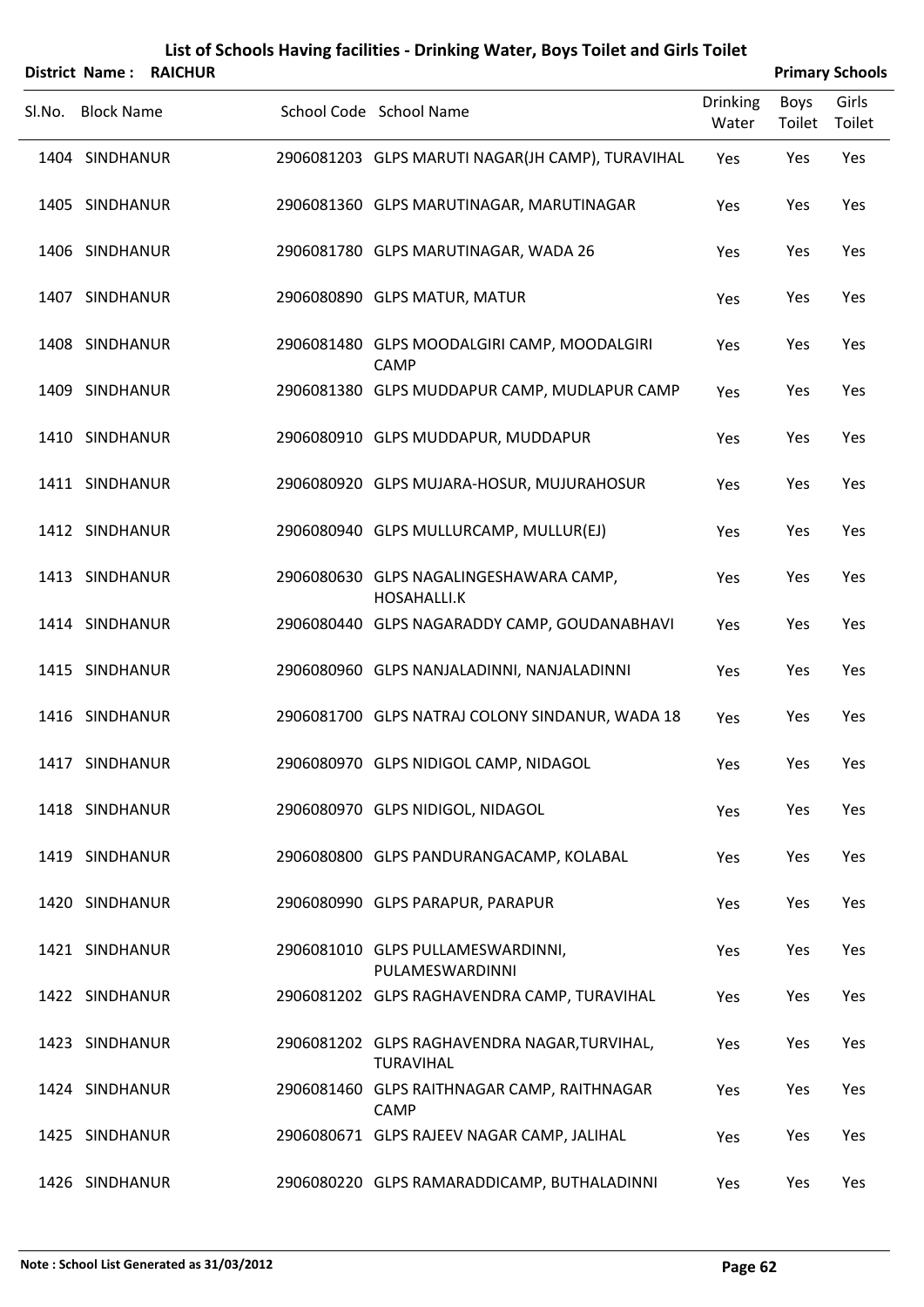|        |                   | District Name: RAICHUR |                                                                  |                   |                | <b>Primary Schools</b> |
|--------|-------------------|------------------------|------------------------------------------------------------------|-------------------|----------------|------------------------|
| SI.No. | <b>Block Name</b> |                        | School Code School Name                                          | Drinking<br>Water | Boys<br>Toilet | Girls<br>Toilet        |
|        | 1404 SINDHANUR    |                        | 2906081203 GLPS MARUTI NAGAR(JH CAMP), TURAVIHAL                 | Yes               | Yes            | Yes                    |
|        | 1405 SINDHANUR    |                        | 2906081360 GLPS MARUTINAGAR, MARUTINAGAR                         | Yes               | Yes            | Yes                    |
|        | 1406 SINDHANUR    |                        | 2906081780 GLPS MARUTINAGAR, WADA 26                             | Yes               | Yes            | Yes                    |
|        | 1407 SINDHANUR    |                        | 2906080890 GLPS MATUR, MATUR                                     | Yes               | Yes            | Yes                    |
|        | 1408 SINDHANUR    |                        | 2906081480 GLPS MOODALGIRI CAMP, MOODALGIRI<br>CAMP              | Yes               | Yes            | Yes                    |
|        | 1409 SINDHANUR    |                        | 2906081380 GLPS MUDDAPUR CAMP, MUDLAPUR CAMP                     | Yes               | Yes            | Yes                    |
|        | 1410 SINDHANUR    |                        | 2906080910 GLPS MUDDAPUR, MUDDAPUR                               | Yes               | Yes            | Yes                    |
|        | 1411 SINDHANUR    |                        | 2906080920 GLPS MUJARA-HOSUR, MUJURAHOSUR                        | Yes               | Yes            | Yes                    |
|        | 1412 SINDHANUR    |                        | 2906080940 GLPS MULLURCAMP, MULLUR(EJ)                           | Yes               | Yes            | Yes                    |
|        | 1413 SINDHANUR    |                        | 2906080630 GLPS NAGALINGESHAWARA CAMP,<br><b>HOSAHALLI.K</b>     | Yes               | Yes            | Yes                    |
|        | 1414 SINDHANUR    |                        | 2906080440 GLPS NAGARADDY CAMP, GOUDANABHAVI                     | Yes               | Yes            | Yes                    |
|        | 1415 SINDHANUR    |                        | 2906080960 GLPS NANJALADINNI, NANJALADINNI                       | Yes               | Yes            | Yes                    |
|        | 1416 SINDHANUR    |                        | 2906081700 GLPS NATRAJ COLONY SINDANUR, WADA 18                  | Yes               | Yes            | Yes                    |
|        | 1417 SINDHANUR    |                        | 2906080970 GLPS NIDIGOL CAMP, NIDAGOL                            | Yes               | Yes            | Yes                    |
|        | 1418 SINDHANUR    |                        | 2906080970 GLPS NIDIGOL, NIDAGOL                                 | Yes               | Yes            | Yes                    |
|        | 1419 SINDHANUR    |                        | 2906080800 GLPS PANDURANGACAMP, KOLABAL                          | Yes               | Yes            | Yes                    |
|        | 1420 SINDHANUR    |                        | 2906080990 GLPS PARAPUR, PARAPUR                                 | Yes               | Yes            | Yes                    |
|        | 1421 SINDHANUR    |                        | 2906081010 GLPS PULLAMESWARDINNI,<br>PULAMESWARDINNI             | Yes               | Yes            | Yes                    |
|        | 1422 SINDHANUR    |                        | 2906081202 GLPS RAGHAVENDRA CAMP, TURAVIHAL                      | Yes               | Yes            | Yes                    |
|        | 1423 SINDHANUR    |                        | 2906081202 GLPS RAGHAVENDRA NAGAR, TURVIHAL,<br><b>TURAVIHAL</b> | Yes               | Yes            | Yes                    |
|        | 1424 SINDHANUR    |                        | 2906081460 GLPS RAITHNAGAR CAMP, RAITHNAGAR<br>CAMP              | Yes               | Yes            | Yes                    |
|        | 1425 SINDHANUR    |                        | 2906080671 GLPS RAJEEV NAGAR CAMP, JALIHAL                       | Yes               | Yes            | Yes                    |
|        | 1426 SINDHANUR    |                        | 2906080220 GLPS RAMARADDICAMP, BUTHALADINNI                      | Yes               | Yes            | Yes                    |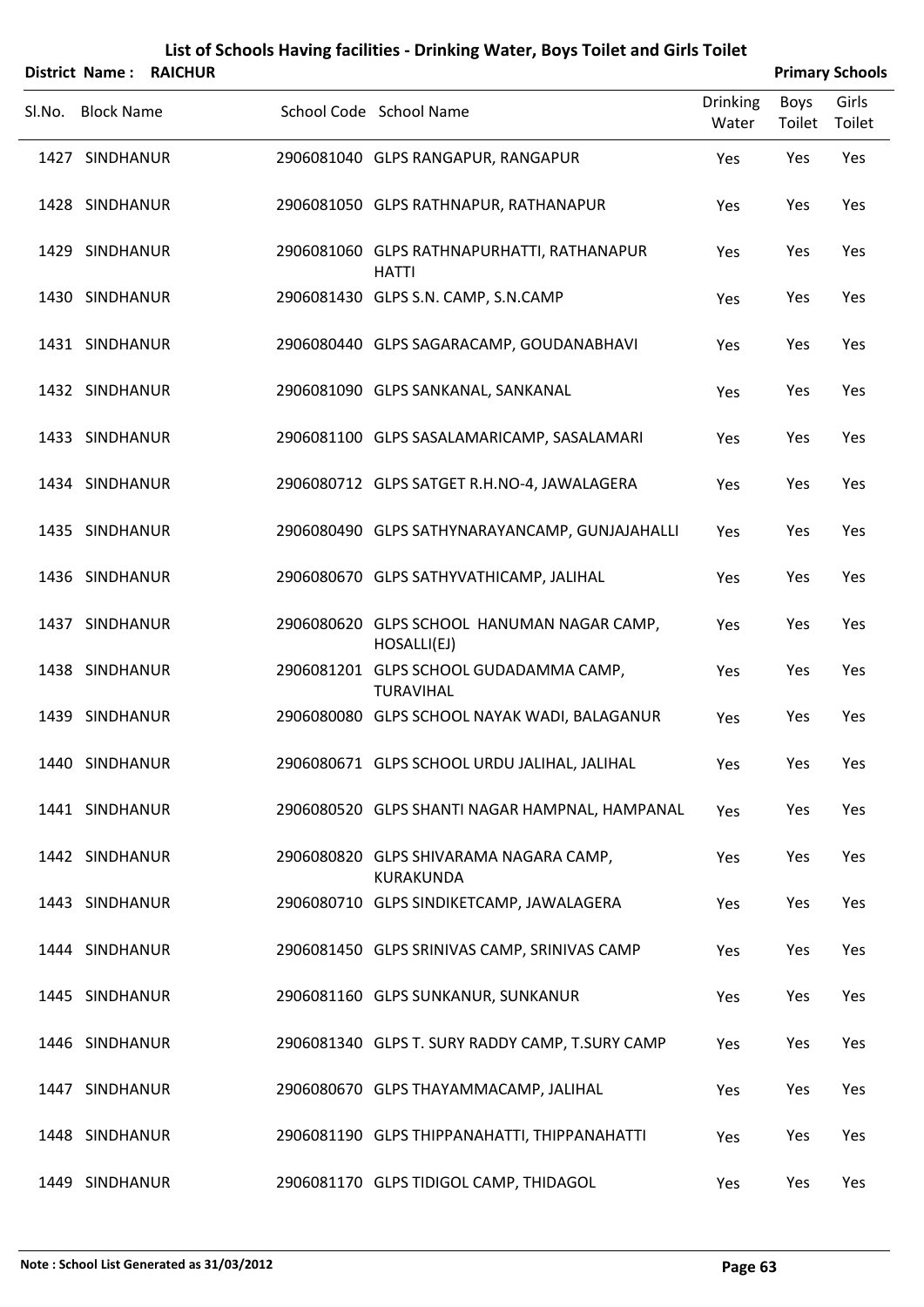|        | <b>District Name:</b> | <b>RAICHUR</b> |                                                            |                          |                | <b>Primary Schools</b> |
|--------|-----------------------|----------------|------------------------------------------------------------|--------------------------|----------------|------------------------|
| Sl.No. | <b>Block Name</b>     |                | School Code School Name                                    | <b>Drinking</b><br>Water | Boys<br>Toilet | Girls<br>Toilet        |
|        | 1427 SINDHANUR        |                | 2906081040 GLPS RANGAPUR, RANGAPUR                         | Yes                      | Yes            | Yes                    |
|        | 1428 SINDHANUR        |                | 2906081050 GLPS RATHNAPUR, RATHANAPUR                      | Yes                      | Yes            | Yes                    |
|        | 1429 SINDHANUR        |                | 2906081060 GLPS RATHNAPURHATTI, RATHANAPUR<br><b>HATTI</b> | Yes                      | Yes            | Yes                    |
|        | 1430 SINDHANUR        |                | 2906081430 GLPS S.N. CAMP, S.N.CAMP                        | Yes                      | Yes            | Yes                    |
|        | 1431 SINDHANUR        |                | 2906080440 GLPS SAGARACAMP, GOUDANABHAVI                   | Yes                      | Yes            | Yes                    |
|        | 1432 SINDHANUR        |                | 2906081090 GLPS SANKANAL, SANKANAL                         | Yes                      | Yes            | Yes                    |
|        | 1433 SINDHANUR        |                | 2906081100 GLPS SASALAMARICAMP, SASALAMARI                 | Yes                      | Yes            | Yes                    |
|        | 1434 SINDHANUR        |                | 2906080712 GLPS SATGET R.H.NO-4, JAWALAGERA                | Yes                      | Yes            | Yes                    |
|        | 1435 SINDHANUR        |                | 2906080490 GLPS SATHYNARAYANCAMP, GUNJAJAHALLI             | Yes                      | Yes            | Yes                    |
|        | 1436 SINDHANUR        |                | 2906080670 GLPS SATHYVATHICAMP, JALIHAL                    | Yes                      | Yes            | Yes                    |
|        | 1437 SINDHANUR        |                | 2906080620 GLPS SCHOOL HANUMAN NAGAR CAMP,<br>HOSALLI(EJ)  | Yes                      | Yes            | Yes                    |
|        | 1438 SINDHANUR        |                | 2906081201 GLPS SCHOOL GUDADAMMA CAMP,<br><b>TURAVIHAL</b> | Yes                      | Yes            | Yes                    |
|        | 1439 SINDHANUR        |                | 2906080080 GLPS SCHOOL NAYAK WADI, BALAGANUR               | Yes                      | Yes            | Yes                    |
|        | 1440 SINDHANUR        |                | 2906080671 GLPS SCHOOL URDU JALIHAL, JALIHAL               | Yes                      | Yes            | Yes                    |
|        | 1441 SINDHANUR        |                | 2906080520 GLPS SHANTI NAGAR HAMPNAL, HAMPANAL             | Yes                      | Yes            | Yes                    |
|        | 1442 SINDHANUR        |                | 2906080820 GLPS SHIVARAMA NAGARA CAMP,<br>KURAKUNDA        | Yes                      | Yes            | Yes                    |
|        | 1443 SINDHANUR        |                | 2906080710 GLPS SINDIKETCAMP, JAWALAGERA                   | Yes                      | Yes            | Yes                    |
|        | 1444 SINDHANUR        |                | 2906081450 GLPS SRINIVAS CAMP, SRINIVAS CAMP               | Yes                      | Yes            | Yes                    |
|        | 1445 SINDHANUR        |                | 2906081160 GLPS SUNKANUR, SUNKANUR                         | Yes                      | Yes            | Yes                    |
|        | 1446 SINDHANUR        |                | 2906081340 GLPS T. SURY RADDY CAMP, T.SURY CAMP            | Yes                      | Yes            | Yes                    |
|        | 1447 SINDHANUR        |                | 2906080670 GLPS THAYAMMACAMP, JALIHAL                      | Yes                      | Yes            | Yes                    |
|        | 1448 SINDHANUR        |                | 2906081190 GLPS THIPPANAHATTI, THIPPANAHATTI               | Yes                      | Yes            | Yes                    |
|        | 1449 SINDHANUR        |                | 2906081170 GLPS TIDIGOL CAMP, THIDAGOL                     | Yes                      | Yes            | Yes                    |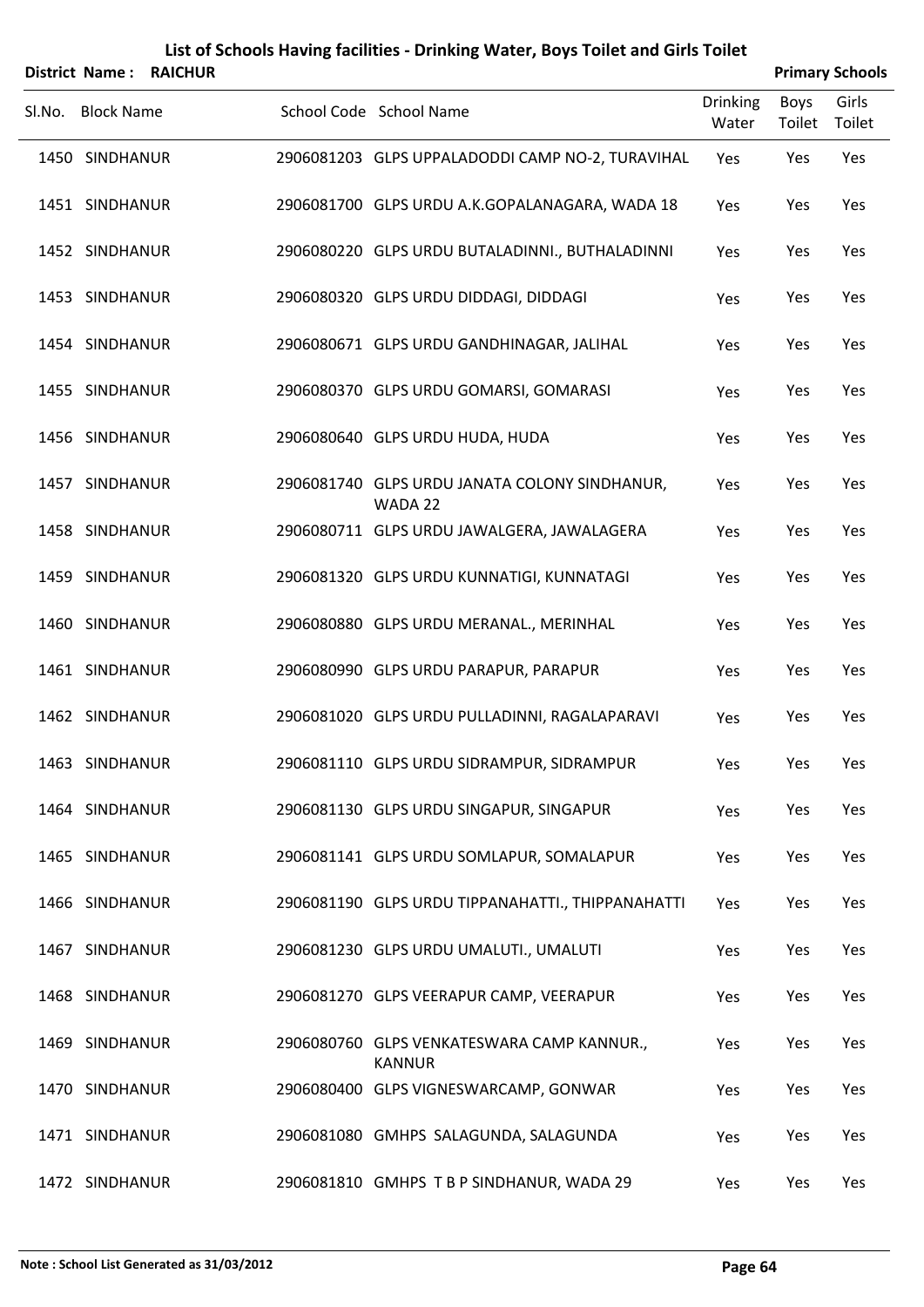|                        | List of Schools Having facilities - Drinking Water, Boys Toilet and Girls Toilet |                        |
|------------------------|----------------------------------------------------------------------------------|------------------------|
| District Name: RAICHUR |                                                                                  | <b>Primary Schools</b> |

| Sl.No. Block Name | School Code School Name                                     | <b>Drinking</b><br>Water | Boys<br>Toilet Toilet | Girls |
|-------------------|-------------------------------------------------------------|--------------------------|-----------------------|-------|
| 1450 SINDHANUR    | 2906081203 GLPS UPPALADODDI CAMP NO-2, TURAVIHAL            | Yes                      | Yes                   | Yes   |
| 1451 SINDHANUR    | 2906081700 GLPS URDU A.K.GOPALANAGARA, WADA 18              | Yes                      | Yes                   | Yes   |
| 1452 SINDHANUR    | 2906080220 GLPS URDU BUTALADINNI., BUTHALADINNI             | Yes                      | Yes                   | Yes   |
| 1453 SINDHANUR    | 2906080320 GLPS URDU DIDDAGI, DIDDAGI                       | Yes                      | Yes                   | Yes   |
| 1454 SINDHANUR    | 2906080671 GLPS URDU GANDHINAGAR, JALIHAL                   | Yes                      | Yes                   | Yes   |
| 1455 SINDHANUR    | 2906080370 GLPS URDU GOMARSI, GOMARASI                      | Yes                      | Yes                   | Yes   |
| 1456 SINDHANUR    | 2906080640 GLPS URDU HUDA, HUDA                             | Yes                      | Yes                   | Yes   |
| 1457 SINDHANUR    | 2906081740 GLPS URDU JANATA COLONY SINDHANUR,<br>WADA 22    | Yes                      | Yes                   | Yes   |
| 1458 SINDHANUR    | 2906080711 GLPS URDU JAWALGERA, JAWALAGERA                  | Yes                      | Yes                   | Yes   |
| 1459 SINDHANUR    | 2906081320 GLPS URDU KUNNATIGI, KUNNATAGI                   | Yes                      | Yes                   | Yes   |
| 1460 SINDHANUR    | 2906080880 GLPS URDU MERANAL., MERINHAL                     | Yes                      | Yes                   | Yes   |
| 1461 SINDHANUR    | 2906080990 GLPS URDU PARAPUR, PARAPUR                       | Yes                      | Yes                   | Yes   |
| 1462 SINDHANUR    | 2906081020 GLPS URDU PULLADINNI, RAGALAPARAVI               | Yes                      | Yes                   | Yes   |
| 1463 SINDHANUR    | 2906081110 GLPS URDU SIDRAMPUR, SIDRAMPUR                   | Yes                      | Yes                   | Yes   |
| 1464 SINDHANUR    | 2906081130 GLPS URDU SINGAPUR, SINGAPUR                     | Yes                      | Yes                   | Yes   |
| 1465 SINDHANUR    | 2906081141 GLPS URDU SOMLAPUR, SOMALAPUR                    | Yes                      | Yes                   | Yes   |
| 1466 SINDHANUR    | 2906081190 GLPS URDU TIPPANAHATTI., THIPPANAHATTI           | Yes                      | Yes                   | Yes   |
| 1467 SINDHANUR    | 2906081230 GLPS URDU UMALUTI., UMALUTI                      | Yes                      | Yes                   | Yes   |
| 1468 SINDHANUR    | 2906081270 GLPS VEERAPUR CAMP, VEERAPUR                     | Yes                      | Yes                   | Yes   |
| 1469 SINDHANUR    | 2906080760 GLPS VENKATESWARA CAMP KANNUR.,<br><b>KANNUR</b> | Yes                      | Yes                   | Yes   |
| 1470 SINDHANUR    | 2906080400 GLPS VIGNESWARCAMP, GONWAR                       | Yes                      | Yes                   | Yes   |
| 1471 SINDHANUR    | 2906081080 GMHPS SALAGUNDA, SALAGUNDA                       | Yes                      | Yes                   | Yes   |
| 1472 SINDHANUR    | 2906081810 GMHPS TBP SINDHANUR, WADA 29                     | Yes                      | Yes                   | Yes   |

 $\overline{a}$